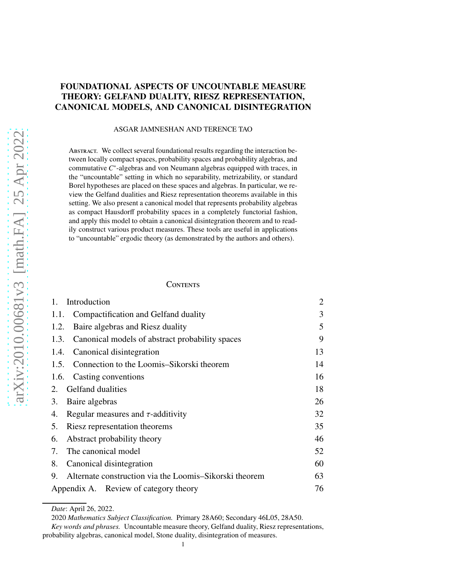### FOUNDATIONAL ASPECTS OF UNCOUNTABLE MEASURE THEORY: GELFAND DUALITY, RIESZ REPRESENTATION, CANONICAL MODELS, AND CANONICAL DISINTEGRATION

#### ASGAR JAMNESHAN AND TERENCE TAO

ABSTRACT. We collect several foundational results regarding the interaction between locally compact spaces, probability spaces and probability algebras, and commutative *C* ∗ -algebras and von Neumann algebras equipped with traces, in the "uncountable" setting in which no separability, metrizability, or standard Borel hypotheses are placed on these spaces and algebras. In particular, we review the Gelfand dualities and Riesz representation theorems available in this setting. We also present a canonical model that represents probability algebras as compact Hausdorff probability spaces in a completely functorial fashion, and apply this model to obtain a canonical disintegration theorem and to readily construct various product measures. These tools are useful in applications to "uncountable" ergodic theory (as demonstrated by the authors and others).

### **CONTENTS**

| $1_{-}$<br>Introduction                                      | $\overline{2}$ |
|--------------------------------------------------------------|----------------|
| Compactification and Gelfand duality<br>1.1.                 | 3              |
| Baire algebras and Riesz duality<br>1.2.                     | 5              |
| Canonical models of abstract probability spaces<br>1.3.      | 9              |
| Canonical disintegration<br>1.4.                             | 13             |
| Connection to the Loomis–Sikorski theorem<br>1.5.            | 14             |
| Casting conventions<br>1.6.                                  | 16             |
| Gelfand dualities<br>2.                                      | 18             |
| Baire algebras<br>3.                                         | 26             |
| Regular measures and $\tau$ -additivity<br>4.                | 32             |
| Riesz representation theorems<br>5.                          | 35             |
| Abstract probability theory<br>6.                            | 46             |
| The canonical model<br>7.                                    | 52             |
| 8.<br>Canonical disintegration                               | 60             |
| Alternate construction via the Loomis–Sikorski theorem<br>9. | 63             |
| Appendix A. Review of category theory                        |                |

*Date*: April 26, 2022.

<sup>2020</sup> *Mathematics Subject Classification.* Primary 28A60; Secondary 46L05, 28A50.

*Key words and phrases.* Uncountable measure theory, Gelfand duality, Riesz representations, probability algebras, canonical model, Stone duality, disintegration of measures.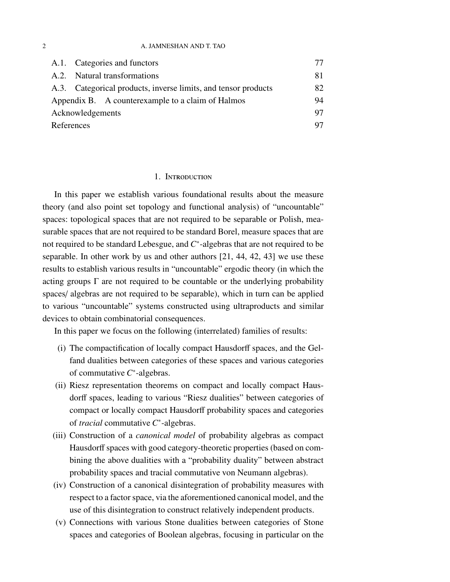#### 2 A. JAMNESHAN AND T. TAO

|                  | A.1. Categories and functors                                   | 77 |
|------------------|----------------------------------------------------------------|----|
|                  | A.2. Natural transformations                                   | 81 |
|                  | A.3. Categorical products, inverse limits, and tensor products | 82 |
|                  | Appendix B. A counterexample to a claim of Halmos              | 94 |
| Acknowledgements |                                                                | 97 |
| References       |                                                                | 97 |

### 1. Introduction

<span id="page-1-0"></span>In this paper we establish various foundational results about the measure theory (and also point set topology and functional analysis) of "uncountable" spaces: topological spaces that are not required to be separable or Polish, measurable spaces that are not required to be standard Borel, measure spaces that are not required to be standard Lebesgue, and *C* ∗ -algebras that are not required to be separable. In other work by us and other authors [\[21,](#page-97-0) [44,](#page-99-0) [42,](#page-99-1) [43\]](#page-99-2) we use these results to establish various results in "uncountable" ergodic theory (in which the acting groups  $\Gamma$  are not required to be countable or the underlying probability spaces/ algebras are not required to be separable), which in turn can be applied to various "uncountable" systems constructed using ultraproducts and similar devices to obtain combinatorial consequences.

In this paper we focus on the following (interrelated) families of results:

- (i) The compactification of locally compact Hausdorff spaces, and the Gelfand dualities between categories of these spaces and various categories of commutative *C* ∗ -algebras.
- (ii) Riesz representation theorems on compact and locally compact Hausdorff spaces, leading to various "Riesz dualities" between categories of compact or locally compact Hausdorff probability spaces and categories of *tracial* commutative *C* ∗ -algebras.
- (iii) Construction of a *canonical model* of probability algebras as compact Hausdorff spaces with good category-theoretic properties (based on combining the above dualities with a "probability duality" between abstract probability spaces and tracial commutative von Neumann algebras).
- (iv) Construction of a canonical disintegration of probability measures with respect to a factor space, via the aforementioned canonical model, and the use of this disintegration to construct relatively independent products.
- (v) Connections with various Stone dualities between categories of Stone spaces and categories of Boolean algebras, focusing in particular on the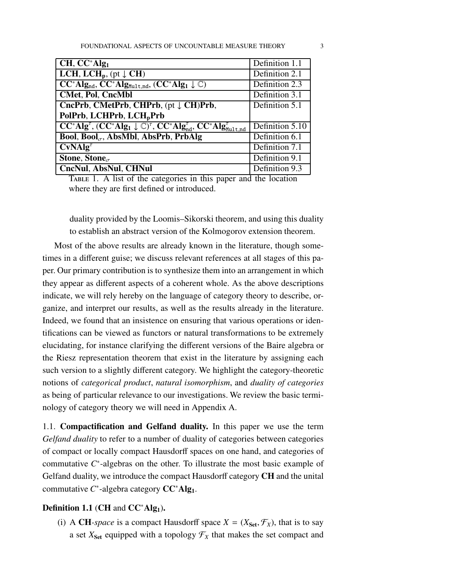| $CH, CC^*Alg_1$                                                                                                                                                | Definition 1.1  |
|----------------------------------------------------------------------------------------------------------------------------------------------------------------|-----------------|
| <b>LCH, LCH<sub>p</sub></b> , (pt $\downarrow$ <b>CH</b> )                                                                                                     | Definition 2.1  |
| $CC^*Alg_{nd}$ , $CC^*Alg_{Mult,nd}$ , $(CC^*Alg_1 \downarrow \mathbb{C})$                                                                                     | Definition 2.3  |
| <b>CMet, Pol, CncMbl</b>                                                                                                                                       | Definition 3.1  |
| CncPrb, CMetPrb, CHPrb, (pt J CH)Prb,                                                                                                                          | Definition 5.1  |
| PolPrb, LCHPrb, LCH <sub>p</sub> Prb                                                                                                                           |                 |
| $\overline{CC^*Alg^{\tau}}$ , $(\overline{CC^*Alg_1} \downarrow \mathbb{C})^{\tau}$ , $\overline{CC^*Alg^{\tau}_{nd}}$ , $\overline{CC^*Alg^{\tau}_{Mult,nd}}$ | Definition 5.10 |
| <b>Bool, Bool<sub><math>\sigma</math></sub>, AbsMbl, AbsPrb, PrbAlg</b>                                                                                        | Definition 6.1  |
| $CvNAlg^{\tau}$                                                                                                                                                | Definition 7.1  |
| Stone, Stone $_{\sigma}$                                                                                                                                       | Definition 9.1  |
| CncNul, AbsNul, CHNul                                                                                                                                          | Definition 9.3  |

<span id="page-2-2"></span>Table 1. A list of the categories in this paper and the location where they are first defined or introduced.

duality provided by the Loomis–Sikorski theorem, and using this duality to establish an abstract version of the Kolmogorov extension theorem.

Most of the above results are already known in the literature, though sometimes in a different guise; we discuss relevant references at all stages of this paper. Our primary contribution is to synthesize them into an arrangement in which they appear as different aspects of a coherent whole. As the above descriptions indicate, we will rely hereby on the language of category theory to describe, organize, and interpret our results, as well as the results already in the literature. Indeed, we found that an insistence on ensuring that various operations or identifications can be viewed as functors or natural transformations to be extremely elucidating, for instance clarifying the different versions of the Baire algebra or the Riesz representation theorem that exist in the literature by assigning each such version to a slightly different category. We highlight the category-theoretic notions of *categorical product*, *natural isomorphism*, and *duality of categories* as being of particular relevance to our investigations. We review the basic terminology of category theory we will need in Appendix [A.](#page-75-0)

<span id="page-2-0"></span>1.1. Compactification and Gelfand duality. In this paper we use the term *Gelfand duality* to refer to a number of duality of categories between categories of compact or locally compact Hausdorff spaces on one hand, and categories of commutative  $C^*$ -algebras on the other. To illustrate the most basic example of Gelfand duality, we introduce the compact Hausdorff category CH and the unital commutative *C*<sup>∗</sup>-algebra category **CC**<sup>∗</sup>Alg<sub>1</sub>.

### <span id="page-2-1"></span>Definition 1.1 (CH and  $CC^*Alg_1$ ).

(i) A CH-space is a compact Hausdorff space  $X = (X_{\text{Set}}, \mathcal{F}_X)$ , that is to say a set  $X_{\text{Set}}$  equipped with a topology  $\mathcal{F}_X$  that makes the set compact and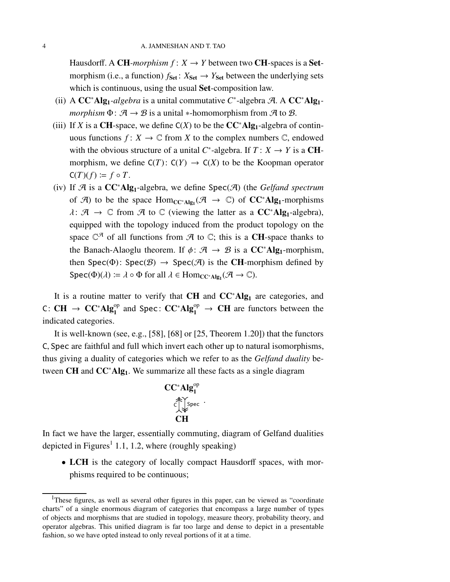Hausdorff. A CH-morphism  $f: X \to Y$  between two CH-spaces is a Setmorphism (i.e., a function)  $f_{\text{Set}}$ :  $X_{\text{Set}} \rightarrow Y_{\text{Set}}$  between the underlying sets which is continuous, using the usual **Set**-composition law.

- (ii) A CC<sup>\*</sup>Alg<sub>1</sub>-algebra is a unital commutative C<sup>\*</sup>-algebra A. A CC<sup>\*</sup>Alg<sub>1</sub>*morphism*  $\Phi$ :  $\mathcal{A} \rightarrow \mathcal{B}$  is a unital \*-homomorphism from  $\mathcal{A}$  to  $\mathcal{B}$ .
- (iii) If *X* is a CH-space, we define  $C(X)$  to be the  $CC^*Alg_1$ -algebra of continuous functions  $f: X \to \mathbb{C}$  from *X* to the complex numbers  $\mathbb{C}$ , endowed with the obvious structure of a unital  $C^*$ -algebra. If  $T: X \to Y$  is a **CH**morphism, we define  $C(T): C(Y) \to C(X)$  to be the Koopman operator  $C(T)(f) \coloneqq f \circ T$ .
- (iv) If A is a CC<sup>∗</sup>Alg1-algebra, we define Spec(A) (the *Gelfand spectrum* of  $\mathcal{A}$ ) to be the space  $Hom_{CC^*\text{Alg}_1}(\mathcal{A} \to \mathbb{C})$  of  $CC^*\text{Alg}_1$ -morphisms  $\lambda: \mathcal{A} \to \mathbb{C}$  from  $\mathcal{A}$  to  $\mathbb{C}$  (viewing the latter as a  $CC^*Alg_1$ -algebra), equipped with the topology induced from the product topology on the space  $\mathbb{C}^{\mathcal{A}}$  of all functions from  $\mathcal{A}$  to  $\mathbb{C}$ ; this is a CH-space thanks to the Banach-Alaoglu theorem. If  $\phi: \mathcal{A} \rightarrow \mathcal{B}$  is a  $CC^*Alg_1$ -morphism, then Spec( $\Phi$ ): Spec( $\mathcal{B}$ )  $\rightarrow$  Spec( $\mathcal{A}$ ) is the CH-morphism defined by  $Spec(\Phi)(\lambda) \coloneqq \lambda \circ \Phi$  for all  $\lambda \in Hom_{CC^*Alg_1}(\mathcal{A} \to \mathbb{C})$ .

It is a routine matter to verify that CH and  $CC^*Alg_1$  are categories, and C: CH  $\rightarrow$  CC<sup>∗</sup>Alg<sup>op</sup> and Spec: CC<sup>∗</sup>Alg<sup>op</sup>  $\rightarrow$  CH are functors between the indicated categories.

It is well-known (see, e.g., [\[58\]](#page-100-0), [\[68\]](#page-100-1) or [\[25,](#page-98-0) Theorem 1.20]) that the functors C, Spec are faithful and full which invert each other up to natural isomorphisms, thus giving a duality of categories which we refer to as the *Gelfand duality* between  $CH$  and  $CC<sup>*</sup>Alg<sub>1</sub>$ . We summarize all these facts as a single diagram

$$
CC^*Alg_1^{\text{op}}
$$
  
 $\overset{\text{def}}{\underset{\text{def}}{\bigcirc}}$   
 $\overset{\text{def}}{\underset{\text{def}}{\bigcirc}}$   
 $CH$ 

In fact we have the larger, essentially commuting, diagram of Gelfand dualities depicted in Figures<sup>[1](#page-3-0)</sup> [1.1,](#page-5-0) [1.2,](#page-5-1) where (roughly speaking)

• LCH is the category of locally compact Hausdorff spaces, with morphisms required to be continuous;

<span id="page-3-0"></span><sup>&</sup>lt;sup>1</sup>These figures, as well as several other figures in this paper, can be viewed as "coordinate" charts" of a single enormous diagram of categories that encompass a large number of types of objects and morphisms that are studied in topology, measure theory, probability theory, and operator algebras. This unified diagram is far too large and dense to depict in a presentable fashion, so we have opted instead to only reveal portions of it at a time.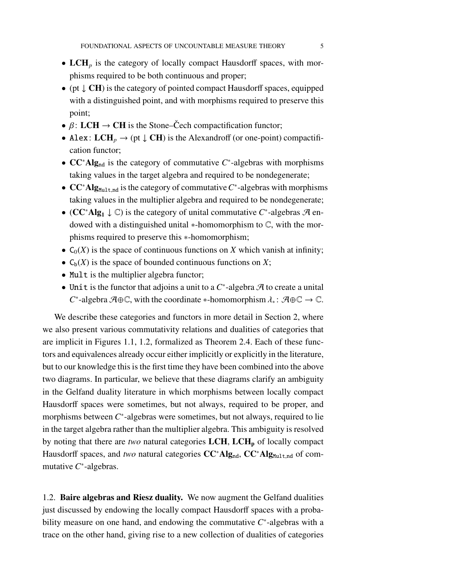- LCH<sub>p</sub> is the category of locally compact Hausdorff spaces, with morphisms required to be both continuous and proper;
- (pt  $\downarrow$  **CH**) is the category of pointed compact Hausdorff spaces, equipped with a distinguished point, and with morphisms required to preserve this point;
- $\beta$ : LCH  $\rightarrow$  CH is the Stone–Čech compactification functor;
- Alex:  $LCH_p \rightarrow (pt \downarrow CH)$  is the Alexandroff (or one-point) compactification functor;
- CC<sup>\*</sup>Alg<sub>nd</sub> is the category of commutative C<sup>\*</sup>-algebras with morphisms taking values in the target algebra and required to be nondegenerate;
- CC<sup>\*</sup>Alg<sub>Mult,nd</sub> is the category of commutative C<sup>\*</sup>-algebras with morphisms taking values in the multiplier algebra and required to be nondegenerate;
- (CC<sup>\*</sup>Alg<sub>1</sub> ↓ C) is the category of unital commutative C<sup>\*</sup>-algebras A endowed with a distinguished unital ∗-homomorphism to C, with the morphisms required to preserve this ∗-homomorphism;
- $C_0(X)$  is the space of continuous functions on *X* which vanish at infinity;
- $C_b(X)$  is the space of bounded continuous functions on X;
- Mult is the multiplier algebra functor;
- Unit is the functor that adjoins a unit to a *C* ∗ -algebra A to create a unital *C*<sup>\*</sup>-algebra  $A \oplus \mathbb{C}$ , with the coordinate \*-homomorphism  $\lambda_* : A \oplus \mathbb{C} \to \mathbb{C}$ .

We describe these categories and functors in more detail in Section [2,](#page-17-0) where we also present various commutativity relations and dualities of categories that are implicit in Figures [1.1,](#page-5-0) [1.2,](#page-5-1) formalized as Theorem [2.4.](#page-21-0) Each of these functors and equivalences already occur either implicitly or explicitly in the literature, but to our knowledge this is the first time they have been combined into the above two diagrams. In particular, we believe that these diagrams clarify an ambiguity in the Gelfand duality literature in which morphisms between locally compact Hausdorff spaces were sometimes, but not always, required to be proper, and morphisms between *C*<sup>∗</sup>-algebras were sometimes, but not always, required to lie in the target algebra rather than the multiplier algebra. This ambiguity is resolved by noting that there are *two* natural categories  $LCH$ ,  $LCH<sub>p</sub>$  of locally compact Hausdorff spaces, and *two* natural categories CC<sup>∗</sup>Alg<sub>nd</sub>, CC<sup>∗</sup>Alg<sub>Mult,nd</sub> of commutative *C* ∗ -algebras.

<span id="page-4-0"></span>1.2. Baire algebras and Riesz duality. We now augment the Gelfand dualities just discussed by endowing the locally compact Hausdorff spaces with a probability measure on one hand, and endowing the commutative  $C^*$ -algebras with a trace on the other hand, giving rise to a new collection of dualities of categories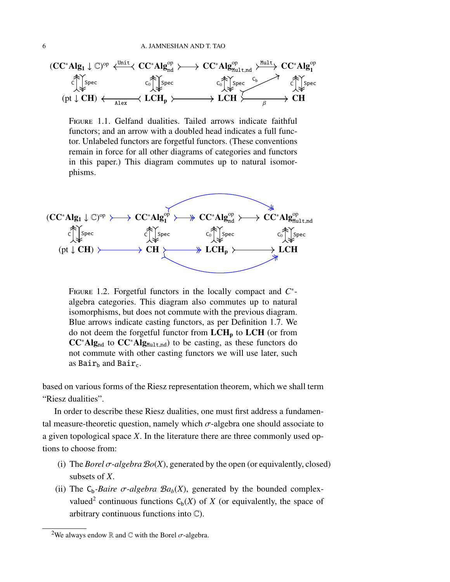

<span id="page-5-0"></span>Figure 1.1. Gelfand dualities. Tailed arrows indicate faithful functors; and an arrow with a doubled head indicates a full functor. Unlabeled functors are forgetful functors. (These conventions remain in force for all other diagrams of categories and functors in this paper.) This diagram commutes up to natural isomorphisms.



<span id="page-5-1"></span>FIGURE 1.2. Forgetful functors in the locally compact and  $C^*$ algebra categories. This diagram also commutes up to natural isomorphisms, but does not commute with the previous diagram. Blue arrows indicate casting functors, as per Definition [1.7.](#page-15-1) We do not deem the forgetful functor from  $LCH<sub>p</sub>$  to  $LCH$  (or from  $CC^*Alg_{nd}$  to  $CC^*Alg_{Mult,nd}$ ) to be casting, as these functors do not commute with other casting functors we will use later, such as  $\text{Bair}_b$  and  $\text{Bair}_c$ .

based on various forms of the Riesz representation theorem, which we shall term "Riesz dualities".

In order to describe these Riesz dualities, one must first address a fundamental measure-theoretic question, namely which  $\sigma$ -algebra one should associate to a given topological space *X*. In the literature there are three commonly used options to choose from:

- (i) The *Borel*  $\sigma$ -algebra  $\mathcal{B}o(X)$ , generated by the open (or equivalently, closed) subsets of *X*.
- (ii) The  $C_b$ -*Baire*  $\sigma$ -*algebra*  $Ba_b(X)$ , generated by the bounded complex-valued<sup>[2](#page-5-2)</sup> continuous functions  $C_b(X)$  of *X* (or equivalently, the space of arbitrary continuous functions into  $\mathbb{C}$ ).

<span id="page-5-2"></span><sup>&</sup>lt;sup>2</sup>We always endow R and C with the Borel  $\sigma$ -algebra.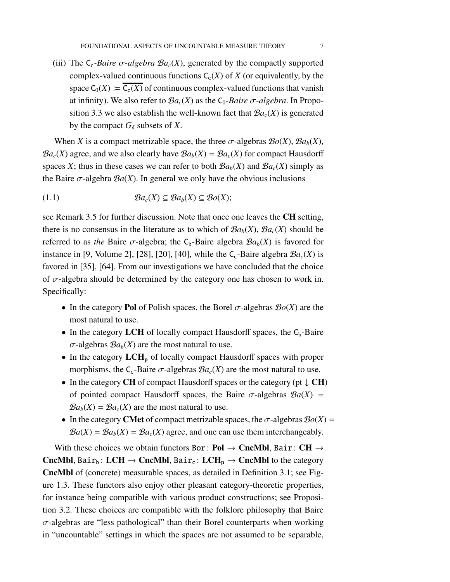(iii) The  $C_c$ -*Baire*  $\sigma$ -*algebra*  $Ba_c(X)$ , generated by the compactly supported complex-valued continuous functions  $C_c(X)$  of *X* (or equivalently, by the space  $C_0(X) := \overline{C_c(X)}$  of continuous complex-valued functions that vanish at infinity). We also refer to  $\mathcal{B}a_c(X)$  as the  $C_0$ -*Baire*  $\sigma$ -*algebra*. In Propo-sition [3.3](#page-28-0) we also establish the well-known fact that  $Ba_c(X)$  is generated by the compact  $G_{\delta}$  subsets of *X*.

When *X* is a compact metrizable space, the three  $\sigma$ -algebras  $\mathcal{B}o(X)$ ,  $\mathcal{B}a_b(X)$ ,  $Ba_c(X)$  agree, and we also clearly have  $Ba_b(X) = Ba_c(X)$  for compact Hausdorff spaces *X*; thus in these cases we can refer to both  $Ba_b(X)$  and  $Ba_c(X)$  simply as the Baire  $\sigma$ -algebra  $\mathcal{B}a(X)$ . In general we only have the obvious inclusions

<span id="page-6-0"></span>(1.1) B*ac*(*X*) ⊆ B*ab*(*X*) ⊆ B*o*(*X*);

see Remark [3.5](#page-31-1) for further discussion. Note that once one leaves the CH setting, there is no consensus in the literature as to which of  $Ba_b(X)$ ,  $Ba_c(X)$  should be referred to as *the* Baire  $\sigma$ -algebra; the C<sub>b</sub>-Baire algebra  $Ba_b(X)$  is favored for instance in [\[9,](#page-97-1) Volume 2], [\[28\]](#page-98-1), [\[20\]](#page-97-2), [\[40\]](#page-98-2), while the  $C_c$ -Baire algebra  $\mathcal{B}a_c(X)$  is favored in [\[35\]](#page-98-3), [\[64\]](#page-100-2). From our investigations we have concluded that the choice of  $\sigma$ -algebra should be determined by the category one has chosen to work in. Specifically:

- In the category **Pol** of Polish spaces, the Borel  $\sigma$ -algebras  $\mathcal{B}o(X)$  are the most natural to use.
- In the category LCH of locally compact Hausdorff spaces, the  $C_b$ -Baire  $\sigma$ -algebras  $Ba_b(X)$  are the most natural to use.
- In the category  $LCH_p$  of locally compact Hausdorff spaces with proper morphisms, the  $C_c$ -Baire  $\sigma$ -algebras  $\mathcal{B}a_c(X)$  are the most natural to use.
- In the category CH of compact Hausdorff spaces or the category (pt  $\downarrow$  CH) of pointed compact Hausdorff spaces, the Baire  $\sigma$ -algebras  $\mathcal{B}a(X)$  =  $Ba_b(X) = Ba_c(X)$  are the most natural to use.
- In the category **CMet** of compact metrizable spaces, the  $\sigma$ -algebras  $\mathcal{B}o(X)$  =  $\mathcal{B}a(X) = \mathcal{B}a_b(X) = \mathcal{B}a_c(X)$  agree, and one can use them interchangeably.

With these choices we obtain functors Bor: Pol  $\rightarrow$  CncMbl, Bair: CH  $\rightarrow$ CncMbl, Bair<sub>b</sub>: LCH  $\rightarrow$  CncMbl, Bair<sub>c</sub>: LCH<sub>p</sub>  $\rightarrow$  CncMbl to the category CncMbl of (concrete) measurable spaces, as detailed in Definition [3.1;](#page-25-1) see Figure [1.3.](#page-7-0) These functors also enjoy other pleasant category-theoretic properties, for instance being compatible with various product constructions; see Proposition [3.2.](#page-26-0) These choices are compatible with the folklore philosophy that Baire  $\sigma$ -algebras are "less pathological" than their Borel counterparts when working in "uncountable" settings in which the spaces are not assumed to be separable,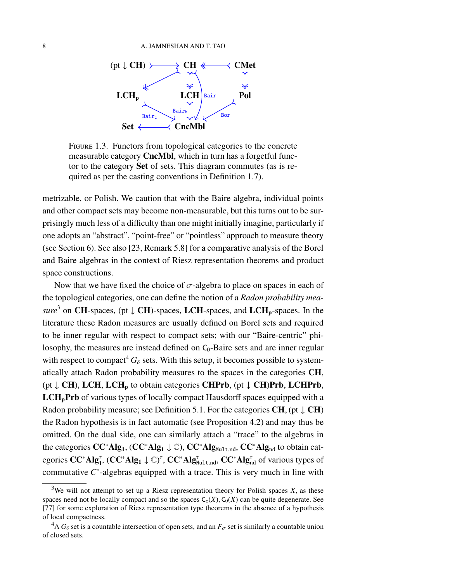

<span id="page-7-0"></span>Figure 1.3. Functors from topological categories to the concrete measurable category **CncMbl**, which in turn has a forgetful functor to the category Set of sets. This diagram commutes (as is required as per the casting conventions in Definition [1.7\)](#page-15-1).

metrizable, or Polish. We caution that with the Baire algebra, individual points and other compact sets may become non-measurable, but this turns out to be surprisingly much less of a difficulty than one might initially imagine, particularly if one adopts an "abstract", "point-free" or "pointless" approach to measure theory (see Section [6\)](#page-45-0). See also [\[23,](#page-97-3) Remark 5.8] for a comparative analysis of the Borel and Baire algebras in the context of Riesz representation theorems and product space constructions.

Now that we have fixed the choice of  $\sigma$ -algebra to place on spaces in each of the topological categories, one can define the notion of a *Radon probability measure*<sup>[3](#page-7-1)</sup> on **CH**-spaces, (pt  $\downarrow$  **CH**)-spaces, **LCH**-spaces, and **LCH**<sub>p</sub>-spaces. In the literature these Radon measures are usually defined on Borel sets and required to be inner regular with respect to compact sets; with our "Baire-centric" philosophy, the measures are instead defined on  $C_0$ -Baire sets and are inner regular with respect to compact<sup>[4](#page-7-2)</sup>  $G_{\delta}$  sets. With this setup, it becomes possible to systematically attach Radon probability measures to the spaces in the categories CH, (pt  $\downarrow$  CH), LCH, LCH<sub>p</sub> to obtain categories CHPrb, (pt  $\downarrow$  CH)Prb, LCHPrb, LCH<sub>p</sub>Prb of various types of locally compact Hausdorff spaces equipped with a Radon probability measure; see Definition [5.1.](#page-34-1) For the categories  $CH$ , (pt  $\downarrow$  CH) the Radon hypothesis is in fact automatic (see Proposition [4.2\)](#page-32-0) and may thus be omitted. On the dual side, one can similarly attach a "trace" to the algebras in the categories  $CC^*Alg_1$ ,  $(CC^*Alg_1 \downarrow \mathbb{C})$ ,  $CC^*Alg_{Mult,nd}$ ,  $CC^*Alg_{nd}$  to obtain categories  $CC^*Alg_1^{\tau}$ ,  $(CC^*Alg_1 \downarrow \mathbb{C})^{\tau}$ ,  $CC^*Alg_{Mult,nd}^{\tau}$ ,  $CC^*Alg_{nd}^{\tau}$  of various types of commutative  $C^*$ -algebras equipped with a trace. This is very much in line with

<span id="page-7-1"></span><sup>&</sup>lt;sup>3</sup>We will not attempt to set up a Riesz representation theory for Polish spaces  $X$ , as these spaces need not be locally compact and so the spaces  $C_c(X)$ ,  $C_0(X)$  can be quite degenerate. See [\[77\]](#page-101-0) for some exploration of Riesz representation type theorems in the absence of a hypothesis of local compactness.

<span id="page-7-2"></span><sup>&</sup>lt;sup>4</sup>A  $G_{\delta}$  set is a countable intersection of open sets, and an  $F_{\sigma}$  set is similarly a countable union of closed sets.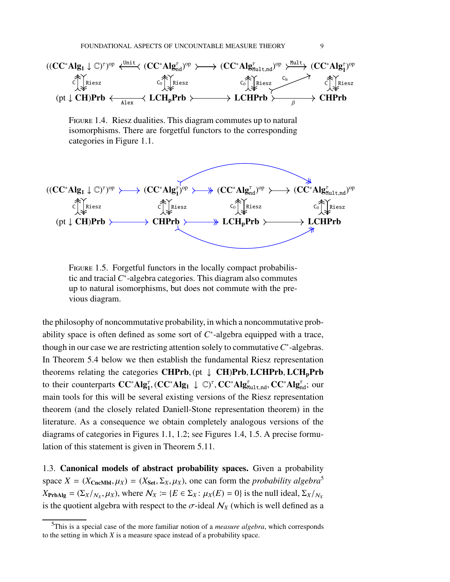

<span id="page-8-1"></span>Figure 1.4. Riesz dualities. This diagram commutes up to natural isomorphisms. There are forgetful functors to the corresponding categories in Figure [1.1.](#page-5-0)

$$
\begin{array}{ccc}((CC^*Alg_1 \downarrow \mathbb{C})^r)^{op} & \longrightarrow & (CC^*Alg_1^r)^{op} & \longrightarrow & (CC^*Alg_{nd}^r)^{op} & \longrightarrow & (CC^*Alg_{mult,nd}^r)^{op} \\ \stackrel{\curvearrowleft}{\subset} \Big\uparrow_{\stackrel{\succ}{\sim}} \stackrel{\succleftarrow}{\ll} \stackrel{\curvearrowleft}{\ll} \Big\uparrow_{\stackrel{\succleftarrow}{\ll}} \stackrel{\succleftarrow}{\ll} \Big\uparrow_{\stackrel{\succleftarrow}{\ll}} \stackrel{\succleftarrow}{\ll} \Big\uparrow_{\stackrel{\succleftarrow}{\ll}} \stackrel{\succleftarrow}{\ll} \Big\uparrow_{\stackrel{\succleftarrow}{\ll}} \stackrel{\succleftarrow}{\ll} \Big\uparrow_{\stackrel{\succleftarrow}{\ll}} \stackrel{\succleftarrow}{\ll} \Big\uparrow_{\stackrel{\succleftarrow}{\ll}} \stackrel{\succleftarrow}{\ll} \Big\uparrow_{\stackrel{\succleftarrow}{\ll}} \stackrel{\succleftarrow}{\ll} \Big\uparrow_{\stackrel{\succleftarrow}{\ll}} \stackrel{\succleftarrow}{\ll} \Big\uparrow_{\stackrel{\succleftarrow}{\ll}} \stackrel{\succleftarrow}{\ll} \Big\uparrow_{\stackrel{\succleftarrow}{\ll}} \stackrel{\succleftarrow}{\ll} \Big\uparrow_{\stackrel{\succleftarrow}{\ll}} \stackrel{\succleftarrow}{\ll} \Big\uparrow_{\stackrel{\succleftarrow}{\ll}} \stackrel{\succleftarrow}{\ll} \Big\uparrow_{\stackrel{\succleftarrow}{\ll}} \stackrel{\succleftarrow}{\ll} \Big\uparrow_{\stackrel{\succleftarrow}{\ll}} \stackrel{\succleftarrow}{\ll} \Big\uparrow_{\stackrel{\succleftarrow}{\ll}} \stackrel{\succleftarrow}{\ll} \Big\uparrow_{\stackrel{\succleftarrow}{\ll}} \stackrel{\succleftarrow}{\ll} \Big\uparrow_{\stackrel{\succleftarrow}{\ll}} \Big\uparrow_{\stackrel{\succleftarrow}{\ll}} \stackrel{\succleftarrow}{\ll} \Big\uparrow_{\stackrel{\succleftarrow}{\ll}} \Big\uparrow_{\stackrel{\succleftarrow}{\ll}} \stackrel{\succleftarrow}{\ll} \Big\uparrow_{\stackrel{\succleftarrow}{\ll}} \Big\uparrow_{\stackrel{\succleftarrow}{\ll}} \stackrel{\succleftarrow}{\ll} \Big\uparrow_{\stackrel{\succleftarrow}{\ll}} \Big\uparrow_{\stackrel{\succleftarrow}{\ll}} \Big\uparrow_{\stackrel{\
$$

<span id="page-8-2"></span>FIGURE 1.5. Forgetful functors in the locally compact probabilistic and tracial  $C^*$ -algebra categories. This diagram also commutes up to natural isomorphisms, but does not commute with the previous diagram.

the philosophy of noncommutative probability, in which a noncommutative probability space is often defined as some sort of  $C^*$ -algebra equipped with a trace, though in our case we are restricting attention solely to commutative  $C^*$ -algebras. In Theorem [5.4](#page-38-0) below we then establish the fundamental Riesz representation theorems relating the categories CHPrb,  $(pt \downarrow CH)Prb, LCHPrb, LCH<sub>p</sub>Prb$ to their counterparts  $CC^*Alg_1^{\tau}$ ,  $(CC^*Alg_1 \downarrow \mathbb{C})^{\tau}$ ,  $CC^*Alg_{\text{Mult},\text{nd}}^{\tau}$ ,  $CC^*Alg_{\text{nd}}^{\tau}$ ; our main tools for this will be several existing versions of the Riesz representation theorem (and the closely related Daniell-Stone representation theorem) in the literature. As a consequence we obtain completely analogous versions of the diagrams of categories in Figures [1.1,](#page-5-0) [1.2;](#page-5-1) see Figures [1.4,](#page-8-1) [1.5.](#page-8-2) A precise formulation of this statement is given in Theorem [5.11.](#page-44-0)

<span id="page-8-0"></span>1.3. Canonical models of abstract probability spaces. Given a probability space  $X = (X_{\text{CncMbl}}, \mu_X) = (X_{\text{Set}}, \Sigma_X, \mu_X)$ , one can form the *probability algebra*<sup>[5](#page-8-3)</sup>  $X_{\text{PrbAlg}} = (\Sigma_X / N_X, \mu_X)$ , where  $\mathcal{N}_X := \{ E \in \Sigma_X : \mu_X(E) = 0 \}$  is the null ideal,  $\Sigma_X / N_X$ is the quotient algebra with respect to the  $\sigma$ -ideal  $\mathcal{N}_X$  (which is well defined as a

<span id="page-8-3"></span><sup>5</sup>This is a special case of the more familiar notion of a *measure algebra*, which corresponds to the setting in which *X* is a measure space instead of a probability space.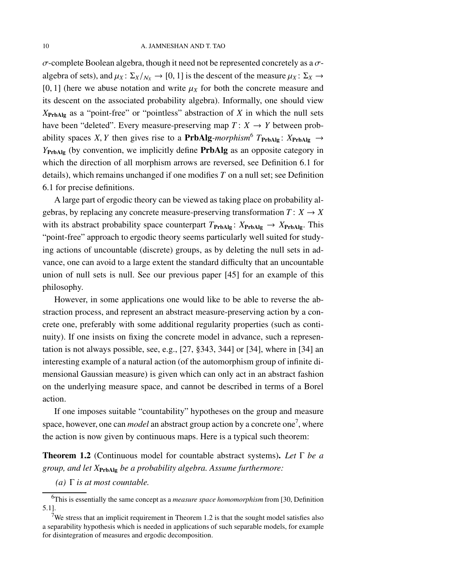$\sigma$ -complete Boolean algebra, though it need not be represented concretely as a  $\sigma$ algebra of sets), and  $\mu_X$ :  $\Sigma_X/\mathcal{N}_X \to [0, 1]$  is the descent of the measure  $\mu_X$ :  $\Sigma_X \to$ [0, 1] (here we abuse notation and write  $\mu_X$  for both the concrete measure and its descent on the associated probability algebra). Informally, one should view *X*PrbAlg as a "point-free" or "pointless" abstraction of *X* in which the null sets have been "deleted". Every measure-preserving map  $T: X \rightarrow Y$  between probability spaces *X*, *Y* then gives rise to a **PrbAlg**-morphism<sup>[6](#page-9-0)</sup>  $T_{\text{PrbAlg}}$ :  $X_{\text{PrbAlg}} \rightarrow$ *Y*PrbAlg (by convention, we implicitly define PrbAlg as an opposite category in which the direction of all morphism arrows are reversed, see Definition [6.1](#page-45-1) for details), which remains unchanged if one modifies *T* on a null set; see Definition [6.1](#page-45-1) for precise definitions.

A large part of ergodic theory can be viewed as taking place on probability algebras, by replacing any concrete measure-preserving transformation  $T: X \rightarrow X$ with its abstract probability space counterpart  $T_{\text{PrbAlg}}$ :  $X_{\text{PrbAlg}} \rightarrow X_{\text{PrbAlg}}$ . This "point-free" approach to ergodic theory seems particularly well suited for studying actions of uncountable (discrete) groups, as by deleting the null sets in advance, one can avoid to a large extent the standard difficulty that an uncountable union of null sets is null. See our previous paper [\[45\]](#page-99-3) for an example of this philosophy.

However, in some applications one would like to be able to reverse the abstraction process, and represent an abstract measure-preserving action by a concrete one, preferably with some additional regularity properties (such as continuity). If one insists on fixing the concrete model in advance, such a representation is not always possible, see, e.g., [\[27,](#page-98-4) §343, 344] or [\[34\]](#page-98-5), where in [\[34\]](#page-98-5) an interesting example of a natural action (of the automorphism group of infinite dimensional Gaussian measure) is given which can only act in an abstract fashion on the underlying measure space, and cannot be described in terms of a Borel action.

If one imposes suitable "countability" hypotheses on the group and measure space, however, one can *model* an abstract group action by a concrete one<sup>[7](#page-9-1)</sup>, where the action is now given by continuous maps. Here is a typical such theorem:

<span id="page-9-2"></span>Theorem 1.2 (Continuous model for countable abstract systems). *Let* Γ *be a group, and let X*PrbAlg *be a probability algebra. Assume furthermore:*

*(a)* Γ *is at most countable.*

<span id="page-9-0"></span><sup>6</sup>This is essentially the same concept as a *measure space homomorphism* from [\[30,](#page-98-6) Definition 5.1].

<span id="page-9-1"></span><sup>&</sup>lt;sup>7</sup>We stress that an implicit requirement in Theorem [1.2](#page-9-2) is that the sought model satisfies also a separability hypothesis which is needed in applications of such separable models, for example for disintegration of measures and ergodic decomposition.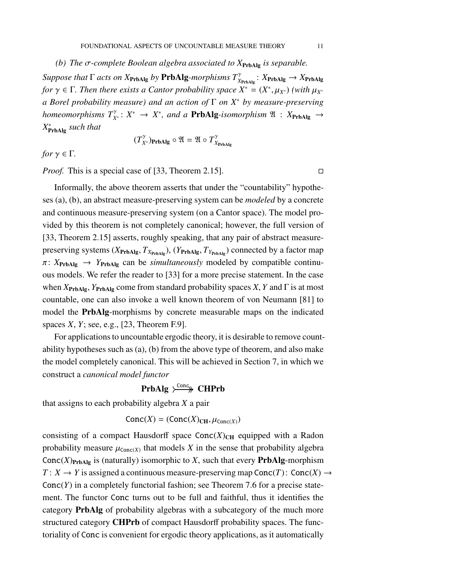*(b) The* σ*-complete Boolean algebra associated to X*PrbAlg *is separable.*  $Suppose that \Gamma acts on X_{\text{PrbAlg}} by \text{PrbAlg-morphisms } T^{\gamma}_{X_{\text{PrbAlg}}} : X_{\text{PrbAlg}} \rightarrow X_{\text{PrbAlg}}$ *for*  $\gamma \in \Gamma$ *. Then there exists a Cantor probability space*  $X^* = (X^*, \mu_{X^*})$  *(with*  $\mu_{X^*}$ ) *a Borel probability measure) and an action of* Γ *on X*<sup>∗</sup> *by measure-preserving homeomorphisms*  $T_{X^*}^{\gamma}: X^* \to X^*$ , and a **PrbAlg**-isomorphism  $\mathfrak{A}: X_{\text{PrbAlg}} \to X^*$ *X* ∗ PrbAlg *such that*

$$
(T_{X^*}^{\gamma})_{\mathbf{PrbAlg}} \circ \mathfrak{A} = \mathfrak{A} \circ T_{X_{\mathbf{PrbAlg}}}^{\gamma}
$$

*for*  $\gamma \in \Gamma$ *.* 

*Proof.* This is a special case of [\[33,](#page-98-7) Theorem 2.15].

Informally, the above theorem asserts that under the "countability" hypotheses (a), (b), an abstract measure-preserving system can be *modeled* by a concrete and continuous measure-preserving system (on a Cantor space). The model provided by this theorem is not completely canonical; however, the full version of [\[33,](#page-98-7) Theorem 2.15] asserts, roughly speaking, that any pair of abstract measurepreserving systems  $(X_{\text{PrbAlg}}, T_{X_{\text{PrbAlg}}})$ ,  $(Y_{\text{PrbAlg}}, T_{Y_{\text{PrbAlg}}})$  connected by a factor map  $\pi$ :  $X_{\text{PrbAlg}} \rightarrow Y_{\text{PrbAlg}}$  can be *simultaneously* modeled by compatible continuous models. We refer the reader to [\[33\]](#page-98-7) for a more precise statement. In the case when  $X_{\text{PrbAlg}}$ ,  $Y_{\text{PrbAlg}}$  come from standard probability spaces *X*, *Y* and Γ is at most countable, one can also invoke a well known theorem of von Neumann [\[81\]](#page-101-1) to model the PrbAlg-morphisms by concrete measurable maps on the indicated spaces *X*, *Y*; see, e.g., [\[23,](#page-97-3) Theorem F.9].

For applications to uncountable ergodic theory, it is desirable to remove countability hypotheses such as (a), (b) from the above type of theorem, and also make the model completely canonical. This will be achieved in Section [7,](#page-51-0) in which we construct a *canonical model functor*

## PrbAlg  $\rightarrow$  CHPrb

that assigns to each probability algebra *X* a pair

$$
Conc(X) = (Conc(X)_{CH}, \mu_{Conc(X)})
$$

consisting of a compact Hausdorff space  $Conc(X)_{CH}$  equipped with a Radon probability measure  $\mu_{\text{Conc}(X)}$  that models *X* in the sense that probability algebra Conc $(X)_{\text{PrbAlg}}$  is (naturally) isomorphic to *X*, such that every **PrbAlg**-morphism  $T: X \to Y$  is assigned a continuous measure-preserving map Conc $(T):$  Conc $(X) \to Y$ Conc(*Y*) in a completely functorial fashion; see Theorem [7.6](#page-55-0) for a precise statement. The functor Conc turns out to be full and faithful, thus it identifies the category PrbAlg of probability algebras with a subcategory of the much more structured category CHPrb of compact Hausdorff probability spaces. The functoriality of Conc is convenient for ergodic theory applications, as it automatically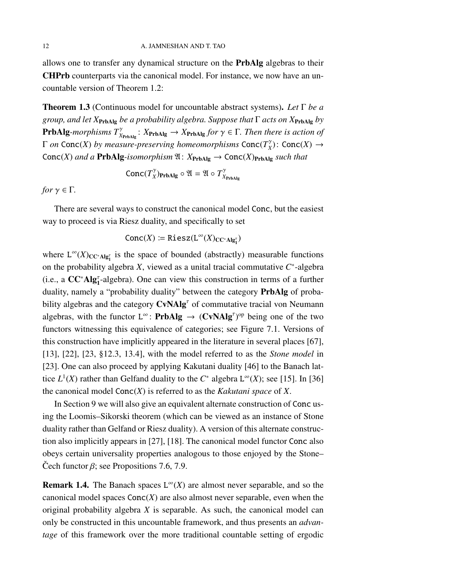allows one to transfer any dynamical structure on the PrbAlg algebras to their CHPrb counterparts via the canonical model. For instance, we now have an uncountable version of Theorem [1.2:](#page-9-2)

Theorem 1.3 (Continuous model for uncountable abstract systems). *Let* Γ *be a group, and let X*PrbAlg *be a probability algebra. Suppose that* Γ *acts on X*PrbAlg *by* **PrbAlg**-morphisms  $T^{\gamma}_{X_{\text{PrbAlg}}}$ :  $X_{\text{PrbAlg}} \to X_{\text{PrbAlg}}$  for  $\gamma \in \Gamma$ . Then there is action of Γ *on* Conc(*X*) *by measure-preserving homeomorphisms* Conc(*T* γ  $\chi$ <sup>γ</sup> $)$ : Conc $(X)$  → Conc(*X*) and a **PrbAlg**-isomorphism  $\mathfrak{A}: X_{\text{PrbAlg}} \to \text{Conc}(X)_{\text{PrbAlg}}$  such that

$$
\text{Conc}(T_X^{\gamma})_{\text{PrbAlg}} \circ \mathfrak{A} = \mathfrak{A} \circ T_{X_{\text{PrbAlg}}}^{\gamma}
$$

*for*  $\gamma \in \Gamma$ *.* 

There are several ways to construct the canonical model Conc, but the easiest way to proceed is via Riesz duality, and specifically to set

$$
Conc(X) := \text{Riesz}(L^{\infty}(X)_{CC^*Alg_1^{\tau}})
$$

where  $L^{\infty}(X)_{CC^*\text{Alg}_1^{\tau}}$  is the space of bounded (abstractly) measurable functions on the probability algebra *X*, viewed as a unital tracial commutative *C* ∗ -algebra (i.e., a  $CC^*Alg_1^{\tau}$ -algebra). One can view this construction in terms of a further duality, namely a "probability duality" between the category PrbAlg of probability algebras and the category  $CvNAlg^{\tau}$  of commutative tracial von Neumann algebras, with the functor  $L^{\infty}$ : **PrbAlg**  $\rightarrow$  (**CvNAlg**<sup> $\tau$ </sup>)<sup>op</sup> being one of the two functors witnessing this equivalence of categories; see Figure [7.1.](#page-51-2) Versions of this construction have implicitly appeared in the literature in several places [\[67\]](#page-100-3), [\[13\]](#page-97-4), [\[22\]](#page-97-5), [\[23,](#page-97-3) §12.3, 13.4], with the model referred to as the *Stone model* in [\[23\]](#page-97-3). One can also proceed by applying Kakutani duality [\[46\]](#page-99-4) to the Banach lattice  $L^1(X)$  rather than Gelfand duality to the  $C^*$  algebra  $L^\infty(X)$ ; see [\[15\]](#page-97-6). In [\[36\]](#page-98-8) the canonical model Conc(*X*) is referred to as the *Kakutani space* of *X*.

In Section [9](#page-62-0) we will also give an equivalent alternate construction of Conc using the Loomis–Sikorski theorem (which can be viewed as an instance of Stone duality rather than Gelfand or Riesz duality). A version of this alternate construction also implicitly appears in [\[27\]](#page-98-4), [\[18\]](#page-97-7). The canonical model functor Conc also obeys certain universality properties analogous to those enjoyed by the Stone– Cech functor  $\beta$ ; see Propositions [7.6,](#page-55-0) [7.9.](#page-58-0)

**Remark 1.4.** The Banach spaces  $L^{\infty}(X)$  are almost never separable, and so the canonical model spaces  $Conc(X)$  are also almost never separable, even when the original probability algebra *X* is separable. As such, the canonical model can only be constructed in this uncountable framework, and thus presents an *advantage* of this framework over the more traditional countable setting of ergodic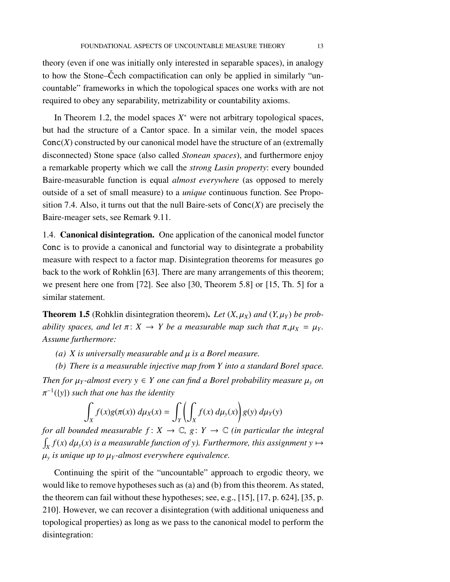theory (even if one was initially only interested in separable spaces), in analogy to how the Stone–Cech compactification can only be applied in similarly "uncountable" frameworks in which the topological spaces one works with are not required to obey any separability, metrizability or countability axioms.

In Theorem [1.2,](#page-9-2) the model spaces  $X^*$  were not arbitrary topological spaces, but had the structure of a Cantor space. In a similar vein, the model spaces  $Conc(X)$  constructed by our canonical model have the structure of an (extremally disconnected) Stone space (also called *Stonean spaces*), and furthermore enjoy a remarkable property which we call the *strong Lusin property*: every bounded Baire-measurable function is equal *almost everywhere* (as opposed to merely outside of a set of small measure) to a *unique* continuous function. See Proposition [7.4.](#page-54-0) Also, it turns out that the null Baire-sets of Conc(*X*) are precisely the Baire-meager sets, see Remark [9.11.](#page-69-0)

<span id="page-12-0"></span>1.4. Canonical disintegration. One application of the canonical model functor Conc is to provide a canonical and functorial way to disintegrate a probability measure with respect to a factor map. Disintegration theorems for measures go back to the work of Rohklin [\[63\]](#page-100-4). There are many arrangements of this theorem; we present here one from [\[72\]](#page-100-5). See also [\[30,](#page-98-6) Theorem 5.8] or [\[15,](#page-97-6) Th. 5] for a similar statement.

**Theorem 1.5** (Rohklin disintegration theorem). Let  $(X, \mu_X)$  and  $(Y, \mu_Y)$  be prob*ability spaces, and let*  $\pi$ :  $X \rightarrow Y$  *be a measurable map such that*  $\pi_* \mu_X = \mu_Y$ *. Assume furthermore:*

*(a) X is universally measurable and* µ *is a Borel measure.*

*(b) There is a measurable injective map from Y into a standard Borel space. Then for*  $\mu_Y$ -almost every  $y \in Y$  one can find a Borel probability measure  $\mu_y$  on π −1 ({*y*}) *such that one has the identity*

$$
\int_X f(x)g(\pi(x)) d\mu_X(x) = \int_Y \left(\int_X f(x) d\mu_Y(x)\right) g(y) d\mu_Y(y)
$$

*for all bounded measurable*  $f: X \to \mathbb{C}$ *,*  $g: Y \to \mathbb{C}$  *(in particular the integral*  $\int_X f(x) d\mu_y(x)$  is a measurable function of y). Furthermore, this assignment y  $\mapsto$ µ*y is unique up to* µ*<sup>Y</sup> -almost everywhere equivalence.*

Continuing the spirit of the "uncountable" approach to ergodic theory, we would like to remove hypotheses such as (a) and (b) from this theorem. As stated, the theorem can fail without these hypotheses; see, e.g., [\[15\]](#page-97-6), [\[17,](#page-97-8) p. 624], [\[35,](#page-98-3) p. 210]. However, we can recover a disintegration (with additional uniqueness and topological properties) as long as we pass to the canonical model to perform the disintegration: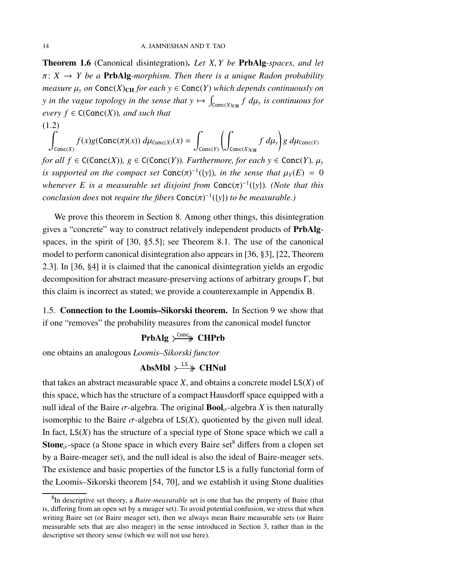Theorem 1.6 (Canonical disintegration). *Let X*, *Y be* PrbAlg*-spaces, and let*  $\pi: X \rightarrow Y$  be a **PrbAlg**-morphism. Then there is a unique Radon probability *measure*  $\mu$ <sup>*y*</sup> *on* Conc(*X*)<sub>CH</sub> *for each*  $y \in$  Conc(*Y*) *which depends continuously on y* in the vague topology in the sense that  $y \mapsto \int_{\text{Conc}(X)_{\text{CH}}} f \ d\mu_y$  is continuous for *every*  $f \in C(Conc(X))$ *, and such that* (1.2)

$$
\int_{\text{Conc}(X)} f(x)g(\text{Conc}(\pi)(x)) d\mu_{\text{Conc}(X)}(x) = \int_{\text{Conc}(Y)} \left( \int_{\text{Conc}(X)_{\text{CH}}} f d\mu_y \right) g d\mu_{\text{Conc}(Y)}
$$

*for all f*  $\in$  C(Conc(*X*))*, g*  $\in$  C(Conc(*Y*))*. Furthermore, for each y*  $\in$  Conc(*Y*)*, µ<sub>y</sub> is supported on the compact set*  $Conc(\pi)^{-1}(\{y\})$ *, in the sense that*  $\mu_Y(E) = 0$ *whenever E is a measurable set disjoint from* Conc(π)<sup>-1</sup>({*y*}). (*Note that this conclusion does* not *require the fibers*  $Conc(\pi)^{-1}(\{y\})$  *to be measurable.*)

We prove this theorem in Section [8.](#page-59-0) Among other things, this disintegration gives a "concrete" way to construct relatively independent products of PrbAlgspaces, in the spirit of [\[30,](#page-98-6) §5.5]; see Theorem [8.1.](#page-60-0) The use of the canonical model to perform canonical disintegration also appears in [\[36,](#page-98-8) §3], [\[22,](#page-97-5) Theorem 2.3]. In [\[36,](#page-98-8) §4] it is claimed that the canonical disintegration yields an ergodic decomposition for abstract measure-preserving actions of arbitrary groups  $\Gamma$ , but this claim is incorrect as stated; we provide a counterexample in Appendix [B.](#page-93-0)

<span id="page-13-0"></span>1.5. Connection to the Loomis–Sikorski theorem. In Section [9](#page-62-0) we show that if one "removes" the probability measures from the canonical model functor

# PrbAlg  $\rightarrow$ Conc CHPrb

one obtains an analogous *Loomis–Sikorski functor*

# AbsMbl  $\rightarrow$  LS  $\rightarrow$  CHNul

that takes an abstract measurable space *X*, and obtains a concrete model LS(*X*) of this space, which has the structure of a compact Hausdorff space equipped with a null ideal of the Baire  $\sigma$ -algebra. The original **Bool** $_{\sigma}$ -algebra *X* is then naturally isomorphic to the Baire  $\sigma$ -algebra of  $LS(X)$ , quotiented by the given null ideal. In fact,  $LS(X)$  has the structure of a special type of Stone space which we call a **Stone**<sub> $\sigma$ </sub>-space (a Stone space in which every Baire set<sup>[8](#page-13-1)</sup> differs from a clopen set by a Baire-meager set), and the null ideal is also the ideal of Baire-meager sets. The existence and basic properties of the functor LS is a fully functorial form of the Loomis–Sikorski theorem [\[54,](#page-99-5) [70\]](#page-100-6), and we establish it using Stone dualities

<span id="page-13-1"></span><sup>8</sup> In descriptive set theory, a *Baire-measurable* set is one that has the property of Baire (that is, differing from an open set by a meager set). To avoid potential confusion, we stress that when writing Baire set (or Baire meager set), then we always mean Baire measurable sets (or Baire measurable sets that are also meager) in the sense introduced in Section [3,](#page-25-0) rather than in the descriptive set theory sense (which we will not use here).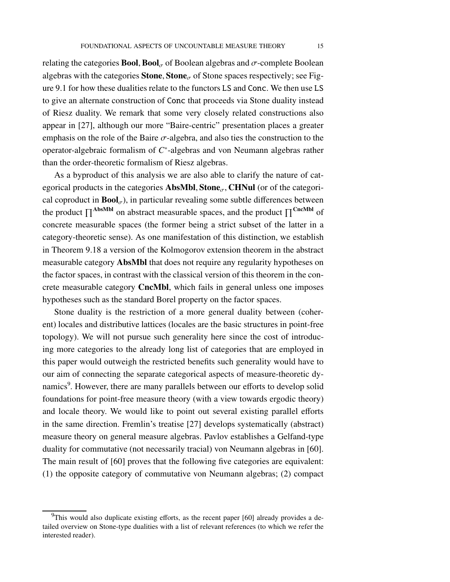relating the categories **Bool, Bool**<sub>σ</sub> of Boolean algebras and  $\sigma$ -complete Boolean algebras with the categories **Stone, Stone** $\sigma$  of Stone spaces respectively; see Figure [9.1](#page-62-2) for how these dualities relate to the functors LS and Conc. We then use LS to give an alternate construction of Conc that proceeds via Stone duality instead of Riesz duality. We remark that some very closely related constructions also appear in [\[27\]](#page-98-4), although our more "Baire-centric" presentation places a greater emphasis on the role of the Baire  $\sigma$ -algebra, and also ties the construction to the operator-algebraic formalism of *C* ∗ -algebras and von Neumann algebras rather than the order-theoretic formalism of Riesz algebras.

As a byproduct of this analysis we are also able to clarify the nature of categorical products in the categories **AbsMbl**, **Stone**<sub> $\sigma$ </sub>, **CHNul** (or of the categorical coproduct in  $\text{Bool}_{\sigma}$ ), in particular revealing some subtle differences between the product  $\prod^{\text{AbsMbl}}$  on abstract measurable spaces, and the product  $\prod^{\text{CncMbl}}$  of concrete measurable spaces (the former being a strict subset of the latter in a category-theoretic sense). As one manifestation of this distinction, we establish in Theorem [9.18](#page-74-0) a version of the Kolmogorov extension theorem in the abstract measurable category AbsMbl that does not require any regularity hypotheses on the factor spaces, in contrast with the classical version of this theorem in the concrete measurable category CncMbl, which fails in general unless one imposes hypotheses such as the standard Borel property on the factor spaces.

Stone duality is the restriction of a more general duality between (coherent) locales and distributive lattices (locales are the basic structures in point-free topology). We will not pursue such generality here since the cost of introducing more categories to the already long list of categories that are employed in this paper would outweigh the restricted benefits such generality would have to our aim of connecting the separate categorical aspects of measure-theoretic dy-namics<sup>[9](#page-14-0)</sup>. However, there are many parallels between our efforts to develop solid foundations for point-free measure theory (with a view towards ergodic theory) and locale theory. We would like to point out several existing parallel efforts in the same direction. Fremlin's treatise [\[27\]](#page-98-4) develops systematically (abstract) measure theory on general measure algebras. Pavlov establishes a Gelfand-type duality for commutative (not necessarily tracial) von Neumann algebras in [\[60\]](#page-100-7). The main result of [\[60\]](#page-100-7) proves that the following five categories are equivalent: (1) the opposite category of commutative von Neumann algebras; (2) compact

<span id="page-14-0"></span> $9$ This would also duplicate existing efforts, as the recent paper [\[60\]](#page-100-7) already provides a detailed overview on Stone-type dualities with a list of relevant references (to which we refer the interested reader).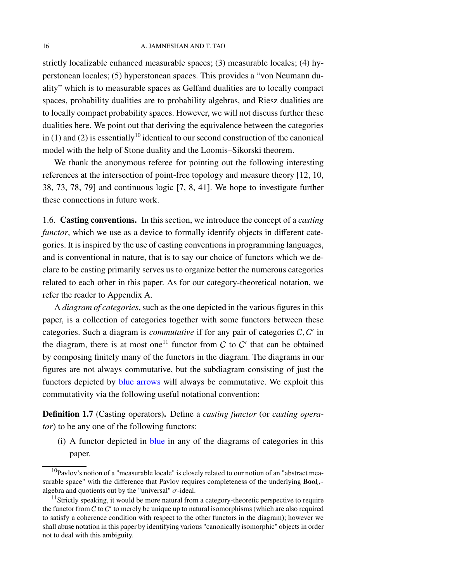strictly localizable enhanced measurable spaces; (3) measurable locales; (4) hyperstonean locales; (5) hyperstonean spaces. This provides a "von Neumann duality" which is to measurable spaces as Gelfand dualities are to locally compact spaces, probability dualities are to probability algebras, and Riesz dualities are to locally compact probability spaces. However, we will not discuss further these dualities here. We point out that deriving the equivalence between the categories in (1) and (2) is essentially<sup>[10](#page-15-2)</sup> identical to our second construction of the canonical model with the help of Stone duality and the Loomis–Sikorski theorem.

We thank the anonymous referee for pointing out the following interesting references at the intersection of point-free topology and measure theory [\[12,](#page-97-9) [10,](#page-97-10) [38,](#page-98-9) [73,](#page-101-2) [78,](#page-101-3) [79\]](#page-101-4) and continuous logic [\[7,](#page-97-11) [8,](#page-97-12) [41\]](#page-99-6). We hope to investigate further these connections in future work.

<span id="page-15-0"></span>1.6. Casting conventions. In this section, we introduce the concept of a *casting functor*, which we use as a device to formally identify objects in different categories. It is inspired by the use of casting conventions in programming languages, and is conventional in nature, that is to say our choice of functors which we declare to be casting primarily serves us to organize better the numerous categories related to each other in this paper. As for our category-theoretical notation, we refer the reader to Appendix [A.](#page-75-0)

A *diagram of categories*, such as the one depicted in the various figures in this paper, is a collection of categories together with some functors between these categories. Such a diagram is *commutative* if for any pair of categories C, C' in the diagram, there is at most one<sup>[11](#page-15-3)</sup> functor from C to C' that can be obtained by composing finitely many of the functors in the diagram. The diagrams in our figures are not always commutative, but the subdiagram consisting of just the functors depicted by blue arrows will always be commutative. We exploit this commutativity via the following useful notational convention:

<span id="page-15-1"></span>Definition 1.7 (Casting operators). Define a *casting functor* (or *casting operator*) to be any one of the following functors:

(i) A functor depicted in blue in any of the diagrams of categories in this paper.

<span id="page-15-2"></span> $10$ Pavlov's notion of a "measurable locale" is closely related to our notion of an "abstract measurable space" with the difference that Pavlov requires completeness of the underlying  $\text{Bool}_{\sigma}$ algebra and quotients out by the "universal"  $\sigma$ -ideal.

<span id="page-15-3"></span> $11$ Strictly speaking, it would be more natural from a category-theoretic perspective to require the functor from  $C$  to  $C'$  to merely be unique up to natural isomorphisms (which are also required to satisfy a coherence condition with respect to the other functors in the diagram); however we shall abuse notation in this paper by identifying various "canonically isomorphic" objects in order not to deal with this ambiguity.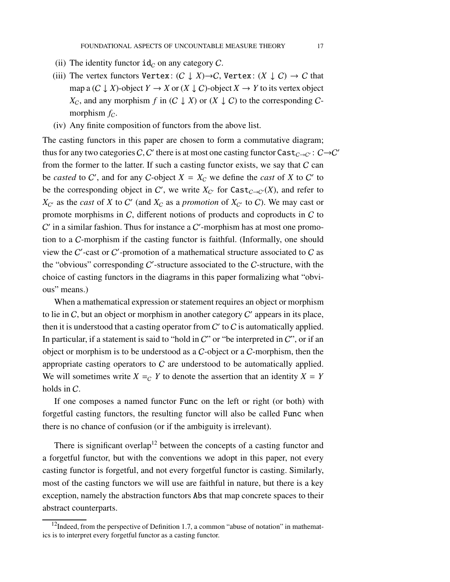- (ii) The identity functor  $id_C$  on any category C.
- (iii) The vertex functors Vertex:  $(C \downarrow X) \rightarrow C$ , Vertex:  $(X \downarrow C) \rightarrow C$  that map a  $(C \downarrow X)$ -object  $Y \to X$  or  $(X \downarrow C)$ -object  $X \to Y$  to its vertex object *X<sub>C</sub>*, and any morphism *f* in  $(C \downarrow X)$  or  $(X \downarrow C)$  to the corresponding Cmorphism  $f<sub>C</sub>$ .
- (iv) Any finite composition of functors from the above list.

The casting functors in this paper are chosen to form a commutative diagram; thus for any two categories C, C' there is at most one casting functor  $\textsf{Cast}_{C\to C'}$ :  $C\to C'$ from the former to the latter. If such a casting functor exists, we say that  $C$  can be *casted* to C', and for any C-object  $X = X_C$  we define the *cast* of X to C' to be the corresponding object in C', we write  $X_{C'}$  for  $\text{Cast}_{C \to C'}(X)$ , and refer to  $X_{\mathcal{C}'}$  as the *cast* of *X* to  $\mathcal{C}'$  (and  $X_{\mathcal{C}}$  as a *promotion* of  $X_{\mathcal{C}'}$  to  $\mathcal{C}$ ). We may cast or promote morphisms in C, different notions of products and coproducts in C to  $C'$  in a similar fashion. Thus for instance a  $C'$ -morphism has at most one promotion to a C-morphism if the casting functor is faithful. (Informally, one should view the  $C'$ -cast or  $C'$ -promotion of a mathematical structure associated to  $C$  as the "obvious" corresponding C'-structure associated to the C-structure, with the choice of casting functors in the diagrams in this paper formalizing what "obvious" means.)

When a mathematical expression or statement requires an object or morphism to lie in  $C$ , but an object or morphism in another category  $C'$  appears in its place, then it is understood that a casting operator from  $C'$  to  $C$  is automatically applied. In particular, if a statement is said to "hold in  $C$ " or "be interpreted in  $C$ ", or if an object or morphism is to be understood as a C-object or a C-morphism, then the appropriate casting operators to C are understood to be automatically applied. We will sometimes write  $X = C$  *Y* to denote the assertion that an identity  $X = Y$ holds in C.

If one composes a named functor Func on the left or right (or both) with forgetful casting functors, the resulting functor will also be called Func when there is no chance of confusion (or if the ambiguity is irrelevant).

There is significant overlap<sup>[12](#page-16-0)</sup> between the concepts of a casting functor and a forgetful functor, but with the conventions we adopt in this paper, not every casting functor is forgetful, and not every forgetful functor is casting. Similarly, most of the casting functors we will use are faithful in nature, but there is a key exception, namely the abstraction functors Abs that map concrete spaces to their abstract counterparts.

<span id="page-16-0"></span> $12$ Indeed, from the perspective of Definition [1.7,](#page-15-1) a common "abuse of notation" in mathematics is to interpret every forgetful functor as a casting functor.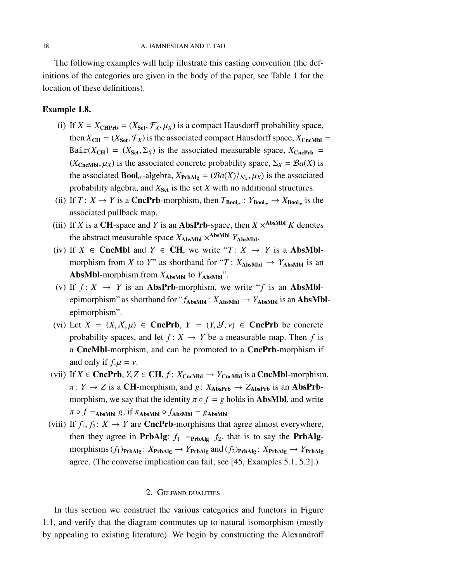The following examples will help illustrate this casting convention (the definitions of the categories are given in the body of the paper, see Table [1](#page-2-2) for the location of these definitions).

### Example 1.8.

- (i) If  $X = X_{\text{CHPrb}} = (X_{\text{Set}}, \mathcal{F}_X, \mu_X)$  is a compact Hausdorff probability space, then  $X_{CH} = (X_{Set}, \mathcal{F}_X)$  is the associated compact Hausdorff space,  $X_{CncMbl}$  = Bair( $X_{CH}$ ) = ( $X_{Set}, \Sigma_X$ ) is the associated measurable space,  $X_{CncPrb}$  =  $(X_{\text{CncMbl}}, \mu_X)$  is the associated concrete probability space,  $\Sigma_X = \mathcal{B}a(X)$  is the associated **Bool**<sub> $\sigma$ </sub>-algebra,  $X_{\text{PrbAlg}} = \left(\frac{\mathcal{B}a(X)}{N_X}, \mu_X\right)$  is the associated probability algebra, and  $X_{\text{Set}}$  is the set  $X$  with no additional structures.
- (ii) If  $T: X \to Y$  is a **CncPrb**-morphism, then  $T_{\text{Bool}_{\sigma}}: Y_{\text{Bool}_{\sigma}} \to X_{\text{Bool}_{\sigma}}$  is the associated pullback map.
- (iii) If *X* is a CH-space and *Y* is an **AbsPrb**-space, then  $X \times$ <sup>AbsMbl</sup> *K* denotes the abstract measurable space  $X_{\text{AbsMbl}} \times^{\text{AbsMbl}} Y_{\text{AbsMbl}}$ .
- (iv) If *X* ∈ CncMbl and *Y* ∈ CH, we write " $T: X \rightarrow Y$  is a AbsMblmorphism from *X* to *Y*" as shorthand for "*T* :  $X_{\text{AbsMbl}} \rightarrow Y_{\text{AbsMbl}}$  is an AbsMbl-morphism from  $X_{\text{AbsMbl}}$  to  $Y_{\text{AbsMbl}}$ ".
- (v) If  $f: X \rightarrow Y$  is an **AbsPrb**-morphism, we write "f is an **AbsMbl**epimorphism" as shorthand for " $f_{\text{AbsMbl}}$ :  $X_{\text{AbsMbl}} \rightarrow Y_{\text{AbsMbl}}$  is an AbsMblepimorphism".
- (vi) Let  $X = (X, X, \mu) \in \text{CncPrb}, Y = (Y, Y, \nu) \in \text{CncPrb}$  be concrete probability spaces, and let  $f: X \to Y$  be a measurable map. Then f is a CncMbl-morphism, and can be promoted to a CncPrb-morphism if and only if  $f_*\mu = \nu$ .
- (vii) If *X* ∈ **CncPrb**, *Y*, *Z* ∈ **CH**, *f* : *X*<sub>CncMbl</sub> → *Y*<sub>CncMbl</sub> is a **CncMbl**-morphism,  $\pi: Y \to Z$  is a **CH**-morphism, and  $g: X_{\text{AbsPrb}} \to Z_{\text{AbsPrb}}$  is an **AbsPrb**morphism, we say that the identity  $\pi \circ f = g$  holds in **AbsMbl**, and write  $\pi \circ f =$ AbsMbl *g*, if  $\pi$ AbsMbl  $\circ$   $f$ AbsMbl = *g*AbsMbl·
- (viii) If  $f_1, f_2: X \to Y$  are **CncPrb**-morphisms that agree almost everywhere, then they agree in **PrbAlg**:  $f_1$  =  $_{\text{PrbAlg}} f_2$ , that is to say the **PrbAlg**morphisms  $(f_1)_{\text{PrbAlg}}$ :  $X_{\text{PrbAlg}} \rightarrow Y_{\text{PrbAlg}}$  and  $(f_2)_{\text{PrbAlg}}$ :  $X_{\text{PrbAlg}} \rightarrow Y_{\text{PrbAlg}}$ agree. (The converse implication can fail; see [\[45,](#page-99-3) Examples 5.1, 5.2].)

### 2. Gelfand dualities

<span id="page-17-0"></span>In this section we construct the various categories and functors in Figure [1.1,](#page-5-0) and verify that the diagram commutes up to natural isomorphism (mostly by appealing to existing literature). We begin by constructing the Alexandroff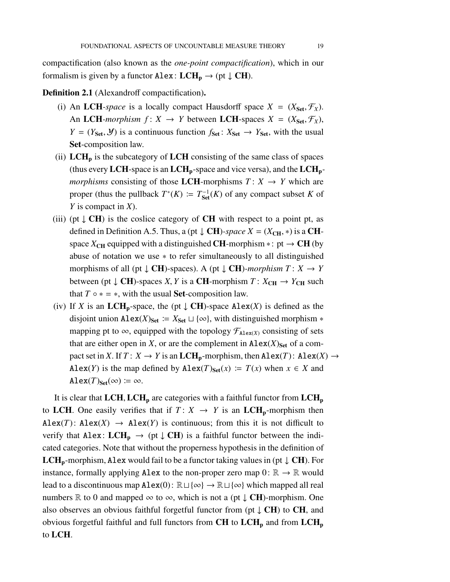compactification (also known as the *one-point compactification*), which in our formalism is given by a functor Alex:  $LCH_p \rightarrow (pt \downarrow CH)$ .

<span id="page-18-0"></span>Definition 2.1 (Alexandroff compactification).

- (i) An LCH-space is a locally compact Hausdorff space  $X = (X_{\text{Set}}, \mathcal{F}_X)$ . An LCH-morphism  $f: X \to Y$  between LCH-spaces  $X = (X_{\text{Set}}, \mathcal{F}_X)$ , *Y* = ( $Y_{\text{Set}}, \mathcal{Y}$ ) is a continuous function  $f_{\text{Set}}$ :  $X_{\text{Set}} \rightarrow Y_{\text{Set}}$ , with the usual Set-composition law.
- (ii)  $LCH<sub>p</sub>$  is the subcategory of  $LCH$  consisting of the same class of spaces (thus every LCH-space is an LCH<sub>p</sub>-space and vice versa), and the LCH<sub>p</sub>*morphisms* consisting of those LCH-morphisms  $T: X \rightarrow Y$  which are proper (thus the pullback  $T^*(K) := T_{\text{Set}}^{-1}(K)$  of any compact subset *K* of *Y* is compact in *X*).
- (iii) (pt  $\downarrow$  CH) is the coslice category of CH with respect to a point pt, as defined in Definition [A.5.](#page-77-0) Thus, a (pt  $\downarrow$  CH)*-space X* = ( $X_{CH}$ , \*) is a CHspace  $X_{CH}$  equipped with a distinguished **CH**-morphism ∗: pt  $\rightarrow$  **CH** (by abuse of notation we use ∗ to refer simultaneously to all distinguished morphisms of all (pt  $\downarrow$  **CH**)-spaces). A (pt  $\downarrow$  **CH**)-morphism  $T: X \rightarrow Y$ between (pt  $\downarrow$  **CH**)-spaces *X*, *Y* is a **CH**-morphism *T* :  $X_{CH} \rightarrow Y_{CH}$  such that  $T \circ * = *$ , with the usual **Set**-composition law.
- (iv) If *X* is an LCH<sub>p</sub>-space, the (pt  $\downarrow$  CH)-space Alex(*X*) is defined as the disjoint union Alex(*X*)<sub>Set</sub>  $:= X_{Set} \sqcup \{\infty\}$ , with distinguished morphism  $*$ mapping pt to  $\infty$ , equipped with the topology  $\mathcal{F}_{\text{Alex}(X)}$  consisting of sets that are either open in *X*, or are the complement in  $\text{Alex}(X)_{\text{Set}}$  of a compact set in *X*. If  $T: X \to Y$  is an  $LCH_p$ -morphism, then  $Alex(T): Alex(X) \to Y$ Alex(*Y*) is the map defined by Alex(*T*)<sub>Set</sub>(*x*) :=  $T(x)$  when  $x \in X$  and  $\text{Alex}(T)_{\text{Set}}(\infty) \coloneqq \infty$ .

It is clear that  $LCH$ ,  $LCH<sub>p</sub>$  are categories with a faithful functor from  $LCH<sub>p</sub>$ to LCH. One easily verifies that if  $T: X \rightarrow Y$  is an LCH<sub>p</sub>-morphism then Alex(*T*): Alex(*X*)  $\rightarrow$  Alex(*Y*) is continuous; from this it is not difficult to verify that Alex:  $LCH_p \rightarrow (pt \downarrow CH)$  is a faithful functor between the indicated categories. Note that without the properness hypothesis in the definition of **LCH**<sub>p</sub>-morphism, Alex would fail to be a functor taking values in (pt  $\downarrow$  CH). For instance, formally applying Alex to the non-proper zero map  $0: \mathbb{R} \to \mathbb{R}$  would lead to a discontinuous map Alex(0):  $\mathbb{R} \sqcup \{\infty\} \rightarrow \mathbb{R} \sqcup \{\infty\}$  which mapped all real numbers R to 0 and mapped  $\infty$  to  $\infty$ , which is not a (pt  $\downarrow$  **CH**)-morphism. One also observes an obvious faithful forgetful functor from (pt  $\downarrow$  CH) to CH, and obvious forgetful faithful and full functors from  $CH$  to  $LCH<sub>p</sub>$  and from  $LCH<sub>p</sub>$ to LCH.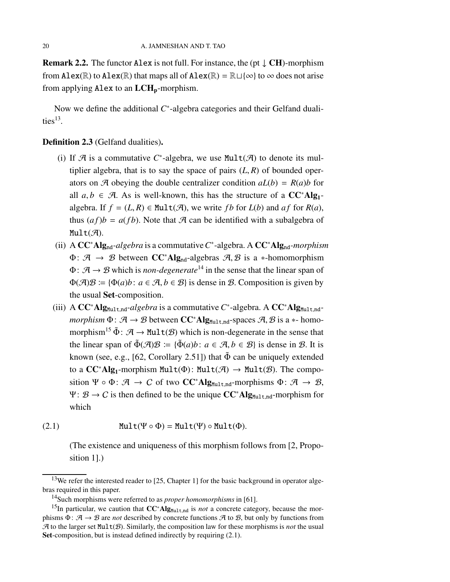**Remark 2.2.** The functor Alex is not full. For instance, the (pt  $\downarrow$  CH)-morphism from Alex( $\mathbb R$ ) to Alex( $\mathbb R$ ) that maps all of Alex( $\mathbb R$ ) =  $\mathbb R \sqcup \{\infty\}$  to  $\infty$  does not arise from applying Alex to an  $LCH_p$ -morphism.

Now we define the additional C<sup>\*</sup>-algebra categories and their Gelfand dualities $^{13}$  $^{13}$  $^{13}$ .

### <span id="page-19-0"></span>Definition 2.3 (Gelfand dualities).

- (i) If  $\mathcal A$  is a commutative  $C^*$ -algebra, we use Mult $(\mathcal A)$  to denote its multiplier algebra, that is to say the space of pairs  $(L, R)$  of bounded operators on  $\mathcal{A}$  obeying the double centralizer condition  $aL(b) = R(a)b$  for all  $a, b \in \mathcal{A}$ . As is well-known, this has the structure of a  $CC^*Alg_1$ algebra. If  $f = (L, R) \in \text{Mult}(\mathcal{A})$ , we write *fb* for  $L(b)$  and  $af$  for  $R(a)$ , thus  $(af)b = a(fb)$ . Note that A can be identified with a subalgebra of  $Mult(\mathcal{A}).$
- (ii) A CC<sup>∗</sup>Algnd*-algebra* is a commutative*C* ∗ -algebra. A CC<sup>∗</sup>Algnd*-morphism*  $\Phi: \mathcal{A} \rightarrow \mathcal{B}$  between  $CC^*Alg_{nd}$ -algebras  $\mathcal{A}, \mathcal{B}$  is a \*-homomorphism  $\Phi: \mathcal{A} \rightarrow \mathcal{B}$  which is *non-degenerate*<sup>[14](#page-19-2)</sup> in the sense that the linear span of  $\Phi(\mathcal{A})\mathcal{B} \coloneqq {\Phi(a)b: a \in \mathcal{A}, b \in \mathcal{B}}$  is dense in  $\mathcal{B}$ . Composition is given by the usual Set-composition.
- (iii) A  $CC^*Alg_{Mult,nd}$ -algebra is a commutative  $C^*$ -algebra. A  $CC^*Alg_{Mult,nd}$ *morphism*  $\Phi: \mathcal{A} \to \mathcal{B}$  between  $CC^*Alg_{Multnd}$ -spaces  $\mathcal{A}, \mathcal{B}$  is a  $*$ -homo-morphism<sup>[15](#page-19-3)</sup>  $\tilde{\Phi}$ :  $\mathcal{A} \rightarrow \text{Mult}(\mathcal{B})$  which is non-degenerate in the sense that the linear span of  $\tilde{\Phi}(\mathcal{A})\mathcal{B} := {\{\tilde{\Phi}(a)b\colon a \in \mathcal{A}, b \in \mathcal{B}\}}$  is dense in  $\mathcal{B}$ . It is known (see, e.g., [\[62,](#page-100-8) Corollary 2.51]) that  $\tilde{\Phi}$  can be uniquely extended to a  $CC^*Alg_1$ -morphism Mult( $\Phi$ ): Mult( $\mathcal{A}$ )  $\rightarrow$  Mult( $\mathcal{B}$ ). The composition Ψ ∘ Φ:  $\mathcal{A} \rightarrow \mathcal{C}$  of two **CC**\*Alg<sub>Mult,nd</sub>-morphisms Φ:  $\mathcal{A} \rightarrow \mathcal{B}$ ,  $\Psi: \mathcal{B} \to C$  is then defined to be the unique  $CC^*Alg_{Mult\_nd}$ -morphism for which

(2.1) 
$$
\text{Mult}(\Psi \circ \Phi) = \text{Mult}(\Psi) \circ \text{Mult}(\Phi).
$$

<span id="page-19-4"></span>(The existence and uniqueness of this morphism follows from [\[2,](#page-96-2) Proposition 1].)

 $13$ We refer the interested reader to [\[25,](#page-98-0) Chapter 1] for the basic background in operator algebras required in this paper.

<span id="page-19-2"></span><span id="page-19-1"></span><sup>14</sup>Such morphisms were referred to as *proper homomorphisms* in [\[61\]](#page-100-9).

<span id="page-19-3"></span><sup>&</sup>lt;sup>15</sup>In particular, we caution that CC<sup>∗</sup>Alg<sub>Mult,nd</sub> is *not* a concrete category, because the morphisms  $\Phi: \mathcal{A} \to \mathcal{B}$  are *not* described by concrete functions  $\mathcal{A}$  to  $\mathcal{B}$ , but only by functions from  $\mathcal A$  to the larger set Mult $(\mathcal B)$ . Similarly, the composition law for these morphisms is *not* the usual Set-composition, but is instead defined indirectly by requiring  $(2.1)$ .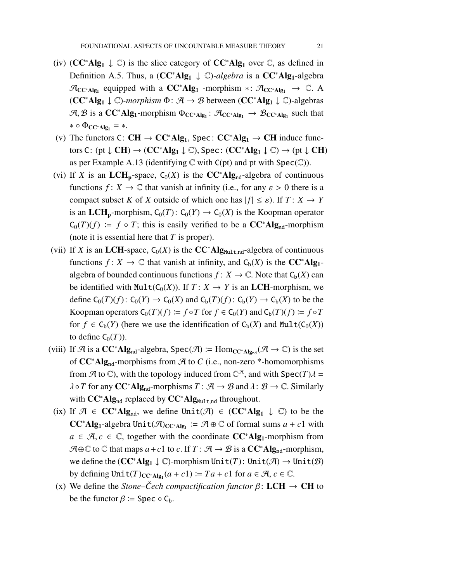- (iv)  $(CC^*Alg_1 \downarrow \mathbb{C})$  is the slice category of  $CC^*Alg_1$  over  $\mathbb{C}$ , as defined in Definition [A.5.](#page-77-0) Thus, a (CC<sup>∗</sup>Alg<sub>1</sub> ↓ C)-algebra is a CC<sup>∗</sup>Alg<sub>1</sub>-algebra  $\mathcal{A}_{CC^*Alg_1}$  equipped with a  $CC^*Alg_1$  -morphism  $* : \mathcal{A}_{CC^*Alg_1} \rightarrow \mathbb{C}$ . A (CC<sup>∗</sup>Alg<sup>1</sup> ↓ C)*-morphism* Φ: A → B between (CC<sup>∗</sup>Alg<sup>1</sup> ↓ C)-algebras  $A, B$  is a  $CC^*Alg_1$ -morphism  $\Phi_{CC^*Alg_1}: A_{CC^*Alg_1} \to B_{CC^*Alg_1}$  such that  $* \circ \Phi_{CC^*Alg_1} = *$ .
- (v) The functors C:  $CH \rightarrow CC^*Alg_1$ , Spec:  $CC^*Alg_1 \rightarrow CH$  induce functors C: (pt  $\downarrow$  CH)  $\rightarrow$  (CC<sup>\*</sup>Alg<sub>1</sub>  $\downarrow$  C), Spec: (CC<sup>\*</sup>Alg<sub>1</sub>  $\downarrow$  C)  $\rightarrow$  (pt  $\downarrow$  CH) as per Example [A.13](#page-80-1) (identifying  $\mathbb C$  with  $C(pt)$  and pt with  $Spec(\mathbb C)$ ).
- (vi) If *X* is an LCH<sub>p</sub>-space,  $C_0(X)$  is the CC<sup>∗</sup>Alg<sub>nd</sub>-algebra of continuous functions  $f: X \to \mathbb{C}$  that vanish at infinity (i.e., for any  $\varepsilon > 0$  there is a compact subset *K* of *X* outside of which one has  $|f| \leq \varepsilon$ ). If  $T: X \to Y$ is an LCH<sub>p</sub>-morphism,  $C_0(T)$ :  $C_0(Y) \rightarrow C_0(X)$  is the Koopman operator  $C_0(T)(f) := f \circ T$ ; this is easily verified to be a  $CC^*Alg_{nd}$ -morphism (note it is essential here that *T* is proper).
- (vii) If *X* is an LCH-space,  $C_0(X)$  is the CC<sup>\*</sup>Alg<sub>Mult,nd</sub>-algebra of continuous functions  $f: X \to \mathbb{C}$  that vanish at infinity, and  $C_b(X)$  is the  $CC^*Alg_1$ algebra of bounded continuous functions  $f: X \to \mathbb{C}$ . Note that  $C_b(X)$  can be identified with  $Mult(C_0(X))$ . If  $T: X \rightarrow Y$  is an **LCH**-morphism, we define  $C_0(T)(f)$ :  $C_0(Y) \to C_0(X)$  and  $C_b(T)(f)$ :  $C_b(Y) \to C_b(X)$  to be the Koopman operators  $C_0(T)(f) := f \circ T$  for  $f \in C_0(Y)$  and  $C_b(T)(f) := f \circ T$ for  $f \in C_b(Y)$  (here we use the identification of  $C_b(X)$  and  $Mult(C_0(X))$ to define  $C_0(T)$ ).
- (viii) If A is a  $CC^*Alg_{nd}$ -algebra, Spec(A)  $\coloneqq Hom_{CC^*Alg_{nd}}(\mathcal{A} \to \mathbb{C})$  is the set of CC<sup>∗</sup>Algnd-morphisms from A to *C* (i.e., non-zero \*-homomorphisms from  $\mathcal{A}$  to  $\mathbb{C}$ ), with the topology induced from  $\mathbb{C}^{\mathcal{A}}$ , and with Spec(*T*) $\lambda$  =  $\lambda \circ T$  for any  $CC^*Alg_{nd}$ -morphisms  $T: \mathcal{A} \to \mathcal{B}$  and  $\lambda: \mathcal{B} \to \mathbb{C}$ . Similarly with  $CC^*Alg_{nd}$  replaced by  $CC^*Alg_{Mult,nd}$  throughout.
- (ix) If  $\mathcal{A} \in CC^*Alg_{nd}$ , we define Unit( $\mathcal{A}$ )  $\in CC^*Alg_1 \downarrow \mathbb{C}$ ) to be the CC<sup>∗</sup>Alg<sub>1</sub>-algebra Unit( $\mathcal{A}$ )<sub>CC<sup>∗</sup>Alg<sub>1</sub></sub>  $\coloneq \mathcal{A} \oplus \mathbb{C}$  of formal sums *a* + *c*1 with *a* ∈  $\mathcal{A}, c$  ∈  $\mathbb{C}$ , together with the coordinate  $CC^*Alg_1$ -morphism from  $A \oplus \mathbb{C}$  to  $\mathbb{C}$  that maps  $a + c1$  to  $c$ . If  $T : A \rightarrow B$  is a  $CC^*Alg_{nd}$ -morphism, we define the  $(CC^*Alg_1 \downarrow \mathbb{C})$ -morphism Unit(*T*): Unit( $\mathcal{A}$ )  $\rightarrow$  Unit( $\mathcal{B}$ ) by defining  $Unit(T)_{CC^*\text{Alg}_1}(a+c1) \coloneqq Ta + c1$  for  $a \in \mathcal{A}, c \in \mathbb{C}$ .
- (x) We define the *Stone–Cech compactification functor*  $\beta$ : LCH  $\rightarrow$  CH to be the functor  $\beta$  := Spec  $\circ$  C<sub>b</sub>.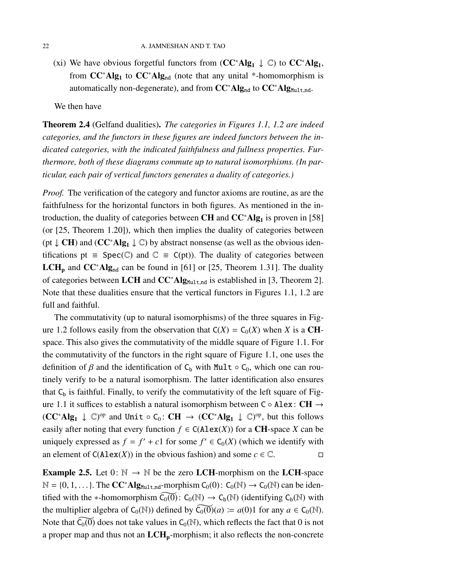(xi) We have obvious forgetful functors from ( $CC^*Alg_1 \downarrow \mathbb{C}$ ) to  $CC^*Alg_1$ , from  $CC^*Alg_1$  to  $CC^*Alg_{nd}$  (note that any unital \*-homomorphism is automatically non-degenerate), and from  $CC^*Alg_{nd}$  to  $CC^*Alg_{Mult,nd}$ .

We then have

<span id="page-21-0"></span>Theorem 2.4 (Gelfand dualities). *The categories in Figures [1.1,](#page-5-0) [1.2](#page-5-1) are indeed categories, and the functors in these figures are indeed functors between the indicated categories, with the indicated faithfulness and fullness properties. Furthermore, both of these diagrams commute up to natural isomorphisms. (In particular, each pair of vertical functors generates a duality of categories.)*

*Proof.* The verification of the category and functor axioms are routine, as are the faithfulness for the horizontal functors in both figures. As mentioned in the introduction, the duality of categories between CH and  $CC^*Alg_1$  is proven in [\[58\]](#page-100-0) (or [\[25,](#page-98-0) Theorem 1.20]), which then implies the duality of categories between (pt  $\downarrow$  **CH**) and (**CC**<sup>\*</sup>**Alg**<sub>1</sub>  $\downarrow$  **C**) by abstract nonsense (as well as the obvious identifications pt = Spec( $\mathbb{C}$ ) and  $\mathbb{C}$  = C(pt)). The duality of categories between LCH<sub>p</sub> and CC<sup>∗</sup>Alg<sub>nd</sub> can be found in [\[61\]](#page-100-9) or [\[25,](#page-98-0) Theorem 1.31]. The duality of categories between LCH and CC<sup>∗</sup>Alg<sub>Mult,nd</sub> is established in [\[3,](#page-96-3) Theorem 2]. Note that these dualities ensure that the vertical functors in Figures [1.1,](#page-5-0) [1.2](#page-5-1) are full and faithful.

The commutativity (up to natural isomorphisms) of the three squares in Fig-ure [1.2](#page-5-1) follows easily from the observation that  $C(X) = C_0(X)$  when *X* is a **CH**space. This also gives the commutativity of the middle square of Figure [1.1.](#page-5-0) For the commutativity of the functors in the right square of Figure [1.1,](#page-5-0) one uses the definition of  $\beta$  and the identification of C<sub>b</sub> with Mult  $\circ$  C<sub>0</sub>, which one can routinely verify to be a natural isomorphism. The latter identification also ensures that  $C_b$  is faithful. Finally, to verify the commutativity of the left square of Figure [1.1](#page-5-0) it suffices to establish a natural isomorphism between C ◦ Alex: CH →  $(CC^*Alg_1 \downarrow \mathbb{C})^{op}$  and Unit  $\circ C_0 \colon CH \to (CC^*Alg_1 \downarrow \mathbb{C})^{op}$ , but this follows easily after noting that every function  $f \in C(Alex(X))$  for a CH-space X can be uniquely expressed as  $f = f' + c1$  for some  $f' \in C_0(X)$  (which we identify with an element of  $C(Alex(X))$  in the obvious fashion) and some  $c \in \mathbb{C}$ .

**Example 2.5.** Let  $0: \mathbb{N} \to \mathbb{N}$  be the zero LCH-morphism on the LCH-space  $\mathbb{N} = \{0, 1, \ldots\}$ . The **CC**<sup>\*</sup>**Alg**<sub>Mult,nd</sub>-morphism  $C_0(0)$ :  $C_0(\mathbb{N}) \to C_0(\mathbb{N})$  can be identified with the ∗-homomorphism  $\widetilde{C_0(0)}$ :  $C_0(\mathbb{N}) \to C_b(\mathbb{N})$  (identifying  $C_b(\mathbb{N})$  with the multiplier algebra of  $C_0(\mathbb{N})$ ) defined by  $\widetilde{C_0(0)}(a) := a(0)1$  for any  $a \in C_0(\mathbb{N})$ . Note that  $\widetilde{C_0(0)}$  does not take values in  $C_0(\mathbb{N})$ , which reflects the fact that 0 is not a proper map and thus not an  $LCH_p$ -morphism; it also reflects the non-concrete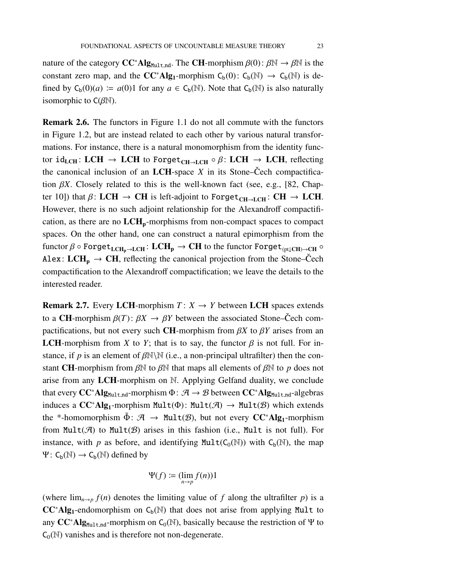nature of the category  $CC^*Alg_{Mult,nd}$ . The CH-morphism  $\beta(0): \beta \mathbb{N} \to \beta \mathbb{N}$  is the constant zero map, and the  $CC^*Alg_1$ -morphism  $C_b(0)$ :  $C_b(\mathbb{N}) \rightarrow C_b(\mathbb{N})$  is defined by  $C_b(0)(a) := a(0)1$  for any  $a \in C_b(\mathbb{N})$ . Note that  $C_b(\mathbb{N})$  is also naturally isomorphic to  $C(\beta \mathbb{N})$ .

Remark 2.6. The functors in Figure [1.1](#page-5-0) do not all commute with the functors in Figure [1.2,](#page-5-1) but are instead related to each other by various natural transformations. For instance, there is a natural monomorphism from the identity functor id<sub>LCH</sub>: LCH  $\rightarrow$  LCH to Forget<sub>CH→LCH</sub>  $\circ$   $\beta$ : LCH  $\rightarrow$  LCH, reflecting the canonical inclusion of an LCH-space  $X$  in its Stone–Cech compactification  $\beta X$ . Closely related to this is the well-known fact (see, e.g., [\[82,](#page-101-5) Chapter 10]) that  $\beta$ : LCH  $\rightarrow$  CH is left-adjoint to Forget<sub>CH→LCH</sub>: CH  $\rightarrow$  LCH. However, there is no such adjoint relationship for the Alexandroff compactification, as there are no  $LCH<sub>p</sub>$ -morphisms from non-compact spaces to compact spaces. On the other hand, one can construct a natural epimorphism from the functor  $\beta \circ \text{Forget}_{\text{LCH}_p \to \text{LCH}_p}$ :  $\text{LCH}_p \to \text{CH}$  to the functor  $\text{Forget}_{(pt\downarrow\text{CH}) \to \text{CH}} \circ$ Alex:  $LCH_p \rightarrow CH$ , reflecting the canonical projection from the Stone–Čech compactification to the Alexandroff compactification; we leave the details to the interested reader.

**Remark 2.7.** Every LCH-morphism  $T: X \rightarrow Y$  between LCH spaces extends to a CH-morphism  $\beta(T)$ :  $\beta X \rightarrow \beta Y$  between the associated Stone–Čech compactifications, but not every such **CH**-morphism from  $\beta X$  to  $\beta Y$  arises from an **LCH**-morphism from *X* to *Y*; that is to say, the functor  $\beta$  is not full. For instance, if *p* is an element of  $\beta \mathbb{N} \setminus \mathbb{N}$  (i.e., a non-principal ultrafilter) then the constant CH-morphism from  $\beta \mathbb{N}$  to  $\beta \mathbb{N}$  that maps all elements of  $\beta \mathbb{N}$  to p does not arise from any LCH-morphism on N. Applying Gelfand duality, we conclude that every  $CC^*Alg_{Mult\_nd}$ -morphism  $\Phi: \mathcal{A} \to \mathcal{B}$  between  $CC^*Alg_{Mult\_nd}$ -algebras induces a  $CC^*Alg_1$ -morphism Mult( $\Phi$ ): Mult( $\mathcal{A}$ )  $\rightarrow$  Mult( $\mathcal{B}$ ) which extends the \*-homomorphism  $\tilde{\Phi}$ :  $\mathcal{A} \to \text{Mult}(\mathcal{B})$ , but not every  $CC^*Alg_1$ -morphism from  $Mult(\mathcal{A})$  to  $Mult(\mathcal{B})$  arises in this fashion (i.e., Mult is not full). For instance, with *p* as before, and identifying  $Mult(C_0(\mathbb{N}))$  with  $C_b(\mathbb{N})$ , the map  $\Psi: C_b(\mathbb{N}) \to C_b(\mathbb{N})$  defined by

$$
\Psi(f) \coloneqq (\lim_{n \to p} f(n)) 1
$$

(where  $\lim_{n\to p} f(n)$  denotes the limiting value of f along the ultrafilter p) is a  $CC^*Alg_1$ -endomorphism on  $C_b(\mathbb{N})$  that does not arise from applying Mult to any  $CC^*Alg_{Mult\_nd}$ -morphism on  $C_0(\mathbb{N})$ , basically because the restriction of Ψ to  $C_0(\mathbb{N})$  vanishes and is therefore not non-degenerate.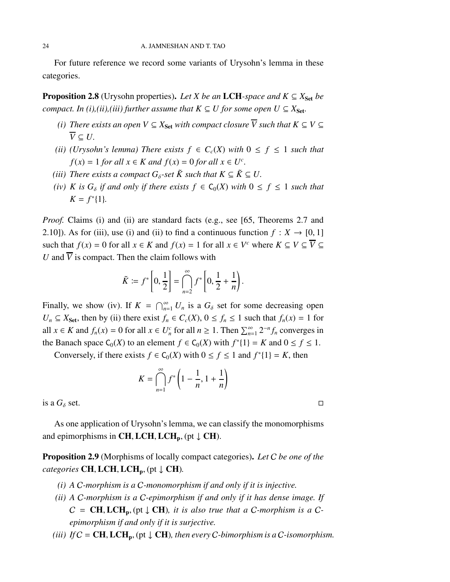For future reference we record some variants of Urysohn's lemma in these categories.

<span id="page-23-0"></span>**Proposition 2.8** (Urysohn properties). Let *X* be an LCH-space and  $K \subseteq X_{\text{Set}}$  be *compact. In (i),(ii),(iii) further assume that*  $K \subseteq U$  *for some open*  $U \subseteq X_{Set}$ *.* 

- *(i)* There exists an open  $V \subseteq X_{\text{Set}}$  with compact closure  $\overline{V}$  such that  $K \subseteq V \subseteq$  $\overline{V} \subset U$ .
- *(ii)* (Urysohn's lemma) There exists  $f \in C_c(X)$  with  $0 \le f \le 1$  *such that f*(*x*) = 1 *for all*  $x \in K$  *and*  $f(x) = 0$  *for all*  $x \in U^c$ .
- *(iii)* There exists a compact  $G_{\delta}$ -set  $\tilde{K}$  such that  $K \subseteq \tilde{K} \subseteq U$ .
- *(iv) K is*  $G_{\delta}$  *if and only if there exists*  $f \in C_0(X)$  *with*  $0 \le f \le 1$  *such that*  $K = f^*[1]$ *.*

*Proof.* Claims (i) and (ii) are standard facts (e.g., see [\[65,](#page-100-10) Theorems 2.7 and 2.10]). As for (iii), use (i) and (ii) to find a continuous function  $f: X \to [0, 1]$ such that  $f(x) = 0$  for all  $x \in K$  and  $f(x) = 1$  for all  $x \in V^c$  where  $K \subseteq V \subseteq \overline{V} \subseteq$ *U* and  $\overline{V}$  is compact. Then the claim follows with

$$
\tilde{K} \coloneqq f^*\left[0,\frac{1}{2}\right] = \bigcap_{n=2}^{\infty} f^*\left[0,\frac{1}{2}+\frac{1}{n}\right).
$$

Finally, we show (iv). If  $K = \bigcap_{n=1}^{\infty} U_n$  is a  $G_{\delta}$  set for some decreasing open  $U_n \subseteq X_{\text{Set}}$ , then by (ii) there exist  $f_n \in C_c(X)$ ,  $0 \le f_n \le 1$  such that  $f_n(x) = 1$  for all *x* ∈ *K* and  $f_n(x) = 0$  for all  $x \in U_n^c$  for all  $n \ge 1$ . Then  $\sum_{n=1}^{\infty} 2^{-n} f_n$  converges in the Banach space  $C_0(X)$  to an element  $f \in C_0(X)$  with  $f^*\{1\} = K$  and  $0 \le f \le 1$ .

Conversely, if there exists  $f \in C_0(X)$  with  $0 \le f \le 1$  and  $f^*\{1\} = K$ , then

$$
K = \bigcap_{n=1}^{\infty} f^* \left( 1 - \frac{1}{n}, 1 + \frac{1}{n} \right)
$$

is a  $G_{\delta}$  set.

As one application of Urysohn's lemma, we can classify the monomorphisms and epimorphisms in CH, LCH, LCH<sub>p</sub>, (pt  $\downarrow$  CH).

<span id="page-23-1"></span>Proposition 2.9 (Morphisms of locally compact categories). *Let* C *be one of the categories* **CH, LCH, LCH<sub>p</sub>**, (pt  $\downarrow$  **CH**).

- *(i) A* C*-morphism is a* C*-monomorphism if and only if it is injective.*
- *(ii) A* C*-morphism is a* C*-epimorphism if and only if it has dense image. If*  $C = CH, LCH_p, (pt \downarrow CH)$ , it is also true that a C-morphism is a C*epimorphism if and only if it is surjective.*
- *(iii)* If  $C = \text{CH}, \text{LCH}_p$ , (pt  $\downarrow$  CH), then every C-bimorphism is a C-isomorphism.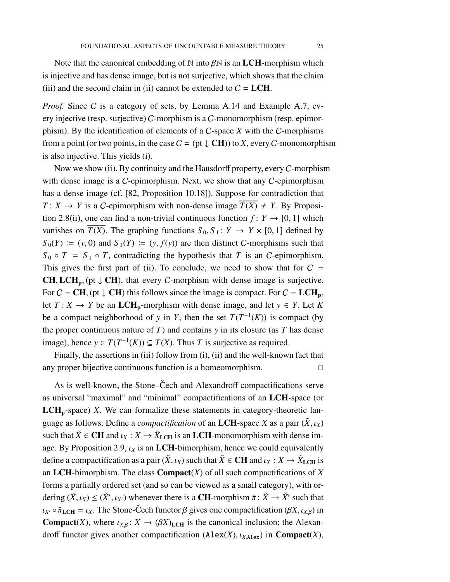Note that the canonical embedding of  $\mathbb N$  into  $\beta \mathbb N$  is an LCH-morphism which is injective and has dense image, but is not surjective, which shows that the claim (iii) and the second claim in (ii) cannot be extended to  $C = LCH$ .

*Proof.* Since C is a category of sets, by Lemma [A.14](#page-80-2) and Example [A.7,](#page-78-0) every injective (resp. surjective) C-morphism is a C-monomorphism (resp. epimorphism). By the identification of elements of a C-space *X* with the C-morphisms from a point (or two points, in the case  $C = (pt \downarrow CH)$ ) to *X*, every *C*-monomorphism is also injective. This yields (i).

Now we show (ii). By continuity and the Hausdorff property, every  $C$ -morphism with dense image is a *C*-epimorphism. Next, we show that any *C*-epimorphism has a dense image (cf. [\[82,](#page-101-5) Proposition 10.18]). Suppose for contradiction that *T* : *X*  $\rightarrow$  *Y* is a *C*-epimorphism with non-dense image  $T(X) \neq Y$ . By Proposi-tion [2.8\(](#page-23-0)ii), one can find a non-trivial continuous function  $f: Y \rightarrow [0, 1]$  which vanishes on  $\overline{T(X)}$ . The graphing functions  $S_0, S_1: Y \to Y \times [0, 1]$  defined by  $S_0(Y) := (y, 0)$  and  $S_1(Y) := (y, f(y))$  are then distinct C-morphisms such that  $S_0 \circ T = S_1 \circ T$ , contradicting the hypothesis that *T* is an *C*-epimorphism. This gives the first part of (ii). To conclude, we need to show that for  $C =$ CH, LCH<sub>p</sub>, (pt  $\downarrow$  CH), that every *C*-morphism with dense image is surjective. For  $C = \text{CH}$ , (pt  $\downarrow$  CH) this follows since the image is compact. For  $C = \text{LCH}_p$ , let  $T: X \to Y$  be an LCH<sub>p</sub>-morphism with dense image, and let  $y \in Y$ . Let K be a compact neighborhood of *y* in *Y*, then the set  $T(T^{-1}(K))$  is compact (by the proper continuous nature of  $T$ ) and contains  $y$  in its closure (as  $T$  has dense image), hence *y* ∈  $T(T^{-1}(K))$  ⊆  $T(X)$ . Thus *T* is surjective as required.

Finally, the assertions in (iii) follow from (i), (ii) and the well-known fact that any proper bijective continuous function is a homeomorphism.

As is well-known, the Stone–Cech and Alexandroff compactifications serve as universal "maximal" and "minimal" compactifications of an LCH-space (or  $LCH<sub>p</sub>$ -space) *X*. We can formalize these statements in category-theoretic language as follows. Define a *compactification* of an LCH-space *X* as a pair  $(\tilde{X}, \iota_X)$ such that  $\tilde{X} \in \mathbf{CH}$  and  $\iota_X : X \to \tilde{X}_{\mathbf{LCH}}$  is an  $\mathbf{LCH}$ -monomorphism with dense im-age. By Proposition [2.9,](#page-23-1)  $\iota_X$  is an LCH-bimorphism, hence we could equivalently define a compactification as a pair  $(\tilde{X}, \iota_X)$  such that  $\tilde{X} \in \mathbf{CH}$  and  $\iota_X : X \to \tilde{X}_{\mathbf{LCH}}$  is an LCH-bimorphism. The class Compact(*X*) of all such compactifications of *X* forms a partially ordered set (and so can be viewed as a small category), with ordering  $(\tilde{X}, \iota_X) \le (\tilde{X}', \iota_{X'})$  whenever there is a **CH**-morphism  $\tilde{\pi} \colon \tilde{X} \to \tilde{X}'$  such that  $\iota_{X'} \circ \tilde{\pi}_{\text{LCH}} = \iota_X$ . The Stone-Čech functor  $\beta$  gives one compactification ( $\beta X, \iota_{X,\beta}$ ) in **Compact**(*X*), where  $\iota_{X,B} : X \to (\beta X)_{\text{LCH}}$  is the canonical inclusion; the Alexandroff functor gives another compactification  $(Alex(X), \iota_{X,Alex})$  in **Compact** $(X)$ ,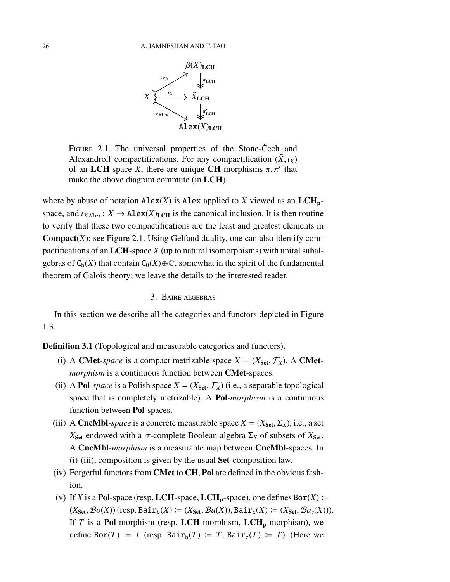

<span id="page-25-2"></span>FIGURE 2.1. The universal properties of the Stone-Čech and Alexandroff compactifications. For any compactification  $(\tilde{X}, \iota_X)$ of an LCH-space *X*, there are unique CH-morphisms  $\pi$ ,  $\pi'$  that make the above diagram commute (in LCH).

where by abuse of notation  $\text{Alex}(X)$  is Alex applied to *X* viewed as an  $\text{LCH}_p$ space, and  $\iota_{X,\text{Alex}}$ :  $X \to \text{Alex}(X)_{\text{LCH}}$  is the canonical inclusion. It is then routine to verify that these two compactifications are the least and greatest elements in **Compact** $(X)$ ; see Figure [2.1.](#page-25-2) Using Gelfand duality, one can also identify compactifications of an LCH-space *X* (up to natural isomorphisms) with unital subalgebras of  $C_b(X)$  that contain  $C_0(X) \oplus \mathbb{C}$ , somewhat in the spirit of the fundamental theorem of Galois theory; we leave the details to the interested reader.

### 3. Baire algebras

<span id="page-25-0"></span>In this section we describe all the categories and functors depicted in Figure [1.3.](#page-7-0)

<span id="page-25-1"></span>Definition 3.1 (Topological and measurable categories and functors).

- (i) A CMet-*space* is a compact metrizable space  $X = (X_{\text{Set}}, \mathcal{F}_X)$ . A CMet*morphism* is a continuous function between **CMet**-spaces.
- (ii) A **Pol**-space is a Polish space  $X = (X_{\text{Set}}, \mathcal{F}_X)$  (i.e., a separable topological space that is completely metrizable). A Pol*-morphism* is a continuous function between Pol-spaces.
- (iii) A **CncMbl**-space is a concrete measurable space  $X = (X_{\text{Set}}, \Sigma_X)$ , i.e., a set *X*<sub>Set</sub> endowed with a *σ*-complete Boolean algebra  $\Sigma$ <sub>*X*</sub> of subsets of *X*<sub>Set</sub>. A CncMbl*-morphism* is a measurable map between CncMbl-spaces. In (i)-(iii), composition is given by the usual Set-composition law.
- (iv) Forgetful functors from CMet to CH, Pol are defined in the obvious fashion.
- (v) If *X* is a **Pol**-space (resp. **LCH**-space, **LCH**<sub>p</sub>-space), one defines  $Bor(X)$  ≔  $(X_{\text{Set}}, \mathcal{B}o(X))$  (resp. Bair<sub>b</sub>(*X*)  $\coloneqq (X_{\text{Set}}, \mathcal{B}a(X))$ , Bair<sub>c</sub>(*X*)  $\coloneqq (X_{\text{Set}}, \mathcal{B}a_c(X))$ ). If *T* is a Pol-morphism (resp. LCH-morphism, LCH<sub>p</sub>-morphism), we define Bor(*T*)  $\coloneqq T$  (resp. Bair<sub>b</sub>(*T*)  $\coloneqq T$ , Bair<sub>c</sub>(*T*)  $\coloneqq T$ ). (Here we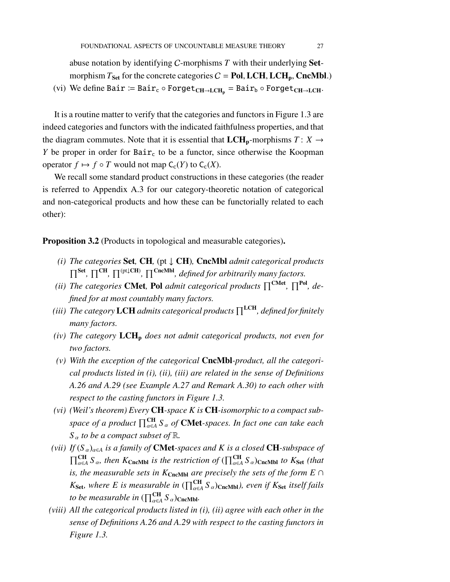abuse notation by identifying C-morphisms *T* with their underlying Setmorphism  $T_{\text{Set}}$  for the concrete categories  $C = \text{Pol}, LCH, LCH_p, CncMbl.$ )

(vi) We define Bair  $:=$  Bair<sub>c</sub> ◦ Forget<sub>CH→LCH</sub><sub>p</sub> = Bair<sub>b</sub> ◦ Forget<sub>CH→LCH</sub>.

It is a routine matter to verify that the categories and functors in Figure [1.3](#page-7-0) are indeed categories and functors with the indicated faithfulness properties, and that the diagram commutes. Note that it is essential that  $LCH_p$ -morphisms  $T: X \rightarrow$ *Y* be proper in order for  $Bair_c$  to be a functor, since otherwise the Koopman operator  $f \mapsto f \circ T$  would not map  $C_c(Y)$  to  $C_c(X)$ .

We recall some standard product constructions in these categories (the reader is referred to Appendix [A.3](#page-81-0) for our category-theoretic notation of categorical and non-categorical products and how these can be functorially related to each other):

<span id="page-26-0"></span>Proposition 3.2 (Products in topological and measurable categories).

- *(i) The categories* Set*,* CH*,* (pt ↓ CH)*,* CncMbl *admit categorical products*  $\prod^{\text{Set}}$ ,  $\prod^{\text{CH}}$ ,  $\prod^{\text{(pt\downarrow CH)}}$ ,  $\prod^{\text{CncMbl}}$ , defined for arbitrarily many factors.
- *(ii)* The categories **CMet**, Pol admit categorical products  $\prod^{\text{CMet}}$ ,  $\prod^{\text{Pol}}$ , de*fined for at most countably many factors.*
- *(iii)* The category LCH admits categorical products  $\prod^{\text{LCH}}$ , defined for finitely *many factors.*
- *(iv)* The category LCH<sub>p</sub> does not admit categorical products, not even for *two factors.*
- *(v) With the exception of the categorical* CncMbl*-product, all the categorical products listed in (i), (ii), (iii) are related in the sense of Definitions [A.26](#page-86-0) and [A.29](#page-91-0) (see Example [A.27](#page-89-0) and Remark [A.30\)](#page-91-1) to each other with respect to the casting functors in Figure [1.3.](#page-7-0)*
- *(vi) (Weil's theorem) Every* CH*-space K is* CH*-isomorphic to a compact subspace of a product* QCH α∈*A S* <sup>α</sup> *of* CMet*-spaces. In fact one can take each*  $S_\alpha$  *to be a compact subset of*  $\mathbb{R}$ *.*
- *(vii)* If  $(S_\alpha)_{\alpha \in A}$  *is a family of* **CMet**-spaces and *K is a closed* **CH**-subspace of  $\prod_{\alpha \in A}^{CH} S_{\alpha}$ , then  $K_{CncMbl}$  *is the restriction of*  $(\prod_{\alpha \in A}^{CH} S_{\alpha})_{CncMbl}$  *to*  $K_{Set}$  *(that is, the measurable sets in K*CncMbl *are precisely the sets of the form E* ∩  $K_{\text{Set}}$ , where E is measurable in  $(\prod_{\alpha \in A}^{\text{CH}} S_{\alpha})$ CncMbl), even if  $K_{\text{Set}}$  itself fails *to be measurable in*  $(\prod_{\alpha \in A}$   $S_{\alpha})$ <sub>CncMbl</sub>.
- *(viii) All the categorical products listed in (i), (ii) agree with each other in the sense of Definitions [A.26](#page-86-0) and [A.29](#page-91-0) with respect to the casting functors in Figure [1.3.](#page-7-0)*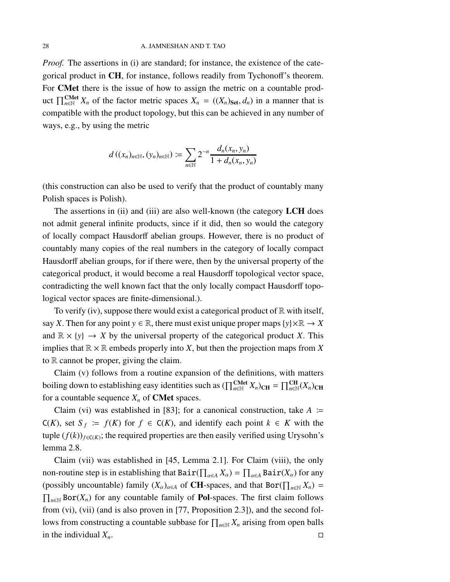*Proof.* The assertions in (i) are standard; for instance, the existence of the categorical product in CH, for instance, follows readily from Tychonoff's theorem. For CMet there is the issue of how to assign the metric on a countable product  $\prod_{n\in\mathbb{N}}^{\text{CMet}} X_n$  of the factor metric spaces  $X_n = ((X_n)_{\text{Set}}, d_n)$  in a manner that is compatible with the product topology, but this can be achieved in any number of ways, e.g., by using the metric

$$
d\left((x_n)_{n\in\mathbb{N}}, (y_n)_{n\in\mathbb{N}}\right) := \sum_{n\in\mathbb{N}} 2^{-n} \frac{d_n(x_n, y_n)}{1 + d_n(x_n, y_n)}
$$

(this construction can also be used to verify that the product of countably many Polish spaces is Polish).

The assertions in (ii) and (iii) are also well-known (the category LCH does not admit general infinite products, since if it did, then so would the category of locally compact Hausdorff abelian groups. However, there is no product of countably many copies of the real numbers in the category of locally compact Hausdorff abelian groups, for if there were, then by the universal property of the categorical product, it would become a real Hausdorff topological vector space, contradicting the well known fact that the only locally compact Hausdorff topological vector spaces are finite-dimensional.).

To verify (iv), suppose there would exist a categorical product of  $\mathbb R$  with itself, say *X*. Then for any point  $y \in \mathbb{R}$ , there must exist unique proper maps  $\{y\} \times \mathbb{R} \to X$ and  $\mathbb{R} \times \{y\} \to X$  by the universal property of the categorical product *X*. This implies that  $\mathbb{R} \times \mathbb{R}$  embeds properly into *X*, but then the projection maps from *X* to  $\mathbb R$  cannot be proper, giving the claim.

Claim (v) follows from a routine expansion of the definitions, with matters boiling down to establishing easy identities such as  $(\prod_{n\in\mathbb{N}}^{\text{CMet}} X_n)_{\text{CH}} = \prod_{n\in\mathbb{N}}^{\text{CH}} (X_n)_{\text{CH}}$ for a countable sequence  $X_n$  of **CMet** spaces.

Claim (vi) was established in [\[83\]](#page-101-6); for a canonical construction, take  $A \cong$ C(*K*), set *S*<sub>*f*</sub> :=  $f(K)$  for *f* ∈ C(*K*), and identify each point  $k \in K$  with the tuple  $(f(k))_{f \in \mathcal{C}(K)}$ ; the required properties are then easily verified using Urysohn's lemma [2.8.](#page-23-0)

Claim (vii) was established in [\[45,](#page-99-3) Lemma 2.1]. For Claim (viii), the only non-routine step is in establishing that  $\text{Bair}(\prod_{\alpha \in A} X_{\alpha}) = \prod_{\alpha \in A} \text{Bair}(X_{\alpha})$  for any (possibly uncountable) family  $(X_{\alpha})_{\alpha \in A}$  of **CH**-spaces, and that Bor( $\prod_{n \in \mathbb{N}} X_n$ ) =  $\prod_{n \in \mathbb{N}}$  Bor(*X<sub>n</sub>*) for any countable family of **Pol**-spaces. The first claim follows from (vi), (vii) (and is also proven in [\[77,](#page-101-0) Proposition 2.3]), and the second follows from constructing a countable subbase for  $\prod_{n\in\mathbb{N}} X_n$  arising from open balls in the individual  $X_n$ .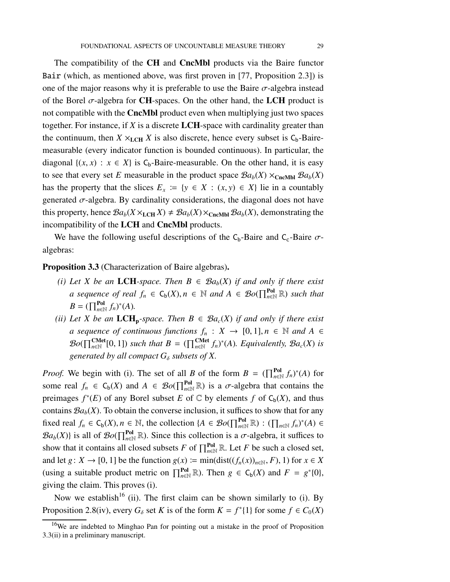The compatibility of the **CH** and **CncMbl** products via the Baire functor Bair (which, as mentioned above, was first proven in [\[77,](#page-101-0) Proposition 2.3]) is one of the major reasons why it is preferable to use the Baire  $\sigma$ -algebra instead of the Borel  $\sigma$ -algebra for **CH**-spaces. On the other hand, the **LCH** product is not compatible with the CncMbl product even when multiplying just two spaces together. For instance, if *X* is a discrete LCH-space with cardinality greater than the continuum, then  $X \times_{\text{LCH}} X$  is also discrete, hence every subset is  $C_b$ -Bairemeasurable (every indicator function is bounded continuous). In particular, the diagonal  $\{(x, x) : x \in X\}$  is  $C_b$ -Baire-measurable. On the other hand, it is easy to see that every set *E* measurable in the product space  $Ba_b(X) \times_{\text{CncMbl}} Ba_b(X)$ has the property that the slices  $E_x := \{y \in X : (x, y) \in X\}$  lie in a countably generated  $\sigma$ -algebra. By cardinality considerations, the diagonal does not have this property, hence  $\mathcal{B}a_b(X \times_{\text{LCH}} X) \neq \mathcal{B}a_b(X) \times_{\text{CncMbl}} \mathcal{B}a_b(X)$ , demonstrating the incompatibility of the LCH and CncMbl products.

We have the following useful descriptions of the  $C_b$ -Baire and  $C_c$ -Baire  $\sigma$ algebras:

<span id="page-28-0"></span>Proposition 3.3 (Characterization of Baire algebras).

- *(i) Let X be an* **LCH**-space. Then  $B \in \mathcal{B}a_b(X)$  *if and only if there exist a* sequence of real  $f_n \in C_b(X)$ ,  $n \in \mathbb{N}$  and  $A \in \mathcal{B}o(\prod_{n\in\mathbb{N}}^{Pol} \mathbb{R})$  such that  $B = (\prod_{n \in \mathbb{N}}^{\text{Pol}} f_n)^*(A).$
- *(ii) Let X be an* LCH<sub>p</sub>-space. Then  $B \in \mathcal{B}a_c(X)$  *if and only if there exist a sequence of continuous functions*  $f_n: X \to [0, 1], n \in \mathbb{N}$  and  $A \in$  $Bo(\prod_{n\in\mathbb{N}}^{\text{CMet}}[0,1])$  *such that*  $B = (\prod_{n\in\mathbb{N}}^{\text{CMet}}f_n)^*(A)$ *. Equivalently,*  $Ba_c(X)$  *is generated by all compact*  $G_{\delta}$  *subsets of X.*

*Proof.* We begin with (i). The set of all *B* of the form  $B = (\prod_{n \in \mathbb{N}}^{Pol} f_n)^*(A)$  for some real  $f_n \in C_b(X)$  and  $A \in \mathcal{B}o(\prod_{n\in\mathbb{N}}^{\text{Pol}} \mathbb{R})$  is a  $\sigma$ -algebra that contains the preimages  $f^*(E)$  of any Borel subset *E* of  $\mathbb C$  by elements *f* of  $C_b(X)$ , and thus contains  $Ba<sub>b</sub>(X)$ . To obtain the converse inclusion, it suffices to show that for any fixed real  $f_n \in C_b(X)$ ,  $n \in \mathbb{N}$ , the collection  $\{A \in \mathcal{B}o(\prod_{n\in\mathbb{N}}^{\text{Pol}}\mathbb{R}) : (\prod_{n\in\mathbb{N}}f_n)^*(A) \in$  $\mathcal{B}a_b(X)$ } is all of  $\mathcal{B}o(\prod_{n\in\mathbb{N}}^{\text{Pol}}\mathbb{R})$ . Since this collection is a  $\sigma$ -algebra, it suffices to show that it contains all closed subsets *F* of  $\prod_{n\in\mathbb{N}}^{\text{Pol}}$  R. Let *F* be such a closed set, and let *g*:  $X \rightarrow [0, 1]$  be the function  $g(x) := min(\text{dist}((f_n(x))_{n \in \mathbb{N}}, F), 1)$  for  $x \in X$ (using a suitable product metric on  $\prod_{n\in\mathbb{N}}^{Pol} \mathbb{R}$ ). Then  $g \in C_b(X)$  and  $F = g^*\{0\}$ , giving the claim. This proves (i).

Now we establish<sup>[16](#page-28-1)</sup> (ii). The first claim can be shown similarly to (i). By Proposition [2.8\(](#page-23-0)iv), every  $G_{\delta}$  set *K* is of the form  $K = f^*[1]$  for some  $f \in C_0(X)$ 

<span id="page-28-1"></span><sup>&</sup>lt;sup>16</sup>We are indebted to Minghao Pan for pointing out a mistake in the proof of Proposition [3.3\(](#page-28-0)ii) in a preliminary manuscript.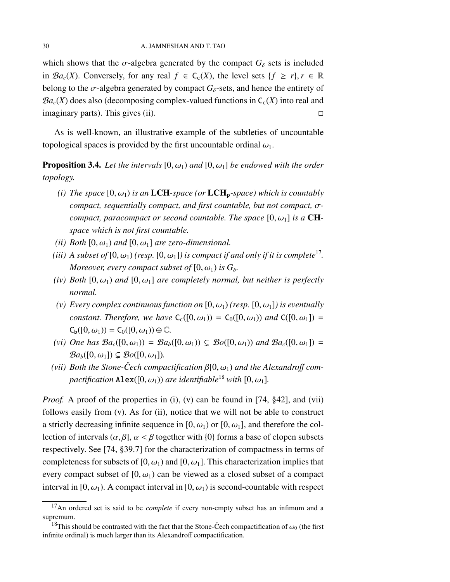which shows that the  $\sigma$ -algebra generated by the compact  $G_{\delta}$  sets is included in  $\mathcal{B}a_c(X)$ . Conversely, for any real  $f \in C_c(X)$ , the level sets  $\{f \ge r\}$ ,  $r \in \mathbb{R}$ belong to the  $\sigma$ -algebra generated by compact  $G_{\delta}$ -sets, and hence the entirety of  $Ba_c(X)$  does also (decomposing complex-valued functions in  $C_c(X)$  into real and imaginary parts). This gives (ii).  $\square$ 

As is well-known, an illustrative example of the subtleties of uncountable topological spaces is provided by the first uncountable ordinal  $\omega_1$ .

<span id="page-29-2"></span>**Proposition 3.4.** Let the intervals  $[0, \omega_1)$  and  $[0, \omega_1]$  be endowed with the order *topology.*

- *(i) The space*  $[0, \omega_1)$  *is an* LCH-space (or LCH<sub>p</sub>-space) which is countably *compact, sequentially compact, and first countable, but not compact,* σ*compact, paracompact or second countable. The space*  $[0, \omega_1]$  *is a* **CH***space which is not first countable.*
- *(ii) Both*  $[0, \omega_1)$  *and*  $[0, \omega_1]$  *are zero-dimensional.*
- (iii) A subset of  $[0, \omega_1)$  (resp.  $[0, \omega_1]$ ) is compact if and only if it is complete<sup>[17](#page-29-0)</sup>. *Moreover, every compact subset of*  $[0, \omega_1)$  *is*  $G_\delta$ *.*
- *(iv) Both*  $[0, \omega_1)$  *and*  $[0, \omega_1]$  *are completely normal, but neither is perfectly normal.*
- *(v)* Every complex continuous function on  $[0, \omega_1)$  *(resp.*  $[0, \omega_1]$ *) is eventually constant. Therefore, we have*  $C_c([0, \omega_1)) = C_0([0, \omega_1))$  *and*  $C([0, \omega_1]) =$  $C_{b}([0, \omega_1)) = C_{0}([0, \omega_1)) \oplus \mathbb{C}.$
- *(vi)* One has  $\mathcal{B}a_c([0,\omega_1)) = \mathcal{B}a_b([0,\omega_1)) \subsetneq \mathcal{B}o([0,\omega_1))$  and  $\mathcal{B}a_c([0,\omega_1]) =$  $\mathcal{B}a_{b}([0,\omega_1]) \subsetneq \mathcal{B}o([0,\omega_1]).$
- *(vii)* Both the Stone-Čech compactification  $\beta$ [0,  $\omega$ <sub>1</sub>) and the Alexandroff com*pactification*  $\text{Alex}([0, \omega_1))$  *are identifiable*<sup>[18](#page-29-1)</sup> *with*  $[0, \omega_1]$ *.*

*Proof.* A proof of the properties in (i), (v) can be found in [\[74,](#page-101-7) §42], and (vii) follows easily from (v). As for (ii), notice that we will not be able to construct a strictly decreasing infinite sequence in [0,  $\omega_1$ ) or [0,  $\omega_1$ ], and therefore the collection of intervals  $(\alpha, \beta]$ ,  $\alpha < \beta$  together with  $\{0\}$  forms a base of clopen subsets respectively. See [\[74,](#page-101-7) §39.7] for the characterization of compactness in terms of completeness for subsets of [0,  $\omega_1$ ) and [0,  $\omega_1$ ]. This characterization implies that every compact subset of  $[0, \omega_1)$  can be viewed as a closed subset of a compact interval in [0,  $\omega_1$ ). A compact interval in [0,  $\omega_1$ ) is second-countable with respect

<span id="page-29-0"></span><sup>17</sup>An ordered set is said to be *complete* if every non-empty subset has an infimum and a supremum.

<span id="page-29-1"></span><sup>&</sup>lt;sup>18</sup>This should be contrasted with the fact that the Stone-Čech compactification of  $\omega_0$  (the first infinite ordinal) is much larger than its Alexandroff compactification.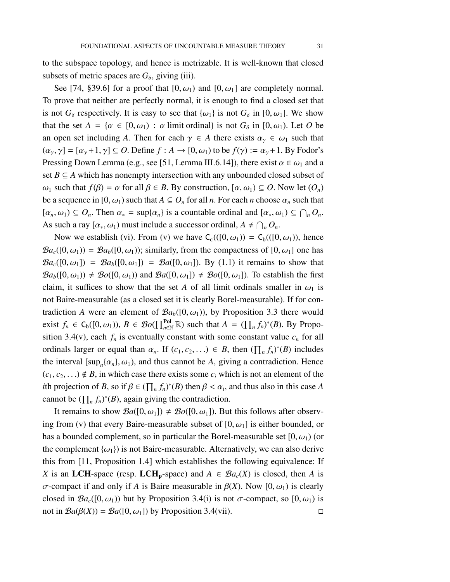to the subspace topology, and hence is metrizable. It is well-known that closed subsets of metric spaces are  $G_{\delta}$ , giving (iii).

See [\[74,](#page-101-7) §39.6] for a proof that [0,  $\omega_1$ ) and [0,  $\omega_1$ ] are completely normal. To prove that neither are perfectly normal, it is enough to find a closed set that is not  $G_{\delta}$  respectively. It is easy to see that  $\{\omega_1\}$  is not  $G_{\delta}$  in [0,  $\omega_1$ ]. We show that the set  $A = \{ \alpha \in [0, \omega_1) : \alpha \text{ limit ordinal} \}$  is not  $G_{\delta}$  in  $[0, \omega_1)$ . Let O be an open set including *A*. Then for each  $\gamma \in A$  there exists  $\alpha_{\gamma} \in \omega_1$  such that  $(\alpha_{\gamma}, \gamma] = [\alpha_{\gamma} + 1, \gamma] \subseteq O$ . Define  $f : A \rightarrow [0, \omega_1)$  to be  $f(\gamma) := \alpha_{\gamma} + 1$ . By Fodor's Pressing Down Lemma (e.g., see [\[51,](#page-99-7) Lemma III.6.14]), there exist  $\alpha \in \omega_1$  and a set  $B \subseteq A$  which has nonempty intersection with any unbounded closed subset of  $ω_1$  such that *f*( $β$ ) =  $α$  for all  $β ∈ B$ . By construction,  $[α, ω_1) ⊆ O$ . Now let  $(O_n)$ be a sequence in  $[0, \omega_1)$  such that  $A \subseteq O_n$  for all *n*. For each *n* choose  $\alpha_n$  such that  $[\alpha_n, \omega_1] \subseteq O_n$ . Then  $\alpha_* = \sup{\{\alpha_n\}}$  is a countable ordinal and  $[\alpha_*, \omega_1] \subseteq \bigcap_n O_n$ . As such a ray  $[\alpha_*, \omega_1]$  must include a successor ordinal,  $A \neq \bigcap_n O_n$ .

Now we establish (vi). From (v) we have  $C_c((0, \omega_1)) = C_b((0, \omega_1))$ , hence  $Ba_c([0, \omega_1)) = Ba_b([0, \omega_1))$ ; similarly, from the compactness of  $[0, \omega_1]$  one has  $\mathcal{B}a_c([0,\omega_1]) = \mathcal{B}a_b([0,\omega_1]) = \mathcal{B}a([0,\omega_1])$ . By [\(1.1\)](#page-6-0) it remains to show that  $Ba_b([0, \omega_1)) \neq Bo([0, \omega_1))$  and  $Ba([0, \omega_1]) \neq Bo([0, \omega_1])$ . To establish the first claim, it suffices to show that the set *A* of all limit ordinals smaller in  $\omega_1$  is not Baire-measurable (as a closed set it is clearly Borel-measurable). If for contradiction *A* were an element of  $\mathcal{B}a_b([0,\omega_1))$ , by Proposition [3.3](#page-28-0) there would exist  $f_n \in C_b([0, \omega_1)), B \in \mathcal{B}o(\prod_{n\in \mathbb{N}}^{Pol} \mathbb{R})$  such that  $A = (\prod_n f_n)^*(B)$ . By Propo-sition [3.4\(](#page-29-2)v), each  $f_n$  is eventually constant with some constant value  $c_n$  for all ordinals larger or equal than  $\alpha_n$ . If  $(c_1, c_2, ...) \in B$ , then  $(\prod_n f_n)^*(B)$  includes the interval  $[sup_n\{a_n\}, \omega_1)$ , and thus cannot be *A*, giving a contradiction. Hence  $(c_1, c_2, \ldots) \notin B$ , in which case there exists some  $c_i$  which is not an element of the *i*th projection of *B*, so if  $\beta \in (\prod_n f_n)^*(B)$  then  $\beta < \alpha_i$ , and thus also in this case *A* cannot be  $(\prod_n f_n)^*(B)$ , again giving the contradiction.

It remains to show  $\mathcal{B}a([0,\omega_1]) \neq \mathcal{B}o([0,\omega_1])$ . But this follows after observing from (v) that every Baire-measurable subset of  $[0, \omega_1]$  is either bounded, or has a bounded complement, so in particular the Borel-measurable set  $[0, \omega_1)$  (or the complement  $\{\omega_1\}$  is not Baire-measurable. Alternatively, we can also derive this from [\[11,](#page-97-13) Proposition 1.4] which establishes the following equivalence: If *X* is an LCH-space (resp. LCH<sub>p</sub>-space) and  $A \in \mathcal{B}a_c(X)$  is closed, then *A* is σ-compact if and only if *A* is Baire measurable in β(*X*). Now [0, ω1) is clearly closed in  $Ba_c([0, \omega_1))$  but by Proposition [3.4\(](#page-29-2)i) is not  $\sigma$ -compact, so  $[0, \omega_1)$  is not in  $\mathcal{B}a(\beta(X)) = \mathcal{B}a([0, \omega_1])$  by Proposition [3.4\(](#page-29-2)vii).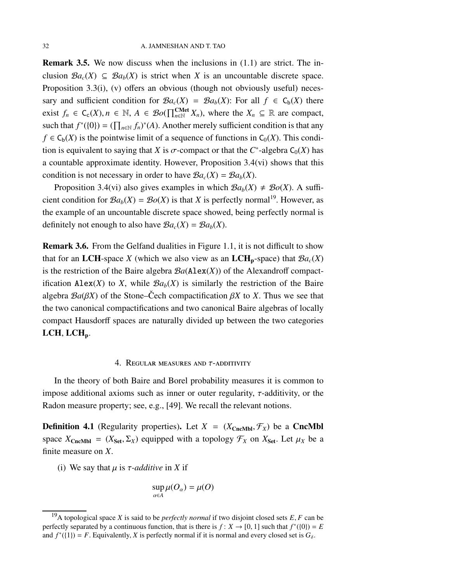<span id="page-31-1"></span>**Remark 3.5.** We now discuss when the inclusions in  $(1.1)$  are strict. The inclusion  $Ba_c(X) \subseteq Ba_b(X)$  is strict when X is an uncountable discrete space. Proposition [3.3\(](#page-28-0)i), (v) offers an obvious (though not obviously useful) necessary and sufficient condition for  $\mathcal{B}a_c(X) = \mathcal{B}a_b(X)$ : For all  $f \in C_b(X)$  there exist  $f_n \in C_c(X)$ ,  $n \in \mathbb{N}$ ,  $A \in \mathcal{B}o(\prod_{n \in \mathbb{N}}^{CMet} X_n)$ , where the  $X_n \subseteq \mathbb{R}$  are compact, such that  $f^*(\{0\}) = (\prod_{n \in \mathbb{N}} f_n)^*(A)$ . Another merely sufficient condition is that any  $f \in C_b(X)$  is the pointwise limit of a sequence of functions in  $C_0(X)$ . This condition is equivalent to saying that *X* is  $\sigma$ -compact or that the  $C^*$ -algebra  $C_0(X)$  has a countable approximate identity. However, Proposition [3.4\(](#page-29-2)vi) shows that this condition is not necessary in order to have  $\mathcal{B}a_c(X) = \mathcal{B}a_b(X)$ .

Proposition [3.4\(](#page-29-2)vi) also gives examples in which  $Ba_b(X) \neq Bo(X)$ . A sufficient condition for  $Ba_b(X) = Bo(X)$  is that X is perfectly normal<sup>[19](#page-31-2)</sup>. However, as the example of an uncountable discrete space showed, being perfectly normal is definitely not enough to also have  $\mathcal{B}a_c(X) = \mathcal{B}a_b(X)$ .

Remark 3.6. From the Gelfand dualities in Figure [1.1,](#page-5-0) it is not difficult to show that for an LCH-space *X* (which we also view as an LCH<sub>p</sub>-space) that  $\mathcal{B}a_c(X)$ is the restriction of the Baire algebra  $Ba(Alex(X))$  of the Alexandroff compactification Alex(*X*) to *X*, while  $Ba_b(X)$  is similarly the restriction of the Baire algebra  $Ba(BX)$  of the Stone–Cech compactification  $\beta X$  to X. Thus we see that the two canonical compactifications and two canonical Baire algebras of locally compact Hausdorff spaces are naturally divided up between the two categories  $LCH, LCH_p.$ 

### 4. Regular measures and τ-additivity

<span id="page-31-0"></span>In the theory of both Baire and Borel probability measures it is common to impose additional axioms such as inner or outer regularity,  $\tau$ -additivity, or the Radon measure property; see, e.g., [\[49\]](#page-99-8). We recall the relevant notions.

**Definition 4.1** (Regularity properties). Let  $X = (X_{CncMbl}, \mathcal{F}_X)$  be a CncMbl space  $X_{\text{CncMbl}} = (X_{\text{Set}}, \Sigma_X)$  equipped with a topology  $\mathcal{F}_X$  on  $X_{\text{Set}}$ . Let  $\mu_X$  be a finite measure on *X*.

(i) We say that  $\mu$  is  $\tau$ -additive in X if

$$
\sup_{\alpha \in A} \mu(O_{\alpha}) = \mu(O)
$$

<span id="page-31-2"></span><sup>&</sup>lt;sup>19</sup>A topological space *X* is said to be *perfectly normal* if two disjoint closed sets  $E, F$  can be perfectly separated by a continuous function, that is there is  $f: X \to [0, 1]$  such that  $f^*(\{0\}) = E$ and  $f^*(\{1\}) = F$ . Equivalently, *X* is perfectly normal if it is normal and every closed set is  $G_\delta$ .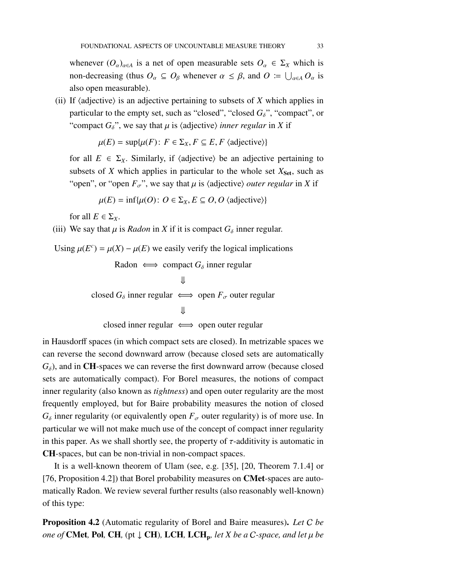whenever  $(O_\alpha)_{\alpha \in A}$  is a net of open measurable sets  $O_\alpha \in \Sigma_X$  which is non-decreasing (thus  $O_\alpha \subseteq O_\beta$  whenever  $\alpha \leq \beta$ , and  $O := \bigcup_{\alpha \in A} O_\alpha$  is also open measurable).

(ii) If  $\langle$ adjective $\rangle$  is an adjective pertaining to subsets of *X* which applies in particular to the empty set, such as "closed", "closed  $G_{\delta}$ ", "compact", or "compact  $G_{\delta}$ ", we say that  $\mu$  is (adjective) *inner regular* in *X* if

$$
\mu(E) = \sup \{ \mu(F) : F \in \Sigma_X, F \subseteq E, F \text{ (adjective)} \}
$$

for all  $E \in \Sigma_X$ . Similarly, if  $\langle \text{adjective} \rangle$  be an adjective pertaining to subsets of  $X$  which applies in particular to the whole set  $X_{\text{Set}}$ , such as "open", or "open  $F_{\sigma}$ ", we say that  $\mu$  is  $\langle$  adjective) *outer regular* in *X* if

$$
\mu(E) = \inf \{ \mu(O) : O \in \Sigma_X, E \subseteq O, O \text{ (adjective)} \}
$$

for all  $E \in \Sigma_X$ .

(iii) We say that  $\mu$  is *Radon* in *X* if it is compact  $G_{\delta}$  inner regular.

Using  $\mu(E^c) = \mu(X) - \mu(E)$  we easily verify the logical implications Radon ⇐⇒ compact *G*<sup>δ</sup> inner regular

Radon 
$$
\Leftrightarrow
$$
 compact  $G_{\delta}$  inner regular  
\n  
\n $\Downarrow$   
\n  
\nclosed  $G_{\delta}$  inner regular  $\Leftrightarrow$  open  $F_{\sigma}$  outer regular  
\n  
\n $\Downarrow$ 

closed inner regular  $\iff$  open outer regular

in Hausdorff spaces (in which compact sets are closed). In metrizable spaces we can reverse the second downward arrow (because closed sets are automatically  $G_{\delta}$ ), and in **CH**-spaces we can reverse the first downward arrow (because closed sets are automatically compact). For Borel measures, the notions of compact inner regularity (also known as *tightness*) and open outer regularity are the most frequently employed, but for Baire probability measures the notion of closed  $G_{\delta}$  inner regularity (or equivalently open  $F_{\sigma}$  outer regularity) is of more use. In particular we will not make much use of the concept of compact inner regularity in this paper. As we shall shortly see, the property of  $\tau$ -additivity is automatic in CH-spaces, but can be non-trivial in non-compact spaces.

It is a well-known theorem of Ulam (see, e.g. [\[35\]](#page-98-3), [\[20,](#page-97-2) Theorem 7.1.4] or [\[76,](#page-101-8) Proposition 4.2]) that Borel probability measures on **CMet**-spaces are automatically Radon. We review several further results (also reasonably well-known) of this type:

<span id="page-32-0"></span>Proposition 4.2 (Automatic regularity of Borel and Baire measures). *Let* C *be one of* CMet, Pol, CH, (pt  $\downarrow$  CH), LCH, LCH<sub>p</sub>, let X be a C-space, and let  $\mu$  be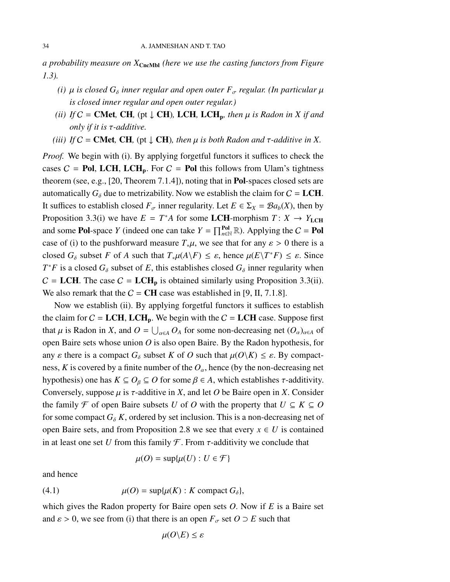*a probability measure on X*CncMbl *(here we use the casting functors from Figure [1.3\)](#page-7-0).*

- *(i)*  $\mu$  *is closed*  $G_{\delta}$  *inner regular and open outer*  $F_{\sigma}$  *regular. (In particular*  $\mu$ *is closed inner regular and open outer regular.)*
- *(ii)* If  $C =$  **CMet**, **CH**, (pt  $\downarrow$  **CH**), **LCH**, **LCH**<sub>p</sub>, then  $\mu$  is Radon in X if and *only if it is* τ*-additive.*
- *(iii) If*  $C =$  **CMet**, **CH**, (pt  $\downarrow$  **CH**)*, then*  $\mu$  *is both Radon and*  $\tau$ -*additive in X*.

*Proof.* We begin with (i). By applying forgetful functors it suffices to check the cases  $C = Pol$ , LCH, LCH<sub>p</sub>. For  $C = Pol$  this follows from Ulam's tightness theorem (see, e.g., [\[20,](#page-97-2) Theorem 7.1.4]), noting that in Pol-spaces closed sets are automatically  $G_{\delta}$  due to metrizability. Now we establish the claim for  $C = LCH$ . It suffices to establish closed  $F_{\sigma}$  inner regularity. Let  $E \in \Sigma_X = \mathcal{B}a_b(X)$ , then by Proposition [3.3\(](#page-28-0)i) we have  $E = T^*A$  for some LCH-morphism  $T: X \to Y_{\text{LCH}}$ and some **Pol**-space *Y* (indeed one can take  $Y = \prod_{n \in \mathbb{N}}^{Pol} \mathbb{R}$ ). Applying the  $C =$  **Pol** case of (i) to the pushforward measure  $T_*\mu$ , we see that for any  $\varepsilon > 0$  there is a closed  $G_{\delta}$  subset *F* of *A* such that  $T_{\ast}\mu(A\backslash F) \leq \varepsilon$ , hence  $\mu(E\backslash T^*F) \leq \varepsilon$ . Since  $T^*F$  is a closed  $G_\delta$  subset of *E*, this establishes closed  $G_\delta$  inner regularity when  $C = LCH$ . The case  $C = LCH_p$  is obtained similarly using Proposition [3.3\(](#page-28-0)ii). We also remark that the  $C = CH$  case was established in [\[9,](#page-97-1) II, 7.1.8].

Now we establish (ii). By applying forgetful functors it suffices to establish the claim for  $C = LCH$ ,  $LCH_p$ . We begin with the  $C = LCH$  case. Suppose first that  $\mu$  is Radon in *X*, and  $O = \bigcup_{\alpha \in A} O_A$  for some non-decreasing net  $(O_\alpha)_{\alpha \in A}$  of open Baire sets whose union *O* is also open Baire. By the Radon hypothesis, for any  $\varepsilon$  there is a compact  $G_{\delta}$  subset *K* of *O* such that  $\mu(O\backslash K) \leq \varepsilon$ . By compactness, *K* is covered by a finite number of the  $O_\alpha$ , hence (by the non-decreasing net hypothesis) one has  $K \subseteq O_\beta \subseteq O$  for some  $\beta \in A$ , which establishes  $\tau$ -additivity. Conversely, suppose  $\mu$  is  $\tau$ -additive in *X*, and let *O* be Baire open in *X*. Consider the family  $\mathcal{F}$  of open Baire subsets *U* of *O* with the property that  $U \subseteq K \subseteq O$ for some compact  $G_{\delta} K$ , ordered by set inclusion. This is a non-decreasing net of open Baire sets, and from Proposition [2.8](#page-23-0) we see that every  $x \in U$  is contained in at least one set *U* from this family  $\mathcal F$ . From  $\tau$ -additivity we conclude that

<span id="page-33-0"></span>
$$
\mu(O) = \sup \{ \mu(U) : U \in \mathcal{F} \}
$$

and hence

(4.1) 
$$
\mu(O) = \sup \{ \mu(K) : K \text{ compact } G_{\delta} \},
$$

which gives the Radon property for Baire open sets *O*. Now if *E* is a Baire set and  $\varepsilon > 0$ , we see from (i) that there is an open  $F_{\sigma}$  set  $O \supset E$  such that

$$
\mu(O \backslash E) \leq \varepsilon
$$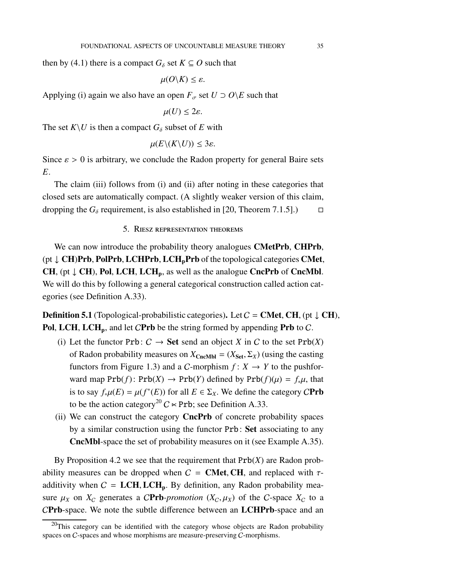then by [\(4.1\)](#page-33-0) there is a compact  $G_{\delta}$  set  $K \subseteq O$  such that

 $\mu(O\backslash K)\leq \varepsilon$ .

Applying (i) again we also have an open  $F_{\sigma}$  set  $U \supset O \ E$  such that

 $\mu(U) \leq 2\varepsilon$ .

The set  $K \setminus U$  is then a compact  $G_{\delta}$  subset of *E* with

 $\mu(E\setminus (K\setminus U)) \leq 3\varepsilon$ .

Since  $\varepsilon > 0$  is arbitrary, we conclude the Radon property for general Baire sets *E*.

<span id="page-34-0"></span>The claim (iii) follows from (i) and (ii) after noting in these categories that closed sets are automatically compact. (A slightly weaker version of this claim, dropping the  $G_\delta$  requirement, is also established in [\[20,](#page-97-2) Theorem 7.1.5].)  $\Box$ 

5. Riesz representation theorems

We can now introduce the probability theory analogues **CMetPrb, CHPrb,**  $(pt \downarrow CH)Prb$ , PolPrb, LCHPrb, LCH<sub>n</sub>Prb of the topological categories CMet, CH, (pt  $\downarrow$  CH), Pol, LCH, LCH<sub>p</sub>, as well as the analogue CncPrb of CncMbl. We will do this by following a general categorical construction called action categories (see Definition [A.33\)](#page-92-0).

<span id="page-34-1"></span>**Definition 5.1** (Topological-probabilistic categories). Let  $C =$  **CMet, CH**, (pt  $\downarrow$  **CH**), Pol, LCH, LCH<sub>p</sub>, and let CPrb be the string formed by appending Prb to C.

- (i) Let the functor  $Prb: C \rightarrow Set$  send an object *X* in *C* to the set  $Prb(X)$ of Radon probability measures on  $X_{CncMbl} = (X_{Set}, \Sigma_X)$  (using the casting functors from Figure [1.3\)](#page-7-0) and a *C*-morphism  $f: X \rightarrow Y$  to the pushforward map  $Prb(f)$ :  $Prb(X) \rightarrow Prb(Y)$  defined by  $Prb(f)(\mu) = f_*\mu$ , that is to say  $f_*\mu(E) = \mu(f^*(E))$  for all  $E \in \Sigma_X$ . We define the category CPrb to be the action category<sup>[20](#page-34-2)</sup>  $C \times Prb$ ; see Definition [A.33.](#page-92-0)
- (ii) We can construct the category CncPrb of concrete probability spaces by a similar construction using the functor Prb: Set associating to any CncMbl-space the set of probability measures on it (see Example [A.35\)](#page-93-1).

By Proposition [4.2](#page-32-0) we see that the requirement that Prb(*X*) are Radon probability measures can be dropped when  $C =$  **CMet, CH**, and replaced with  $\tau$ additivity when  $C = LCH, LCH_p$ . By definition, any Radon probability measure  $\mu_X$  on  $X_C$  generates a CPrb-promotion  $(X_C, \mu_X)$  of the C-space  $X_C$  to a CPrb-space. We note the subtle difference between an LCHPrb-space and an

<span id="page-34-2"></span> $^{20}$ This category can be identified with the category whose objects are Radon probability spaces on C-spaces and whose morphisms are measure-preserving C-morphisms.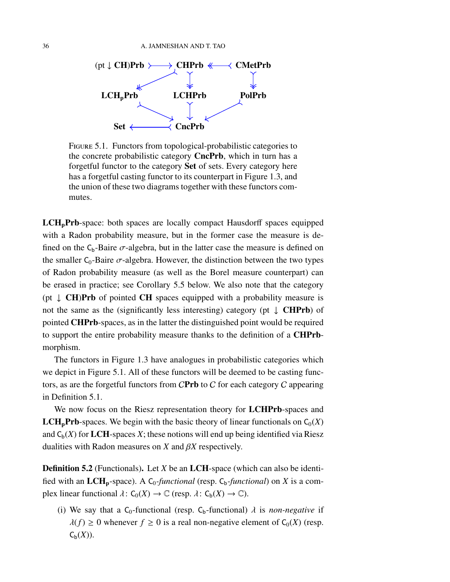

<span id="page-35-0"></span>Figure 5.1. Functors from topological-probabilistic categories to the concrete probabilistic category **CncPrb**, which in turn has a forgetful functor to the category Set of sets. Every category here has a forgetful casting functor to its counterpart in Figure [1.3,](#page-7-0) and the union of these two diagrams together with these functors commutes.

 $LCH<sub>n</sub>Prb$ -space: both spaces are locally compact Hausdorff spaces equipped with a Radon probability measure, but in the former case the measure is defined on the  $C_b$ -Baire  $\sigma$ -algebra, but in the latter case the measure is defined on the smaller  $C_0$ -Baire  $\sigma$ -algebra. However, the distinction between the two types of Radon probability measure (as well as the Borel measure counterpart) can be erased in practice; see Corollary [5.5](#page-40-0) below. We also note that the category (pt  $\downarrow$  **CH)Prb** of pointed **CH** spaces equipped with a probability measure is not the same as the (significantly less interesting) category (pt  $\downarrow$  **CHPrb**) of pointed CHPrb-spaces, as in the latter the distinguished point would be required to support the entire probability measure thanks to the definition of a CHPrbmorphism.

The functors in Figure [1.3](#page-7-0) have analogues in probabilistic categories which we depict in Figure [5.1.](#page-35-0) All of these functors will be deemed to be casting functors, as are the forgetful functors from  $CPrb$  to  $C$  for each category  $C$  appearing in Definition [5.1.](#page-34-1)

We now focus on the Riesz representation theory for LCHPrb-spaces and **LCH<sub>p</sub>Prb**-spaces. We begin with the basic theory of linear functionals on  $C_0(X)$ and  $C_b(X)$  for LCH-spaces X; these notions will end up being identified via Riesz dualities with Radon measures on *X* and β*X* respectively.

Definition 5.2 (Functionals). Let *X* be an LCH-space (which can also be identified with an  $LCH_p$ -space). A  $C_0$ -functional (resp.  $C_b$ -functional) on *X* is a complex linear functional  $\lambda: C_0(X) \to \mathbb{C}$  (resp.  $\lambda: C_b(X) \to \mathbb{C}$ ).

(i) We say that a C<sub>0</sub>-functional (resp. C<sub>b</sub>-functional)  $\lambda$  is *non-negative* if  $\lambda(f) \geq 0$  whenever  $f \geq 0$  is a real non-negative element of  $C_0(X)$  (resp.  $C_{\mathfrak{b}}(X)$ ).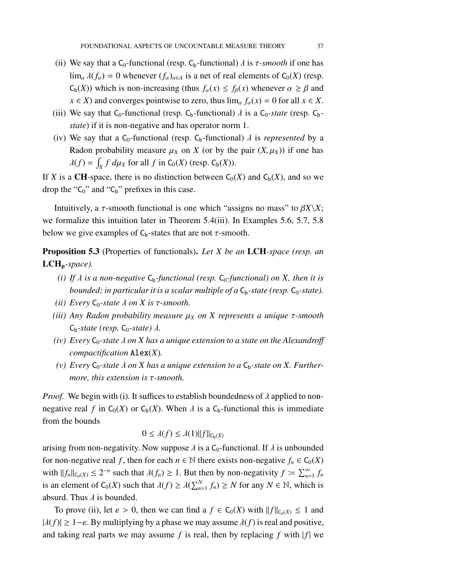- (ii) We say that a C<sub>0</sub>-functional (resp. C<sub>b</sub>-functional)  $\lambda$  is  $\tau$ -smooth if one has  $\lim_{\alpha} \lambda(f_{\alpha}) = 0$  whenever  $(f_{\alpha})_{\alpha \in A}$  is a net of real elements of  $C_0(X)$  (resp.  $C_b(X)$ ) which is non-increasing (thus  $f_\alpha(x) \leq f_\beta(x)$  whenever  $\alpha \geq \beta$  and  $x \in X$ ) and converges pointwise to zero, thus  $\lim_{\alpha} f_{\alpha}(x) = 0$  for all  $x \in X$ .
- (iii) We say that  $C_0$ -functional (resp.  $C_b$ -functional)  $\lambda$  is a  $C_0$ -state (resp.  $C_b$ *state*) if it is non-negative and has operator norm 1.
- (iv) We say that a  $C_0$ -functional (resp.  $C_b$ -functional)  $\lambda$  is *represented* by a Radon probability measure  $\mu_X$  on *X* (or by the pair  $(X, \mu_X)$ ) if one has  $\lambda(f) = \int_X f \ d\mu_X$  for all  $f$  in  $C_0(X)$  (resp.  $C_b(X)$ ).

If *X* is a **CH**-space, there is no distinction between  $C_0(X)$  and  $C_b(X)$ , and so we drop the " $C_0$ " and " $C_b$ " prefixes in this case.

Intuitively, a τ-smooth functional is one which "assigns no mass" to β*X*\*X*; we formalize this intuition later in Theorem [5.4\(](#page-38-0)iii). In Examples [5.6,](#page-41-0) [5.7,](#page-42-0) [5.8](#page-42-1) below we give examples of  $C_b$ -states that are not  $\tau$ -smooth.

<span id="page-36-0"></span>Proposition 5.3 (Properties of functionals). *Let X be an* LCH*-space (resp. an* LCHp*-space).*

- *(i)* If  $\lambda$  *is a non-negative*  $C_b$ -functional (resp.  $C_0$ -functional) on X, then it is *bounded; in particular it is a scalar multiple of a*  $C_b$ -state (resp.  $C_0$ -state).
- *(ii)* Every  $C_0$ -state  $\lambda$  *on X is*  $\tau$ -smooth.
- *(iii) Any Radon probability measure* µ*<sup>X</sup> on X represents a unique* τ*-smooth*  $C_b$ -*state (resp.*  $C_0$ -*state)*  $\lambda$ .
- *(iv)* Every  $C_0$ -state  $\lambda$  on  $X$  has a unique extension to a state on the Alexandroff *compactification* Alex(*X*)*.*
- (v) Every  $C_0$ -state  $\lambda$  on  $X$  has a unique extension to a  $C_b$ -state on  $X$ . Further*more, this extension is* τ*-smooth.*

*Proof.* We begin with (i). It suffices to establish boundedness of  $\lambda$  applied to nonnegative real *f* in  $C_0(X)$  or  $C_b(X)$ . When  $\lambda$  is a  $C_b$ -functional this is immediate from the bounds

$$
0 \le \lambda(f) \le \lambda(1) ||f||_{C_b(X)}
$$

arising from non-negativity. Now suppose  $\lambda$  is a C<sub>0</sub>-functional. If  $\lambda$  is unbounded for non-negative real *f*, then for each  $n \in \mathbb{N}$  there exists non-negative  $f_n \in C_0(X)$ with  $||f_n||_{C_0(X)} \le 2^{-n}$  such that  $\lambda(f_n) \ge 1$ . But then by non-negativity  $f := \sum_{n=1}^{\infty} f_n$ is an element of  $C_0(X)$  such that  $\lambda(f) \ge \lambda(\sum_{n=1}^N f_n) \ge N$  for any  $N \in \mathbb{N}$ , which is absurd. Thus  $\lambda$  is bounded.

To prove (ii), let  $\varepsilon > 0$ , then we can find a  $f \in C_0(X)$  with  $||f||_{C_0(X)} \le 1$  and  $|\lambda(f)| \ge 1-\varepsilon$ . By multiplying by a phase we may assume  $\lambda(f)$  is real and positive, and taking real parts we may assume  $f$  is real, then by replacing  $f$  with  $|f|$  we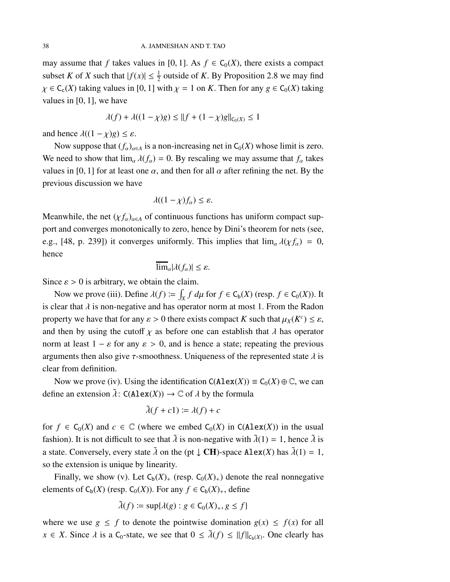may assume that *f* takes values in [0, 1]. As  $f \in C_0(X)$ , there exists a compact subset *K* of *X* such that  $|f(x)| \leq \frac{1}{2}$  outside of *K*. By Proposition [2.8](#page-23-0) we may find  $\chi \in C_c(X)$  taking values in [0, 1] with  $\chi = 1$  on *K*. Then for any  $g \in C_0(X)$  taking values in [0, 1], we have

$$
\lambda(f) + \lambda((1 - \chi)g) \le ||f + (1 - \chi)g||_{C_0(X)} \le 1
$$

and hence  $\lambda((1 - \chi)g) \leq \varepsilon$ .

Now suppose that  $(f_\alpha)_{\alpha \in A}$  is a non-increasing net in  $C_0(X)$  whose limit is zero. We need to show that  $\lim_{\alpha} \lambda(f_{\alpha}) = 0$ . By rescaling we may assume that  $f_{\alpha}$  takes values in [0, 1] for at least one  $\alpha$ , and then for all  $\alpha$  after refining the net. By the previous discussion we have

$$
\lambda((1-\chi)f_\alpha)\leq\varepsilon.
$$

Meanwhile, the net  $(\chi f_\alpha)_{\alpha \in A}$  of continuous functions has uniform compact support and converges monotonically to zero, hence by Dini's theorem for nets (see, e.g., [\[48,](#page-99-0) p. 239]) it converges uniformly. This implies that  $\lim_{\alpha} \lambda(\chi f_{\alpha}) = 0$ , hence

$$
\overline{\lim}_{\alpha} |\lambda(f_{\alpha})| \leq \varepsilon.
$$

Since  $\varepsilon > 0$  is arbitrary, we obtain the claim.

Now we prove (iii). Define  $\lambda(f) := \int_X f \, d\mu$  for  $f \in C_b(X)$  (resp.  $f \in C_0(X)$ ). It is clear that  $\lambda$  is non-negative and has operator norm at most 1. From the Radon property we have that for any  $\varepsilon > 0$  there exists compact *K* such that  $\mu_X(K^c) \leq \varepsilon$ , and then by using the cutoff  $\chi$  as before one can establish that  $\lambda$  has operator norm at least  $1 - \varepsilon$  for any  $\varepsilon > 0$ , and is hence a state; repeating the previous arguments then also give  $\tau$ -smoothness. Uniqueness of the represented state  $\lambda$  is clear from definition.

Now we prove (iv). Using the identification  $C(A \text{lex}(X)) \equiv C_0(X) \oplus \mathbb{C}$ , we can define an extension  $\tilde{\lambda}$ :  $C(Alex(X)) \to \mathbb{C}$  of  $\lambda$  by the formula

$$
\tilde{\lambda}(f+c1) \coloneqq \lambda(f) + c
$$

for  $f \in C_0(X)$  and  $c \in \mathbb{C}$  (where we embed  $C_0(X)$  in  $C(Alex(X))$  in the usual fashion). It is not difficult to see that  $\tilde{\lambda}$  is non-negative with  $\tilde{\lambda}(1) = 1$ , hence  $\tilde{\lambda}$  is a state. Conversely, every state  $\tilde{\lambda}$  on the (pt  $\downarrow$  CH)-space Alex(*X*) has  $\tilde{\lambda}(1) = 1$ , so the extension is unique by linearity.

Finally, we show (v). Let  $C_b(X)_+$  (resp.  $C_0(X)_+$ ) denote the real nonnegative elements of  $C_b(X)$  (resp.  $C_0(X)$ ). For any  $f \in C_b(X)_+$ , define

$$
\tilde{\lambda}(f) \coloneqq \sup \{ \lambda(g) : g \in C_0(X)_+, g \le f \}
$$

where we use  $g \leq f$  to denote the pointwise domination  $g(x) \leq f(x)$  for all  $x \in X$ . Since  $\lambda$  is a C<sub>0</sub>-state, we see that  $0 \leq \tilde{\lambda}(f) \leq ||f||_{C_b(X)}$ . One clearly has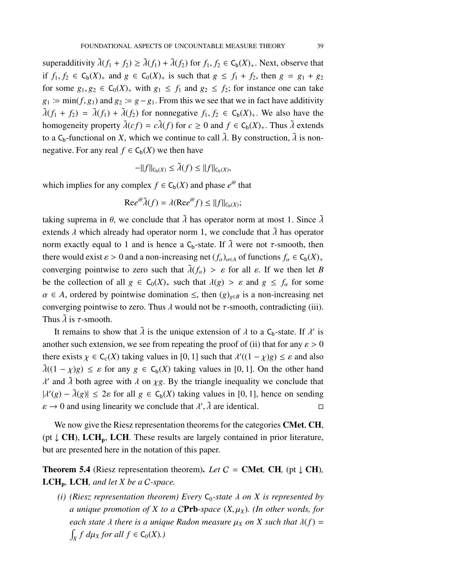superadditivity  $\tilde{\lambda}(f_1 + f_2) \geq \tilde{\lambda}(f_1) + \tilde{\lambda}(f_2)$  for  $f_1, f_2 \in C_b(X)_+$ . Next, observe that if *f*<sub>1</sub>, *f*<sub>2</sub> ∈ C<sub>b</sub>(*X*)<sub>+</sub> and *g* ∈ C<sub>0</sub>(*X*)<sub>+</sub> is such that *g* ≤ *f*<sub>1</sub> + *f*<sub>2</sub>, then *g* = *g*<sub>1</sub> + *g*<sub>2</sub> for some  $g_1, g_2 \in C_0(X)$  with  $g_1 \leq f_1$  and  $g_2 \leq f_2$ ; for instance one can take  $g_1 := \min(f, g_1)$  and  $g_2 := g - g_1$ . From this we see that we in fact have additivity  $\tilde{\lambda}(f_1 + f_2) = \tilde{\lambda}(f_1) + \tilde{\lambda}(f_2)$  for nonnegative  $f_1, f_2 \in C_b(X)_+$ . We also have the homogeneity property  $\tilde{\lambda}(cf) = c\tilde{\lambda}(f)$  for  $c \ge 0$  and  $f \in C_b(X)_+$ . Thus  $\tilde{\lambda}$  extends to a  $C_b$ -functional on *X*, which we continue to call  $\tilde{\lambda}$ . By construction,  $\tilde{\lambda}$  is nonnegative. For any real  $f \in C_b(X)$  we then have

$$
-\|f\|_{C_b(X)} \le \tilde{\lambda}(f) \le \|f\|_{C_b(X)},
$$

which implies for any complex  $f \in C_b(X)$  and phase  $e^{i\theta}$  that

$$
\mathrm{Re}e^{i\theta}\tilde{\lambda}(f) = \lambda(\mathrm{Re}e^{i\theta}f) \leq ||f||_{C_{b}(X)};
$$

taking suprema in  $\theta$ , we conclude that  $\lambda$  has operator norm at most 1. Since  $\lambda$ extends  $\lambda$  which already had operator norm 1, we conclude that  $\lambda$  has operator norm exactly equal to 1 and is hence a  $C_b$ -state. If  $\tilde{\lambda}$  were not  $\tau$ -smooth, then there would exist  $\varepsilon > 0$  and a non-increasing net  $(f_\alpha)_{\alpha \in A}$  of functions  $f_\alpha \in C_b(X)_+$ converging pointwise to zero such that  $\tilde{\lambda}(f_{\alpha}) > \varepsilon$  for all  $\varepsilon$ . If we then let *B* be the collection of all  $g \in C_0(X)$  such that  $\lambda(g) > \varepsilon$  and  $g \leq f_\alpha$  for some  $\alpha \in A$ , ordered by pointwise domination  $\leq$ , then  $(g)_{g \in B}$  is a non-increasing net converging pointwise to zero. Thus  $\lambda$  would not be  $\tau$ -smooth, contradicting (iii). Thus  $\lambda$  is  $\tau$ -smooth.

It remains to show that  $\tilde{\lambda}$  is the unique extension of  $\lambda$  to a C<sub>b</sub>-state. If  $\lambda'$  is another such extension, we see from repeating the proof of (ii) that for any  $\varepsilon > 0$ there exists  $\chi \in C_c(X)$  taking values in [0, 1] such that  $\lambda'((1 - \chi)g) \leq \varepsilon$  and also  $\tilde{\lambda}((1 - \chi)g) \leq \varepsilon$  for any  $g \in C_{b}(X)$  taking values in [0, 1]. On the other hand  $\lambda'$  and  $\tilde{\lambda}$  both agree with  $\lambda$  on  $\chi$ g. By the triangle inequality we conclude that  $|\lambda'(g) - \tilde{\lambda}(g)| \leq 2\varepsilon$  for all  $g \in C_b(X)$  taking values in [0, 1], hence on sending  $\varepsilon \to 0$  and using linearity we conclude that  $\lambda'$ ,  $\tilde{\lambda}$  are identical.

We now give the Riesz representation theorems for the categories **CMet**, **CH**, (pt  $\downarrow$  CH), LCH<sub>p</sub>, LCH. These results are largely contained in prior literature, but are presented here in the notation of this paper.

<span id="page-38-0"></span>**Theorem 5.4** (Riesz representation theorem). *Let*  $C =$  **CMet**, **CH**, (pt  $\downarrow$  **CH**)*,* LCHp*,* LCH*, and let X be a* C*-space.*

*(i)* (Riesz representation theorem) Every  $C_0$ -state  $\lambda$  on  $X$  is represented by *a unique promotion of X to a CPrb-space*  $(X, \mu_X)$ *. (In other words, for each state*  $\lambda$  *there is a unique Radon measure*  $\mu_X$  *on*  $X$  *such that*  $\lambda(f)$  =  $\int_X f \, d\mu_X$  *for all*  $f \in C_0(X)$ *.*)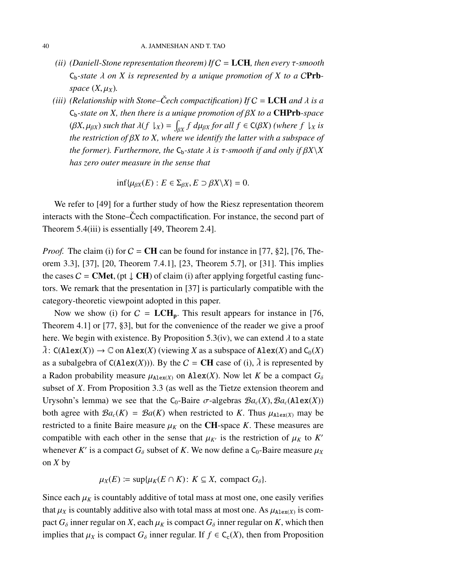- *(ii) (Daniell-Stone representation theorem) If* C = LCH*, then every* τ*-smooth*  $C_b$ -state  $\lambda$  on  $X$  is represented by a unique promotion of  $X$  to a CPrb*space*  $(X, \mu_X)$ *.*
- *(iii)* (Relationship with Stone–Čech compactification) If  $C = LCH$  and  $\lambda$  is a Cb*-state on X, then there is a unique promotion of* β*X to a* CHPrb*-space*  $(\beta X, \mu_{\beta X})$  such that  $\lambda(f \downharpoonright_X) = \int_{\beta X} f d\mu_{\beta X}$  for all  $f \in C(\beta X)$  (where  $f \downharpoonright_X iS$ *the restriction of* β*X to X, where we identify the latter with a subspace of the former). Furthermore, the*  $C_b$ -state  $\lambda$  *is*  $\tau$ -smooth *if and only if*  $\beta X \setminus X$ *has zero outer measure in the sense that*

$$
\inf \{ \mu_{\beta X}(E) : E \in \Sigma_{\beta X}, E \supset \beta X \setminus X \} = 0.
$$

We refer to [\[49\]](#page-99-1) for a further study of how the Riesz representation theorem interacts with the Stone–Cech compactification. For instance, the second part of Theorem [5.4\(](#page-38-0)iii) is essentially [\[49,](#page-99-1) Theorem 2.4].

*Proof.* The claim (i) for  $C = \text{CH}$  can be found for instance in [\[77,](#page-101-0) §2], [\[76,](#page-101-1) Theorem 3.3], [\[37\]](#page-98-0), [\[20,](#page-97-0) Theorem 7.4.1], [\[23,](#page-97-1) Theorem 5.7], or [\[31\]](#page-98-1). This implies the cases  $C = \text{CMet}$ , (pt  $\downarrow \text{CH}$ ) of claim (i) after applying forgetful casting functors. We remark that the presentation in [\[37\]](#page-98-0) is particularly compatible with the category-theoretic viewpoint adopted in this paper.

Now we show (i) for  $C = LCH_p$ . This result appears for instance in [\[76,](#page-101-1) Theorem 4.1] or [\[77,](#page-101-0) §3], but for the convenience of the reader we give a proof here. We begin with existence. By Proposition [5.3\(](#page-36-0)iv), we can extend  $\lambda$  to a state  $\tilde{\lambda}$ : C(Alex(*X*))  $\rightarrow \mathbb{C}$  on Alex(*X*) (viewing *X* as a subspace of Alex(*X*) and C<sub>0</sub>(*X*) as a subalgebra of  $C(Alex(X))$ ). By the  $C = CH$  case of (i),  $\lambda$  is represented by a Radon probability measure  $\mu_{\text{Alex}(X)}$  on Alex(*X*). Now let *K* be a compact  $G_{\delta}$ subset of *X*. From Proposition [3.3](#page-28-0) (as well as the Tietze extension theorem and Urysohn's lemma) we see that the C<sub>0</sub>-Baire  $\sigma$ -algebras  $Ba_c(X), Ba_c(Alex(X))$ both agree with  $\mathcal{B}a_c(K) = \mathcal{B}a(K)$  when restricted to *K*. Thus  $\mu_{\text{Alex}(X)}$  may be restricted to a finite Baire measure  $\mu_K$  on the CH-space *K*. These measures are compatible with each other in the sense that  $\mu_{K'}$  is the restriction of  $\mu_K$  to  $K'$ whenever *K'* is a compact  $G_{\delta}$  subset of *K*. We now define a  $C_0$ -Baire measure  $\mu_X$ on *X* by

$$
\mu_X(E) \coloneqq \sup \{ \mu_K(E \cap K) \colon K \subseteq X, \text{ compact } G_\delta \}.
$$

Since each  $\mu_K$  is countably additive of total mass at most one, one easily verifies that  $\mu_X$  is countably additive also with total mass at most one. As  $\mu_{\text{Alex}(X)}$  is compact  $G_{\delta}$  inner regular on *X*, each  $\mu_K$  is compact  $G_{\delta}$  inner regular on *K*, which then implies that  $\mu_X$  is compact  $G_\delta$  inner regular. If  $f \in C_c(X)$ , then from Proposition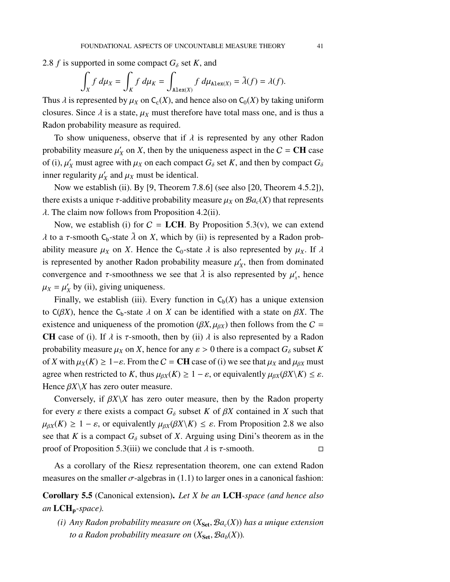[2.8](#page-23-0) *f* is supported in some compact  $G_{\delta}$  set *K*, and

$$
\int_X f \, d\mu_X = \int_K f \, d\mu_K = \int_{\text{Alex}(X)} f \, d\mu_{\text{Alex}(X)} = \tilde{\lambda}(f) = \lambda(f).
$$

Thus  $\lambda$  is represented by  $\mu_X$  on  $C_c(X)$ , and hence also on  $C_0(X)$  by taking uniform closures. Since  $\lambda$  is a state,  $\mu_X$  must therefore have total mass one, and is thus a Radon probability measure as required.

To show uniqueness, observe that if  $\lambda$  is represented by any other Radon probability measure  $\mu'$  $X_X$  on *X*, then by the uniqueness aspect in the  $C = \text{CH}$  case of (i),  $\mu'_X$  must agree with  $\mu_X$  on each compact  $G_\delta$  set *K*, and then by compact  $G_\delta$ inner regularity  $\mu'$  $\chi$ <sup>*x*</sup> and  $\mu$ <sub>*X*</sub> must be identical.

Now we establish (ii). By [\[9,](#page-97-2) Theorem 7.8.6] (see also [\[20,](#page-97-0) Theorem 4.5.2]), there exists a unique  $\tau$ -additive probability measure  $\mu_X$  on  $\mathcal{B}a_c(X)$  that represents  $\lambda$ . The claim now follows from Proposition [4.2\(](#page-32-0)ii).

Now, we establish (i) for  $C = LCH$ . By Proposition [5.3\(](#page-36-0)v), we can extend  $\lambda$  to a τ-smooth C<sub>b</sub>-state  $\tilde{\lambda}$  on *X*, which by (ii) is represented by a Radon probability measure  $\mu_X$  on *X*. Hence the C<sub>0</sub>-state  $\lambda$  is also represented by  $\mu_X$ . If  $\lambda$ is represented by another Radon probability measure  $\mu'$ , *X* , then from dominated convergence and  $\tau$ -smoothness we see that  $\tilde{\lambda}$  is also represented by  $\mu'_x$ , hence  $\mu_X = \mu'_X$  $'_{X}$  by (ii), giving uniqueness.

Finally, we establish (iii). Every function in  $C_b(X)$  has a unique extension to  $C(\beta X)$ , hence the C<sub>b</sub>-state  $\lambda$  on  $X$  can be identified with a state on  $\beta X$ . The existence and uniqueness of the promotion  $(\beta X, \mu_{\beta X})$  then follows from the  $C =$ CH case of (i). If  $\lambda$  is  $\tau$ -smooth, then by (ii)  $\lambda$  is also represented by a Radon probability measure  $\mu_X$  on *X*, hence for any  $\varepsilon > 0$  there is a compact  $G_\delta$  subset *K* of *X* with  $\mu_X(K)$  ≥ 1− $\varepsilon$ . From the *C* = **CH** case of (i) we see that  $\mu_X$  and  $\mu_{\beta X}$  must agree when restricted to *K*, thus  $\mu_{\beta X}(K) \geq 1 - \varepsilon$ , or equivalently  $\mu_{\beta X}(\beta X \setminus K) \leq \varepsilon$ . Hence  $\beta X \backslash X$  has zero outer measure.

Conversely, if  $\beta X \setminus X$  has zero outer measure, then by the Radon property for every  $\varepsilon$  there exists a compact  $G_{\delta}$  subset *K* of  $\beta X$  contained in *X* such that  $\mu_{\beta X}(K) \geq 1 - \varepsilon$ , or equivalently  $\mu_{\beta X}(\beta X \setminus K) \leq \varepsilon$ . From Proposition [2.8](#page-23-0) we also see that *K* is a compact  $G_{\delta}$  subset of *X*. Arguing using Dini's theorem as in the proof of Proposition [5.3\(](#page-36-0)iii) we conclude that  $\lambda$  is τ-smooth.  $\Box$ 

As a corollary of the Riesz representation theorem, one can extend Radon measures on the smaller  $\sigma$ -algebras in [\(1.1\)](#page-6-0) to larger ones in a canonical fashion:

<span id="page-40-0"></span>Corollary 5.5 (Canonical extension). *Let X be an* LCH*-space (and hence also an* LCHp*-space).*

*(i)* Any Radon probability measure on  $(X_{\text{Set}}, \mathcal{B}a_c(X))$  has a unique extension *to a Radon probability measure on*  $(X_{\text{Set}}, \mathcal{B}a_b(X))$ .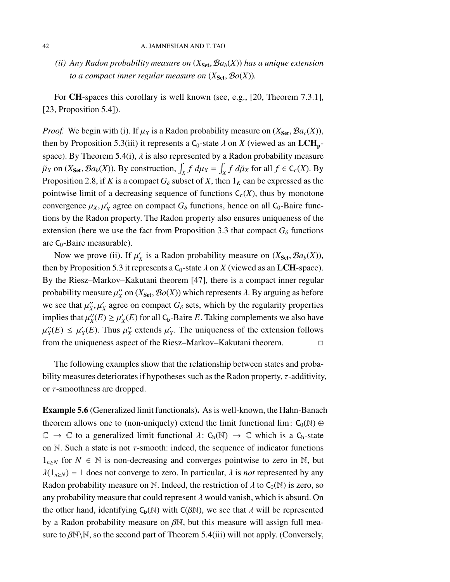#### 42 A. JAMNESHAN AND T. TAO

*(ii)* Any Radon probability measure on  $(X_{\text{Set}}, \mathcal{B}a_b(X))$  has a unique extension *to a compact inner regular measure on*  $(X_{\text{Set}}, \mathcal{B}o(X))$ *.* 

For CH-spaces this corollary is well known (see, e.g., [\[20,](#page-97-0) Theorem 7.3.1], [\[23,](#page-97-1) Proposition 5.4]).

*Proof.* We begin with (i). If  $\mu_X$  is a Radon probability measure on  $(X_{\text{Set}}, \mathcal{B}a_c(X))$ , then by Proposition [5.3\(](#page-36-0)iii) it represents a  $C_0$ -state  $\lambda$  on X (viewed as an LCH<sub>p</sub>-space). By Theorem [5.4\(](#page-38-0)i),  $\lambda$  is also represented by a Radon probability measure  $\tilde{\mu}_X$  on ( $X_{\text{Set}}, \mathcal{B}a_b(X)$ ). By construction,  $\int_X f \ d\mu_X = \int_X f \ d\tilde{\mu}_X$  for all  $f \in C_c(X)$ . By Proposition [2.8,](#page-23-0) if *K* is a compact  $G_{\delta}$  subset of *X*, then  $1_K$  can be expressed as the pointwise limit of a decreasing sequence of functions  $C_c(X)$ , thus by monotone convergence  $\mu_X, \mu'_X$  agree on compact  $G_\delta$  functions, hence on all C<sub>0</sub>-Baire functions by the Radon property. The Radon property also ensures uniqueness of the extension (here we use the fact from Proposition [3.3](#page-28-0) that compact  $G_{\delta}$  functions are  $C_0$ -Baire measurable).

Now we prove (ii). If  $\mu'_3$  $X_X$  is a Radon probability measure on  $(X_{\text{Set}}, \mathcal{B}a_b(X)),$ then by Proposition [5.3](#page-36-0) it represents a  $C_0$ -state  $\lambda$  on  $X$  (viewed as an LCH-space). By the Riesz–Markov–Kakutani theorem [\[47\]](#page-99-2), there is a compact inner regular probability measure  $\mu_{X}$ <sup>"</sup>  $X'_X$  on  $(X_{\text{Set}}, \mathcal{B}o(X))$  which represents  $\lambda$ . By arguing as before we see that  $\mu_{X}^{\prime\prime}$  $X'_X, \mu'_X$  agree on compact  $G_\delta$  sets, which by the regularity properties implies that  $\mu_{X}^{\prime\prime}$  $\mu_X'(E) \geq \mu_X'$  $X_X(E)$  for all  $C_b$ -Baire *E*. Taking complements we also have  $\mu_{X}^{\prime\prime}$  $\mu_X'(E) \leq \mu_Y'$  $\chi'_{X}(E)$ . Thus  $\mu''_{X}$  $\frac{y}{x}$  extends  $\mu'$ *X* . The uniqueness of the extension follows from the uniqueness aspect of the Riesz–Markov–Kakutani theorem.

The following examples show that the relationship between states and probability measures deteriorates if hypotheses such as the Radon property,  $\tau$ -additivity, or τ-smoothness are dropped.

<span id="page-41-0"></span>Example 5.6 (Generalized limit functionals). As is well-known, the Hahn-Banach theorem allows one to (non-uniquely) extend the limit functional lim:  $C_0(\mathbb{N}) \oplus$  $\mathbb{C} \to \mathbb{C}$  to a generalized limit functional  $\lambda: C_b(\mathbb{N}) \to \mathbb{C}$  which is a  $C_b$ -state on N. Such a state is not  $\tau$ -smooth: indeed, the sequence of indicator functions  $1_{n\geq N}$  for *N* ∈ N is non-decreasing and converges pointwise to zero in N, but  $\lambda(1_{n\geq N}) = 1$  does not converge to zero. In particular,  $\lambda$  is *not* represented by any Radon probability measure on N. Indeed, the restriction of  $\lambda$  to C<sub>0</sub>(N) is zero, so any probability measure that could represent  $\lambda$  would vanish, which is absurd. On the other hand, identifying  $C_b(N)$  with  $C(\beta N)$ , we see that  $\lambda$  will be represented by a Radon probability measure on  $\beta\mathbb{N}$ , but this measure will assign full measure to  $\beta\mathbb{N}\setminus\mathbb{N}$ , so the second part of Theorem [5.4\(](#page-38-0)iii) will not apply. (Conversely,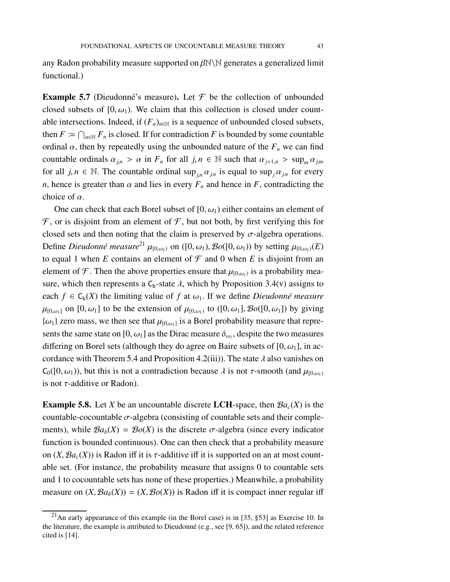functional.)

<span id="page-42-0"></span>**Example 5.7** (Dieudonné's measure). Let  $\mathcal F$  be the collection of unbounded closed subsets of  $[0, \omega_1)$ . We claim that this collection is closed under countable intersections. Indeed, if  $(F_n)_{n \in \mathbb{N}}$  is a sequence of unbounded closed subsets, then  $F \coloneqq \bigcap_{n \in \mathbb{N}} F_n$  is closed. If for contradiction *F* is bounded by some countable ordinal  $\alpha$ , then by repeatedly using the unbounded nature of the  $F<sub>n</sub>$  we can find countable ordinals  $\alpha_{j,n} > \alpha$  in  $F_n$  for all  $j, n \in \mathbb{N}$  such that  $\alpha_{j+1,n} > \sup_m \alpha_{j,m}$ for all  $j, n \in \mathbb{N}$ . The countable ordinal sup<sub>in</sub>  $\alpha_{j,n}$  is equal to sup<sub>*j*</sub> $\alpha_{j,n}$  for every *n*, hence is greater than  $\alpha$  and lies in every  $F_n$  and hence in *F*, contradicting the choice of  $\alpha$ .

One can check that each Borel subset of  $[0, \omega_1)$  either contains an element of  $\mathcal F$ , or is disjoint from an element of  $\mathcal F$ , but not both, by first verifying this for closed sets and then noting that the claim is preserved by  $\sigma$ -algebra operations. Define *Dieudonné measure*<sup>[21](#page-42-2)</sup>  $\mu_{[0,\omega_1)}$  on  $([0,\omega_1), \mathcal{B}o([0,\omega_1))$  by setting  $\mu_{[0,\omega_1)}(E)$ to equal 1 when *E* contains an element of  $\mathcal F$  and 0 when *E* is disjoint from an element of F. Then the above properties ensure that  $\mu_{[0,\omega_1)}$  is a probability measure, which then represents a  $C_b$ -state  $\lambda$ , which by Proposition [3.4\(](#page-29-0)v) assigns to each  $f \in C_b(X)$  the limiting value of f at  $\omega_1$ . If we define *Dieudonné measure*  $\mu_{[0,\omega_1]}$  on  $[0,\omega_1]$  to be the extension of  $\mu_{[0,\omega_1]}$  to  $([0,\omega_1], \mathcal{B}o([0,\omega_1])$  by giving  $\{\omega_1\}$  zero mass, we then see that  $\mu_{[0,\omega_1]}$  is a Borel probability measure that represents the same state on [0,  $\omega_1$ ] as the Dirac measure  $\delta_{\omega_1}$ , despite the two measures differing on Borel sets (although they do agree on Baire subsets of  $[0, \omega_1]$ , in ac-cordance with Theorem [5.4](#page-38-0) and Proposition [4.2\(](#page-32-0)iii)). The state  $\lambda$  also vanishes on  $C_0([0,\omega_1))$ , but this is not a contradiction because  $\lambda$  is not  $\tau$ -smooth (and  $\mu_{[0,\omega_1)}$ ) is not  $\tau$ -additive or Radon).

<span id="page-42-1"></span>**Example 5.8.** Let *X* be an uncountable discrete LCH-space, then  $Ba<sub>c</sub>(X)$  is the countable-cocountable  $\sigma$ -algebra (consisting of countable sets and their complements), while  $Ba_b(X) = Bo(X)$  is the discrete  $\sigma$ -algebra (since every indicator function is bounded continuous). One can then check that a probability measure on  $(X, \mathcal{B}a_c(X))$  is Radon iff it is  $\tau$ -additive iff it is supported on an at most countable set. (For instance, the probability measure that assigns 0 to countable sets and 1 to cocountable sets has none of these properties.) Meanwhile, a probability measure on  $(X, Ba_b(X)) = (X, Bo(X))$  is Radon iff it is compact inner regular iff

<span id="page-42-2"></span><sup>&</sup>lt;sup>21</sup>An early appearance of this example (in the Borel case) is in [\[35,](#page-98-2)  $\S$ 53] as Exercise 10. In the literature, the example is attributed to Dieudonné (e.g., see [\[9,](#page-97-2) [65\]](#page-100-0)), and the related reference cited is [\[14\]](#page-97-3).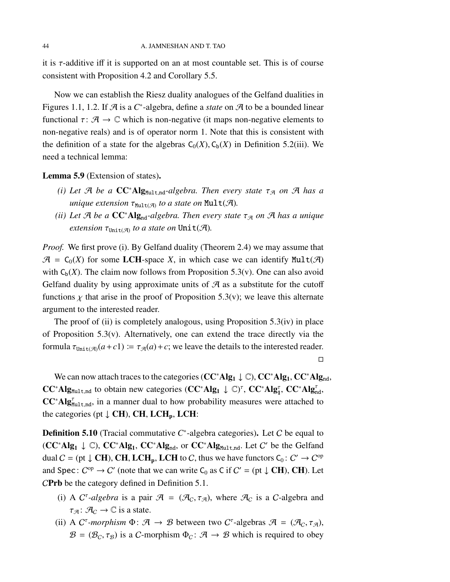it is  $\tau$ -additive iff it is supported on an at most countable set. This is of course consistent with Proposition [4.2](#page-32-0) and Corollary [5.5.](#page-40-0)

Now we can establish the Riesz duality analogues of the Gelfand dualities in Figures [1.1,](#page-5-0) [1.2.](#page-5-1) If A is a C<sup>\*</sup>-algebra, define a *state* on A to be a bounded linear functional  $\tau: \mathcal{A} \to \mathbb{C}$  which is non-negative (it maps non-negative elements to non-negative reals) and is of operator norm 1. Note that this is consistent with the definition of a state for the algebras  $C_0(X)$ ,  $C_b(X)$  in Definition [5.2\(](#page-35-0)iii). We need a technical lemma:

<span id="page-43-0"></span>Lemma 5.9 (Extension of states).

- *(i)* Let  $\mathcal{A}$  be a  $\mathbb{C}C^*$ Alg<sub>Mult,nd</sub>-algebra. Then every state  $\tau_{\mathcal{A}}$  on  $\mathcal{A}$  has a *unique extension*  $\tau_{Mult(\mathcal{A})}$  to a state on  $Mult(\mathcal{A})$ .
- *(ii)* Let  $\mathcal{A}$  be a  $\mathbb{C}C^*$ Alg<sub>nd</sub>-algebra. Then every state  $\tau_{\mathcal{A}}$  on  $\mathcal{A}$  has a unique  $extension \tau_{Unit(\mathcal{A})}$  to a state on  $Unit(\mathcal{A})$ .

*Proof.* We first prove (i). By Gelfand duality (Theorem [2.4\)](#page-21-0) we may assume that  $\mathcal{A} = C_0(X)$  for some LCH-space X, in which case we can identify Mult( $\mathcal{A}$ ) with  $C<sub>b</sub>(X)$ . The claim now follows from Proposition [5.3\(](#page-36-0)v). One can also avoid Gelfand duality by using approximate units of  $\mathcal A$  as a substitute for the cutoff functions  $\chi$  that arise in the proof of Proposition [5.3\(](#page-36-0)v); we leave this alternate argument to the interested reader.

The proof of (ii) is completely analogous, using Proposition [5.3\(](#page-36-0)iv) in place of Proposition  $5.3(v)$ . Alternatively, one can extend the trace directly via the formula  $\tau_{\text{Unit(A)}}(a+c) := \tau_{\mathcal{A}}(a)+c$ ; we leave the details to the interested reader.

 $\Box$ 

We can now attach traces to the categories ( $CC^*Alg_1 \downarrow \mathbb{C}$ ),  $CC^*Alg_1$ ,  $CC^*Alg_{nd}$ ,  $CC^*Alg_{Mult,nd}$  to obtain new categories  $(CC^*Alg_1 \downarrow \mathbb{C})^{\tau}$ ,  $CC^*Alg_1^{\tau}$ ,  $CC^*Alg_{nd}^{\tau}$ ,  $CC^*Alg_{\text{Mult},\text{nd}}^{\tau}$ , in a manner dual to how probability measures were attached to the categories (pt  $\downarrow$  CH), CH, LCH<sub>p</sub>, LCH:

**Definition 5.10** (Tracial commutative C<sup>∗</sup>-algebra categories). Let C be equal to  $(CC^*Alg_1 \downarrow \mathbb{C})$ ,  $CC^*Alg_1$ ,  $CC^*Alg_{nd}$ , or  $CC^*Alg_{Mult,nd}$ . Let C' be the Gelfand dual  $C = (pt \downarrow \mathbf{CH})$ , CH, LCH<sub>p</sub>, LCH to C, thus we have functors  $C_0: C' \to C^{op}$ and Spec:  $C^{op} \to C'$  (note that we can write  $C_0$  as C if  $C' = (pt \downarrow CH)$ , CH). Let CPrb be the category defined in Definition [5.1.](#page-34-0)

- (i) A C<sup> $\tau$ </sup>-algebra is a pair  $\mathcal{A} = (\mathcal{A}_C, \tau_{\mathcal{A}})$ , where  $\mathcal{A}_C$  is a C-algebra and  $\tau_{\mathcal{A}}: \mathcal{A}_{\mathcal{C}} \to \mathbb{C}$  is a state.
- (ii) A C<sup> $\tau$ </sup>-morphism  $\Phi$ :  $\mathcal{A} \to \mathcal{B}$  between two C<sup> $\tau$ </sup>-algebras  $\mathcal{A} = (\mathcal{A}_C, \tau_{\mathcal{A}})$ ,  $\mathcal{B} = (\mathcal{B}_C, \tau_{\mathcal{B}})$  is a C-morphism  $\Phi_C : \mathcal{A} \to \mathcal{B}$  which is required to obey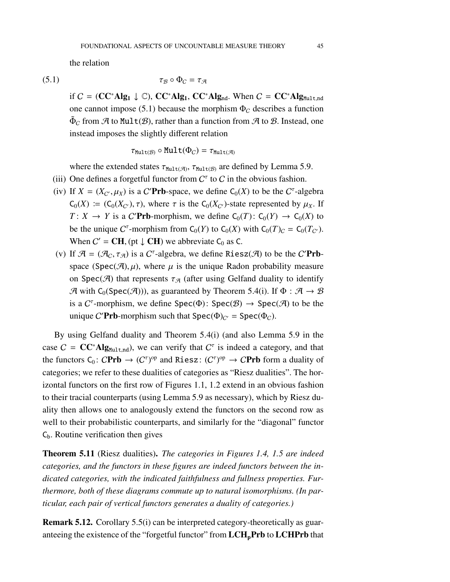the relation

$$
\tau_{\mathcal{B}} \circ \Phi_{\mathcal{C}} = \tau_{\mathcal{A}}
$$

if  $C = (CC^*Alg_1 \downarrow \mathbb{C})$ ,  $CC^*Alg_1$ ,  $CC^*Alg_{nd}$ . When  $C = CC^*Alg_{Mult,nd}$ one cannot impose [\(5.1\)](#page-44-0) because the morphism  $\Phi_C$  describes a function  $\tilde{\Phi}_{\mathcal{C}}$  from A to Mult $(\mathcal{B})$ , rather than a function from A to B. Instead, one instead imposes the slightly different relation

<span id="page-44-0"></span>
$$
\tau_{\texttt{Mult}(\mathcal{B})} \circ \texttt{Mult}(\Phi_C) = \tau_{\texttt{Mult}(\mathcal{A})}
$$

where the extended states  $\tau_{\text{Mult}(\mathcal{A})}$ ,  $\tau_{\text{Mult}(\mathcal{B})}$  are defined by Lemma [5.9.](#page-43-0)

- (iii) One defines a forgetful functor from  $C^{\tau}$  to C in the obvious fashion.
- (iv) If  $X = (X_{C'}, \mu_X)$  is a C'**Prb**-space, we define C<sub>0</sub>(X) to be the C<sup>*r*</sup>-algebra  $C_0(X) := (C_0(X_{C'}), \tau)$ , where  $\tau$  is the  $C_0(X_{C'})$ -state represented by  $\mu_X$ . If  $T: X \to Y$  is a C'**Prb**-morphism, we define  $C_0(T): C_0(Y) \to C_0(X)$  to be the unique  $C^{\tau}$ -morphism from  $C_0(Y)$  to  $C_0(X)$  with  $C_0(T)_C = C_0(T_{C'})$ . When  $C' = \text{CH}$ , (pt  $\downarrow$  CH) we abbreviate C<sub>0</sub> as C.
- (v) If  $\mathcal{A} = (\mathcal{A}_C, \tau_{\mathcal{A}})$  is a C<sup> $\tau$ </sup>-algebra, we define Riesz( $\mathcal{A}$ ) to be the C'**Prb**space (Spec(A),  $\mu$ ), where  $\mu$  is the unique Radon probability measure on Spec(A) that represents  $\tau_A$  (after using Gelfand duality to identify A with  $C_0(Spec(\mathcal{A})))$ , as guaranteed by Theorem [5.4\(](#page-38-0)i). If  $\Phi : \mathcal{A} \to \mathcal{B}$ is a  $C^{\tau}$ -morphism, we define Spec( $\Phi$ ): Spec( $\mathcal{B}$ )  $\rightarrow$  Spec( $\mathcal{A}$ ) to be the unique C'**Prb**-morphism such that  $Spec(\Phi)_{C'} = Spec(\Phi_C)$ .

By using Gelfand duality and Theorem [5.4\(](#page-38-0)i) (and also Lemma [5.9](#page-43-0) in the case  $C = CC^*Alg_{Mult,nd}$ , we can verify that  $C^{\tau}$  is indeed a category, and that the functors  $C_0: CPrb \to (C^{\tau})^{\text{op}}$  and Riesz:  $(C^{\tau})^{\text{op}} \to CPrb$  form a duality of categories; we refer to these dualities of categories as "Riesz dualities". The horizontal functors on the first row of Figures [1.1,](#page-5-0) [1.2](#page-5-1) extend in an obvious fashion to their tracial counterparts (using Lemma [5.9](#page-43-0) as necessary), which by Riesz duality then allows one to analogously extend the functors on the second row as well to their probabilistic counterparts, and similarly for the "diagonal" functor  $C_b$ . Routine verification then gives

Theorem 5.11 (Riesz dualities). *The categories in Figures [1.4,](#page-8-0) [1.5](#page-8-1) are indeed categories, and the functors in these figures are indeed functors between the indicated categories, with the indicated faithfulness and fullness properties. Furthermore, both of these diagrams commute up to natural isomorphisms. (In particular, each pair of vertical functors generates a duality of categories.)*

Remark 5.12. Corollary [5.5\(](#page-40-0)i) can be interpreted category-theoretically as guaranteeing the existence of the "forgetful functor" from  $LCH<sub>p</sub>Prb$  to  $LCHPrb$  that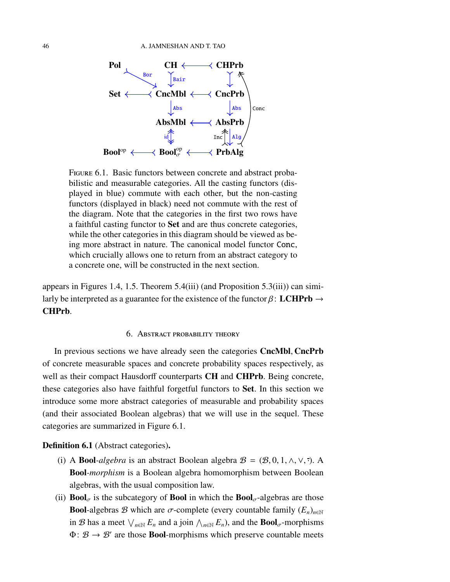

<span id="page-45-0"></span>FIGURE 6.1. Basic functors between concrete and abstract probabilistic and measurable categories. All the casting functors (displayed in blue) commute with each other, but the non-casting functors (displayed in black) need not commute with the rest of the diagram. Note that the categories in the first two rows have a faithful casting functor to Set and are thus concrete categories, while the other categories in this diagram should be viewed as being more abstract in nature. The canonical model functor Conc, which crucially allows one to return from an abstract category to a concrete one, will be constructed in the next section.

appears in Figures [1.4,](#page-8-0) [1.5.](#page-8-1) Theorem [5.4\(](#page-38-0)iii) (and Proposition [5.3\(](#page-36-0)iii)) can similarly be interpreted as a guarantee for the existence of the functor  $\beta$ : LCHPrb  $\rightarrow$ CHPrb.

### 6. Abstract probability theory

In previous sections we have already seen the categories CncMbl, CncPrb of concrete measurable spaces and concrete probability spaces respectively, as well as their compact Hausdorff counterparts **CH** and **CHPrb**. Being concrete, these categories also have faithful forgetful functors to Set. In this section we introduce some more abstract categories of measurable and probability spaces (and their associated Boolean algebras) that we will use in the sequel. These categories are summarized in Figure [6.1.](#page-45-0)

Definition 6.1 (Abstract categories).

- (i) A **Bool**-algebra is an abstract Boolean algebra  $\mathcal{B} = (\mathcal{B}, 0, 1, \wedge, \vee, \overline{\cdot})$ . A Bool*-morphism* is a Boolean algebra homomorphism between Boolean algebras, with the usual composition law.
- (ii) **Bool** $_{\sigma}$  is the subcategory of **Bool** in which the **Bool** $_{\sigma}$ -algebras are those **Bool-**algebras B which are  $\sigma$ -complete (every countable family  $(E_n)_{n \in \mathbb{N}}$ ) in B has a meet  $\bigvee_{n\in\mathbb{N}} E_n$  and a join  $\bigwedge_{n\in\mathbb{N}} E_n$ , and the **Bool**<sub>σ</sub>-morphisms  $\Phi: \mathcal{B} \to \mathcal{B}'$  are those **Bool**-morphisms which preserve countable meets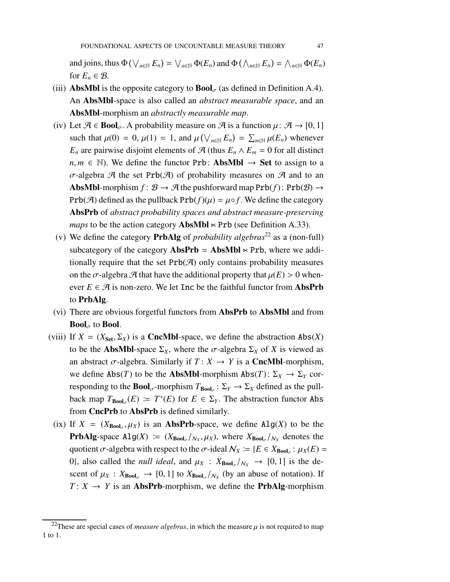and joins, thus  $\Phi(\bigvee_{n\in\mathbb{N}} E_n) = \bigvee_{n\in\mathbb{N}} \Phi(E_n)$  and  $\Phi(\bigwedge_{n\in\mathbb{N}} E_n) = \bigwedge_{n\in\mathbb{N}} \Phi(E_n)$ for  $E_n \in \mathcal{B}$ .

- (iii) **AbsMbl** is the opposite category to  $\text{Bool}_{\sigma}$  (as defined in Definition [A.4\)](#page-76-0). An AbsMbl-space is also called an *abstract measurable space*, and an AbsMbl-morphism an *abstractly measurable map*.
- (iv) Let  $\mathcal{A} \in \text{Bool}_{\sigma}$ . A probability measure on  $\mathcal{A}$  is a function  $\mu: \mathcal{A} \to [0, 1]$ such that  $\mu(0) = 0$ ,  $\mu(1) = 1$ , and  $\mu(\bigvee_{n \in \mathbb{N}} E_n) = \sum_{n \in \mathbb{N}} \mu(E_n)$  whenever *E<sub>n</sub>* are pairwise disjoint elements of  $\mathcal{A}$  (thus  $E_n \wedge E_m = 0$  for all distinct  $n, m \in \mathbb{N}$ ). We define the functor Prb: **AbsMbl**  $\rightarrow$  **Set** to assign to a σ-algebra A the set Prb(A) of probability measures on A and to an AbsMbl-morphism  $f: \mathcal{B} \to \mathcal{A}$  the pushforward map  $\text{Prb}(f)$ :  $\text{Prb}(\mathcal{B}) \to$ Prb( $\mathcal{A}$ ) defined as the pullback Prb( $f$ )( $\mu$ ) =  $\mu \circ f$ . We define the category AbsPrb of *abstract probability spaces and abstract measure-preserving maps* to be the action category  $$
- (v) We define the category PrbAlg of *probability algebras*[22](#page-46-0) as a (non-full) subcategory of the category  $\bf{AbsPrb} = \bf{AbsMbl} \times \bf{Prb}$ , where we additionally require that the set  $Prb(\mathcal{A})$  only contains probability measures on the  $\sigma$ -algebra  $\mathcal A$  that have the additional property that  $\mu(E) > 0$  whenever  $E \in \mathcal{A}$  is non-zero. We let Inc be the faithful functor from **AbsPrb** to PrbAlg.
- (vi) There are obvious forgetful functors from AbsPrb to AbsMbl and from **Bool**<sub> $\sigma$ </sub> to **Bool**.
- (viii) If  $X = (X_{\text{Set}}, \Sigma_X)$  is a **CncMbl**-space, we define the abstraction  $\text{Abs}(X)$ to be the **AbsMbl**-space  $\Sigma_X$ , where the  $\sigma$ -algebra  $\Sigma_X$  of *X* is viewed as an abstract  $\sigma$ -algebra. Similarly if  $T: X \rightarrow Y$  is a **CncMbl**-morphism, we define  $\text{Abs}(T)$  to be the **AbsMbl**-morphism  $\text{Abs}(T)$ :  $\Sigma_X \to \Sigma_Y$  corresponding to the **Bool**<sub> $\sigma$ </sub>-morphism  $T_{\text{Bool}_\sigma}$ :  $\Sigma_Y \to \Sigma_X$  defined as the pullback map  $T_{\text{Bool}_{\sigma}}(E) \coloneqq T^*(E)$  for  $E \in \Sigma_Y$ . The abstraction functor Abs from CncPrb to AbsPrb is defined similarly.
- (ix) If  $X = (X_{\text{Bool}_{\sigma}}, \mu_X)$  is an **AbsPrb**-space, we define  $\text{Alg}(X)$  to be the **PrbAlg**-space  $\text{Alg}(X) := (X_{\text{Bool}_{\sigma}}/N_X, \mu_X)$ , where  $X_{\text{Bool}_{\sigma}}/N_X$  denotes the quotient  $\sigma$ -algebra with respect to the  $\sigma$ -ideal  $\mathcal{N}_X := \{ E \in X_{\text{Bool}_\sigma} : \mu_X(E) =$ 0), also called the *null ideal*, and  $\mu_X$  :  $X_{\text{Bool}_{\sigma}}/N_X \rightarrow [0, 1]$  is the descent of  $\mu_X$ :  $X_{\text{Bool}_\sigma} \to [0, 1]$  to  $X_{\text{Bool}_\sigma}/N_X$  (by an abuse of notation). If  $T: X \rightarrow Y$  is an **AbsPrb**-morphism, we define the **PrbAlg-morphism**

<span id="page-46-0"></span><sup>&</sup>lt;sup>22</sup>These are special cases of *measure algebras*, in which the measure  $\mu$  is not required to map 1 to 1.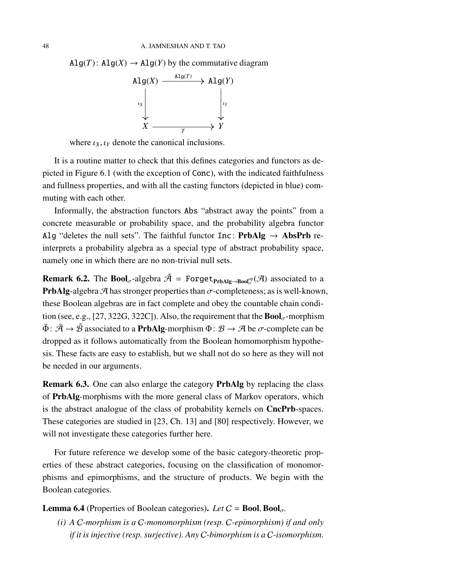$Alg(T)$ :  $Alg(X) \rightarrow Alg(Y)$  by the commutative diagram



where  $\iota_X, \iota_Y$  denote the canonical inclusions.

It is a routine matter to check that this defines categories and functors as depicted in Figure [6.1](#page-45-0) (with the exception of Conc), with the indicated faithfulness and fullness properties, and with all the casting functors (depicted in blue) commuting with each other.

Informally, the abstraction functors Abs "abstract away the points" from a concrete measurable or probability space, and the probability algebra functor Alg "deletes the null sets". The faithful functor Inc:  **re**interprets a probability algebra as a special type of abstract probability space, namely one in which there are no non-trivial null sets.

**Remark 6.2.** The Bool<sub>σ</sub>-algebra  $\tilde{\mathcal{A}}$  = Forget<sub>PrbAlg→Bool</sub><sub>g</sub><sup>op</sup>( $\mathcal{A}$ ) associated to a **PrbAlg-**algebra  $\mathcal{A}$  has stronger properties than  $\sigma$ -completeness; as is well-known, these Boolean algebras are in fact complete and obey the countable chain condi-tion (see, e.g., [\[27,](#page-98-3) 322G, 322C]). Also, the requirement that the  $\text{Bool}_{\sigma}$ -morphism  $\tilde{\Phi}$ :  $\tilde{\mathcal{A}} \to \tilde{\mathcal{B}}$  associated to a **PrbAlg**-morphism  $\Phi$ :  $\mathcal{B} \to \mathcal{A}$  be  $\sigma$ -complete can be dropped as it follows automatically from the Boolean homomorphism hypothesis. These facts are easy to establish, but we shall not do so here as they will not be needed in our arguments.

Remark 6.3. One can also enlarge the category PrbAlg by replacing the class of PrbAlg-morphisms with the more general class of Markov operators, which is the abstract analogue of the class of probability kernels on CncPrb-spaces. These categories are studied in [\[23,](#page-97-1) Ch. 13] and [\[80\]](#page-101-2) respectively. However, we will not investigate these categories further here.

For future reference we develop some of the basic category-theoretic properties of these abstract categories, focusing on the classification of monomorphisms and epimorphisms, and the structure of products. We begin with the Boolean categories.

# <span id="page-47-0"></span>**Lemma 6.4** (Properties of Boolean categories). *Let*  $C = \text{Bool}, \text{Bool}_{\sigma}$ .

*(i) A* C*-morphism is a* C*-monomorphism (resp.* C*-epimorphism) if and only if it is injective (resp. surjective). Any* C*-bimorphism is a* C*-isomorphism.*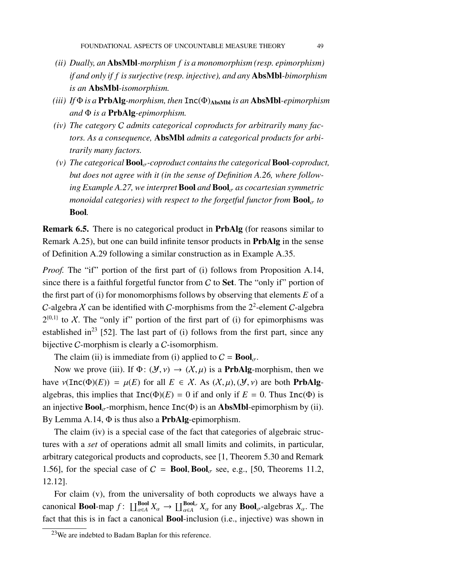- *(ii) Dually, an* AbsMbl*-morphism f is a monomorphism (resp. epimorphism) if and only if f is surjective (resp. injective), and any* AbsMbl*-bimorphism is an* AbsMbl*-isomorphism.*
- *(iii) If* Φ *is a* PrbAlg*-morphism, then* Inc(Φ)AbsMbl *is an* AbsMbl*-epimorphism and* Φ *is a* PrbAlg*-epimorphism.*
- *(iv) The category* C *admits categorical coproducts for arbitrarily many factors. As a consequence,* AbsMbl *admits a categorical products for arbitrarily many factors.*
- $(v)$  The categorical  $\text{Bool}_{\sigma}$ -coproduct contains the categorical  $\text{Bool}$ -coproduct, *but does not agree with it (in the sense of Definition [A.26,](#page-86-0) where following Example* [A.27,](#page-89-0) *we interpret* **Bool** *and* **Bool**<sub> $\sigma$ </sub> *as cocartesian symmetric monoidal categories) with respect to the forgetful functor from*  $\text{Bool}_{\sigma}$  *to* Bool*.*

Remark 6.5. There is no categorical product in PrbAlg (for reasons similar to Remark [A.25\)](#page-85-0), but one can build infinite tensor products in PrbAlg in the sense of Definition [A.29](#page-91-0) following a similar construction as in Example [A.35.](#page-93-0)

*Proof.* The "if" portion of the first part of (i) follows from Proposition [A.14,](#page-80-0) since there is a faithful forgetful functor from  $C$  to **Set**. The "only if" portion of the first part of (i) for monomorphisms follows by observing that elements *E* of a C-algebra X can be identified with C-morphisms from the  $2^2$ -element C-algebra  $2^{(0,1)}$  to X. The "only if" portion of the first part of (i) for epimorphisms was established in<sup>[23](#page-48-0)</sup> [\[52\]](#page-99-3). The last part of (i) follows from the first part, since any bijective C-morphism is clearly a C-isomorphism.

The claim (ii) is immediate from (i) applied to  $C = \text{Bool}_{\sigma}$ .

Now we prove (iii). If  $\Phi: (\mathcal{Y}, \nu) \to (\mathcal{X}, \mu)$  is a **PrbAlg-**morphism, then we have  $\nu(\text{Inc}(\Phi)(E)) = \mu(E)$  for all  $E \in \mathcal{X}$ . As  $(\mathcal{X}, \mu), (\mathcal{Y}, \nu)$  are both **PrbAlg**algebras, this implies that  $Inc(\Phi)(E) = 0$  if and only if  $E = 0$ . Thus  $Inc(\Phi)$  is an injective  $\text{Bool}_{\tau}$ -morphism, hence  $\text{Inc}(\Phi)$  is an AbsMbl-epimorphism by (ii). By Lemma [A.14,](#page-80-0)  $\Phi$  is thus also a **PrbAlg**-epimorphism.

The claim (iv) is a special case of the fact that categories of algebraic structures with a *set* of operations admit all small limits and colimits, in particular, arbitrary categorical products and coproducts, see [\[1,](#page-96-0) Theorem 5.30 and Remark 1.56], for the special case of  $C = \text{Bool}$ , Bool<sub> $\sigma$ </sub> see, e.g., [\[50,](#page-99-4) Theorems 11.2, 12.12].

For claim (v), from the universality of both coproducts we always have a canonical **Bool**-map  $f: \coprod_{\alpha \in A}^{\text{Bool}} X_{\alpha} \to \coprod_{\alpha \in A}^{\text{Bool}_{\sigma}} X_{\alpha}$  for any  $\text{Bool}_{\sigma}$ -algebras  $X_{\alpha}$ . The fact that this is in fact a canonical Bool-inclusion (i.e., injective) was shown in

<span id="page-48-0"></span><sup>23</sup>We are indebted to Badam Baplan for this reference.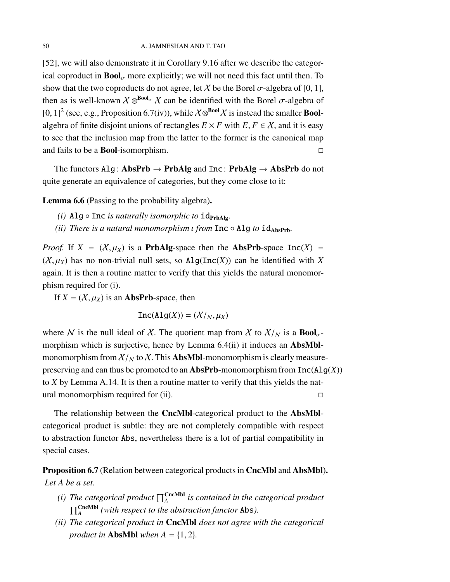[\[52\]](#page-99-3), we will also demonstrate it in Corollary [9.16](#page-73-0) after we describe the categorical coproduct in  $\text{Bool}_{\sigma}$  more explicitly; we will not need this fact until then. To show that the two coproducts do not agree, let X be the Borel  $\sigma$ -algebra of [0, 1], then as is well-known  $\chi \otimes^{\text{Bool}_{\sigma}} \chi$  can be identified with the Borel  $\sigma$ -algebra of [0, 1]<sup>2</sup> (see, e.g., Proposition [6.7\(](#page-49-0)iv)), while  $X \otimes^{Bool} X$  is instead the smaller **Bool**algebra of finite disjoint unions of rectangles  $E \times F$  with  $E, F \in \mathcal{X}$ , and it is easy to see that the inclusion map from the latter to the former is the canonical map and fails to be a Bool-isomorphism.

The functors Alg: AbsPrb  $\rightarrow$  PrbAlg and Inc: PrbAlg  $\rightarrow$  AbsPrb do not quite generate an equivalence of categories, but they come close to it:

<span id="page-49-1"></span>Lemma 6.6 (Passing to the probability algebra).

- *(i)* Alg  $\circ$  Inc *is naturally isomorphic to*  $id_{\text{PrbAlg}}$ .
- *(ii)* There is a natural monomorphism ι from Inc Alg to id<sub>AbsPrb</sub>.

*Proof.* If  $X = (X, \mu_X)$  is a **PrbAlg**-space then the **AbsPrb**-space  $Inc(X)$  =  $(X, \mu_X)$  has no non-trivial null sets, so  $\text{Alg}(\text{Inc}(X))$  can be identified with X again. It is then a routine matter to verify that this yields the natural monomorphism required for (i).

If  $X = (X, \mu_X)$  is an **AbsPrb**-space, then

 $Inc(Alg(X)) = (X/_{N}, \mu_{X})$ 

where N is the null ideal of X. The quotient map from X to  $X/y$  is a  $\text{Bool}_{\sigma}$ -morphism which is surjective, hence by Lemma [6.4\(](#page-47-0)ii) it induces an **AbsMbl**monomorphism from  $X/N$  to X. This **AbsMbl**-monomorphism is clearly measurepreserving and can thus be promoted to an AbsPrb-monomorphism from Inc(Alg(*X*)) to *X* by Lemma [A.14.](#page-80-0) It is then a routine matter to verify that this yields the natural monomorphism required for (ii).

The relationship between the CncMbl-categorical product to the AbsMblcategorical product is subtle: they are not completely compatible with respect to abstraction functor Abs, nevertheless there is a lot of partial compatibility in special cases.

<span id="page-49-0"></span>Proposition 6.7 (Relation between categorical products in CncMbl and AbsMbl). *Let A be a set.*

- *(i)* The categorical product  $\prod_{A}^{\text{CncMbl}}$  is contained in the categorical product  $\prod_{A}^{\text{CncMbl}}$  (with respect to the abstraction functor Abs).
- *(ii) The categorical product in* CncMbl *does not agree with the categorical product in* **AbsMbl** when  $A = \{1, 2\}$ *.*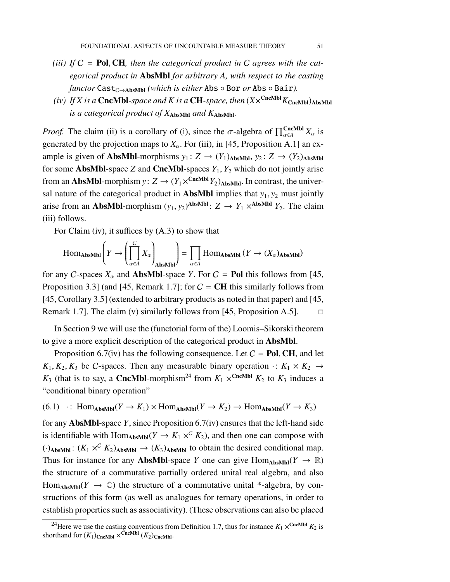- *(iii) If* C = Pol, CH*, then the categorical product in* C *agrees with the categorical product in* AbsMbl *for arbitrary A, with respect to the casting*  $f$ *unctor* Cast<sub>C→AbsMbl</sub> *(which is either* Abs  $\circ$  Bor *or* Abs  $\circ$  Bair).
- *(iv) If X is a* CncMbl-*space and K is a* CH-space, then  $(X \times^{\text{CncMbl}} K_{\text{CncMbl}})_{\text{AbsMbl}}$ *is a categorical product of X*AbsMbl *and K*AbsMbl*.*

*Proof.* The claim (ii) is a corollary of (i), since the  $\sigma$ -algebra of  $\prod_{\alpha \in A}^{CncMbl} X_{\alpha}$  is generated by the projection maps to  $X_\alpha$ . For (iii), in [\[45,](#page-99-5) Proposition A.1] an example is given of **AbsMbl**-morphisms  $y_1: Z \rightarrow (Y_1)_{\text{AbsMbl}}$ ,  $y_2: Z \rightarrow (Y_2)_{\text{AbsMbl}}$ for some **AbsMbl**-space *Z* and **CncMbl**-spaces  $Y_1$ ,  $Y_2$  which do not jointly arise from an **AbsMbl**-morphism  $y: Z \to (Y_1 \times^{CncMbl} Y_2)_{\text{AbsMbl}}$ . In contrast, the universal nature of the categorical product in **AbsMbl** implies that  $y_1, y_2$  must jointly arise from an **AbsMbl**-morphism  $(y_1, y_2)$ <sup>AbsMbl</sup>:  $Z \rightarrow Y_1 \times$ <sup>AbsMbl</sup>  $Y_2$ . The claim (iii) follows.

For Claim (iv), it suffices by [\(A.3\)](#page-91-1) to show that

$$
\operatorname{Hom}\nolimits_{\operatorname{\mathbf{AbsMbl}}}\left(Y\to \left(\prod_{\alpha\in A}^CX_\alpha\right)_{\operatorname{\mathbf{AbsMbl}}}\right)=\prod_{\alpha\in A}\operatorname{Hom}\nolimits_{\operatorname{\mathbf{AbsMbl}}}(Y\to (X_\alpha)_{\operatorname{\mathbf{AbsMbl}}})
$$

for any C-spaces  $X_\alpha$  and **AbsMbl**-space *Y*. For  $C =$  **Pol** this follows from [\[45,](#page-99-5) Proposition 3.3] (and [\[45,](#page-99-5) Remark 1.7]; for  $C = \text{CH}$  this similarly follows from [\[45,](#page-99-5) Corollary 3.5] (extended to arbitrary products as noted in that paper) and [\[45,](#page-99-5) Remark 1.7]. The claim (v) similarly follows from [\[45,](#page-99-5) Proposition A.5].  $\Box$ 

In Section [9](#page-62-0) we will use the (functorial form of the) Loomis–Sikorski theorem to give a more explicit description of the categorical product in AbsMbl.

Proposition [6.7\(](#page-49-0)iv) has the following consequence. Let  $C = Pol$ , CH, and let  $K_1, K_2, K_3$  be C-spaces. Then any measurable binary operation  $\cdot: K_1 \times K_2 \rightarrow$  $K_3$  (that is to say, a **CncMbl**-morphism<sup>[24](#page-50-0)</sup> from  $K_1 \times^{\text{CncMbl}} K_2$  to  $K_3$  induces a "conditional binary operation"

<span id="page-50-1"></span> $(6.1)$   $\cdot$ : Hom<sub>AbsMbl</sub> $(Y \to K_1) \times$ Hom<sub>AbsMbl</sub> $(Y \to K_2) \to$ Hom<sub>AbsMbl</sub> $(Y \to K_3)$ 

for any AbsMbl-space *Y*, since Proposition [6.7\(](#page-49-0)iv) ensures that the left-hand side is identifiable with  $\text{Hom}_{\text{AbsMbl}}(Y \to K_1 \times^C K_2)$ , and then one can compose with  $(\cdot)$ AbsMbl:  $(K_1 \times^C K_2)$ AbsMbl  $\rightarrow (K_3)$ AbsMbl to obtain the desired conditional map. Thus for instance for any **AbsMbl**-space *Y* one can give  $Hom_{AbsMbl}(Y \to \mathbb{R})$ the structure of a commutative partially ordered unital real algebra, and also Hom<sub>AbsMb</sub> $(Y \rightarrow \mathbb{C})$  the structure of a commutative unital \*-algebra, by constructions of this form (as well as analogues for ternary operations, in order to establish properties such as associativity). (These observations can also be placed

<span id="page-50-0"></span><sup>&</sup>lt;sup>24</sup>Here we use the casting conventions from Definition [1.7,](#page-15-0) thus for instance  $K_1 \times^{\text{CncMbl}} K_2$  is shorthand for  $(K_1)_{\text{CncMbl}} \times^{\text{CncMbl}} (K_2)_{\text{CncMbl}}$ .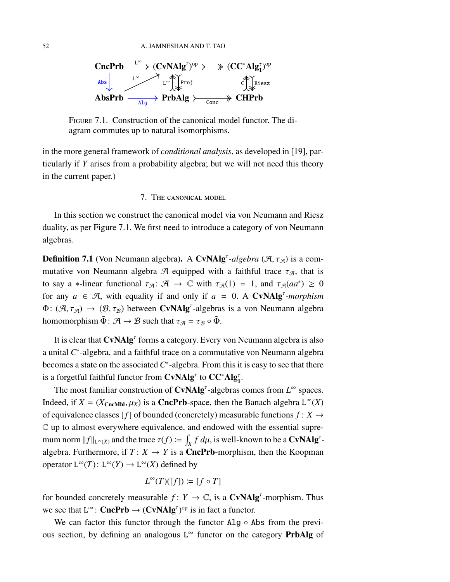

<span id="page-51-0"></span>Figure 7.1. Construction of the canonical model functor. The diagram commutes up to natural isomorphisms.

<span id="page-51-1"></span>in the more general framework of *conditional analysis*, as developed in [\[19\]](#page-97-4), particularly if *Y* arises from a probability algebra; but we will not need this theory in the current paper.)

## 7. The canonical model

In this section we construct the canonical model via von Neumann and Riesz duality, as per Figure [7.1.](#page-51-0) We first need to introduce a category of von Neumann algebras.

**Definition 7.1** (Von Neumann algebra). A CvNAlg<sup>*t*</sup>-algebra ( $\mathcal{A}$ ,  $\tau_{\mathcal{A}}$ ) is a commutative von Neumann algebra A equipped with a faithful trace  $\tau_{A}$ , that is to say a \*-linear functional  $\tau_{\mathcal{A}}: \mathcal{A} \to \mathbb{C}$  with  $\tau_{\mathcal{A}}(1) = 1$ , and  $\tau_{\mathcal{A}}(aa^*) \geq 0$ for any  $a \in \mathcal{A}$ , with equality if and only if  $a = 0$ . A CvNAlg<sup>*t*</sup>-morphism  $\Phi: (\mathcal{A}, \tau_{\mathcal{A}}) \to (\mathcal{B}, \tau_{\mathcal{B}})$  between CvNAlg<sup>*t*</sup>-algebras is a von Neumann algebra homomorphism  $\tilde{\Phi}$ :  $\mathcal{A} \to \mathcal{B}$  such that  $\tau_{\mathcal{A}} = \tau_{\mathcal{B}} \circ \tilde{\Phi}$ .

It is clear that CvNAlg<sup>t</sup> forms a category. Every von Neumann algebra is also a unital C<sup>\*</sup>-algebra, and a faithful trace on a commutative von Neumann algebra becomes a state on the associated  $C^*$ -algebra. From this it is easy to see that there is a forgetful faithful functor from  $\mathbf{CvNAlg}^{\tau}$  to  $\mathbf{CC}^*\mathbf{Alg}^{\tau}_1$ .

The most familiar construction of  $CvNAlg^{\tau}$ -algebras comes from  $L^{\infty}$  spaces. Indeed, if  $X = (X_{CncMbl}, \mu_X)$  is a **CncPrb**-space, then the Banach algebra  $L^{\infty}(X)$ of equivalence classes  $[f]$  of bounded (concretely) measurable functions  $f: X \rightarrow$ C up to almost everywhere equivalence, and endowed with the essential supremum norm  $||f||_{L^{\infty}(X)}$  and the trace  $\tau(f) \coloneqq \int_X f \, d\mu$ , is well-known to be a CvNAlg<sup> $\tau$ </sup>algebra. Furthermore, if  $T: X \to Y$  is a **CncPrb**-morphism, then the Koopman operator  $L^{\infty}(T)$ :  $L^{\infty}(Y) \to L^{\infty}(X)$  defined by

$$
L^{\infty}(T)([f]) \coloneqq [f \circ T]
$$

for bounded concretely measurable  $f: Y \to \mathbb{C}$ , is a **CvNAlg<sup>T</sup>**-morphism. Thus we see that  $L^{\infty}$ : **CncPrb**  $\rightarrow$  (**CvNAlg**<sup> $\tau$ </sup>)<sup>op</sup> is in fact a functor.

We can factor this functor through the functor  $\text{Alg} \circ \text{Abs}$  from the previous section, by defining an analogous L<sup>∞</sup> functor on the category **PrbAlg** of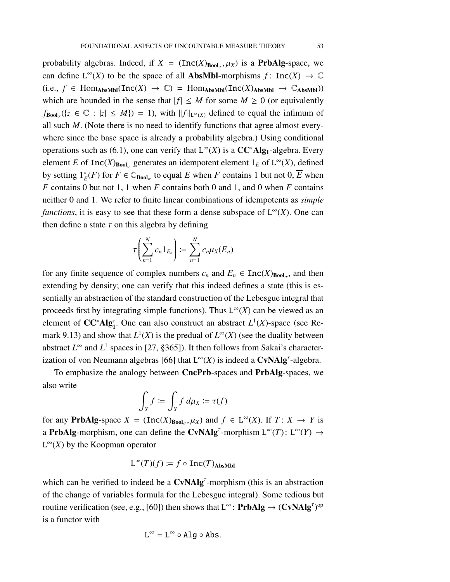probability algebras. Indeed, if  $X = (\text{Inc}(X)_{\text{Bool}_{\sigma}}, \mu_X)$  is a **PrbAlg**-space, we can define  $L^{\infty}(X)$  to be the space of all **AbsMbl**-morphisms  $f: \text{Inc}(X) \to \mathbb{C}$  $(i.e., f \in Hom_{AbsMbl}(Inc(X) \rightarrow \mathbb{C}) = Hom_{AbsMbl}(Inc(X)_{AbsMbl} \rightarrow \mathbb{C}_{AbsMbl})$ which are bounded in the sense that  $|f| \leq M$  for some  $M \geq 0$  (or equivalently  $f_{\text{Bool}_{\sigma}}(\{z \in \mathbb{C} : |z| \leq M\}) = 1$ , with  $||f||_{L^{\infty}(X)}$  defined to equal the infimum of all such *M*. (Note there is no need to identify functions that agree almost everywhere since the base space is already a probability algebra.) Using conditional operations such as [\(6.1\)](#page-50-1), one can verify that  $L^{\infty}(X)$  is a  $CC^*Alg_1$ -algebra. Every element *E* of  $Inc(X)_{Bool_{\sigma}}$  generates an idempotent element  $1_E$  of  $L^{\infty}(X)$ , defined by setting  $1^*_E(F)$  for  $F \in \mathbb{C}_{\text{Bool}_\sigma}$  to equal  $E$  when  $F$  contains 1 but not 0,  $\overline{E}$  when *F* contains 0 but not 1, 1 when *F* contains both 0 and 1, and 0 when *F* contains neither 0 and 1. We refer to finite linear combinations of idempotents as *simple functions*, it is easy to see that these form a dense subspace of  $L^{\infty}(X)$ . One can then define a state  $\tau$  on this algebra by defining

$$
\tau\left(\sum_{n=1}^N c_n 1_{E_n}\right) := \sum_{n=1}^N c_n \mu_X(E_n)
$$

for any finite sequence of complex numbers  $c_n$  and  $E_n \in \text{Inc}(X)_{\text{Bool}_\sigma}$ , and then extending by density; one can verify that this indeed defines a state (this is essentially an abstraction of the standard construction of the Lebesgue integral that proceeds first by integrating simple functions). Thus  $L^{\infty}(X)$  can be viewed as an element of **CC<sup>∗</sup>Alg**<sup>τ</sup>, One can also construct an abstract *L*<sup>1</sup>(*X*)-space (see Re-mark [9.13\)](#page-70-0) and show that  $L^1(X)$  is the predual of  $L^\infty(X)$  (see the duality between abstract  $L^{\infty}$  and  $L^{1}$  spaces in [\[27,](#page-98-3) §365]). It then follows from Sakai's character-ization of von Neumann algebras [\[66\]](#page-100-1) that  $L^{\infty}(X)$  is indeed a **CvNAlg<sup>***T***</sup>**-algebra.

To emphasize the analogy between CncPrb-spaces and PrbAlg-spaces, we also write

$$
\int_X f := \int_X f \, d\mu_X := \tau(f)
$$

for any **PrbAlg**-space  $X = (\text{Inc}(X)_{\text{Bool}_{\sigma}}, \mu_X)$  and  $f \in L^{\infty}(X)$ . If  $T: X \to Y$  is a **PrbAlg**-morphism, one can define the CvNAlg<sup>*t*</sup>-morphism  $L^{\infty}(T)$ :  $L^{\infty}(Y) \rightarrow$  $L^{\infty}(X)$  by the Koopman operator

$$
L^{\infty}(T)(f) \coloneqq f \circ \text{Inc}(T)_{\text{AbsMbl}}
$$

which can be verified to indeed be a  $CvNAlg<sup>\tau</sup>$ -morphism (this is an abstraction of the change of variables formula for the Lebesgue integral). Some tedious but routine verification (see, e.g., [\[60\]](#page-100-2)) then shows that  $L^{\infty}$ : **PrbAlg**  $\rightarrow$  (**CvNAlg**<sup> $\tau$ </sup>)<sup>op</sup> is a functor with

$$
L^\infty=L^\infty\circ Alg\circ Abs.
$$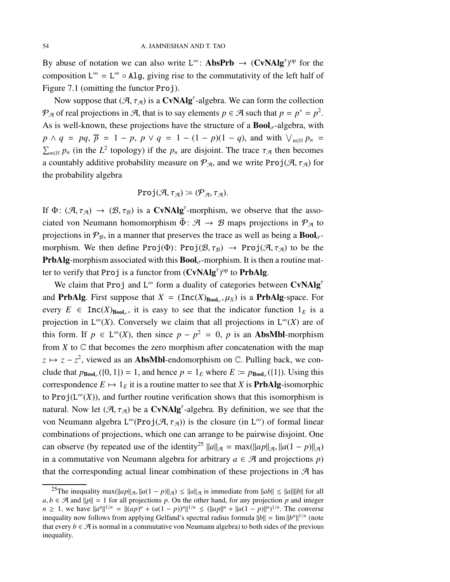By abuse of notation we can also write  $L^{\infty}$ : **AbsPrb**  $\rightarrow$  (**CvNAlg**<sup> $\tau$ </sup>)<sup>op</sup> for the composition  $L^{\infty} = L^{\infty} \circ Alg$ , giving rise to the commutativity of the left half of Figure [7.1](#page-51-0) (omitting the functor Proj).

Now suppose that  $(\mathcal{A}, \tau_{\mathcal{A}})$  is a **CvNAlg**<sup> $\tau$ </sup>-algebra. We can form the collection  $\mathcal{P}_{\mathcal{A}}$  of real projections in  $\mathcal{A}$ , that is to say elements  $p \in \mathcal{A}$  such that  $p = p^* = p^2$ . As is well-known, these projections have the structure of a  $\text{Bool}_{\sigma}$ -algebra, with  $p \wedge q = pq$ ,  $\overline{p} = 1 - p$ ,  $p \vee q = 1 - (1 - p)(1 - q)$ , and with  $\bigvee_{n \in \mathbb{N}} p_n =$  $\sum_{n \in \mathbb{N}} p_n$  (in the  $L^2$  topology) if the  $p_n$  are disjoint. The trace  $\tau_{\mathcal{A}}$  then becomes a countably additive probability measure on  $\mathcal{P}_{\mathcal{A}}$ , and we write Proj $(\mathcal{A}, \tau_{\mathcal{A}})$  for the probability algebra

$$
\mathrm{Proj}(\mathcal{A}, \tau_{\mathcal{A}}) \coloneqq (\mathcal{P}_{\mathcal{A}}, \tau_{\mathcal{A}}).
$$

If  $\Phi: (\mathcal{A}, \tau_{\mathcal{A}}) \to (\mathcal{B}, \tau_{\mathcal{B}})$  is a CvNAlg<sup>*t*</sup>-morphism, we observe that the associated von Neumann homomorphism  $\tilde{\Phi}$ :  $\mathcal{A} \rightarrow \mathcal{B}$  maps projections in  $\mathcal{P}_{\mathcal{A}}$  to projections in  $\mathcal{P}_{\mathcal{B}}$ , in a manner that preserves the trace as well as being a  $\text{Bool}_{\sigma}$ morphism. We then define Proj( $\Phi$ ): Proj( $\mathcal{B}$ ,  $\tau_{\mathcal{B}}$ )  $\to$  Proj( $\mathcal{A}$ ,  $\tau_{\mathcal{A}}$ ) to be the **PrbAlg-morphism associated with this**  $\text{Bool}_{\sigma}$ **-morphism. It is then a routine mat**ter to verify that Proj is a functor from  $(CvNAlg<sup>\tau</sup>)<sup>op</sup>$  to PrbAlg.

We claim that Proj and  $L^{\infty}$  form a duality of categories between CvNAlg<sup>t</sup> and **PrbAlg**. First suppose that  $X = (\text{Inc}(X)_{\text{Bool}_{\sigma}}, \mu_X)$  is a **PrbAlg**-space. For every  $E \in \text{Inc}(X)_{\text{Bool}_{\sigma}}$ , it is easy to see that the indicator function  $1_E$  is a projection in  $L^{\infty}(X)$ . Conversely we claim that all projections in  $L^{\infty}(X)$  are of this form. If  $p \in L^{\infty}(X)$ , then since  $p - p^2 = 0$ , p is an **AbsMbl**-morphism from  $X$  to  $\mathbb C$  that becomes the zero morphism after concatenation with the map  $z \mapsto z - z^2$ , viewed as an **AbsMbl**-endomorphism on  $\mathbb{C}$ . Pulling back, we conclude that  $p_{\text{Bool}_{\sigma}}(\{0, 1\}) = 1$ , and hence  $p = 1_E$  where  $E \coloneqq p_{\text{Bool}_{\sigma}}(\{1\})$ . Using this correspondence  $E \mapsto 1_E$  it is a routine matter to see that *X* is **PrbAlg**-isomorphic to  $\text{Proj}(L^{\infty}(X))$ , and further routine verification shows that this isomorphism is natural. Now let  $(\mathcal{A}, \tau_{\mathcal{A}})$  be a CvNAlg<sup>*t*</sup>-algebra. By definition, we see that the von Neumann algebra  $L^{\infty}(\text{Proj}(\mathcal{A}, \tau_{\mathcal{A}}))$  is the closure (in  $L^{\infty}$ ) of formal linear combinations of projections, which one can arrange to be pairwise disjoint. One can observe (by repeated use of the identity<sup>[25](#page-53-0)</sup>  $\|a\|_{\mathcal{A}} = \max(\|ap\|_{\mathcal{A}}, \|a(1 - p)\|_{\mathcal{A}})$ in a commutative von Neumann algebra for arbitrary  $a \in \mathcal{A}$  and projections *p*) that the corresponding actual linear combination of these projections in  $\mathcal{A}$  has

<span id="page-53-0"></span><sup>&</sup>lt;sup>25</sup>The inequality max( $\|ap\|_{\mathcal{A}}, \|a(1 - p)\|_{\mathcal{A}}) \le \|a\|_{\mathcal{A}}$  is immediate from  $\|ab\| \le \|a\| \|b\|$  for all  $a, b \in \mathcal{A}$  and  $||p|| = 1$  for all projections *p*. On the other hand, for any projection *p* and integer *n* ≥ 1, we have  $||a^n||^{1/n} = ||(ap)^n + (a(1-p))^n||^{1/n} \le (||ap||^n + ||a(1-p)||^n)^{1/n}$ . The converse inequality now follows from applying Gelfand's spectral radius formula  $||b|| = \lim ||b^n||^{1/n}$  (note that every  $b \in \mathcal{A}$  is normal in a commutative von Neumann algebra) to both sides of the previous inequality.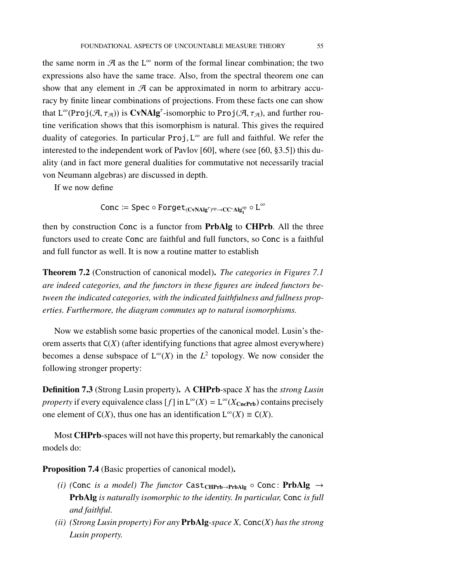the same norm in  $\mathcal A$  as the L<sup>∞</sup> norm of the formal linear combination; the two expressions also have the same trace. Also, from the spectral theorem one can show that any element in  $\mathcal A$  can be approximated in norm to arbitrary accuracy by finite linear combinations of projections. From these facts one can show that  $L^{\infty}(\text{Proj}(\mathcal{A}, \tau_{\mathcal{A}}))$  is  $\text{CVNAlg}^{\tau}$ -isomorphic to  $\text{Proj}(\mathcal{A}, \tau_{\mathcal{A}})$ , and further routine verification shows that this isomorphism is natural. This gives the required duality of categories. In particular  $Proj, L^{\infty}$  are full and faithful. We refer the interested to the independent work of Pavlov [\[60\]](#page-100-2), where (see [\[60,](#page-100-2) §3.5]) this duality (and in fact more general dualities for commutative not necessarily tracial von Neumann algebras) are discussed in depth.

If we now define

 $\mathsf{Conc} \coloneqq \mathsf{Spec} \circ \mathsf{Forget}_{(\mathbf{CvNAlg}^\tau)^{\mathrm{op}} \to \mathbf{CC}^*\mathbf{Alg}^\mathrm{op}_\mathbf{1}} \circ \mathbf{L}^\infty$ 

then by construction Conc is a functor from PrbAlg to CHPrb. All the three functors used to create Conc are faithful and full functors, so Conc is a faithful and full functor as well. It is now a routine matter to establish

<span id="page-54-0"></span>Theorem 7.2 (Construction of canonical model). *The categories in Figures [7.1](#page-51-0) are indeed categories, and the functors in these figures are indeed functors between the indicated categories, with the indicated faithfulness and fullness properties. Furthermore, the diagram commutes up to natural isomorphisms.*

Now we establish some basic properties of the canonical model. Lusin's theorem asserts that C(*X*) (after identifying functions that agree almost everywhere) becomes a dense subspace of  $L^{\infty}(X)$  in the  $L^2$  topology. We now consider the following stronger property:

Definition 7.3 (Strong Lusin property). A CHPrb-space *X* has the *strong Lusin* property if every equivalence class  $[f]$  in  $L^{\infty}(X) = L^{\infty}(X_{\text{CncPrb}})$  contains precisely one element of  $C(X)$ , thus one has an identification  $L^{\infty}(X) \equiv C(X)$ .

Most CHPrb-spaces will not have this property, but remarkably the canonical models do:

<span id="page-54-1"></span>Proposition 7.4 (Basic properties of canonical model).

- *(i)* (Conc *is a model)* The functor Cast<sub>CHPrb→PrbAlg</sub>  $\circ$  Conc: PrbAlg  $\rightarrow$ PrbAlg *is naturally isomorphic to the identity. In particular,* Conc *is full and faithful.*
- *(ii) (Strong Lusin property) For any* PrbAlg*-space X,* Conc(*X*) *has the strong Lusin property.*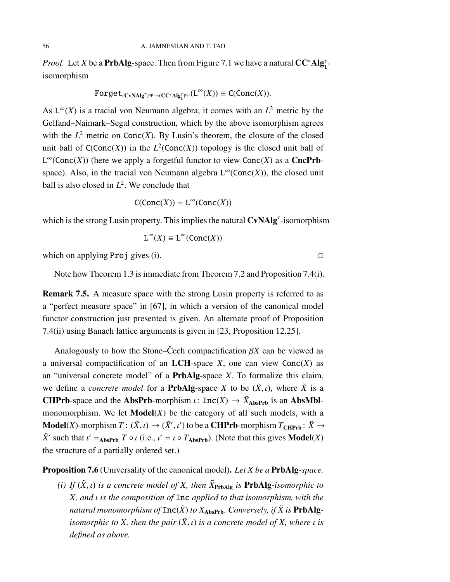*Proof.* Let *X* be a **PrbAlg**-space. Then from Figure [7.1](#page-51-0) we have a natural  $CC^*Alg_1^{\tau}$ isomorphism

$$
\text{Forget}_{(\text{CVAlg}^{\tau})^{\text{op}} \rightarrow (\text{CC}^*\text{Alg}^{\tau}_1)^{\text{op}}}(L^{\infty}(X)) \equiv \text{C}(\text{Conc}(X)).
$$

As  $L^{\infty}(X)$  is a tracial von Neumann algebra, it comes with an  $L^2$  metric by the Gelfand–Naimark–Segal construction, which by the above isomorphism agrees with the  $L^2$  metric on Conc(*X*). By Lusin's theorem, the closure of the closed unit ball of  $C(Conc(X))$  in the  $L^2(Conc(X))$  topology is the closed unit ball of  $L^{\infty}$ (Conc(*X*)) (here we apply a forgetful functor to view Conc(*X*) as a CncPrbspace). Also, in the tracial von Neumann algebra  $L^{\infty}(\text{Conc}(X))$ , the closed unit ball is also closed in *L* 2 . We conclude that

$$
\mathsf{C}(\mathsf{Conc}(X)) = \mathsf{L}^{\infty}(\mathsf{Conc}(X))
$$

which is the strong Lusin property. This implies the natural  $CvNAlg^{\tau}$ -isomorphism

$$
L^{\infty}(X) \equiv L^{\infty}(\text{Conc}(X))
$$

which on applying Proj gives (i).  $\square$ 

Note how Theorem [1.3](#page-11-0) is immediate from Theorem [7.2](#page-54-0) and Proposition [7.4\(](#page-54-1)i).

Remark 7.5. A measure space with the strong Lusin property is referred to as a "perfect measure space" in [\[67\]](#page-100-3), in which a version of the canonical model functor construction just presented is given. An alternate proof of Proposition [7.4\(](#page-54-1)ii) using Banach lattice arguments is given in [\[23,](#page-97-1) Proposition 12.25].

Analogously to how the Stone–Cech compactification  $\beta X$  can be viewed as a universal compactification of an LCH-space  $X$ , one can view  $Conc(X)$  as an "universal concrete model" of a PrbAlg-space *X*. To formalize this claim, we define a *concrete model* for a **PrbAlg**-space *X* to be  $(\tilde{X}, \iota)$ , where  $\tilde{X}$  is a **CHPrb-space and the AbsPrb-morphism**  $\iota$ **:** Inc(*X*)  $\rightarrow \tilde{X}_{\text{AbsPrb}}$  is an AbsMblmonomorphism. We let  $\text{Model}(X)$  be the category of all such models, with a **Model**(*X*)-morphism  $T: (\tilde{X}, \iota) \to (\tilde{X}', \iota')$  to be a **CHPrb**-morphism  $T_{\text{CHPrb}}: \tilde{X} \to$  $\tilde{X}'$  such that  $\iota' =_{\text{AbsPrb}} T \circ \iota$  (i.e.,  $\iota' = \iota \circ T_{\text{AbsPrb}}$ ). (Note that this gives **Model**(*X*) the structure of a partially ordered set.)

<span id="page-55-0"></span>Proposition 7.6 (Universality of the canonical model). *Let X be a* PrbAlg*-space.*

*(i)* If  $(\tilde{X}, \iota)$  *is a concrete model of X, then*  $\tilde{X}_{\text{PrbAlg}}$  *is* **PrbAlg**-*isomorphic to X, and* ι *is the composition of* Inc *applied to that isomorphism, with the natural monomorphism of*  $\text{Inc}(\tilde{X})$  *to*  $X_{\text{AbsPrb}}$ *. Conversely, if*  $\tilde{X}$  *is* **PrbAlg***isomorphic to X, then the pair*  $(\tilde{X}, t)$  *is a concrete model of X, where t is defined as above.*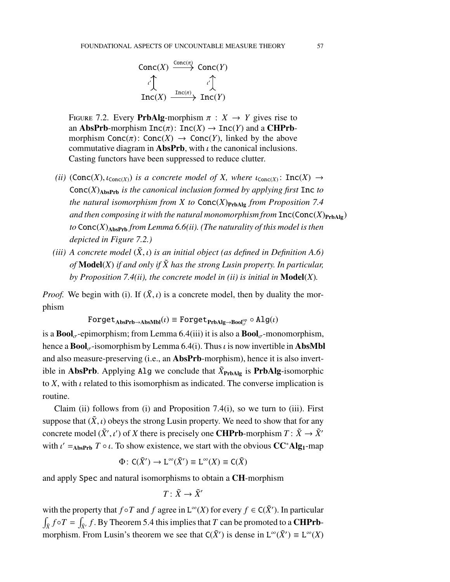$$
\begin{array}{ccc}\n\text{Conc}(X) & \xrightarrow{\text{Conc}(\pi)} & \text{Conc}(Y) \\
\downarrow \downarrow & & \downarrow \downarrow \\
\text{Inc}(X) & \xrightarrow{\text{Inc}(\pi)} & \text{Inc}(Y)\n\end{array}
$$

<span id="page-56-0"></span>FIGURE 7.2. Every **PrbAlg-**morphism  $\pi : X \rightarrow Y$  gives rise to an AbsPrb-morphism  $Inc(\pi)$ :  $Inc(X) \rightarrow Inc(Y)$  and a CHPrbmorphism Conc $(\pi)$ : Conc $(X) \to$  Conc $(Y)$ , linked by the above commutative diagram in **AbsPrb**, with  $\iota$  the canonical inclusions. Casting functors have been suppressed to reduce clutter.

- *(ii)* (Conc(*X*),  $\iota_{\text{conc}(X)}$ ) *is a concrete model of X, where*  $\iota_{\text{conc}(X)}$ : Inc(*X*)  $\rightarrow$  $Conc(X)_{\text{AbsPrb}}$  *is the canonical inclusion formed by applying first* Inc *to the natural isomorphism from X to*  $Conc(X)_{\text{PrbAlg}}$  *from Proposition* [7.4](#page-54-1) *and then composing it with the natural monomorphism from*  $Inc(Conc(X)<sub>PrbAlg</sub>)$ *to* Conc(*X*)AbsPrb *from Lemma [6.6\(](#page-49-1)ii). (The naturality of this model is then depicted in Figure [7.2.](#page-56-0))*
- *(iii)* A concrete model  $(\tilde{X}, t)$  *is an initial object (as defined in Definition* [A.6\)](#page-77-0) *of* **Model** $(X)$  *if and only if*  $\tilde{X}$  *has the strong Lusin property. In particular, by Proposition [7.4\(](#page-54-1)ii), the concrete model in (ii) is initial in* Model(*X*)*.*

*Proof.* We begin with (i). If  $(\tilde{X}, \iota)$  is a concrete model, then by duality the morphism

 $\texttt{Forget}_\textbf{AbsPrb} \to \textbf{AbsMbl}(\iota) \equiv \texttt{Forget}_\textbf{PrbAlg} \to \textbf{Bool}_\sigma^\text{op} \circ \textbf{Alg}(\iota)$ 

is a  $\text{Bool}_{\sigma}$ -epimorphism; from Lemma [6.4\(](#page-47-0)iii) it is also a  $\text{Bool}_{\sigma}$ -monomorphism, hence a **Bool**<sub> $\sigma$ </sub>-isomorphism by Lemma [6.4\(](#page-47-0)i). Thus *i* is now invertible in **AbsMbl** and also measure-preserving (i.e., an AbsPrb-morphism), hence it is also invertible in **AbsPrb**. Applying Alg we conclude that  $\tilde{X}_{\text{PrbAlg}}$  is **PrbAlg**-isomorphic to  $X$ , with  $\iota$  related to this isomorphism as indicated. The converse implication is routine.

Claim (ii) follows from (i) and Proposition [7.4\(](#page-54-1)i), so we turn to (iii). First suppose that  $(\tilde{X}, \iota)$  obeys the strong Lusin property. We need to show that for any concrete model  $(\tilde{X}', \iota')$  of *X* there is precisely one **CHPrb**-morphism  $T : \tilde{X} \to \tilde{X}'$ with  $\iota' =_{\text{AbsPrb}} T \circ \iota$ . To show existence, we start with the obvious  $CC^*Alg_1$ -map

 $\Phi\colon C(\tilde{X}')\to L^{\infty}(\tilde{X}')\equiv L^{\infty}(X)\equiv C(\tilde{X})$ 

and apply Spec and natural isomorphisms to obtain a CH-morphism

$$
T\colon \tilde{X}\to \tilde{X}'
$$

with the property that  $f \circ T$  and  $f$  agree in  $L^{\infty}(X)$  for every  $f \in C(\tilde{X}')$ . In particular  $\int_{\tilde{X}} f \circ T = \int_{\tilde{X}'} f$ . By Theorem [5.4](#page-38-0) this implies that *T* can be promoted to a **CHPrb**morphism. From Lusin's theorem we see that  $C(\tilde{X}')$  is dense in  $L^{\infty}(\tilde{X}') \equiv L^{\infty}(X)$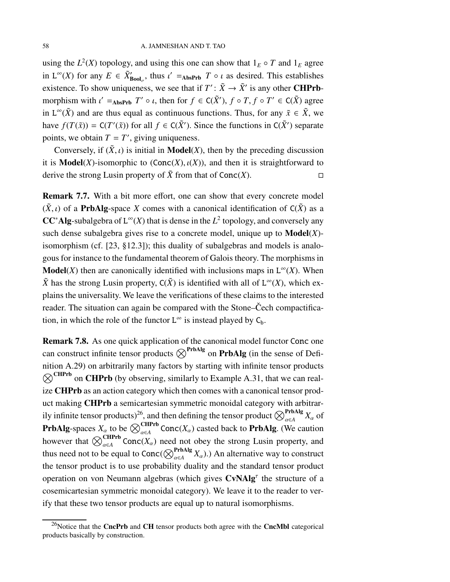using the  $L^2(X)$  topology, and using this one can show that  $1_E \circ T$  and  $1_E$  agree in  $L^{\infty}(X)$  for any  $E \in \tilde{X}'_{\text{Bool}_{\sigma}}$ , thus  $\iota' =_{\text{AbsPrb}} T \circ \iota$  as desired. This establishes existence. To show uniqueness, we see that if  $T' : \tilde{X} \to \tilde{X}'$  is any other **CHPrb**morphism with  $\iota' =_{\text{AbsPrb}} T' \circ \iota$ , then for  $f \in C(\tilde{X}')$ ,  $f \circ T$ ,  $f \circ T' \in C(\tilde{X})$  agree in  $L^{\infty}(\tilde{X})$  and are thus equal as continuous functions. Thus, for any  $\tilde{x} \in \tilde{X}$ , we have  $f(T(\tilde{x})) = C(T'(\tilde{x}))$  for all  $f \in C(\tilde{X}')$ . Since the functions in  $C(\tilde{X}')$  separate points, we obtain  $T = T'$ , giving uniqueness.

Conversely, if  $(\tilde{X}, \iota)$  is initial in **Model** $(X)$ , then by the preceding discussion it is **Model** $(X)$ -isomorphic to  $(Conc(X), \iota(X))$ , and then it is straightforward to derive the strong Lusin property of  $\tilde{X}$  from that of Conc $(X)$ .

Remark 7.7. With a bit more effort, one can show that every concrete model  $(\tilde{X}, t)$  of a **PrbAlg**-space *X* comes with a canonical identification of  $C(\tilde{X})$  as a CC<sup>∗</sup>Alg-subalgebra of  $L^\infty(X)$  that is dense in the  $L^2$  topology, and conversely any such dense subalgebra gives rise to a concrete model, unique up to Model(*X*) isomorphism (cf. [\[23,](#page-97-1) §12.3]); this duality of subalgebras and models is analogous for instance to the fundamental theorem of Galois theory. The morphisms in **Model**(*X*) then are canonically identified with inclusions maps in  $L^{\infty}(X)$ . When  $\tilde{X}$  has the strong Lusin property,  $C(\tilde{X})$  is identified with all of  $L^{\infty}(X)$ , which explains the universality. We leave the verifications of these claims to the interested reader. The situation can again be compared with the Stone–Čech compactification, in which the role of the functor  $L^{\infty}$  is instead played by  $C_b$ .

Remark 7.8. As one quick application of the canonical model functor Conc one can construct infinite tensor products  $\otimes^{\text{PrbAlg}}$  on **PrbAlg** (in the sense of Definition [A.29\)](#page-91-0) on arbitrarily many factors by starting with in finite tensor products  $\otimes^{\text{CHPrb}}$  on **CHPrb** (by observing, similarly to Example [A.31,](#page-91-2) that we can realize CHPrb as an action category which then comes with a canonical tensor product making CHPrb a semicartesian symmetric monoidal category with arbitrar-ily infinite tensor products)<sup>[26](#page-57-0)</sup>, and then defining the tensor product  $\bigotimes_{\alpha \in A}^{\text{PrbAlg}} X_{\alpha}$  of **PrbAlg**-spaces  $X_\alpha$  to be  $\bigotimes_{\alpha \in A}^{CHPrb}$  Conc $(X_\alpha)$  casted back to **PrbAlg**. (We caution however that  $\bigotimes_{\alpha \in A}^{\text{CHPrb}} \text{Conc}(X_{\alpha})$  need not obey the strong Lusin property, and thus need not to be equal to Conc( $\bigotimes_{\alpha \in A}^{\text{PrbAlg}} X_{\alpha}$ ).) An alternative way to construct the tensor product is to use probability duality and the standard tensor product operation on von Neumann algebras (which gives CvNAlg<sup>T</sup> the structure of a cosemicartesian symmetric monoidal category). We leave it to the reader to verify that these two tensor products are equal up to natural isomorphisms.

<span id="page-57-0"></span> $26$ Notice that the CncPrb and CH tensor products both agree with the CncMbl categorical products basically by construction.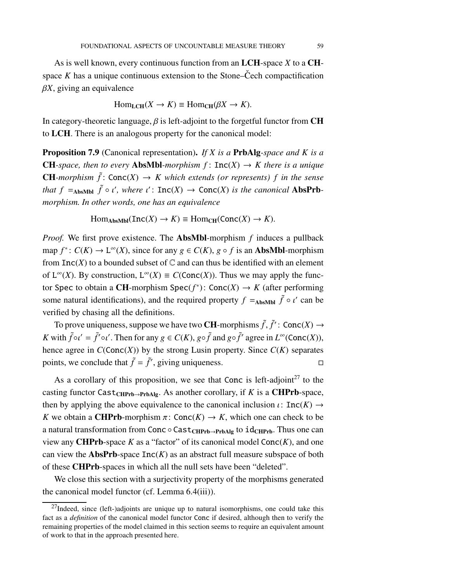As is well known, every continuous function from an LCH-space *X* to a CHspace  $K$  has a unique continuous extension to the Stone–Cech compactification  $\beta X$ , giving an equivalence

$$
Hom_{LCH}(X \to K) \equiv Hom_{CH}(\beta X \to K).
$$

In category-theoretic language,  $\beta$  is left-adjoint to the forgetful functor from CH to LCH. There is an analogous property for the canonical model:

Proposition 7.9 (Canonical representation). *If X is a* PrbAlg*-space and K is a* **CH**-space, then to every **AbsMbl**-morphism  $f: \text{Inc}(X) \to K$  there is a unique **CH**-morphism  $\tilde{f}$ : Conc $(X) \to K$  which extends (or represents) f in the sense *that*  $f =_{\text{AbsMbl}} \tilde{f} \circ \iota'$ , where  $\iota'$ :  $\text{Inc}(X) \to \text{Conc}(X)$  *is the canonical* AbsPrb*morphism. In other words, one has an equivalence*

 $\text{Hom}_{\text{AbsMbl}}(\text{Inc}(X) \to K) \equiv \text{Hom}_{\text{CH}}(\text{Conc}(X) \to K).$ 

*Proof.* We first prove existence. The AbsMbl-morphism *f* induces a pullback map  $f^*: C(K) \to L^{\infty}(X)$ , since for any  $g \in C(K)$ ,  $g \circ f$  is an **AbsMbl**-morphism from  $Inc(X)$  to a bounded subset of  $\mathbb C$  and can thus be identified with an element of  $L^{\infty}(X)$ . By construction,  $L^{\infty}(X) \equiv C(\text{Conc}(X))$ . Thus we may apply the functor Spec to obtain a CH-morphism Spec( $f^*$ ): Conc( $X$ ) →  $K$  (after performing some natural identifications), and the required property  $f =_{\text{AbsMbl}} \tilde{f} \circ \iota'$  can be verified by chasing all the definitions.

To prove uniqueness, suppose we have two **CH**-morphisms  $\tilde{f}$ ,  $\tilde{f}'$ : Conc $(X) \to$ *K* with  $\tilde{f} \circ \iota' = \tilde{f}' \circ \iota'$ . Then for any  $g \in C(K)$ ,  $g \circ \tilde{f}$  and  $g \circ \tilde{f}'$  agree in  $L^{\infty}(\text{Conc}(X))$ , hence agree in  $C(\text{Conc}(X))$  by the strong Lusin property. Since  $C(K)$  separates points, we conclude that  $\tilde{f} = \tilde{f}'$ , giving uniqueness.

As a corollary of this proposition, we see that Conc is left-adjoint<sup>[27](#page-58-0)</sup> to the casting functor Cast<sub>CHPrb→PrbAlg</sub>. As another corollary, if *K* is a **CHPrb**-space, then by applying the above equivalence to the canonical inclusion  $\iota$ : Inc(*K*)  $\rightarrow$ *K* we obtain a **CHPrb**-morphism  $\pi$ : Conc $(K) \rightarrow K$ , which one can check to be a natural transformation from Conc  $\circ$  Cast<sub>CHPrb→PrbAlg</sub> to id<sub>CHPrb</sub>. Thus one can view any **CHPrb**-space  $K$  as a "factor" of its canonical model  $Conc(K)$ , and one can view the **AbsPrb**-space  $Inc(K)$  as an abstract full measure subspace of both of these CHPrb-spaces in which all the null sets have been "deleted".

We close this section with a surjectivity property of the morphisms generated the canonical model functor (cf. Lemma [6.4\(](#page-47-0)iii)).

<span id="page-58-0"></span> $27$ Indeed, since (left-)adjoints are unique up to natural isomorphisms, one could take this fact as a *definition* of the canonical model functor Conc if desired, although then to verify the remaining properties of the model claimed in this section seems to require an equivalent amount of work to that in the approach presented here.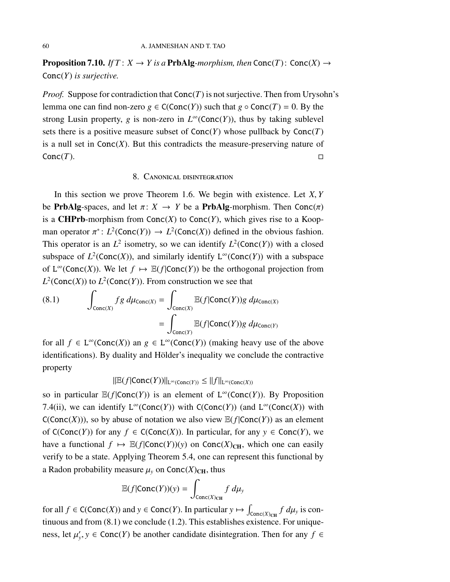**Proposition 7.10.** *If*  $T: X \to Y$  *is a* **PrbAlg**-morphism, then Conc(*T*): Conc(*X*)  $\to$ Conc(*Y*) *is surjective.*

*Proof.* Suppose for contradiction that  $Conc(T)$  is not surjective. Then from Urysohn's lemma one can find non-zero  $g \in C(\text{Conc}(Y))$  such that  $g \circ \text{Conc}(T) = 0$ . By the strong Lusin property, *g* is non-zero in  $L^{\infty}(\text{Conc}(Y))$ , thus by taking sublevel sets there is a positive measure subset of  $Conc(Y)$  whose pullback by  $Conc(T)$ is a null set in  $Conc(X)$ . But this contradicts the measure-preserving nature of  $Conc(T)$ .  $\square$ 

## 8. Canonical disintegration

In this section we prove Theorem [1.6.](#page-13-0) We begin with existence. Let *X*, *Y* be **PrbAlg**-spaces, and let  $\pi: X \to Y$  be a **PrbAlg**-morphism. Then Conc $(\pi)$ is a **CHPrb**-morphism from  $Conc(X)$  to  $Conc(Y)$ , which gives rise to a Koopman operator  $\pi^*: L^2(\text{Conc}(Y)) \to L^2(\text{Conc}(X))$  defined in the obvious fashion. This operator is an  $L^2$  isometry, so we can identify  $L^2$ (Conc(*Y*)) with a closed subspace of  $L^2$ (Conc(*X*)), and similarly identify  $L^\infty$ (Conc(*Y*)) with a subspace of  $L^{\infty}(\text{Conc}(X))$ . We let  $f \mapsto \mathbb{E}(f | \text{Conc}(Y))$  be the orthogonal projection from  $L^2$ (Conc(*X*)) to  $L^2$ (Conc(*Y*)). From construction we see that

<span id="page-59-0"></span>(8.1) 
$$
\int_{\text{Conc}(X)} fg \, d\mu_{\text{Conc}(X)} = \int_{\text{Conc}(X)} \mathbb{E}(f | \text{Conc}(Y)) g \, d\mu_{\text{Conc}(X)} = \int_{\text{Conc}(Y)} \mathbb{E}(f | \text{Conc}(Y)) g \, d\mu_{\text{Conc}(Y)}
$$

for all  $f \in L^{\infty}(\text{Conc}(X))$  an  $g \in L^{\infty}(\text{Conc}(Y))$  (making heavy use of the above identifications). By duality and Hölder's inequality we conclude the contractive property

 $||E(f|Conc(Y))||_{L^{\infty}(Conc(Y))} \leq ||f||_{L^{\infty}(Conc(X))}$ 

so in particular  $\mathbb{E}(f | \text{Conc}(Y))$  is an element of  $L^{\infty}(\text{Conc}(Y))$ . By Proposition [7.4\(](#page-54-1)ii), we can identify  $L^{\infty}(\text{Conc}(Y))$  with  $C(\text{Conc}(Y))$  (and  $L^{\infty}(\text{Conc}(X))$  with  $C(Conc(X))$ , so by abuse of notation we also view  $\mathbb{E}(f|Conc(Y))$  as an element of  $C(Conc(Y))$  for any *f* ∈  $C(Conc(X))$ . In particular, for any *y* ∈ Conc(*Y*), we have a functional  $f \mapsto \mathbb{E}(f | \text{Conc}(Y))(y)$  on  $\text{Conc}(X)_{CH}$ , which one can easily verify to be a state. Applying Theorem [5.4,](#page-38-0) one can represent this functional by a Radon probability measure  $\mu$ <sub>y</sub> on Conc $(X)_{CH}$ , thus

$$
\mathbb{E}(f|\text{Conc}(Y))(y) = \int_{\text{Conc}(X)_{\text{CH}}} f \, d\mu_y
$$

for all  $f \in C(\text{Conc}(X))$  and  $y \in \text{Conc}(Y)$ . In particular  $y \mapsto \int_{\text{Conc}(X)_{\text{CH}}} f d\mu_y$  is continuous and from  $(8.1)$  we conclude  $(1.2)$ . This establishes existence. For uniqueness, let  $\mu'_y$ ,  $y \in \text{Conc}(Y)$  be another candidate disintegration. Then for any  $f \in$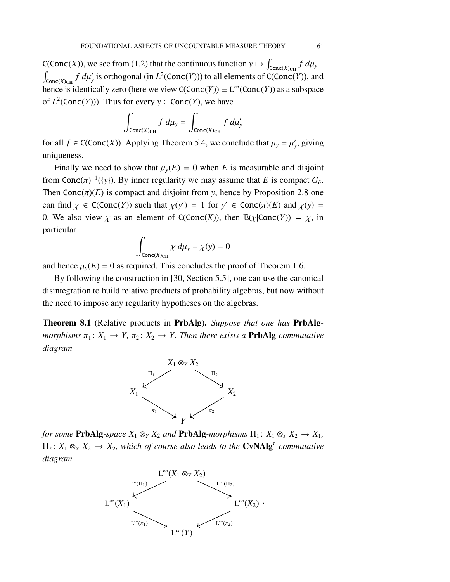C(Conc(*X*)), we see from [\(1.2\)](#page-13-1) that the continuous function  $y \mapsto \int_{\text{Conc}(X)_{CH}} f d\mu_y$  $\int_{\text{Conc}(X)_{\text{CH}}} f \, d\mu'_{y}$  is orthogonal (in  $L^2(\text{Conc}(Y))$ ) to all elements of C(Conc(*Y*)), and hence is identically zero (here we view  $C(Conc(Y)) \equiv L^{\infty}(Conc(Y))$  as a subspace of  $L^2(\text{Conc}(Y))$ . Thus for every  $y \in \text{Conc}(Y)$ , we have

$$
\int_{\text{Conc}(X)_{\text{CH}}} f \, d\mu_{y} = \int_{\text{Conc}(X)_{\text{CH}}} f \, d\mu'_{y}
$$

for all  $f \in C(Conc(X))$ . Applying Theorem [5.4,](#page-38-0) we conclude that  $\mu_y = \mu'_y$ , giving uniqueness.

Finally we need to show that  $\mu$ <sup>*y*</sup>(*E*) = 0 when *E* is measurable and disjoint from Conc( $\pi$ )<sup>-1</sup>({y}). By inner regularity we may assume that *E* is compact  $G_{\delta}$ . Then  $Conc(\pi)(E)$  is compact and disjoint from *y*, hence by Proposition [2.8](#page-23-0) one can find  $\chi \in C(\text{Conc}(Y))$  such that  $\chi(y') = 1$  for  $y' \in \text{Conc}(\pi)(E)$  and  $\chi(y) =$ 0. We also view  $\chi$  as an element of C(Conc(*X*)), then  $\mathbb{E}(\chi | \text{Conc}(Y)) = \chi$ , in particular

$$
\int_{\text{Conc}(X)_{\text{CH}}} \chi \, d\mu_y = \chi(y) = 0
$$

and hence  $\mu$ <sub>*y</sub>*(*E*) = 0 as required. This concludes the proof of Theorem [1.6.](#page-13-0)</sub>

By following the construction in [\[30,](#page-98-4) Section 5.5], one can use the canonical disintegration to build relative products of probability algebras, but now without the need to impose any regularity hypotheses on the algebras.

Theorem 8.1 (Relative products in PrbAlg). *Suppose that one has* PrbAlg*morphisms*  $\pi_1: X_1 \to Y$ ,  $\pi_2: X_2 \to Y$ . Then there exists a **PrbAlg**-commutative *diagram*



*for some* **PrbAlg**-space  $X_1 \otimes_Y X_2$  *and* **PrbAlg**-morphisms  $\Pi_1: X_1 \otimes_Y X_2 \to X_1$ ,  $\Pi_2\colon X_1\otimes_Y X_2\to X_2$ , which of course also leads to the  $CvNAlg^{\tau}$ -commutative *diagram*

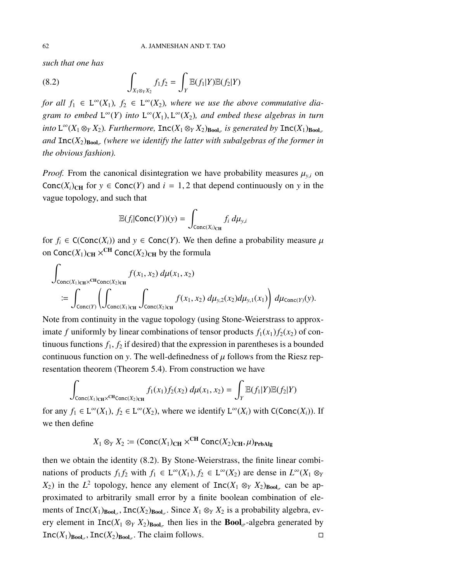*such that one has*

<span id="page-61-0"></span>(8.2) 
$$
\int_{X_1 \otimes_Y X_2} f_1 f_2 = \int_Y \mathbb{E}(f_1|Y) \mathbb{E}(f_2|Y)
$$

*for all*  $f_1 \in L^{\infty}(X_1)$ ,  $f_2 \in L^{\infty}(X_2)$ , where we use the above commutative dia*gram to embed*  $L^{\infty}(Y)$  *into*  $L^{\infty}(X_1)$ ,  $L^{\infty}(X_2)$ *, and embed these algebras in turn*  $\int$ *into*  $L^{\infty}(X_1 \otimes_Y X_2)$ *. Furthermore,*  $\text{Inc}(X_1 \otimes_Y X_2)$ <sub>Bool $\sigma$ </sub> is generated by  $\text{Inc}(X_1)$ <sub>Bool $\sigma$ </sub>  $and \; Inc(X_2)_{\text{Bool}_{\sigma}}$  (where we identify the latter with subalgebras of the former in *the obvious fashion).*

*Proof.* From the canonical disintegration we have probability measures  $\mu_{y,i}$  on Conc $(X_i)_{\text{CH}}$  for  $y \in \text{Conc}(Y)$  and  $i = 1, 2$  that depend continuously on y in the vague topology, and such that

$$
\mathbb{E}(f_i|\text{Conc}(Y))(y) = \int_{\text{Conc}(X_i)\text{CH}} f_i \, d\mu_{y,i}
$$

for  $f_i \in C(\text{Conc}(X_i))$  and  $y \in \text{Conc}(Y)$ . We then define a probability measure  $\mu$ on Conc $(X_1)_{\text{CH}} \times^{\text{CH}}$  Conc $(X_2)_{\text{CH}}$  by the formula

$$
\int_{\text{Conc}(X_1)_{\text{CH}} \times \text{CHCone}(X_2)_{\text{CH}}} f(x_1, x_2) d\mu(x_1, x_2)
$$
\n
$$
:= \int_{\text{Conc}(Y)} \left( \int_{\text{Conc}(X_1)_{\text{CH}}} \int_{\text{Conc}(X_2)_{\text{CH}}} f(x_1, x_2) d\mu_{y,2}(x_2) d\mu_{y,1}(x_1) \right) d\mu_{\text{Conc}(Y)}(y).
$$

Note from continuity in the vague topology (using Stone-Weierstrass to approximate *f* uniformly by linear combinations of tensor products  $f_1(x_1) f_2(x_2)$  of continuous functions  $f_1, f_2$  if desired) that the expression in parentheses is a bounded continuous function on *y*. The well-definedness of  $\mu$  follows from the Riesz representation theorem (Theorem [5.4\)](#page-38-0). From construction we have

$$
\int_{\text{Conc}(X_1)_{\text{CH}} \times^{\text{CH}} \text{Conc}(X_2)_{\text{CH}}} f_1(x_1) f_2(x_2) \, d\mu(x_1, x_2) = \int_Y \mathbb{E}(f_1|Y) \mathbb{E}(f_2|Y)
$$

for any  $f_1 \in L^{\infty}(X_1)$ ,  $f_2 \in L^{\infty}(X_2)$ , where we identify  $L^{\infty}(X_i)$  with  $C(\text{Conc}(X_i))$ . If we then define

$$
X_1 \otimes_Y X_2 := (\text{Conc}(X_1)_{CH} \times^{CH} \text{Conc}(X_2)_{CH}, \mu)_{\text{PrbAlg}}
$$

then we obtain the identity [\(8.2\)](#page-61-0). By Stone-Weierstrass, the finite linear combinations of products  $f_1 f_2$  with  $f_1 \in L^{\infty}(X_1)$ ,  $f_2 \in L^{\infty}(X_2)$  are dense in  $L^{\infty}(X_1 \otimes_Y)$  $(X_2)$  in the  $L^2$  topology, hence any element of  $Inc(X_1 \otimes_Y X_2)_{Bool_{\sigma}}$  can be approximated to arbitrarily small error by a finite boolean combination of elements of  $Inc(X_1)_{Bool_{\sigma}}$ ,  $Inc(X_2)_{Bool_{\sigma}}$ . Since  $X_1 \otimes_Y X_2$  is a probability algebra, every element in  $Inc(X_1 \otimes_Y X_2)_{Bool_{\sigma}}$  then lies in the **Bool**<sub> $\sigma$ </sub>-algebra generated by  $Inc(X_1)_{Bool_{\sigma}}$ ,  $Inc(X_2)_{Bool_{\sigma}}$ . The claim follows.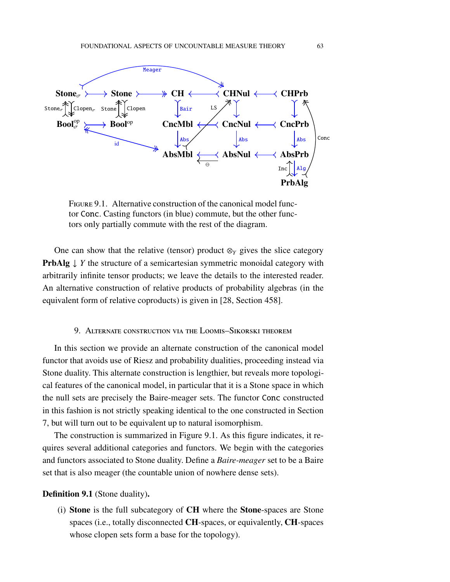

<span id="page-62-1"></span>Figure 9.1. Alternative construction of the canonical model functor Conc. Casting functors (in blue) commute, but the other functors only partially commute with the rest of the diagram.

One can show that the relative (tensor) product  $\otimes_Y$  gives the slice category **PrbAlg** ↓ *Y* the structure of a semicartesian symmetric monoidal category with arbitrarily infinite tensor products; we leave the details to the interested reader. An alternative construction of relative products of probability algebras (in the equivalent form of relative coproducts) is given in [\[28,](#page-98-5) Section 458].

# 9. Alternate construction via the Loomis–Sikorski theorem

<span id="page-62-0"></span>In this section we provide an alternate construction of the canonical model functor that avoids use of Riesz and probability dualities, proceeding instead via Stone duality. This alternate construction is lengthier, but reveals more topological features of the canonical model, in particular that it is a Stone space in which the null sets are precisely the Baire-meager sets. The functor Conc constructed in this fashion is not strictly speaking identical to the one constructed in Section [7,](#page-51-1) but will turn out to be equivalent up to natural isomorphism.

The construction is summarized in Figure [9.1.](#page-62-1) As this figure indicates, it requires several additional categories and functors. We begin with the categories and functors associated to Stone duality. Define a *Baire-meager* set to be a Baire set that is also meager (the countable union of nowhere dense sets).

# <span id="page-62-2"></span>Definition 9.1 (Stone duality).

(i) Stone is the full subcategory of CH where the Stone-spaces are Stone spaces (i.e., totally disconnected CH-spaces, or equivalently, CH-spaces whose clopen sets form a base for the topology).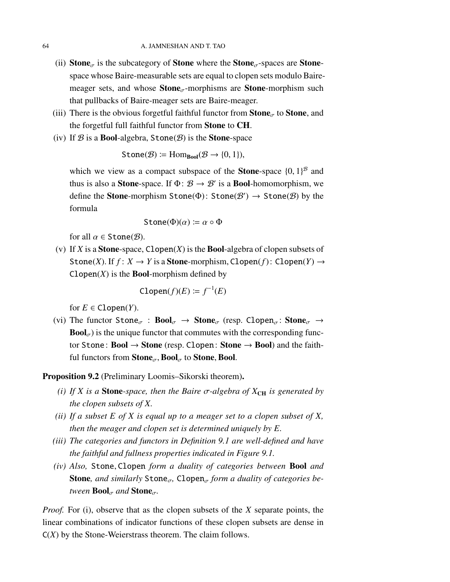- (ii) **Stone**<sub> $\sigma$ </sub> is the subcategory of **Stone** where the **Stone**<sub> $\sigma$ </sub>-spaces are **Stone**space whose Baire-measurable sets are equal to clopen sets modulo Bairemeager sets, and whose  $Stone_{\sigma}$ -morphisms are **Stone**-morphism such that pullbacks of Baire-meager sets are Baire-meager.
- (iii) There is the obvious forgetful faithful functor from  $\text{Stone}_{\sigma}$  to  $\text{Stone}$ , and the forgetful full faithful functor from Stone to CH.
- (iv) If  $\mathcal B$  is a **Bool-algebra, Stone** $(\mathcal B)$  is the **Stone-space**

$$
\text{Stone}(\mathcal{B}) \coloneqq \text{Hom}_{\text{Bool}}(\mathcal{B} \to \{0, 1\}),
$$

which we view as a compact subspace of the **Stone**-space  $\{0, 1\}^{\mathcal{B}}$  and thus is also a **Stone**-space. If  $\Phi$ :  $\mathcal{B} \to \mathcal{B}'$  is a **Bool**-homomorphism, we define the **Stone**-morphism  $\text{Stone}(\Phi)$ :  $\text{Stone}(\mathcal{B}') \to \text{Stone}(\mathcal{B})$  by the formula

$$
\mathsf{Stone}(\Phi)(\alpha) \coloneqq \alpha \circ \Phi
$$

for all  $\alpha \in \text{Stone}(\mathcal{B})$ .

(v) If *X* is a **Stone**-space, Clopen $(X)$  is the **Bool**-algebra of clopen subsets of Stone(*X*). If  $f: X \to Y$  is a **Stone**-morphism, Clopen(*f*): Clopen(*Y*)  $\to$ Clopen $(X)$  is the **Bool**-morphism defined by

$$
\text{Clopen}(f)(E) \coloneqq f^{-1}(E)
$$

for  $E \in \text{Clopen}(Y)$ .

(vi) The functor Stone<sub>σ</sub> :  $Bool_{\sigma} \rightarrow Stone_{\sigma}$  (resp. Clopen<sub>σ</sub>: Stone<sub>σ</sub>  $\rightarrow$ **Bool** $_{\sigma}$ ) is the unique functor that commutes with the corresponding functor Stone:  $Bool \rightarrow Stone$  (resp. Clopen: Stone  $\rightarrow Bool$ ) and the faithful functors from  $\text{Stone}_{\sigma}$ ,  $\text{Bool}_{\sigma}$  to Stone, Bool.

<span id="page-63-0"></span>Proposition 9.2 (Preliminary Loomis–Sikorski theorem).

- *(i) If X is a* **Stone**-space, then the Baire  $\sigma$ -algebra of  $X_{CH}$  is generated by *the clopen subsets of X.*
- *(ii) If a subset E of X is equal up to a meager set to a clopen subset of X, then the meager and clopen set is determined uniquely by E.*
- *(iii) The categories and functors in Definition [9.1](#page-62-2) are well-defined and have the faithful and fullness properties indicated in Figure [9.1.](#page-62-1)*
- *(iv) Also,* Stone, Clopen *form a duality of categories between* Bool *and* **Stone**, and similarly  $\text{Stone}_{\sigma}$ ,  $\text{Clopen}_{\sigma}$  form a duality of categories be*tween*  $\text{Bool}_{\sigma}$  *and*  $\text{Stone}_{\sigma}$ .

*Proof.* For (i), observe that as the clopen subsets of the *X* separate points, the linear combinations of indicator functions of these clopen subsets are dense in C(*X*) by the Stone-Weierstrass theorem. The claim follows.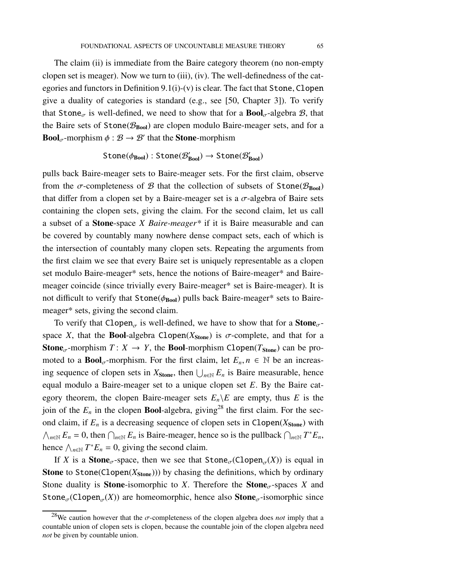The claim (ii) is immediate from the Baire category theorem (no non-empty clopen set is meager). Now we turn to (iii), (iv). The well-definedness of the categories and functors in Definition  $9.1(i)-(v)$  is clear. The fact that Stone, Clopen give a duality of categories is standard (e.g., see [\[50,](#page-99-4) Chapter 3]). To verify that Stone<sub>σ</sub> is well-defined, we need to show that for a  $\text{Bool}_{\sigma}$ -algebra  $\mathcal{B}$ , that the Baire sets of Stone( $\mathcal{B}_{\text{Bool}}$ ) are clopen modulo Baire-meager sets, and for a **Bool**<sub> $\sigma$ </sub>-morphism  $\phi : \mathcal{B} \to \mathcal{B}'$  that the **Stone**-morphism

$$
\text{Stone}(\phi_{\text{Bool}}): \text{Stone}(\mathcal{B}'_{\text{Bool}}) \rightarrow \text{Stone}(\mathcal{B}'_{\text{Bool}})
$$

pulls back Baire-meager sets to Baire-meager sets. For the first claim, observe from the  $\sigma$ -completeness of  $\mathcal{B}$  that the collection of subsets of Stone( $\mathcal{B}_{\text{Bool}}$ ) that differ from a clopen set by a Baire-meager set is a  $\sigma$ -algebra of Baire sets containing the clopen sets, giving the claim. For the second claim, let us call a subset of a Stone-space *X Baire-meager\** if it is Baire measurable and can be covered by countably many nowhere dense compact sets, each of which is the intersection of countably many clopen sets. Repeating the arguments from the first claim we see that every Baire set is uniquely representable as a clopen set modulo Baire-meager\* sets, hence the notions of Baire-meager\* and Bairemeager coincide (since trivially every Baire-meager\* set is Baire-meager). It is not difficult to verify that  $Stone(\phi_{Bool})$  pulls back Baire-meager\* sets to Bairemeager\* sets, giving the second claim.

To verify that Clopen<sub>σ</sub> is well-defined, we have to show that for a **Stone**<sub>σ</sub>space *X*, that the **Bool**-algebra Clopen( $X_{\text{Stone}}$ ) is  $\sigma$ -complete, and that for a **Stone**<sub> $\sigma$ </sub>-morphism  $T: X \rightarrow Y$ , the **Bool**-morphism Clopen( $T_{\text{Stone}}$ ) can be promoted to a  $\text{Bool}_{\sigma}$ -morphism. For the first claim, let  $E_n, n \in \mathbb{N}$  be an increasing sequence of clopen sets in  $X_{\text{Stone}}$ , then  $\bigcup_{n \in \mathbb{N}} E_n$  is Baire measurable, hence equal modulo a Baire-meager set to a unique clopen set *E*. By the Baire category theorem, the clopen Baire-meager sets  $E_n \backslash E$  are empty, thus *E* is the join of the  $E_n$  in the clopen **Bool**-algebra, giving<sup>[28](#page-64-0)</sup> the first claim. For the second claim, if  $E_n$  is a decreasing sequence of clopen sets in Clopen( $X_{\text{Stone}}$ ) with  $\bigwedge_{n\in\mathbb{N}} E_n = 0$ , then  $\bigcap_{n\in\mathbb{N}} E_n$  is Baire-meager, hence so is the pullback  $\bigcap_{n\in\mathbb{N}} T^*E_n$ , hence  $\bigwedge_{n\in\mathbb{N}} T^*E_n = 0$ , giving the second claim.

If *X* is a **Stone**<sub> $\sigma$ </sub>-space, then we see that **Stone**<sub> $\sigma$ </sub>(Clopen<sub> $\sigma$ </sub>(*X*)) is equal in **Stone** to Stone(Clopen( $X_{\text{Stone}}$ ))) by chasing the definitions, which by ordinary Stone duality is **Stone**-isomorphic to *X*. Therefore the **Stone**<sub> $\sigma$ </sub>-spaces *X* and Stone<sub> $\sigma$ </sub>(Clopen<sub> $\sigma$ </sub>(X)) are homeomorphic, hence also **Stone**<sub> $\sigma$ </sub>-isomorphic since

<span id="page-64-0"></span><sup>&</sup>lt;sup>28</sup>We caution however that the  $\sigma$ -completeness of the clopen algebra does *not* imply that a countable union of clopen sets is clopen, because the countable join of the clopen algebra need *not* be given by countable union.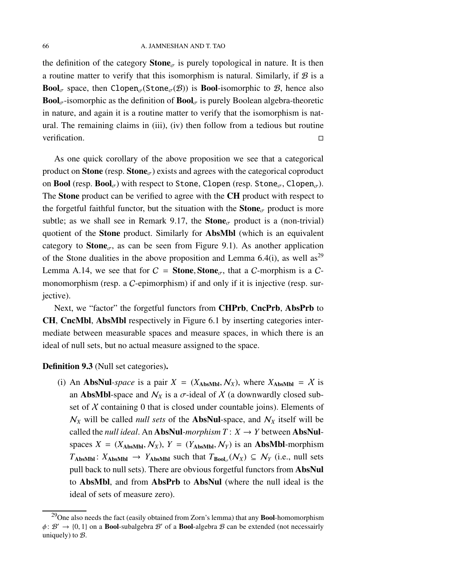the definition of the category **Stone**<sub> $\sigma$ </sub> is purely topological in nature. It is then a routine matter to verify that this isomorphism is natural. Similarly, if  $\mathcal B$  is a **Bool**<sub>σ</sub> space, then Clopen<sub>σ</sub>(Stone<sub>σ</sub>(B)) is **Bool**-isomorphic to B, hence also **Bool**<sub> $\sigma$ </sub>-isomorphic as the definition of **Bool**<sub> $\sigma$ </sub> is purely Boolean algebra-theoretic in nature, and again it is a routine matter to verify that the isomorphism is natural. The remaining claims in (iii), (iv) then follow from a tedious but routine verification.

As one quick corollary of the above proposition we see that a categorical product on **Stone** (resp. **Stone** $_{\sigma}$ ) exists and agrees with the categorical coproduct on Bool (resp. Bool<sub> $\sigma$ </sub>) with respect to Stone, Clopen (resp. Stone<sub> $\sigma$ </sub>, Clopen<sub> $\sigma$ </sub>). The Stone product can be verified to agree with the CH product with respect to the forgetful faithful functor, but the situation with the **Stone**<sub>σ</sub> product is more subtle; as we shall see in Remark [9.17,](#page-74-0) the  $\text{Stone}_{\sigma}$  product is a (non-trivial) quotient of the Stone product. Similarly for AbsMbl (which is an equivalent category to **Stone**<sub> $\sigma$ </sub>, as can be seen from Figure [9.1\)](#page-62-1). As another application of the Stone dualities in the above proposition and Lemma [6.4\(](#page-47-0)i), as well as<sup>[29](#page-65-0)</sup> Lemma [A.14,](#page-80-0) we see that for  $C =$  **Stone, Stone**<sub> $\sigma$ </sub>, that a C-morphism is a Cmonomorphism (resp. a C-epimorphism) if and only if it is injective (resp. surjective).

Next, we "factor" the forgetful functors from **CHPrb**, CncPrb, AbsPrb to CH, CncMbl, AbsMbl respectively in Figure [6.1](#page-45-0) by inserting categories intermediate between measurable spaces and measure spaces, in which there is an ideal of null sets, but no actual measure assigned to the space.

## <span id="page-65-1"></span>Definition 9.3 (Null set categories).

(i) An **AbsNul**-space is a pair  $X = (X_{\text{AbsMbl}}, N_X)$ , where  $X_{\text{AbsMbl}} = X$  is an **AbsMbl**-space and  $N_X$  is a  $\sigma$ -ideal of X (a downwardly closed subset of  $X$  containing 0 that is closed under countable joins). Elements of  $N_X$  will be called *null sets* of the **AbsNul**-space, and  $N_X$  itself will be called the *null ideal*. An **AbsNul**-morphism  $T: X \rightarrow Y$  between **AbsNul**spaces  $X = (X_{\text{AbsMbl}}, N_X)$ ,  $Y = (Y_{\text{AbsMbl}}, N_Y)$  is an **AbsMbl**-morphism  $T_{\text{AbsMbl}}$ :  $X_{\text{AbsMbl}} \rightarrow Y_{\text{AbsMbl}}$  such that  $T_{\text{Bool}_{\sigma}}(\mathcal{N}_X) \subseteq \mathcal{N}_Y$  (i.e., null sets pull back to null sets). There are obvious forgetful functors from AbsNul to AbsMbl, and from AbsPrb to AbsNul (where the null ideal is the ideal of sets of measure zero).

<span id="page-65-0"></span><sup>&</sup>lt;sup>29</sup>One also needs the fact (easily obtained from Zorn's lemma) that any **Bool**-homomorphism  $\phi: \mathcal{B}' \to \{0, 1\}$  on a **Bool-subalgebra**  $\mathcal{B}'$  **of a Bool-algebra**  $\mathcal{B}$  **can be extended (not necessairly** uniquely) to  $B$ .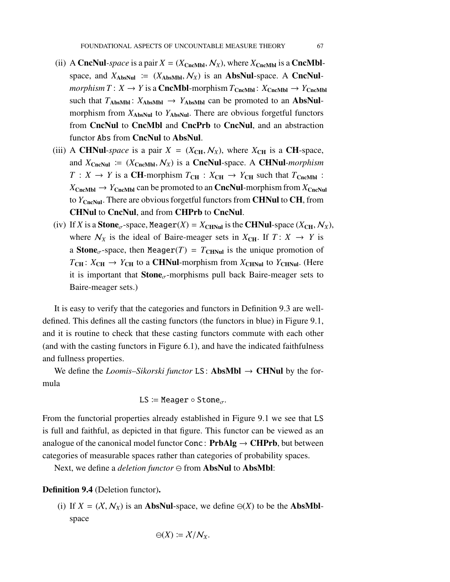- (ii) A CncNul-space is a pair  $X = (X_{CncMbl}, N_X)$ , where  $X_{CncMbl}$  is a CncMblspace, and  $X_{\text{AbsNull}} := (X_{\text{AbsMbl}}, \mathcal{N}_X)$  is an **AbsNul**-space. A **CncNul** $morphism T: X \to Y$  is a **CncMbl**-morphism  $T_{CncMbl}: X_{CncMbl} \to Y_{CncMbl}$ such that  $T_{\text{AbsMbl}}$ :  $X_{\text{AbsMbl}} \rightarrow Y_{\text{AbsMbl}}$  can be promoted to an **AbsNul**morphism from  $X_{\text{AbsNull}}$  to  $Y_{\text{AbsNull}}$ . There are obvious forgetful functors from CncNul to CncMbl and CncPrb to CncNul, and an abstraction functor Abs from CncNul to AbsNul.
- (iii) A CHNul-space is a pair  $X = (X_{CH}, N_X)$ , where  $X_{CH}$  is a CH-space, and  $X_{CncNul}$  =  $(X_{CncMbl}, N_X)$  is a **CncNul**-space. A **CHNul**-morphism  $T: X \rightarrow Y$  is a **CH**-morphism  $T_{CH}: X_{CH} \rightarrow Y_{CH}$  such that  $T_{ChcMbl}$ :  $X_{CncMbl} \rightarrow Y_{CncMbl}$  can be promoted to an **CncNul**-morphism from  $X_{CncNul}$ to *Y*<sub>CncNul</sub>. There are obvious forgetful functors from **CHNul** to **CH**, from CHNul to CncNul, and from CHPrb to CncNul.
- (iv) If *X* is a **Stone**<sub> $\sigma$ </sub>-space, Meager(*X*) =  $X_{\text{CHNu}}$  is the **CHNul**-space ( $X_{\text{CH}}$ ,  $N_X$ ), where  $\mathcal{N}_X$  is the ideal of Baire-meager sets in  $X_{\text{CH}}$ . If  $T: X \rightarrow Y$  is a **Stone**<sub> $\sigma$ </sub>-space, then Meager(*T*) =  $T_{CHNu}$  is the unique promotion of  $T_{\text{CH}}$ :  $X_{\text{CH}} \rightarrow Y_{\text{CH}}$  to a **CHNul**-morphism from  $X_{\text{CHNu}}$  to  $Y_{\text{CHNu}}$ . (Here it is important that  $\text{Stone}_{\sigma}$ -morphisms pull back Baire-meager sets to Baire-meager sets.)

It is easy to verify that the categories and functors in Definition [9.3](#page-65-1) are welldefined. This defines all the casting functors (the functors in blue) in Figure [9.1,](#page-62-1) and it is routine to check that these casting functors commute with each other (and with the casting functors in Figure [6.1\)](#page-45-0), and have the indicated faithfulness and fullness properties.

We define the *Loomis–Sikorski functor* LS: **AbsMbl**  $\rightarrow$  **CHNul** by the formula

$$
\mathsf{LS}\coloneqq \mathsf{Meager}\circ \mathsf{Stone}_\sigma.
$$

From the functorial properties already established in Figure [9.1](#page-62-1) we see that LS is full and faithful, as depicted in that figure. This functor can be viewed as an analogue of the canonical model functor Conc: **, but between** categories of measurable spaces rather than categories of probability spaces.

Next, we define a *deletion functor* ⊖ from **AbsNul** to **AbsMbl**:

Definition 9.4 (Deletion functor).

(i) If  $X = (X, N_X)$  is an **AbsNul**-space, we define  $\Theta(X)$  to be the **AbsMbl**space

$$
\ominus(X)\coloneqq X/N_X.
$$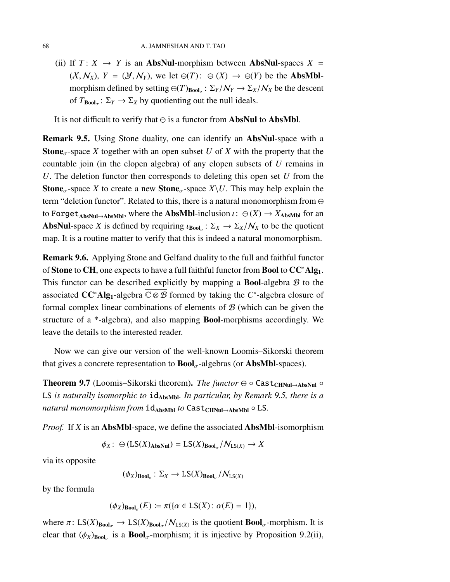(ii) If  $T: X \rightarrow Y$  is an **AbsNul**-morphism between **AbsNul**-spaces  $X =$  $(X, \mathcal{N}_X)$ ,  $Y = (\mathcal{Y}, \mathcal{N}_Y)$ , we let  $\ominus(T)$ :  $\ominus(X) \rightarrow \ominus(Y)$  be the **AbsMbl**morphism defined by setting  $\Theta(T)_{\text{Bool}_{\sigma}}: \Sigma_Y/N_Y \to \Sigma_X/N_X$  be the descent of  $T_{\text{Bool}_{\sigma}}: \Sigma_Y \to \Sigma_X$  by quotienting out the null ideals.

It is not difficult to verify that  $\ominus$  is a functor from **AbsNul** to **AbsMbl**.

<span id="page-67-0"></span>Remark 9.5. Using Stone duality, one can identify an AbsNul-space with a **Stone**<sub> $\sigma$ </sub>-space *X* together with an open subset *U* of *X* with the property that the countable join (in the clopen algebra) of any clopen subsets of *U* remains in *U*. The deletion functor then corresponds to deleting this open set *U* from the **Stone**<sub> $\sigma$ </sub>-space *X* to create a new **Stone**<sub> $\sigma$ </sub>-space *X*\*U*. This may help explain the term "deletion functor". Related to this, there is a natural monomorphism from ⊖ to Forget<sub>AbsNul→AbsMbl</sub>, where the **AbsMbl**-inclusion  $\iota: \Theta(X) \to X_{\text{AbsMbl}}$  for an AbsNul-space *X* is defined by requiring  $\iota_{\text{Bool}_{\sigma}}: \Sigma_X \to \Sigma_X/N_X$  to be the quotient map. It is a routine matter to verify that this is indeed a natural monomorphism.

Remark 9.6. Applying Stone and Gelfand duality to the full and faithful functor of Stone to CH, one expects to have a full faithful functor from Bool to CC<sup>∗</sup>Alg1. This functor can be described explicitly by mapping a **Bool**-algebra  $\mathcal{B}$  to the associated CC<sup>∗</sup>Alg1-algebra C ⊗ B formed by taking the *C* ∗ -algebra closure of formal complex linear combinations of elements of  $B$  (which can be given the structure of a \*-algebra), and also mapping Bool-morphisms accordingly. We leave the details to the interested reader.

Now we can give our version of the well-known Loomis–Sikorski theorem that gives a concrete representation to  $\text{Bool}_{\sigma}$ -algebras (or AbsMbl-spaces).

Theorem 9.7 (Loomis–Sikorski theorem). *The functor*  $\ominus$  ∘ Cast<sub>CHNul→AbsNul</sub> ° LS *is naturally isomorphic to* idAbsMbl*. In particular, by Remark [9.5,](#page-67-0) there is a natural monomorphism from* id<sub>AbsMbl</sub> *to* Cast<sub>CHNul→AbsMbl ° LS.</sub>

*Proof.* If *X* is an AbsMbl-space, we define the associated AbsMbl-isomorphism

 $\phi_X: \bigoplus (\text{LS}(X)_{\text{AbsNull}}) = \text{LS}(X)_{\text{Bool}_{\sigma}} / \mathcal{N}_{\text{LS}(X)} \to X$ 

via its opposite

$$
(\phi_X)_{\mathbf{Bool}_{\sigma}} \colon \Sigma_X \to \mathsf{LS}(X)_{\mathbf{Bool}_{\sigma}} / \mathcal{N}_{\mathsf{LS}(X)}
$$

by the formula

$$
(\phi_X)_{\mathbf{Bool}_{\sigma}}(E) \coloneqq \pi(\{\alpha \in \mathsf{LS}(X) : \alpha(E) = 1\}),
$$

where  $\pi: LS(X)_{\text{Bool}_{\sigma}} \to LS(X)_{\text{Bool}_{\sigma}}/N_{LS(X)}$  is the quotient  $\text{Bool}_{\sigma}$ -morphism. It is clear that  $(\phi_X)_{\text{Bool}_\sigma}$  is a  $\text{Bool}_\sigma$ -morphism; it is injective by Proposition [9.2\(](#page-63-0)ii),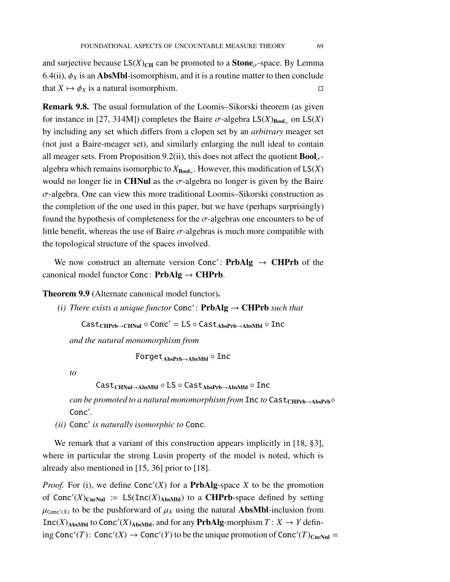and surjective because  $LS(X)_{CH}$  can be promoted to a **Stone**<sub> $\sigma$ </sub>-space. By Lemma [6.4\(](#page-47-0)ii),  $\phi_X$  is an **AbsMbl**-isomorphism, and it is a routine matter to then conclude that  $X \mapsto \phi_X$  is a natural isomorphism.

<span id="page-68-0"></span>Remark 9.8. The usual formulation of the Loomis–Sikorski theorem (as given for instance in [\[27,](#page-98-3) 314M]) completes the Baire  $\sigma$ -algebra  $LS(X)_{Bool_{\sigma}}$  on  $LS(X)$ by including any set which differs from a clopen set by an *arbitrary* meager set (not just a Baire-meager set), and similarly enlarging the null ideal to contain all meager sets. From Proposition [9.2\(](#page-63-0)ii), this does not affect the quotient  $\text{Bool}_{\sigma}$ algebra which remains isomorphic to  $X_{\text{Bool}_\sigma}$ . However, this modification of  $\text{LS}(X)$ would no longer lie in CHNul as the  $\sigma$ -algebra no longer is given by the Baire  $\sigma$ -algebra. One can view this more traditional Loomis–Sikorski construction as the completion of the one used in this paper, but we have (perhaps surprisingly) found the hypothesis of completeness for the  $\sigma$ -algebras one encounters to be of little benefit, whereas the use of Baire  $\sigma$ -algebras is much more compatible with the topological structure of the spaces involved.

We now construct an alternate version Conc': PrbAlg  $\rightarrow$  CHPrb of the canonical model functor Conc: **.** 

Theorem 9.9 (Alternate canonical model functor).

(*i*) There exists a unique functor  $Conc'$ :  **such that** 

 $\text{Cast}_{\text{CHPrb} \rightarrow \text{CHNu}} \circ \text{Conc}' = \text{LS} \circ \text{Cast}_{\text{AbsPrb} \rightarrow \text{AbsMbl}} \circ \text{Inc}$ 

*and the natural monomorphism from*

 $For get_{AbsPrb\rightarrow AbsMbl} \circ Inc$ 

*to*

Cast<sub>CHNul→AbsMbl</sub>  $\circ$  LS  $\circ$  Cast<sub>AbsPrb→AbsMbl</sub>  $\circ$  Inc

*can be promoted to a natural monomorphism from* Inc *to* Cast<sub>CHPrb→AbsPrb<sup>○</sup></sub> Conc′ *.*

*(ii)* Conc′ *is naturally isomorphic to* Conc*.*

We remark that a variant of this construction appears implicitly in [\[18,](#page-97-5) §3], where in particular the strong Lusin property of the model is noted, which is already also mentioned in [\[15,](#page-97-6) [36\]](#page-98-6) prior to [\[18\]](#page-97-5).

*Proof.* For (i), we define  $Conc'(X)$  for a **PrbAlg**-space *X* to be the promotion of Conc'(X)<sub>CncNul</sub> := LS(Inc(X)<sub>AbsMbl</sub>) to a **CHPrb**-space defined by setting  $\mu_{\text{Conc}'(X)}$  to be the pushforward of  $\mu_X$  using the natural **AbsMbl**-inclusion from Inc(*X*)<sub>AbsMbl</sub> to Conc'(*X*)<sub>AbsMbl</sub>, and for any **PrbAlg**-morphism  $T: X \rightarrow Y$  defining Conc'(*T*): Conc'(*X*)  $\rightarrow$  Conc'(*Y*) to be the unique promotion of Conc'(*T*)<sub>CncNul</sub> =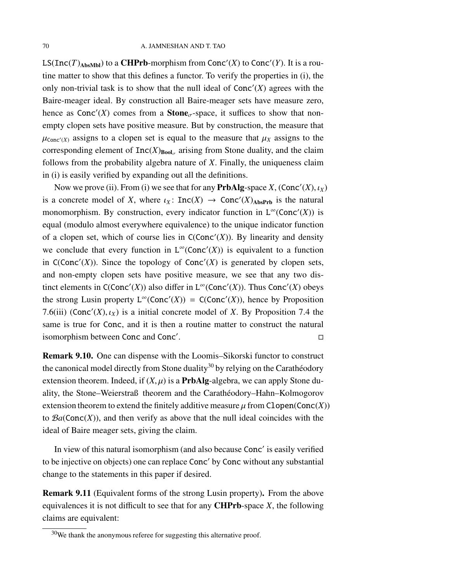LS(Inc(*T*)<sub>AbsMbl</sub>) to a **CHPrb**-morphism from Conc'(*X*) to Conc'(*Y*). It is a routine matter to show that this defines a functor. To verify the properties in (i), the only non-trivial task is to show that the null ideal of  $Conc'(X)$  agrees with the Baire-meager ideal. By construction all Baire-meager sets have measure zero, hence as  $Conc'(X)$  comes from a **Stone**<sub> $\sigma$ </sub>-space, it suffices to show that nonempty clopen sets have positive measure. But by construction, the measure that  $\mu_{\text{Conc}'(X)}$  assigns to a clopen set is equal to the measure that  $\mu_X$  assigns to the corresponding element of  $Inc(X)_{Bool_{\sigma}}$  arising from Stone duality, and the claim follows from the probability algebra nature of *X*. Finally, the uniqueness claim in (i) is easily verified by expanding out all the definitions.

Now we prove (ii). From (i) we see that for any  $\mathbf{PrbAlg}\text{-space } X$ ,  $(\mathbf{Conc}'(X), \iota_X)$ is a concrete model of *X*, where  $\iota_X$ : Inc(*X*)  $\rightarrow$  Conc'(*X*)<sub>AbsPrb</sub> is the natural monomorphism. By construction, every indicator function in  $L^{\infty}(\text{Conc}'(X))$  is equal (modulo almost everywhere equivalence) to the unique indicator function of a clopen set, which of course lies in  $C(Conc'(X))$ . By linearity and density we conclude that every function in  $L^{\infty}(\text{Conc}'(X))$  is equivalent to a function in  $C(Conc'(X))$ . Since the topology of  $Conc'(X)$  is generated by clopen sets, and non-empty clopen sets have positive measure, we see that any two distinct elements in  $C(Conc'(X))$  also differ in  $L^{\infty}(Conc'(X))$ . Thus  $Conc'(X)$  obeys the strong Lusin property  $L^{\infty}(\text{Conc}'(X)) = C(\text{Conc}'(X))$ , hence by Proposition [7.6\(](#page-55-0)iii) (Conc'(X),  $\iota_X$ ) is a initial concrete model of *X*. By Proposition [7.4](#page-54-1) the same is true for Conc, and it is then a routine matter to construct the natural isomorphism between Conc and Conc′ . **Design the contract of the contract of the contract of the contract of the contract of the contract of the contract of the contract of the contract of the contract of the contract of the contract of the contract of the** 

Remark 9.10. One can dispense with the Loomis–Sikorski functor to construct the canonical model directly from Stone duality<sup>[30](#page-69-0)</sup> by relying on the Carathéodory extension theorem. Indeed, if  $(X, \mu)$  is a **PrbAlg-**algebra, we can apply Stone duality, the Stone–Weierstraß theorem and the Carathéodory–Hahn–Kolmogorov extension theorem to extend the finitely additive measure  $\mu$  from Clopen(Conc(*X*)) to  $Ba(Conc(X))$ , and then verify as above that the null ideal coincides with the ideal of Baire meager sets, giving the claim.

In view of this natural isomorphism (and also because Conc′ is easily verified to be injective on objects) one can replace Conc′ by Conc without any substantial change to the statements in this paper if desired.

Remark 9.11 (Equivalent forms of the strong Lusin property). From the above equivalences it is not difficult to see that for any CHPrb-space *X*, the following claims are equivalent:

<span id="page-69-0"></span> $30$ We thank the anonymous referee for suggesting this alternative proof.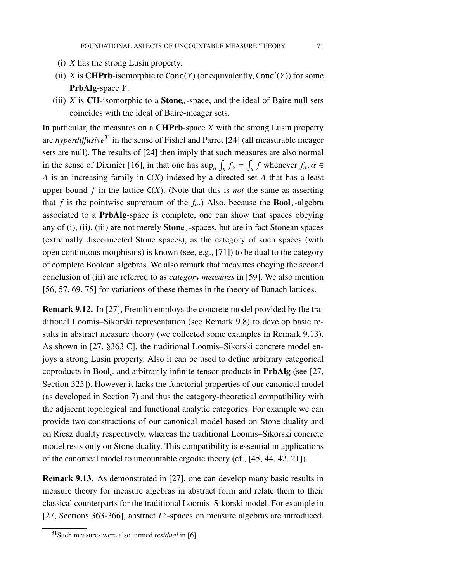- (i) *X* has the strong Lusin property.
- (ii) *X* is **CHPrb**-isomorphic to  $Conc(Y)$  (or equivalently,  $Conc'(Y)$ ) for some PrbAlg-space *Y*.
- (iii) *X* is **CH**-isomorphic to a **Stone**<sub> $\sigma$ </sub>-space, and the ideal of Baire null sets coincides with the ideal of Baire-meager sets.

In particular, the measures on a CHPrb-space *X* with the strong Lusin property are *hyperdi*ff*usive*[31](#page-70-1) in the sense of Fishel and Parret [\[24\]](#page-98-7) (all measurable meager sets are null). The results of [\[24\]](#page-98-7) then imply that such measures are also normal in the sense of Dixmier [\[16\]](#page-97-7), in that one has  $\sup_{\alpha} \int_X f_{\alpha} = \int_X f$  whenever  $f_{\alpha}, \alpha \in$ *A* is an increasing family in C(*X*) indexed by a directed set *A* that has a least upper bound  $f$  in the lattice  $C(X)$ . (Note that this is *not* the same as asserting that *f* is the pointwise supremum of the  $f_\alpha$ .) Also, because the **Bool**<sub> $\sigma$ </sub>-algebra associated to a PrbAlg-space is complete, one can show that spaces obeying any of (i), (ii), (iii) are not merely  $\text{Stone}_{\sigma}$ -spaces, but are in fact Stonean spaces (extremally disconnected Stone spaces), as the category of such spaces (with open continuous morphisms) is known (see, e.g., [\[71\]](#page-100-4)) to be dual to the category of complete Boolean algebras. We also remark that measures obeying the second conclusion of (iii) are referred to as *category measures* in [\[59\]](#page-100-5). We also mention [\[56,](#page-99-6) [57,](#page-100-6) [69,](#page-100-7) [75\]](#page-101-3) for variations of these themes in the theory of Banach lattices.

Remark 9.12. In [\[27\]](#page-98-3), Fremlin employs the concrete model provided by the traditional Loomis–Sikorski representation (see Remark [9.8\)](#page-68-0) to develop basic results in abstract measure theory (we collected some examples in Remark [9.13\)](#page-70-0). As shown in [\[27,](#page-98-3) §363 C], the traditional Loomis–Sikorski concrete model enjoys a strong Lusin property. Also it can be used to define arbitrary categorical coproducts in  $\text{Bool}_{\sigma}$  and arbitrarily infinite tensor products in **PrbAlg** (see [\[27,](#page-98-3) Section 325]). However it lacks the functorial properties of our canonical model (as developed in Section [7\)](#page-51-1) and thus the category-theoretical compatibility with the adjacent topological and functional analytic categories. For example we can provide two constructions of our canonical model based on Stone duality and on Riesz duality respectively, whereas the traditional Loomis–Sikorski concrete model rests only on Stone duality. This compatibility is essential in applications of the canonical model to uncountable ergodic theory (cf., [\[45,](#page-99-5) [44,](#page-99-7) [42,](#page-99-8) [21\]](#page-97-8)).

<span id="page-70-0"></span>Remark 9.13. As demonstrated in [\[27\]](#page-98-3), one can develop many basic results in measure theory for measure algebras in abstract form and relate them to their classical counterparts for the traditional Loomis–Sikorski model. For example in [\[27,](#page-98-3) Sections 363-366], abstract  $L^p$ -spaces on measure algebras are introduced.

<span id="page-70-1"></span><sup>31</sup>Such measures were also termed *residual* in [\[6\]](#page-96-1).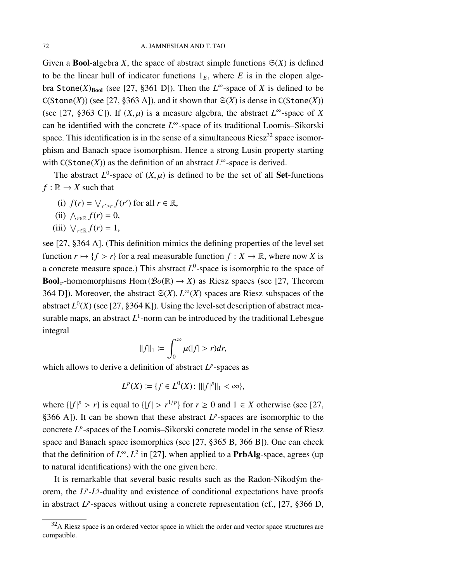Given a **Bool**-algebra *X*, the space of abstract simple functions  $\mathfrak{S}(X)$  is defined to be the linear hull of indicator functions  $1<sub>E</sub>$ , where *E* is in the clopen algebra Stone(*X*)<sub>Bool</sub> (see [\[27,](#page-98-3) §361 D]). Then the  $L^{\infty}$ -space of *X* is defined to be  $C(Stone(X))$  (see [\[27,](#page-98-3) §363 A]), and it shown that  $\mathfrak{S}(X)$  is dense in  $C(Stone(X))$ (see [\[27,](#page-98-3) §363 C]). If  $(X, \mu)$  is a measure algebra, the abstract  $L^{\infty}$ -space of *X* can be identified with the concrete *L* <sup>∞</sup>-space of its traditional Loomis–Sikorski space. This identification is in the sense of a simultaneous  $Riesz^{32}$  $Riesz^{32}$  $Riesz^{32}$  space isomorphism and Banach space isomorphism. Hence a strong Lusin property starting with  $C(Stone(X))$  as the definition of an abstract  $L^{\infty}$ -space is derived.

The abstract  $L^0$ -space of  $(X, \mu)$  is defined to be the set of all **Set**-functions  $f : \mathbb{R} \to X$  such that

- (i)  $f(r) = \bigvee_{r' > r} f(r')$  for all  $r \in \mathbb{R}$ ,
- (ii)  $\bigwedge_{r \in \mathbb{R}} f(r) = 0$ ,
- (iii)  $\bigvee_{r \in \mathbb{R}} f(r) = 1$ ,

see [\[27,](#page-98-3) §364 A]. (This definition mimics the defining properties of the level set function  $r \mapsto \{f > r\}$  for a real measurable function  $f : X \to \mathbb{R}$ , where now *X* is a concrete measure space.) This abstract  $L^0$ -space is isomorphic to the space of **Bool**<sub>σ</sub>-homomorphisms Hom ( $\mathcal{B}o(\mathbb{R}) \to X$ ) as Riesz spaces (see [\[27,](#page-98-3) Theorem 364 D]). Moreover, the abstract  $\mathfrak{S}(X)$ ,  $L^{\infty}(X)$  spaces are Riesz subspaces of the abstract  $L^0(X)$  (see [\[27,](#page-98-3) §364 K]). Using the level-set description of abstract measurable maps, an abstract  $L^1$ -norm can be introduced by the traditional Lebesgue integral

$$
||f||_1 := \int_0^\infty \mu(|f| > r) dr,
$$

which allows to derive a definition of abstract  $L^p$ -spaces as

 $L^p(X) := \{ f \in L^0(X) : |||f|^p||_1 < \infty \},\$ 

where  $\{|f|^p > r\}$  is equal to  $\{|f| > r^{1/p}\}$  for  $r \ge 0$  and  $1 \in X$  otherwise (see [\[27,](#page-98-3) §366 A]). It can be shown that these abstract  $L^p$ -spaces are isomorphic to the concrete L<sup>p</sup>-spaces of the Loomis–Sikorski concrete model in the sense of Riesz space and Banach space isomorphies (see [\[27,](#page-98-3) §365 B, 366 B]). One can check that the definition of  $L^{\infty}$ ,  $L^2$  in [\[27\]](#page-98-3), when applied to a **PrbAlg**-space, agrees (up to natural identifications) with the one given here.

It is remarkable that several basic results such as the Radon-Nikodým theorem, the  $L^p$ - $L^q$ -duality and existence of conditional expectations have proofs in abstract  $L^p$ -spaces without using a concrete representation (cf., [\[27,](#page-98-3) §366 D,

<span id="page-71-0"></span> $32A$  Riesz space is an ordered vector space in which the order and vector space structures are compatible.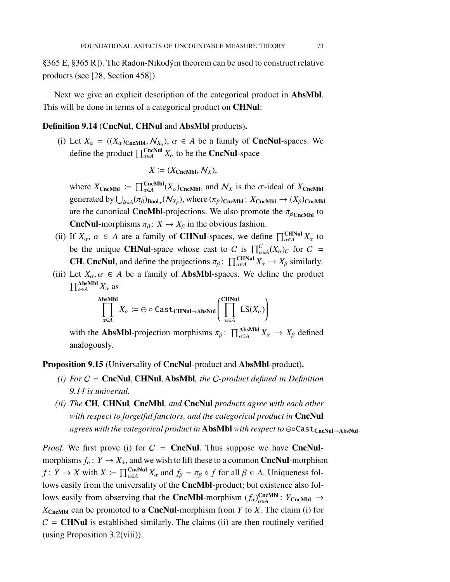§365 E, §365 R]). The Radon-Nikodým theorem can be used to construct relative products (see [\[28,](#page-98-0) Section 458]).

Next we give an explicit description of the categorical product in AbsMbl. This will be done in terms of a categorical product on **CHNul**:

### <span id="page-72-0"></span>Definition 9.14 (CncNul, CHNul and AbsMbl products).

(i) Let  $X_{\alpha} = ((X_{\alpha})_{\text{CncMbl}}, N_{X_{\alpha}}), \alpha \in A$  be a family of **CncNul**-spaces. We define the product  $\prod_{\alpha \in A}^{\text{CncNu}} X_{\alpha}$  to be the **CncNul**-space

$$
X := (X_{\text{CncMbl}}, \mathcal{N}_X),
$$

where  $X_{\text{CncMbl}} := \prod_{\alpha \in A}^{\text{CncMbl}} (X_{\alpha})_{\text{CncMbl}}$ , and  $\mathcal{N}_X$  is the  $\sigma$ -ideal of  $X_{\text{CncMbl}}$ generated by  $\bigcup_{\beta \in A} (\pi_\beta)_{\text{Bool}_{\sigma}} (\mathcal{N}_{X_\beta})$ , where  $(\pi_\beta)_{\text{CncMbl}}$ :  $X_{\text{CncMbl}} \to (X_\beta)_{\text{CncMbl}}$ are the canonical **CncMbl**-projections. We also promote the  $\pi_{\beta_{\text{ChcMbl}}}$  to **CncNul-**morphisms  $\pi_{\beta} : X \to X_{\beta}$  in the obvious fashion.

- (ii) If  $X_\alpha$ ,  $\alpha \in A$  are a family of **CHNul**-spaces, we define  $\prod_{\alpha \in A}^{CHNul} X_\alpha$  to be the unique **CHNul**-space whose cast to C is  $\prod_{\alpha \in A}^{C}(X_{\alpha})_C$  for C = **CH, CncNul,** and define the projections  $\pi_{\beta}$ :  $\prod_{\alpha \in A}^{CHNul} X_{\alpha} \rightarrow X_{\beta}$  similarly.
- (iii) Let  $X_\alpha, \alpha \in A$  be a family of **AbsMbl**-spaces. We define the product  $\prod_{\alpha \in A}^{\text{AbsMbl}} X_{\alpha}$  as

$$
\prod_{\alpha \in A}^{\text{AbsMbl}} X_{\alpha} \coloneqq \ominus \circ \text{Cast}_{\text{CHNul} \to \text{AbsNul}} \left( \prod_{\alpha \in A}^{\text{CHNul}} \text{LS}(X_{\alpha}) \right)
$$

with the **AbsMbl**-projection morphisms  $\pi_{\beta}$ :  $\prod_{\alpha \in A}^{\text{AbsMbl}} X_{\alpha} \to X_{\beta}$  defined analogously.

<span id="page-72-1"></span>Proposition 9.15 (Universality of CncNul-product and AbsMbl-product).

- *(i) For* C = CncNul, CHNul, AbsMbl*, the* C*-product defined in Definition [9.14](#page-72-0) is universal.*
- *(ii) The* CH*,* CHNul*,* CncMbl*, and* CncNul *products agree with each other with respect to forgetful functors, and the categorical product in* CncNul *agrees with the categorical product in* AbsMbl *with respect to* ⊖∘Cast<sub>CncNul→AbsNul·</sub>

*Proof.* We first prove (i) for  $C =$  **CncNul**. Thus suppose we have **CncNul**morphisms  $f_\alpha: Y \to X_\alpha$ , and we wish to lift these to a common **CncNul**-morphism *f* : *Y* → *X* with  $X := \prod_{\alpha \in A}^{CncNull} X_{\alpha}$  and  $f_{\beta} = \pi_{\beta} \circ f$  for all  $\beta \in A$ . Uniqueness follows easily from the universality of the CncMbl-product; but existence also follows easily from observing that the **CncMbl**-morphism  $(f_\alpha)_{\alpha \in A}^{\text{CncMbl}}$ :  $Y_{\text{CncMbl}} \to$  $X_{CncMbl}$  can be promoted to a **CncNul**-morphism from *Y* to *X*. The claim (i) for  $C = \text{CHNuI}$  is established similarly. The claims (ii) are then routinely verified (using Proposition [3.2\(](#page-26-0)viii)).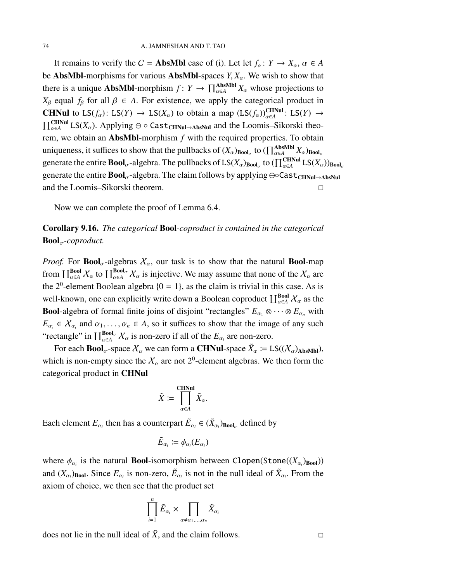It remains to verify the  $C =$  **AbsMbl** case of (i). Let let  $f_\alpha: Y \to X_\alpha, \alpha \in A$ be AbsMbl-morphisms for various AbsMbl-spaces  $Y, X_\alpha$ . We wish to show that there is a unique **AbsMbl**-morphism  $f: Y \to \prod_{\alpha \in A}^{\text{AbsMbl}} X_\alpha$  whose projections to  $X_{\beta}$  equal  $f_{\beta}$  for all  $\beta \in A$ . For existence, we apply the categorical product in **CHNul** to  $LS(f_\alpha)$ :  $LS(Y) \rightarrow LS(X_\alpha)$  to obtain a map  $(LS(f_\alpha))_{\alpha \in A}^{CHNul}$ :  $LS(Y) \rightarrow$  $\prod_{\alpha\in A}^{CHNul} LS(X_{\alpha})$ . Applying  $\ominus \circ Cast_{CHNul\rightarrow AbsNul}$  and the Loomis–Sikorski theorem, we obtain an AbsMbl-morphism *f* with the required properties. To obtain uniqueness, it suffices to show that the pullbacks of  $(X_\alpha)_{\mathbf{Bool}_\sigma}$  to  $(\prod_{\alpha \in A}^{\mathbf{AbsMbl}} X_\alpha)_{\mathbf{Bool}_\sigma}$ generate the entire  $\bf{Bool}_{\sigma}$ -algebra. The pullbacks of  $\text{LS}(X_\alpha)_{\bf{Bool}_{\sigma}}$  to  $(\prod_{\alpha \in A}^{\bf CHNuul} \text{LS}(X_\alpha))_{\bf{Bool}_{\sigma}}$ generate the entire Bool<sub>σ</sub>-algebra. The claim follows by applying ⊖∘Cast<sub>CHNul→AbsNul</sub> and the Loomis–Sikorski theorem.

Now we can complete the proof of Lemma [6.4.](#page-47-0)

# <span id="page-73-0"></span>Corollary 9.16. *The categorical* Bool*-coproduct is contained in the categorical*  $\text{Bool}_{\sigma}$ -coproduct.

*Proof.* For **Bool**<sub> $\sigma$ </sub>-algebras  $X_{\alpha}$ , our task is to show that the natural **Bool**-map from  $\coprod_{\alpha\in A}^{\text{Bool}}\chi_\alpha$  to  $\coprod_{\alpha\in A}^{\text{Bool}_{\sigma}}\chi_\alpha$  is injective. We may assume that none of the  $\chi_\alpha$  are the  $2^0$ -element Boolean algebra  $\{0 = 1\}$ , as the claim is trivial in this case. As is well-known, one can explicitly write down a Boolean coproduct  $\coprod_{\alpha \in A}^{\text{Bool}} X_\alpha$  as the **Bool**-algebra of formal finite joins of disjoint "rectangles"  $E_{\alpha_1} \otimes \cdots \otimes E_{\alpha_n}$  with  $E_{\alpha_i} \in X_{\alpha_i}$  and  $\alpha_1, \ldots, \alpha_n \in A$ , so it suffices to show that the image of any such "rectangle" in  $\prod_{\alpha \in A}^{\text{Bool}_{\sigma}} X_{\alpha}$  is non-zero if all of the  $E_{\alpha_i}$  are non-zero.

For each **Bool**<sub> $\sigma$ </sub>-space  $\chi_{\alpha}$  we can form a **CHNul**-space  $\tilde{X}_{\alpha} \coloneqq LS((\mathcal{X}_{\alpha})_{\text{AbsMbl}})$ , which is non-empty since the  $X_{\alpha}$  are not 2<sup>0</sup>-element algebras. We then form the categorical product in CHNul

$$
\tilde{X} \coloneqq \prod_{\alpha \in A}^{\text{CHNu}} \tilde{X}_{\alpha}.
$$

Each element  $E_{\alpha_i}$  then has a counterpart  $\tilde{E}_{\alpha_i} \in (\tilde{X}_{\alpha_i})_{\text{Bool}_\sigma}$  defined by

$$
\tilde{E}_{\alpha_i} \coloneqq \phi_{\alpha_i}(E_{\alpha_i})
$$

where  $\phi_{\alpha_i}$  is the natural **Bool**-isomorphism between Clopen(Stone( $(X_{\alpha_i})$ <sub>Bool</sub>)) and  $(X_{\alpha_i})$ <sub>Bool</sub>. Since  $E_{\alpha_i}$  is non-zero,  $\tilde{E}_{\alpha_i}$  is not in the null ideal of  $\tilde{X}_{\alpha_i}$ . From the axiom of choice, we then see that the product set

$$
\prod_{i=1}^n \tilde{E}_{\alpha_i} \times \prod_{\alpha \neq \alpha_1, \dots, \alpha_n} \tilde{X}_{\alpha_i}
$$

does not lie in the null ideal of  $\tilde{X}$ , and the claim follows.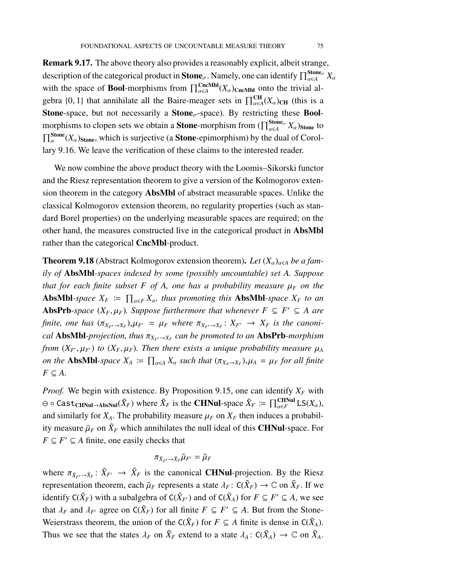Remark 9.17. The above theory also provides a reasonably explicit, albeit strange, description of the categorical product in **Stone**<sub> $\sigma$ </sub>. Namely, one can identify  $\prod_{\alpha\in A}^{ \text{Stone}_{\sigma}}X_{\alpha}$ with the space of **Bool**-morphisms from  $\prod_{\alpha \in A}^{CncMbl}(X_{\alpha})_{CncMbl}$  onto the trivial algebra  $\{0, 1\}$  that annihilate all the Baire-meager sets in  $\prod_{\alpha \in A}^{CH}(X_{\alpha})_{CH}$  (this is a **Stone-space, but not necessarily a Stone** $_{\sigma}$ -space). By restricting these **Bool**morphisms to clopen sets we obtain a **Stone**-morphism from  $(\prod_{\alpha \in A}^{\text{Stone}_{\sigma}} X_{\alpha})_{\text{Stone}}$  to  $\prod_{\alpha}^{\text{Stone}}(X_{\alpha})_{\text{Stone}}$ , which is surjective (a **Stone**-epimorphism) by the dual of Corollary [9.16.](#page-73-0) We leave the verification of these claims to the interested reader.

We now combine the above product theory with the Loomis–Sikorski functor and the Riesz representation theorem to give a version of the Kolmogorov extension theorem in the category AbsMbl of abstract measurable spaces. Unlike the classical Kolmogorov extension theorem, no regularity properties (such as standard Borel properties) on the underlying measurable spaces are required; on the other hand, the measures constructed live in the categorical product in AbsMbl rather than the categorical CncMbl-product.

<span id="page-74-0"></span>**Theorem 9.18** (Abstract Kolmogorov extension theorem). Let  $(X_\alpha)_{\alpha \in A}$  be a fam*ily of* AbsMbl*-spaces indexed by some (possibly uncountable) set A. Suppose that for each finite subset F of A, one has a probability measure*  $\mu_F$  *on the* **AbsMbl**-space  $X_F := \prod_{\alpha \in F} X_\alpha$ , thus promoting this **AbsMbl**-space  $X_F$  to an AbsPrb-space  $(X_F, \mu_F)$ . Suppose furthermore that whenever  $F \subseteq F' \subseteq A$  are *finite, one has*  $(\pi_{X_{F'}} \to_{X_F})_* \mu_{F'} = \mu_F$  *where*  $\pi_{X_{F'}} \to_{X_F} X_F$  *is the canonical* AbsMbl*-projection, thus* π*<sup>X</sup>F*′→*X<sup>F</sup> can be promoted to an* AbsPrb*-morphism from*  $(X_F, \mu_F)$  *to*  $(X_F, \mu_F)$ *. Then there exists a unique probability measure*  $\mu_A$ *on the* **AbsMbl**-space  $X_A := \prod_{\alpha \in A} X_\alpha$  such that  $(\pi_{X_A \to X_F})_* \mu_A = \mu_F$  for all finite  $F \subseteq A$ .

*Proof.* We begin with existence. By Proposition [9.15,](#page-72-1) one can identify  $X_F$  with  $\ominus$   $\circ$  Cast<sub>CHNul→AbsNul</sub>( $\tilde{X}_F$ ) where  $\tilde{X}_F$  is the **CHNul**-space  $\tilde{X}_F \coloneqq \prod_{\alpha \in F}^{\text{CHNu}} \text{LS}(X_\alpha)$ , and similarly for  $X_A$ . The probability measure  $\mu_F$  on  $X_F$  then induces a probability measure  $\tilde{\mu}_F$  on  $\tilde{X}_F$  which annihilates the null ideal of this **CHNul**-space. For  $F \subseteq F' \subseteq A$  finite, one easily checks that

$$
\pi_{\tilde{X}_F \rightarrow \tilde{X}_F} \tilde{\mu}_{F'} = \tilde{\mu}_F
$$

where  $\pi_{\tilde{X}_{F'} \to \tilde{X}_F}: \tilde{X}_{F'} \to \tilde{X}_F$  is the canonical **CHNul**-projection. By the Riesz representation theorem, each  $\tilde{\mu}_F$  represents a state  $\lambda_F$ :  $C(\tilde{X}_F) \to \mathbb{C}$  on  $\tilde{X}_F$ . If we identify  $C(\tilde{X}_F)$  with a subalgebra of  $C(\tilde{X}_{F'})$  and of  $C(\tilde{X}_A)$  for  $F \subseteq F' \subseteq A$ , we see that  $\lambda_F$  and  $\lambda_{F'}$  agree on  $C(\tilde{X}_F)$  for all finite  $F \subseteq F' \subseteq A$ . But from the Stone-Weierstrass theorem, the union of the  $C(\tilde{X}_F)$  for  $F \subseteq A$  finite is dense in  $C(\tilde{X}_A)$ . Thus we see that the states  $\lambda_F$  on  $\tilde{X}_F$  extend to a state  $\lambda_A: C(\tilde{X}_A) \to \mathbb{C}$  on  $\tilde{X}_A$ .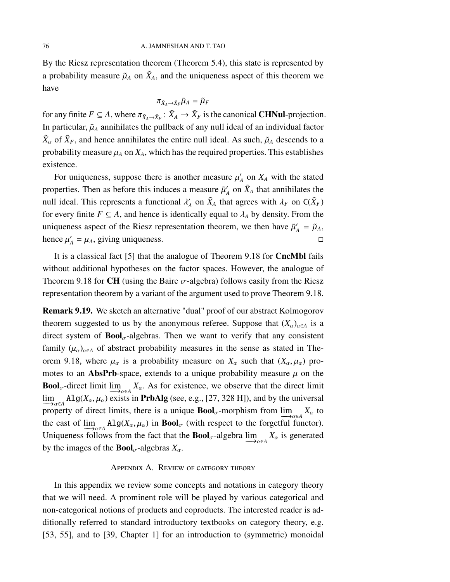By the Riesz representation theorem (Theorem [5.4\)](#page-38-0), this state is represented by a probability measure  $\tilde{\mu}_A$  on  $\tilde{X}_A$ , and the uniqueness aspect of this theorem we have

$$
\pi_{\tilde{X}_A \to \tilde{X}_F} \tilde{\mu}_A = \tilde{\mu}_F
$$

for any finite  $F \subseteq A$ , where  $\pi_{\tilde{X}_A \to \tilde{X}_F} : \tilde{X}_A \to \tilde{X}_F$  is the canonical **CHNul**-projection. In particular,  $\tilde{\mu}_A$  annihilates the pullback of any null ideal of an individual factor  $\tilde{X}_{\alpha}$  of  $\tilde{X}_F$ , and hence annihilates the entire null ideal. As such,  $\tilde{\mu}_A$  descends to a probability measure  $\mu_A$  on  $X_A$ , which has the required properties. This establishes existence.

For uniqueness, suppose there is another measure  $\mu'$  $X_A$  on  $X_A$  with the stated properties. Then as before this induces a measure  $\tilde{\mu}'_k$  $\hat{X}_A$  on  $\tilde{X}_A$  that annihilates the null ideal. This represents a functional  $\lambda'$  $\tilde{X}_A$  on  $\tilde{X}_A$  that agrees with  $\lambda_F$  on  $C(\tilde{X}_F)$ for every finite  $F \subseteq A$ , and hence is identically equal to  $\lambda_A$  by density. From the uniqueness aspect of the Riesz representation theorem, we then have  $\tilde{\mu}'_A = \tilde{\mu}_A$ , hence  $\mu'_A = \mu_A$ , giving uniqueness.

It is a classical fact [\[5\]](#page-96-0) that the analogue of Theorem [9.18](#page-74-0) for CncMbl fails without additional hypotheses on the factor spaces. However, the analogue of Theorem [9.18](#page-74-0) for CH (using the Baire  $\sigma$ -algebra) follows easily from the Riesz representation theorem by a variant of the argument used to prove Theorem [9.18.](#page-74-0)

Remark 9.19. We sketch an alternative "dual" proof of our abstract Kolmogorov theorem suggested to us by the anonymous referee. Suppose that  $(X_{\alpha})_{\alpha \in A}$  is a direct system of  $\text{Bool}_{\sigma}$ -algebras. Then we want to verify that any consistent family  $(\mu_{\alpha})_{\alpha \in A}$  of abstract probability measures in the sense as stated in The-orem [9.18,](#page-74-0) where  $\mu_{\alpha}$  is a probability measure on  $X_{\alpha}$  such that  $(X_{\alpha}, \mu_{\alpha})$  promotes to an **AbsPrb**-space, extends to a unique probability measure  $\mu$  on the **Bool**<sub>σ</sub>-direct limit  $\lim_{\Delta x \in A} X_\alpha$ . As for existence, we observe that the direct limit  $\lim_{\Delta a \in A}$  Alg( $X_{\alpha}, \mu_{\alpha}$ ) exists in **PrbAlg** (see, e.g., [\[27,](#page-98-1) 328 H]), and by the universal property of direct limits, there is a unique  $\text{Bool}_{\sigma}$ -morphism from  $\lim_{\Delta a \in A} X_{\alpha}$  to the cast of  $\lim_{\Delta t \to 0}$  Alg( $X_\alpha$ ,  $\mu_\alpha$ ) in **Bool**<sub>σ</sub> (with respect to the forgetful functor). Uniqueness follows from the fact that the **Bool**<sub>σ</sub>-algebra  $\lim_{\Delta a \in A} X_\alpha$  is generated by the images of the **Bool**<sub> $\sigma$ </sub>-algebras  $X_{\alpha}$ .

#### APPENDIX A. REVIEW OF CATEGORY THEORY

In this appendix we review some concepts and notations in category theory that we will need. A prominent role will be played by various categorical and non-categorical notions of products and coproducts. The interested reader is additionally referred to standard introductory textbooks on category theory, e.g. [\[53,](#page-99-0) [55\]](#page-99-1), and to [\[39,](#page-98-2) Chapter 1] for an introduction to (symmetric) monoidal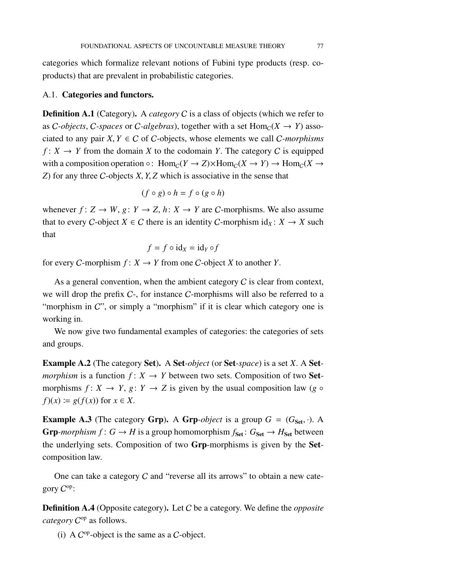categories which formalize relevant notions of Fubini type products (resp. coproducts) that are prevalent in probabilistic categories.

### A.1. Categories and functors.

**Definition A.1** (Category). A *category* C is a class of objects (which we refer to as C-objects, C-spaces or C-algebras), together with a set  $Hom_C(X \to Y)$  associated to any pair  $X, Y \in C$  of C-objects, whose elements we call C-morphisms  $f: X \to Y$  from the domain *X* to the codomain *Y*. The category *C* is equipped with a composition operation  $\circ$ : Hom<sub>C</sub>(*Y*  $\rightarrow$  *Z*)×Hom<sub>C</sub>(*X*  $\rightarrow$  *Y*)  $\rightarrow$  Hom<sub>C</sub>(*X*  $\rightarrow$ *Z*) for any three C-objects *X*, *Y*, *Z* which is associative in the sense that

$$
(f \circ g) \circ h = f \circ (g \circ h)
$$

whenever  $f: Z \to W$ ,  $g: Y \to Z$ ,  $h: X \to Y$  are C-morphisms. We also assume that to every *C*-object  $X \in C$  there is an identity *C*-morphism  $id_X: X \to X$  such that

$$
f = f \circ id_X = id_Y \circ f
$$

for every *C*-morphism  $f: X \to Y$  from one *C*-object *X* to another *Y*.

As a general convention, when the ambient category  $C$  is clear from context, we will drop the prefix C-, for instance C-morphisms will also be referred to a "morphism in C", or simply a "morphism" if it is clear which category one is working in.

We now give two fundamental examples of categories: the categories of sets and groups.

Example A.2 (The category Set). A Set*-object* (or Set*-space*) is a set *X*. A Set*morphism* is a function  $f: X \to Y$  between two sets. Composition of two **Set**morphisms  $f: X \to Y$ ,  $g: Y \to Z$  is given by the usual composition law (*g* ◦  $f(x) := g(f(x))$  for  $x \in X$ .

**Example A.3** (The category Grp). A Grp-*object* is a group  $G = (G_{\text{Set}}, \cdot)$ . A Grp-morphism  $f: G \to H$  is a group homomorphism  $f_{\text{Set}}: G_{\text{Set}} \to H_{\text{Set}}$  between the underlying sets. Composition of two Grp-morphisms is given by the Setcomposition law.

One can take a category  $C$  and "reverse all its arrows" to obtain a new category  $C^{op}$ :

Definition A.4 (Opposite category). Let C be a category. We define the *opposite* category C<sup>op</sup> as follows.

(i) A  $C^{op}$ -object is the same as a  $C$ -object.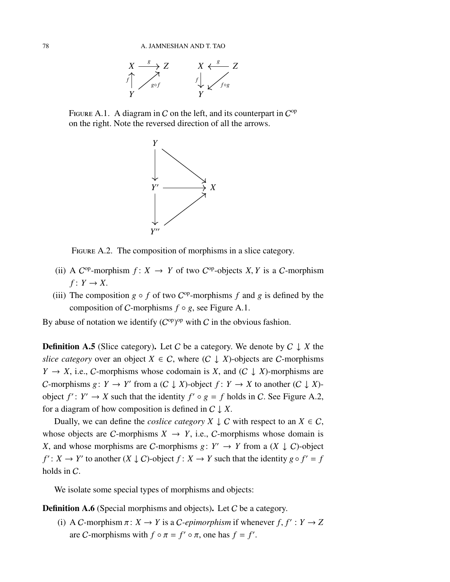

FIGURE A.1. A diagram in C on the left, and its counterpart in  $C^{op}$ on the right. Note the reversed direction of all the arrows.

<span id="page-77-0"></span>

<span id="page-77-1"></span>FIGURE A.2. The composition of morphisms in a slice category.

- (ii) A  $C^{op}$ -morphism  $f: X \to Y$  of two  $C^{op}$ -objects *X*, *Y* is a *C*-morphism  $f: Y \rightarrow X$ .
- (iii) The composition  $g \circ f$  of two  $C^{op}$ -morphisms  $f$  and  $g$  is defined by the composition of *C*-morphisms  $f \circ g$ , see Figure [A.1.](#page-77-0)

By abuse of notation we identify  $(C^{op})^{op}$  with C in the obvious fashion.

**Definition A.5** (Slice category). Let C be a category. We denote by  $C \downarrow X$  the *slice category* over an object  $X \in C$ , where  $(C \downarrow X)$ -objects are C-morphisms  $Y \rightarrow X$ , i.e., C-morphisms whose codomain is *X*, and (C  $\downarrow X$ )-morphisms are *C*-morphisms  $g: Y \to Y'$  from a  $(C \downarrow X)$ -object  $f: Y \to X$  to another  $(C \downarrow X)$ object  $f' : Y' \to X$  such that the identity  $f' \circ g = f$  holds in C. See Figure [A.2,](#page-77-1) for a diagram of how composition is defined in  $C \downarrow X$ .

Dually, we can define the *coslice category*  $X \perp C$  with respect to an  $X \in C$ , whose objects are *C*-morphisms  $X \rightarrow Y$ , i.e., *C*-morphisms whose domain is *X*, and whose morphisms are *C*-morphisms *g*:  $Y' \rightarrow Y$  from a  $(X \downarrow C)$ -object  $f' : X \to Y'$  to another  $(X \downarrow C)$ -object  $f : X \to Y$  such that the identity  $g \circ f' = f$ holds in C.

We isolate some special types of morphisms and objects:

**Definition A.6** (Special morphisms and objects). Let C be a category.

(i) A C-morphism  $\pi: X \to Y$  is a C-epimorphism if whenever  $f, f': Y \to Z$ are *C*-morphisms with  $f \circ \pi = f' \circ \pi$ , one has  $f = f'$ .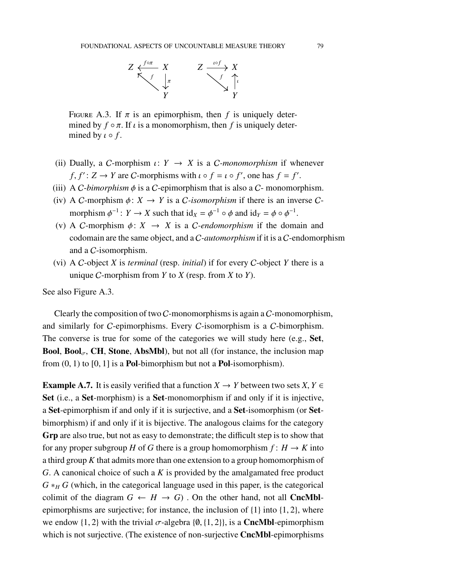

<span id="page-78-0"></span>FIGURE A.3. If  $\pi$  is an epimorphism, then f is uniquely determined by  $f \circ \pi$ . If  $\iota$  is a monomorphism, then f is uniquely determined by  $\iota \circ f$ .

- (ii) Dually, a *C*-morphism  $\iota: Y \to X$  is a *C*-monomorphism if whenever *f*,  $f'$ :  $Z \rightarrow Y$  are *C*-morphisms with  $\iota \circ f = \iota \circ f'$ , one has  $f = f'$ .
- (iii) A C-bimorphism  $\phi$  is a C-epimorphism that is also a C- monomorphism.
- (iv) A C-morphism  $\phi: X \to Y$  is a C-isomorphism if there is an inverse Cmorphism  $\phi^{-1}$ :  $Y \to X$  such that  $\mathrm{id}_X = \phi^{-1} \circ \phi$  and  $\mathrm{id}_Y = \phi \circ \phi^{-1}$ .
- (v) A C-morphism  $\phi: X \rightarrow X$  is a C-endomorphism if the domain and codomain are the same object, and a C*-automorphism* if it is a C-endomorphism and a C-isomorphism.
- (vi) A C-object *X* is *terminal* (resp. *initial*) if for every C-object *Y* there is a unique C-morphism from *Y* to *X* (resp. from *X* to *Y*).

See also Figure [A.3.](#page-78-0)

Clearly the composition of two C-monomorphisms is again a C-monomorphism, and similarly for C-epimorphisms. Every C-isomorphism is a C-bimorphism. The converse is true for some of the categories we will study here (e.g., Set, **Bool, Bool<sub>** $\sigma$ **</sub>, CH, Stone, AbsMbl)**, but not all (for instance, the inclusion map from  $(0, 1)$  to  $[0, 1]$  is a **Pol**-bimorphism but not a **Pol**-isomorphism).

**Example A.7.** It is easily verified that a function  $X \to Y$  between two sets  $X, Y \in Y$ Set (i.e., a Set-morphism) is a Set-monomorphism if and only if it is injective, a Set-epimorphism if and only if it is surjective, and a Set-isomorphism (or Setbimorphism) if and only if it is bijective. The analogous claims for the category Grp are also true, but not as easy to demonstrate; the difficult step is to show that for any proper subgroup *H* of *G* there is a group homomorphism  $f: H \to K$  into a third group *K* that admits more than one extension to a group homomorphism of *G*. A canonical choice of such a *K* is provided by the amalgamated free product  $G *_{H} G$  (which, in the categorical language used in this paper, is the categorical colimit of the diagram  $G \leftarrow H \rightarrow G$ ). On the other hand, not all **CncMbl**epimorphisms are surjective; for instance, the inclusion of {1} into {1, 2}, where we endow {1, 2} with the trivial  $\sigma$ -algebra {0, {1, 2}}, is a **CncMbl**-epimorphism which is not surjective. (The existence of non-surjective **CncMbl**-epimorphisms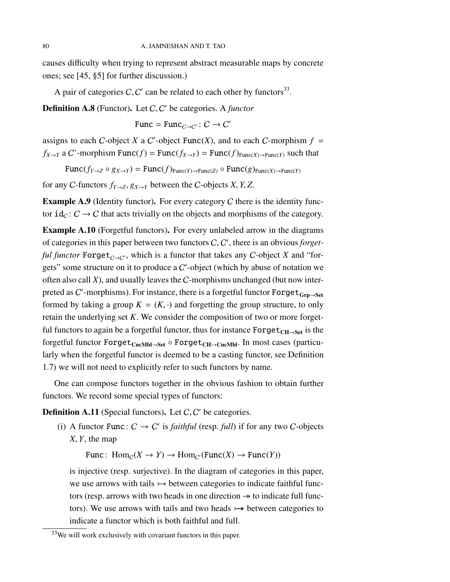causes difficulty when trying to represent abstract measurable maps by concrete ones; see [\[45,](#page-99-2) §5] for further discussion.)

A pair of categories C, C' can be related to each other by functors<sup>[33](#page-79-0)</sup>.

Definition A.8 (Functor). Let C, C ′ be categories. A *functor*

Func =  $Func_{C\rightarrow C'}: C \rightarrow C'$ 

assigns to each C-object *X* a C'-object Func(*X*), and to each C-morphism  $f =$ *f*<sub>*X→Y</sub>* a *C*'-morphism Func(*f*) = Func(*f*<sub>*X→Y</sub>*) = Func(*f*)<sub>Func(*X*)→Func(*Y*) such that</sub></sub></sub>

 $Func(f_{Y\rightarrow Z} \circ g_{X\rightarrow Y}) = Func(f)_{Func(Y)\rightarrow Func(Z)} \circ Func(g)_{Func(X)\rightarrow Func(Y)}$ 

for any C-functors  $f_{Y\to Z}$ ,  $g_{X\to Y}$  between the C-objects *X*, *Y*, *Z*.

**Example A.9** (Identity functor). For every category C there is the identity functor  $id_{\mathcal{C}}: \mathcal{C} \to \mathcal{C}$  that acts trivially on the objects and morphisms of the category.

Example A.10 (Forgetful functors). For every unlabeled arrow in the diagrams of categories in this paper between two functors C, C ′ , there is an obvious *forgetful functor* Forget<sub>C→C</sub>', which is a functor that takes any C-object *X* and "forgets" some structure on it to produce a  $C'$ -object (which by abuse of notation we often also call *X*), and usually leaves the C-morphisms unchanged (but now interpreted as C'-morphisms). For instance, there is a forgetful functor  $\texttt{Forget}_{\texttt{Grp} \rightarrow \texttt{Set}}$ formed by taking a group  $K = (K, \cdot)$  and forgetting the group structure, to only retain the underlying set *K*. We consider the composition of two or more forgetful functors to again be a forgetful functor, thus for instance  $\text{Forget}_{\text{CH}\rightarrow \text{Set}}$  is the forgetful functor  $\text{Forget}_{\text{CncMbl}\rightarrow\text{Set}} \circ \text{Forget}_{\text{CH}\rightarrow\text{CncMbl}}$ . In most cases (particularly when the forgetful functor is deemed to be a casting functor, see Definition [1.7\)](#page-15-0) we will not need to explicitly refer to such functors by name.

One can compose functors together in the obvious fashion to obtain further functors. We record some special types of functors:

**Definition A.11** (Special functors). Let  $C$ ,  $C'$  be categories.

(i) A functor Func:  $C \rightarrow C'$  is *faithful* (resp. *full*) if for any two C-objects *X*, *Y*, the map

Func:  $Hom_C(X \to Y) \to Hom_{C'}(Func(X) \to Func(Y))$ 

is injective (resp. surjective). In the diagram of categories in this paper, we use arrows with tails  $\rightarrow$  between categories to indicate faithful functors (resp. arrows with two heads in one direction  $\rightarrow$  to indicate full functors). We use arrows with tails and two heads  $\rightarrow$  between categories to indicate a functor which is both faithful and full.

<span id="page-79-0"></span><sup>&</sup>lt;sup>33</sup>We will work exclusively with covariant functors in this paper.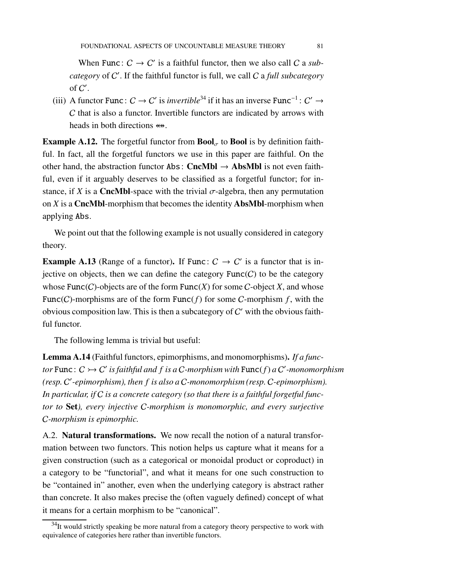When Func:  $C \rightarrow C'$  is a faithful functor, then we also call C a *subcategory* of C ′ . If the faithful functor is full, we call C a *full subcategory* of  $C'$ .

(iii) A functor Func:  $C \to C'$  is *invertible*<sup>[34](#page-80-0)</sup> if it has an inverse Func<sup>-1</sup>:  $C' \to C'$ C that is also a functor. Invertible functors are indicated by arrows with heads in both directions  $\Leftrightarrow$ .

**Example A.12.** The forgetful functor from  $\text{Bool}_{\sigma}$  to **Bool** is by definition faithful. In fact, all the forgetful functors we use in this paper are faithful. On the other hand, the abstraction functor Abs: CncMbl  $\rightarrow$  AbsMbl is not even faithful, even if it arguably deserves to be classified as a forgetful functor; for instance, if *X* is a **CncMbl**-space with the trivial  $\sigma$ -algebra, then any permutation on *X* is a CncMbl-morphism that becomes the identity AbsMbl-morphism when applying Abs.

We point out that the following example is not usually considered in category theory.

**Example A.13** (Range of a functor). If Func:  $C \rightarrow C'$  is a functor that is injective on objects, then we can define the category  $Func(C)$  to be the category whose  $Func(C)$ -objects are of the form  $Func(X)$  for some C-object *X*, and whose Func(C)-morphisms are of the form Func( $f$ ) for some C-morphism  $f$ , with the obvious composition law. This is then a subcategory of  $C'$  with the obvious faithful functor.

The following lemma is trivial but useful:

Lemma A.14 (Faithful functors, epimorphisms, and monomorphisms). *If a functor* Func:  $C \rightarrowtail C'$  is faithful and f is a C-morphism with Func(f) a C'-monomorphism *(resp.* C ′ *-epimorphism), then f is also a* C*-monomorphism (resp.* C*-epimorphism). In particular, if* C *is a concrete category (so that there is a faithful forgetful functor to* Set*), every injective* C*-morphism is monomorphic, and every surjective* C*-morphism is epimorphic.*

A.2. Natural transformations. We now recall the notion of a natural transformation between two functors. This notion helps us capture what it means for a given construction (such as a categorical or monoidal product or coproduct) in a category to be "functorial", and what it means for one such construction to be "contained in" another, even when the underlying category is abstract rather than concrete. It also makes precise the (often vaguely defined) concept of what it means for a certain morphism to be "canonical".

<span id="page-80-0"></span> $34$ It would strictly speaking be more natural from a category theory perspective to work with equivalence of categories here rather than invertible functors.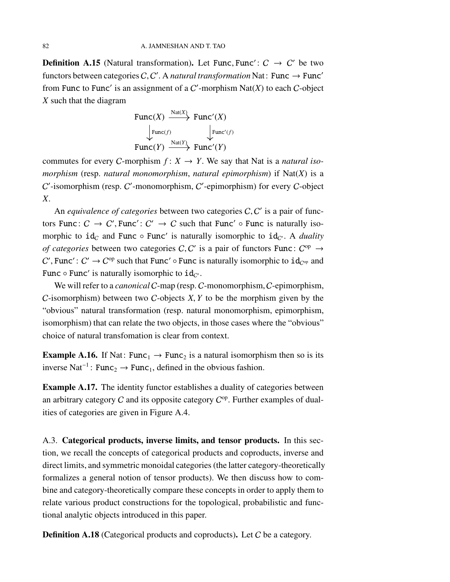**Definition A.15** (Natural transformation). Let Func, Func':  $C \rightarrow C'$  be two functors between categories  $C, C'$ . A *natural transformation* Nat: Func  $\rightarrow$  Func' from Func to Func' is an assignment of a  $C$ <sup>-</sup>morphism Nat $(X)$  to each  $C$ -object *X* such that the diagram

$$
\begin{array}{ccc}\n\text{Func}(X) & \xrightarrow{\text{Nat}(X)} & \text{Func}'(X) \\
\downarrow_{\text{Func}(f)} & & \downarrow_{\text{Func}'(f)} \\
\text{Func}(Y) & \xrightarrow{\text{Nat}(Y)} & \text{Func}'(Y)\n\end{array}
$$

commutes for every *C*-morphism  $f: X \rightarrow Y$ . We say that Nat is a *natural isomorphism* (resp. *natural monomorphism*, *natural epimorphism*) if Nat(*X*) is a  $C'$ -isomorphism (resp.  $C'$ -monomorphism,  $C'$ -epimorphism) for every  $C$ -object *X*.

An *equivalence of categories* between two categories C, C' is a pair of functors Func:  $C \rightarrow C'$ , Func':  $C' \rightarrow C$  such that Func'  $\circ$  Func is naturally isomorphic to  $id_{\mathcal{C}}$  and Func  $\circ$  Func' is naturally isomorphic to  $id_{\mathcal{C}}$ . A *duality of categories* between two categories C, C' is a pair of functors Func:  $C^{op} \rightarrow$ C', Func':  $C' \to C^{op}$  such that Func'  $\circ$  Func is naturally isomorphic to  $id_{C^{op}}$  and Func  $\circ$  Func' is naturally isomorphic to  $id_{C'}$ .

We will refer to a *canonical* C-map (resp. C-monomorphism, C-epimorphism, C-isomorphism) between two C-objects *X*, *Y* to be the morphism given by the "obvious" natural transformation (resp. natural monomorphism, epimorphism, isomorphism) that can relate the two objects, in those cases where the "obvious" choice of natural transfomation is clear from context.

**Example A.16.** If Nat: Func<sub>1</sub>  $\rightarrow$  Func<sub>2</sub> is a natural isomorphism then so is its inverse Nat<sup>-1</sup>: Func<sub>2</sub> → Func<sub>1</sub>, defined in the obvious fashion.

Example A.17. The identity functor establishes a duality of categories between an arbitrary category  $C$  and its opposite category  $C^{op}$ . Further examples of dualities of categories are given in Figure [A.4.](#page-82-0)

A.3. Categorical products, inverse limits, and tensor products. In this section, we recall the concepts of categorical products and coproducts, inverse and direct limits, and symmetric monoidal categories (the latter category-theoretically formalizes a general notion of tensor products). We then discuss how to combine and category-theoretically compare these concepts in order to apply them to relate various product constructions for the topological, probabilistic and functional analytic objects introduced in this paper.

**Definition A.18** (Categorical products and coproducts). Let C be a category.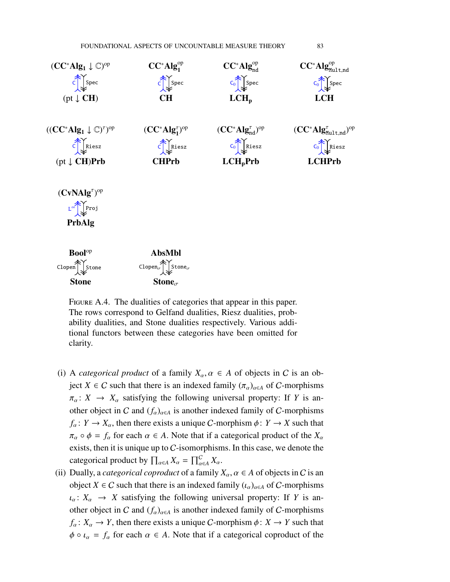

<span id="page-82-0"></span>FIGURE A.4. The dualities of categories that appear in this paper. The rows correspond to Gelfand dualities, Riesz dualities, probability dualities, and Stone dualities respectively. Various additional functors between these categories have been omitted for clarity.

Stone Stone

- (i) A *categorical product* of a family  $X_\alpha, \alpha \in A$  of objects in C is an object *X*  $\in$  *C* such that there is an indexed family  $(\pi_{\alpha})_{\alpha \in A}$  of *C*-morphisms  $\pi_{\alpha} : X \rightarrow X_{\alpha}$  satisfying the following universal property: If *Y* is another object in C and  $(f_{\alpha})_{\alpha \in A}$  is another indexed family of C-morphisms  $f_{\alpha}$ :  $Y \to X_{\alpha}$ , then there exists a unique *C*-morphism  $\phi$ :  $Y \to X$  such that  $\pi_{\alpha} \circ \phi = f_{\alpha}$  for each  $\alpha \in A$ . Note that if a categorical product of the  $X_{\alpha}$ exists, then it is unique up to  $C$ -isomorphisms. In this case, we denote the categorical product by  $\prod_{\alpha \in A} X_{\alpha} = \prod_{\alpha \in A}^C X_{\alpha}$ .
- (ii) Dually, a *categorical coproduct* of a family  $X_\alpha$ ,  $\alpha \in A$  of objects in C is an object *X*  $\in$  *C* such that there is an indexed family  $(\iota_{\alpha})_{\alpha \in A}$  of *C*-morphisms  $\iota_{\alpha} : X_{\alpha} \rightarrow X$  satisfying the following universal property: If *Y* is another object in C and  $(f_\alpha)_{\alpha \in A}$  is another indexed family of C-morphisms  $f_{\alpha} : X_{\alpha} \to Y$ , then there exists a unique *C*-morphism  $\phi : X \to Y$  such that  $\phi \circ \iota_{\alpha} = f_{\alpha}$  for each  $\alpha \in A$ . Note that if a categorical coproduct of the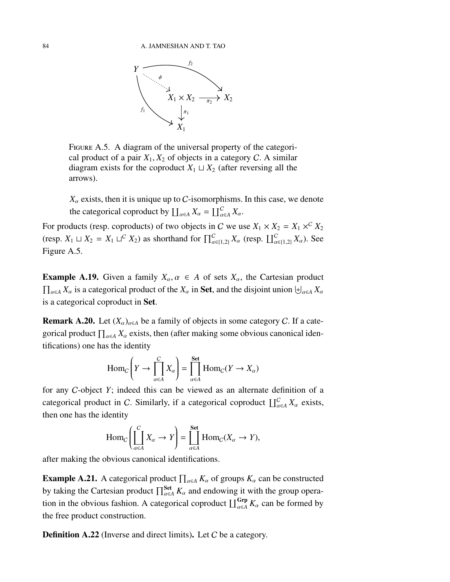

<span id="page-83-0"></span>Figure A.5. A diagram of the universal property of the categorical product of a pair  $X_1, X_2$  of objects in a category C. A similar diagram exists for the coproduct  $X_1 \sqcup X_2$  (after reversing all the arrows).

 $X_\alpha$  exists, then it is unique up to C-isomorphisms. In this case, we denote the categorical coproduct by  $\coprod_{\alpha \in A} X_{\alpha} = \coprod_{\alpha \in A}^C X_{\alpha}$ .

For products (resp. coproducts) of two objects in C we use  $X_1 \times X_2 = X_1 \times^C X_2$ (resp.  $X_1 \sqcup X_2 = X_1 \sqcup^C X_2$ ) as shorthand for  $\prod_{\alpha \in \{1,2\}}^C X_\alpha$  (resp.  $\prod_{\alpha \in \{1,2\}}^C X_\alpha$ ). See Figure [A.5.](#page-83-0)

**Example A.19.** Given a family  $X_\alpha, \alpha \in A$  of sets  $X_\alpha$ , the Cartesian product  $\prod_{\alpha \in A} X_\alpha$  is a categorical product of the  $X_\alpha$  in Set, and the disjoint union  $\biguplus_{\alpha \in A} X_\alpha$ is a categorical coproduct in Set.

**Remark A.20.** Let  $(X_{\alpha})_{\alpha \in A}$  be a family of objects in some category C. If a categorical product  $\prod_{\alpha \in A} X_{\alpha}$  exists, then (after making some obvious canonical identifications) one has the identity

$$
\text{Hom}_C\bigg(Y \to \prod_{\alpha \in A}^C X_{\alpha}\bigg) = \prod_{\alpha \in A}^{\text{Set}} \text{Hom}_C(Y \to X_{\alpha})
$$

for any C-object *Y*; indeed this can be viewed as an alternate definition of a categorical product in C. Similarly, if a categorical coproduct  $\prod_{\alpha \in A}^{C} X_{\alpha}$  exists, then one has the identity

$$
\text{Hom}_C\bigg(\coprod_{\alpha\in A}^CX_{\alpha} \to Y\bigg) = \coprod_{\alpha\in A}^{\text{Set}} \text{Hom}_C(X_{\alpha} \to Y),
$$

after making the obvious canonical identifications.

<span id="page-83-1"></span>**Example A.21.** A categorical product  $\prod_{\alpha \in A} K_{\alpha}$  of groups  $K_{\alpha}$  can be constructed by taking the Cartesian product  $\prod_{\alpha \in A}^{Set} K_{\alpha}$  and endowing it with the group operation in the obvious fashion. A categorical coproduct  $\coprod_{\alpha \in A}^{Grp} K_{\alpha}$  can be formed by the free product construction.

Definition A.22 (Inverse and direct limits). Let C be a category.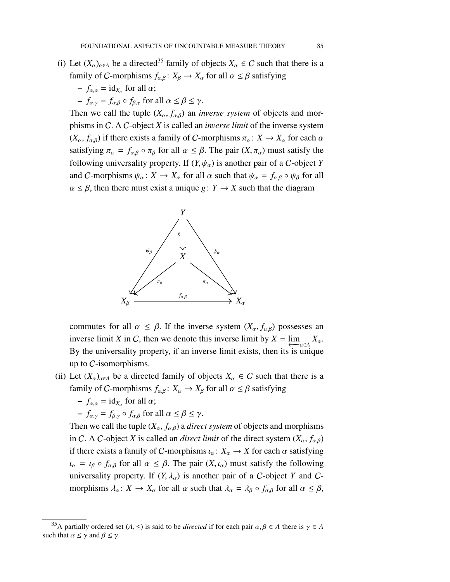- (i) Let  $(X_\alpha)_{\alpha \in A}$  be a directed<sup>[35](#page-84-0)</sup> family of objects  $X_\alpha \in C$  such that there is a family of *C*-morphisms  $f_{\alpha,\beta}$ :  $X_{\beta} \to X_{\alpha}$  for all  $\alpha \leq \beta$  satisfying
	- $-f_{\alpha,\alpha} = \text{id}_{X_{\alpha}}$  for all  $\alpha$ ;
	- $-\int_{\alpha,\gamma}$  =  $f_{\alpha,\beta}$  ∘  $f_{\beta,\gamma}$  for all  $\alpha \leq \beta \leq \gamma$ .

Then we call the tuple  $(X_\alpha, f_{\alpha,\beta})$  an *inverse system* of objects and morphisms in C. A C-object *X* is called an *inverse limit* of the inverse system  $(X_{\alpha}, f_{\alpha,\beta})$  if there exists a family of C-morphisms  $\pi_{\alpha} : X \to X_{\alpha}$  for each  $\alpha$ satisfying  $\pi_{\alpha} = f_{\alpha\beta} \circ \pi_{\beta}$  for all  $\alpha \leq \beta$ . The pair  $(X, \pi_{\alpha})$  must satisfy the following universality property. If  $(Y, \psi_\alpha)$  is another pair of a C-object *Y* and C-morphisms  $\psi_{\alpha} : X \to X_{\alpha}$  for all  $\alpha$  such that  $\psi_{\alpha} = f_{\alpha,\beta} \circ \psi_{\beta}$  for all  $\alpha \leq \beta$ , then there must exist a unique *g*:  $Y \rightarrow X$  such that the diagram



commutes for all  $\alpha \leq \beta$ . If the inverse system  $(X_{\alpha}, f_{\alpha,\beta})$  possesses an inverse limit *X* in *C*, then we denote this inverse limit by  $X = \lim_{\epsilon \to a \in A} X_\alpha$ . By the universality property, if an inverse limit exists, then its is unique up to C-isomorphisms.

- (ii) Let  $(X_\alpha)_{\alpha \in A}$  be a directed family of objects  $X_\alpha \in C$  such that there is a family of *C*-morphisms  $f_{\alpha,\beta}: X_{\alpha} \to X_{\beta}$  for all  $\alpha \leq \beta$  satisfying
	- $-f_{\alpha,\alpha} = \text{id}_{X_{\alpha}}$  for all  $\alpha$ ;

$$
- f_{\alpha,\gamma} = f_{\beta,\gamma} \circ f_{\alpha,\beta} \text{ for all } \alpha \le \beta \le \gamma.
$$

Then we call the tuple  $(X_\alpha, f_{\alpha,\beta})$  a *direct system* of objects and morphisms in C. A C-object *X* is called an *direct limit* of the direct system  $(X_{\alpha}, f_{\alpha,\beta})$ if there exists a family of C-morphisms  $\iota_{\alpha} : X_{\alpha} \to X$  for each  $\alpha$  satisfying  $\iota_{\alpha} = \iota_{\beta} \circ f_{\alpha,\beta}$  for all  $\alpha \leq \beta$ . The pair  $(X, \iota_{\alpha})$  must satisfy the following universality property. If  $(Y, \lambda_{\alpha})$  is another pair of a C-object Y and Cmorphisms  $\lambda_{\alpha} : X \to X_{\alpha}$  for all  $\alpha$  such that  $\lambda_{\alpha} = \lambda_{\beta} \circ f_{\alpha,\beta}$  for all  $\alpha \leq \beta$ ,

<span id="page-84-0"></span><sup>&</sup>lt;sup>35</sup>A partially ordered set  $(A, \leq)$  is said to be *directed* if for each pair  $\alpha, \beta \in A$  there is  $\gamma \in A$ such that  $\alpha \leq \gamma$  and  $\beta \leq \gamma$ .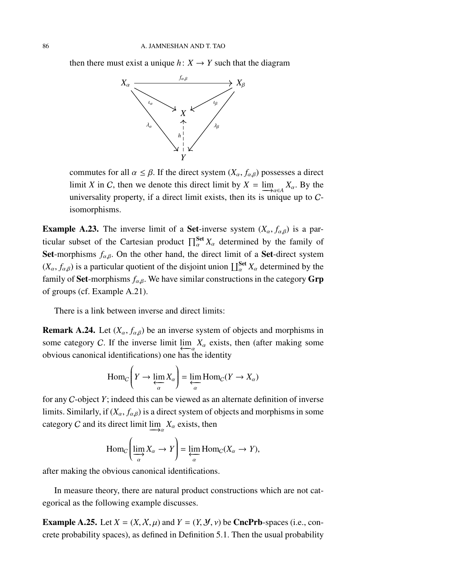then there must exist a unique  $h: X \rightarrow Y$  such that the diagram



commutes for all  $\alpha \leq \beta$ . If the direct system  $(X_{\alpha}, f_{\alpha,\beta})$  possesses a direct limit *X* in *C*, then we denote this direct limit by  $X = \lim_{\Delta a \in A} X_a$ . By the universality property, if a direct limit exists, then its is unique up to Cisomorphisms.

**Example A.23.** The inverse limit of a **Set**-inverse system  $(X_\alpha, f_{\alpha\beta})$  is a particular subset of the Cartesian product  $\prod_{\alpha}^{\text{Set}} X_{\alpha}$  determined by the family of Set-morphisms  $f_{\alpha,\beta}$ . On the other hand, the direct limit of a Set-direct system  $(X_\alpha, f_{\alpha,\beta})$  is a particular quotient of the disjoint union  $\prod_{\alpha}^{\text{Set}} X_\alpha$  determined by the family of **Set**-morphisms  $f_{\alpha,\beta}$ . We have similar constructions in the category **Grp** of groups (cf. Example [A.21\)](#page-83-1).

There is a link between inverse and direct limits:

**Remark A.24.** Let  $(X_\alpha, f_{\alpha,\beta})$  be an inverse system of objects and morphisms in some category C. If the inverse limit  $\lim_{\epsilon \to a} X_\alpha$  exists, then (after making some obvious canonical identifications) one has the identity

$$
\text{Hom}_C\bigg(Y \to \varprojlim_{\alpha} X_{\alpha}\bigg) = \varprojlim_{\alpha} \text{Hom}_C(Y \to X_{\alpha})
$$

for any C-object *Y*; indeed this can be viewed as an alternate definition of inverse limits. Similarly, if  $(X_\alpha, f_{\alpha\beta})$  is a direct system of objects and morphisms in some category *C* and its direct limit  $\lim_{\longrightarrow a} X_\alpha$  exists, then

$$
\text{Hom}_C\left(\varinjlim_{\alpha} X_{\alpha} \to Y\right) = \varprojlim_{\alpha} \text{Hom}_C(X_{\alpha} \to Y),
$$

after making the obvious canonical identifications.

In measure theory, there are natural product constructions which are not categorical as the following example discusses.

<span id="page-85-0"></span>**Example A.25.** Let  $X = (X, X, \mu)$  and  $Y = (Y, Y, \nu)$  be CncPrb-spaces (i.e., concrete probability spaces), as defined in Definition [5.1.](#page-34-0) Then the usual probability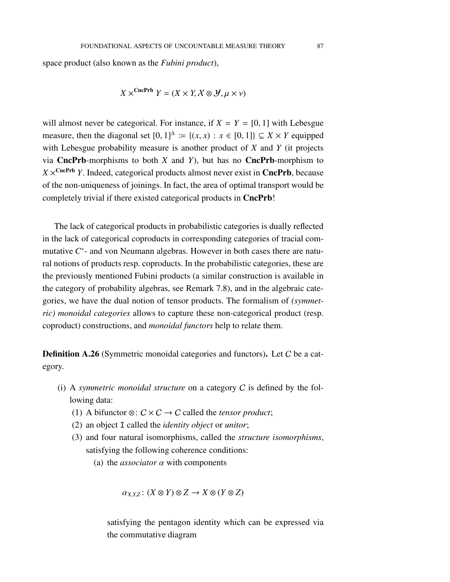space product (also known as the *Fubini product*),

$$
X \times^{\text{CncPrb}} Y = (X \times Y, X \otimes \mathcal{Y}, \mu \times \nu)
$$

will almost never be categorical. For instance, if  $X = Y = [0, 1]$  with Lebesgue measure, then the diagonal set  $[0, 1]^\Delta := \{(x, x) : x \in [0, 1]\} \subseteq X \times Y$  equipped with Lebesgue probability measure is another product of *X* and *Y* (it projects via **CncPrb**-morphisms to both  $X$  and  $Y$ ), but has no **CncPrb**-morphism to  $X \times^{\text{CncPrb}} Y$ . Indeed, categorical products almost never exist in CncPrb, because of the non-uniqueness of joinings. In fact, the area of optimal transport would be completely trivial if there existed categorical products in CncPrb!

The lack of categorical products in probabilistic categories is dually reflected in the lack of categorical coproducts in corresponding categories of tracial commutative C<sup>\*</sup>- and von Neumann algebras. However in both cases there are natural notions of products resp. coproducts. In the probabilistic categories, these are the previously mentioned Fubini products (a similar construction is available in the category of probability algebras, see Remark [7.8\)](#page-57-0), and in the algebraic categories, we have the dual notion of tensor products. The formalism of *(symmetric) monoidal categories* allows to capture these non-categorical product (resp. coproduct) constructions, and *monoidal functors* help to relate them.

Definition A.26 (Symmetric monoidal categories and functors). Let C be a category.

- (i) A *symmetric monoidal structure* on a category C is defined by the following data:
	- (1) A bifunctor  $\otimes$ :  $C \times C \rightarrow C$  called the *tensor product*;
	- (2) an object I called the *identity object* or *unitor*;
	- (3) and four natural isomorphisms, called the *structure isomorphisms*, satisfying the following coherence conditions:
		- (a) the *associator*  $\alpha$  with components

 $\alpha_{X,Y,Z}: (X \otimes Y) \otimes Z \to X \otimes (Y \otimes Z)$ 

satisfying the pentagon identity which can be expressed via the commutative diagram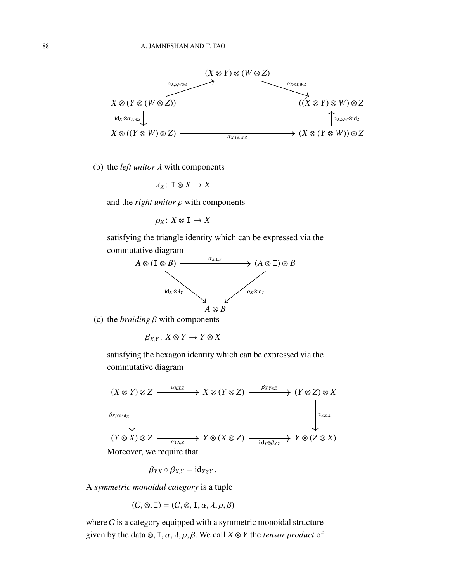

(b) the *left unitor*  $\lambda$  with components

$$
\lambda_X\colon\thinspace {\mathbf I} \otimes X \to X
$$

and the *right unitor*  $\rho$  with components

$$
\rho_X\colon X\otimes I\to X
$$

satisfying the triangle identity which can be expressed via the commutative diagram



(c) the *braiding* β with components

 $\beta_{XY}$ :  $X \otimes Y \to Y \otimes X$ 

satisfying the hexagon identity which can be expressed via the commutative diagram



$$
\beta_{Y,X}\circ\beta_{X,Y}=\mathrm{id}_{X\otimes Y}.
$$

A *symmetric monoidal category* is a tuple

$$
(C, \otimes, \mathbf{I}) = (C, \otimes, \mathbf{I}, \alpha, \lambda, \rho, \beta)
$$

where  $C$  is a category equipped with a symmetric monoidal structure given by the data  $\otimes$ , I,  $\alpha$ ,  $\lambda$ ,  $\rho$ ,  $\beta$ . We call  $X \otimes Y$  the *tensor product* of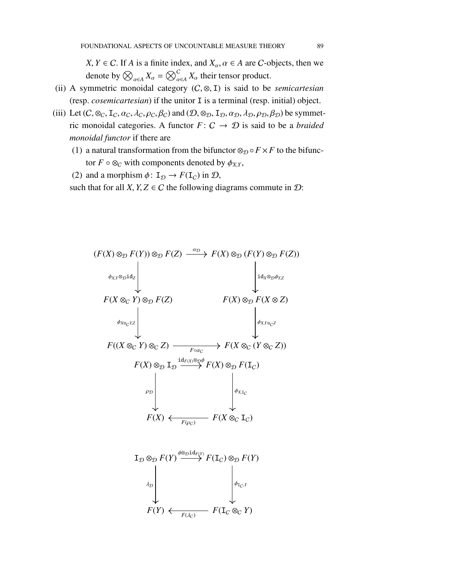$X, Y \in \mathcal{C}$ . If *A* is a finite index, and  $X_\alpha, \alpha \in A$  are *C*-objects, then we denote by  $\bigotimes_{\alpha \in A} X_{\alpha} = \bigotimes_{\alpha \in A}^C X_{\alpha}$  their tensor product.

- (ii) A symmetric monoidal category (C, ⊗, I) is said to be *semicartesian* (resp. *cosemicartesian*) if the unitor I is a terminal (resp. initial) object.
- (iii) Let  $(C, \otimes_C, I_C, \alpha_C, \lambda_C, \rho_C, \beta_C)$  and  $(D, \otimes_D, I_D, \alpha_D, \lambda_D, \rho_D, \beta_D)$  be symmetric monoidal categories. A functor  $F: C \rightarrow \mathcal{D}$  is said to be a *braided monoidal functor* if there are
	- (1) a natural transformation from the bifunctor  $\otimes_{\mathcal{D}} \circ F \times F$  to the bifunctor  $F \circ \otimes_C$  with components denoted by  $\phi_{X,Y}$ ,
	- (2) and a morphism  $\phi: \mathbb{I}_{\mathcal{D}} \to F(\mathbb{I}_{C})$  in  $\mathcal{D}$ ,

such that for all *X*, *Y*, *Z*  $\in$  *C* the following diagrams commute in *D*:

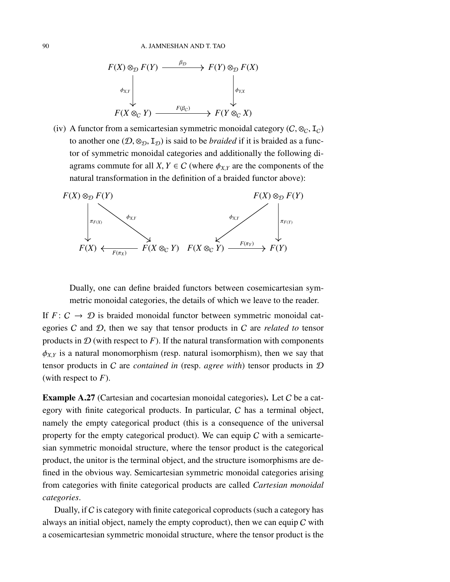

(iv) A functor from a semicartesian symmetric monoidal category ( $C$ ,  $\otimes_C$ ,  $I_C$ ) to another one  $(D, \otimes_D, I_D)$  is said to be *braided* if it is braided as a functor of symmetric monoidal categories and additionally the following diagrams commute for all *X*,  $Y \in C$  (where  $\phi_{X,Y}$  are the components of the natural transformation in the definition of a braided functor above):



Dually, one can define braided functors between cosemicartesian symmetric monoidal categories, the details of which we leave to the reader.

If  $F: C \rightarrow \mathcal{D}$  is braided monoidal functor between symmetric monoidal categories C and D, then we say that tensor products in C are *related to* tensor products in  $D$  (with respect to  $F$ ). If the natural transformation with components  $\phi_{XY}$  is a natural monomorphism (resp. natural isomorphism), then we say that tensor products in C are *contained in* (resp. *agree with*) tensor products in D (with respect to *F*).

Example A.27 (Cartesian and cocartesian monoidal categories). Let C be a category with finite categorical products. In particular, C has a terminal object, namely the empty categorical product (this is a consequence of the universal property for the empty categorical product). We can equip  $C$  with a semicartesian symmetric monoidal structure, where the tensor product is the categorical product, the unitor is the terminal object, and the structure isomorphisms are defined in the obvious way. Semicartesian symmetric monoidal categories arising from categories with finite categorical products are called *Cartesian monoidal categories*.

Dually, if  $C$  is category with finite categorical coproducts (such a category has always an initial object, namely the empty coproduct), then we can equip  $C$  with a cosemicartesian symmetric monoidal structure, where the tensor product is the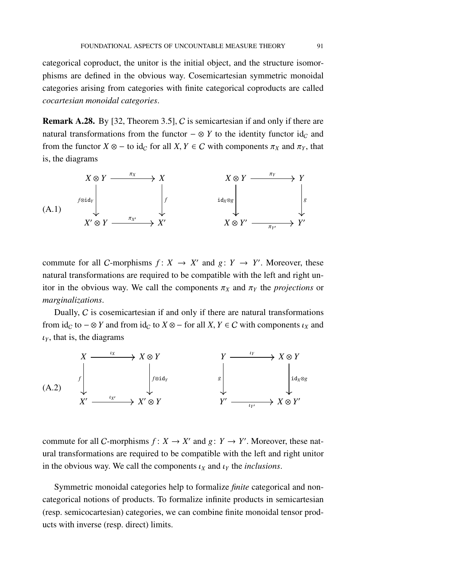categorical coproduct, the unitor is the initial object, and the structure isomorphisms are defined in the obvious way. Cosemicartesian symmetric monoidal categories arising from categories with finite categorical coproducts are called *cocartesian monoidal categories*.

Remark A.28. By [\[32,](#page-98-3) Theorem 3.5], C is semicartesian if and only if there are natural transformations from the functor  $-\otimes Y$  to the identity functor id<sub>c</sub> and from the functor  $X \otimes -$  to id<sub>C</sub> for all  $X, Y \in C$  with components  $\pi_X$  and  $\pi_Y$ , that is, the diagrams

<span id="page-90-0"></span>

commute for all *C*-morphisms  $f: X \rightarrow X'$  and  $g: Y \rightarrow Y'$ . Moreover, these natural transformations are required to be compatible with the left and right unitor in the obvious way. We call the components  $\pi_X$  and  $\pi_Y$  the *projections* or *marginalizations*.

Dually,  $C$  is cosemicartesian if and only if there are natural transformations from  $id_C$  to  $-\otimes Y$  and from  $id_C$  to  $X \otimes -$  for all  $X, Y \in C$  with components  $\iota_X$  and  $\iota_Y$ , that is, the diagrams



commute for all *C*-morphisms  $f: X \to X'$  and  $g: Y \to Y'$ . Moreover, these natural transformations are required to be compatible with the left and right unitor in the obvious way. We call the components  $\iota_X$  and  $\iota_Y$  the *inclusions*.

Symmetric monoidal categories help to formalize *finite* categorical and noncategorical notions of products. To formalize infinite products in semicartesian (resp. semicocartesian) categories, we can combine finite monoidal tensor products with inverse (resp. direct) limits.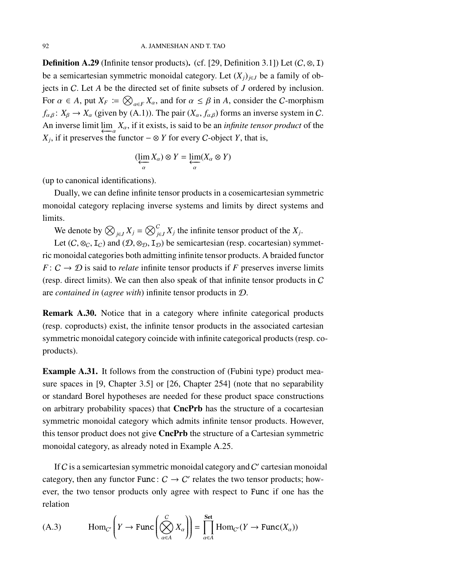**Definition A.29** (Infinite tensor products). (cf. [\[29,](#page-98-4) Definition 3.1]) Let  $(C, \otimes, I)$ be a semicartesian symmetric monoidal category. Let  $(X_i)_{i \in J}$  be a family of objects in C. Let *A* be the directed set of finite subsets of *J* ordered by inclusion. For  $\alpha \in A$ , put  $X_F := \bigotimes_{\alpha \in F} X_\alpha$ , and for  $\alpha \le \beta$  in A, consider the C-morphism  $f_{\alpha,\beta}$ :  $X_{\beta} \to X_{\alpha}$  (given by [\(A.1\)](#page-90-0)). The pair  $(X_{\alpha}, f_{\alpha,\beta})$  forms an inverse system in C. An inverse limit  $\lim_{\epsilon \to 0} X_\alpha$ , if it exists, is said to be an *infinite tensor product* of the *X*<sub>*j*</sub>, if it preserves the functor  $-\otimes Y$  for every *C*-object *Y*, that is,

$$
(\varprojlim_{\alpha} X_{\alpha}) \otimes Y = \varprojlim_{\alpha} (X_{\alpha} \otimes Y)
$$

(up to canonical identifications).

Dually, we can define infinite tensor products in a cosemicartesian symmetric monoidal category replacing inverse systems and limits by direct systems and limits.

We denote by  $\bigotimes_{j \in J} X_j = \bigotimes_{j \in J}^C X_j$  the infinite tensor product of the  $X_j$ .

Let  $(C, \otimes_C, I_C)$  and  $(D, \otimes_D, I_D)$  be semicartesian (resp. cocartesian) symmetric monoidal categories both admitting infinite tensor products. A braided functor *F* :  $C \rightarrow \mathcal{D}$  is said to *relate* infinite tensor products if *F* preserves inverse limits (resp. direct limits). We can then also speak of that infinite tensor products in C are *contained in* (*agree with*) infinite tensor products in D.

Remark A.30. Notice that in a category where infinite categorical products (resp. coproducts) exist, the infinite tensor products in the associated cartesian symmetric monoidal category coincide with infinite categorical products (resp. coproducts).

<span id="page-91-0"></span>Example A.31. It follows from the construction of (Fubini type) product measure spaces in [\[9,](#page-97-0) Chapter 3.5] or [\[26,](#page-98-5) Chapter 254] (note that no separability or standard Borel hypotheses are needed for these product space constructions on arbitrary probability spaces) that CncPrb has the structure of a cocartesian symmetric monoidal category which admits infinite tensor products. However, this tensor product does not give CncPrb the structure of a Cartesian symmetric monoidal category, as already noted in Example [A.25.](#page-85-0)

If  $C$  is a semicartesian symmetric monoidal category and  $C'$  cartesian monoidal category, then any functor Func:  $C \rightarrow C'$  relates the two tensor products; however, the two tensor products only agree with respect to Func if one has the relation

(A.3) 
$$
\text{Hom}_{C'}\left(Y \to \text{Func}\left(\bigotimes_{\alpha \in A}^{C} X_{\alpha}\right)\right) = \prod_{\alpha \in A}^{\text{Set}} \text{Hom}_{C'}(Y \to \text{Func}(X_{\alpha}))
$$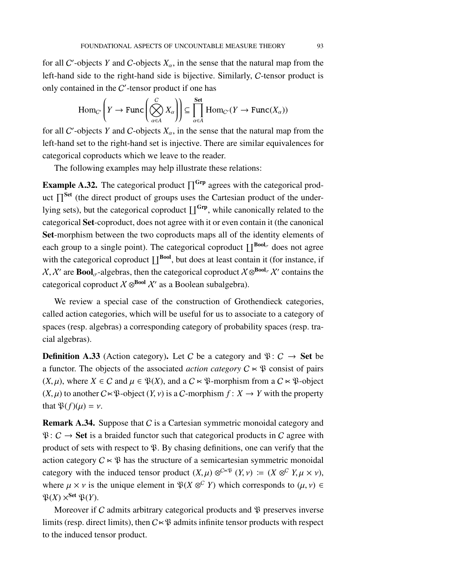for all C'-objects Y and C-objects  $X_\alpha$ , in the sense that the natural map from the left-hand side to the right-hand side is bijective. Similarly, C-tensor product is only contained in the  $C'$ -tensor product if one has

$$
\text{Hom}_{C'}\left(Y \to \text{Func}\left(\bigotimes_{\alpha \in A}^{C} X_{\alpha}\right)\right) \subseteq \prod_{\alpha \in A}^{\text{Set}} \text{Hom}_{C'}(Y \to \text{Func}(X_{\alpha}))
$$

for all C'-objects Y and C-objects  $X_\alpha$ , in the sense that the natural map from the left-hand set to the right-hand set is injective. There are similar equivalences for categorical coproducts which we leave to the reader.

The following examples may help illustrate these relations:

**Example A.32.** The categorical product  $\prod^{Grp}$  agrees with the categorical product  $\prod^{\text{Set}}$  (the direct product of groups uses the Cartesian product of the underlying sets), but the categorical coproduct  $\left[\right]^{Grp}$ , while canonically related to the categorical Set-coproduct, does not agree with it or even contain it (the canonical Set-morphism between the two coproducts maps all of the identity elements of each group to a single point). The categorical coproduct  $\prod^{Bool_{\sigma}}$  does not agree with the categorical coproduct  $\prod^{\text{Bool}}$ , but does at least contain it (for instance, if  $X, X'$  are **Bool**<sub>σ</sub>-algebras, then the categorical coproduct  $X \otimes^{Bool_{\sigma}} X'$  contains the categorical coproduct  $X \otimes^{Bool} X'$  as a Boolean subalgebra).

We review a special case of the construction of Grothendieck categories, called action categories, which will be useful for us to associate to a category of spaces (resp. algebras) a corresponding category of probability spaces (resp. tracial algebras).

**Definition A.33** (Action category). Let C be a category and  $\mathcal{P}: C \rightarrow$  Set be a functor. The objects of the associated *action category*  $C \times \mathcal{P}$  consist of pairs  $(X, \mu)$ , where  $X \in \mathcal{C}$  and  $\mu \in \mathfrak{P}(X)$ , and a  $\mathcal{C} \ltimes \mathfrak{P}$ -morphism from a  $\mathcal{C} \ltimes \mathfrak{P}$ -object  $(X, \mu)$  to another  $C \ltimes \mathcal{P}$ -object  $(Y, \nu)$  is a C-morphism  $f: X \to Y$  with the property that  $\mathfrak{P}(f)(\mu) = \nu$ .

**Remark A.34.** Suppose that C is a Cartesian symmetric monoidal category and  $\mathfrak{P}: C \to$  Set is a braided functor such that categorical products in C agree with product of sets with respect to  $\mathfrak{P}$ . By chasing definitions, one can verify that the action category  $C \times \mathcal{P}$  has the structure of a semicartesian symmetric monoidal category with the induced tensor product  $(X, \mu) \otimes^{C \times \mathfrak{P}} (Y, \nu) := (X \otimes^C Y, \mu \times \nu)$ , where  $\mu \times \nu$  is the unique element in  $\mathfrak{P}(X \otimes^C Y)$  which corresponds to  $(\mu, \nu) \in$  $\mathfrak{P}(X) \times^{\mathbf{Set}} \mathfrak{P}(Y).$ 

Moreover if  $C$  admits arbitrary categorical products and  $\mathfrak P$  preserves inverse limits (resp. direct limits), then  $C \times \mathfrak{P}$  admits infinite tensor products with respect to the induced tensor product.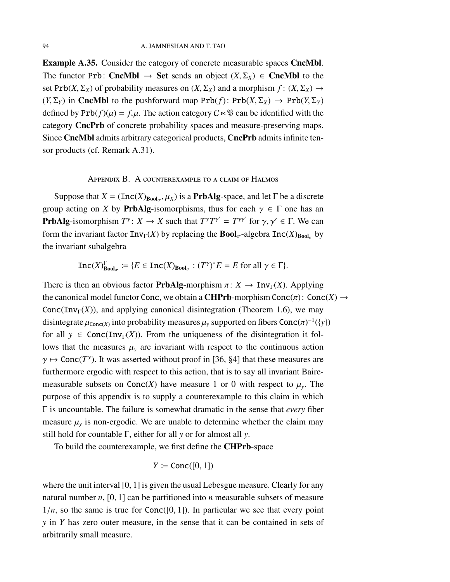Example A.35. Consider the category of concrete measurable spaces CncMbl. The functor Prb: CncMbl  $\rightarrow$  Set sends an object  $(X, \Sigma_X) \in$  CncMbl to the set Prb(*X*,  $\Sigma_X$ ) of probability measures on  $(X, \Sigma_X)$  and a morphism  $f: (X, \Sigma_X) \to$  $(Y, \Sigma_Y)$  in CncMbl to the pushforward map Prb(*f*): Prb( $X, \Sigma_X$ )  $\rightarrow$  Prb( $Y, \Sigma_Y$ ) defined by  $Prb(f)(\mu) = f_*\mu$ . The action category  $C \times \mathfrak{P}$  can be identified with the category CncPrb of concrete probability spaces and measure-preserving maps. Since CncMbl admits arbitrary categorical products, CncPrb admits infinite tensor products (cf. Remark [A.31\)](#page-91-0).

## Appendix B. A counterexample to a claim of Halmos

Suppose that  $X = (Inc(X)_{Bool_{\sigma}}, \mu_X)$  is a **PrbAlg**-space, and let  $\Gamma$  be a discrete group acting on *X* by **PrbAlg**-isomorphisms, thus for each  $\gamma \in \Gamma$  one has an **PrbAlg**-isomorphism  $T^{\gamma}$ :  $X \to X$  such that  $T^{\gamma}T^{\gamma'} = T^{\gamma\gamma'}$  for  $\gamma, \gamma' \in \Gamma$ . We can form the invariant factor  $\text{Inv}_{\Gamma}(X)$  by replacing the **Bool**<sub>σ</sub>-algebra  $\text{Inc}(X)_{\text{Bool}_\tau}$  by the invariant subalgebra

$$
\mathrm{Inc}(X)_{\mathrm{Bool}_{\sigma}}^{\Gamma} \coloneqq \{ E \in \mathrm{Inc}(X)_{\mathrm{Bool}_{\sigma}} : (T^{\gamma})^* E = E \text{ for all } \gamma \in \Gamma \}.
$$

There is then an obvious factor **PrbAlg**-morphism  $\pi: X \to \text{Inv}_\Gamma(X)$ . Applying the canonical model functor Conc, we obtain a **CHPrb**-morphism Conc $(\pi)$ : Conc $(X) \rightarrow$ Conc(Inv<sub> $\Gamma$ </sub> $(X)$ ), and applying canonical disintegration (Theorem [1.6\)](#page-13-0), we may disintegrate  $\mu_{\text{Conc}(X)}$  into probability measures  $\mu_y$  supported on fibers Conc $(\pi)^{-1}(\{y\})$ for all  $y \in \text{Conc}(\text{Inv}_\Gamma(X))$ . From the uniqueness of the disintegration it follows that the measures  $\mu$ <sup>*y*</sup> are invariant with respect to the continuous action  $\gamma \mapsto$  Conc(*T*<sup> $\gamma$ </sup>). It was asserted without proof in [\[36,](#page-98-6) §4] that these measures are furthermore ergodic with respect to this action, that is to say all invariant Bairemeasurable subsets on  $Conc(X)$  have measure 1 or 0 with respect to  $\mu_y$ . The purpose of this appendix is to supply a counterexample to this claim in which Γ is uncountable. The failure is somewhat dramatic in the sense that *every* fiber measure  $\mu$ <sub>y</sub> is non-ergodic. We are unable to determine whether the claim may still hold for countable Γ, either for all *y* or for almost all *y*.

To build the counterexample, we first define the CHPrb-space

$$
Y \coloneqq \text{Conc}([0,1])
$$

where the unit interval [0, 1] is given the usual Lebesgue measure. Clearly for any natural number *n*, [0, 1] can be partitioned into *n* measurable subsets of measure  $1/n$ , so the same is true for Conc([0, 1]). In particular we see that every point *y* in *Y* has zero outer measure, in the sense that it can be contained in sets of arbitrarily small measure.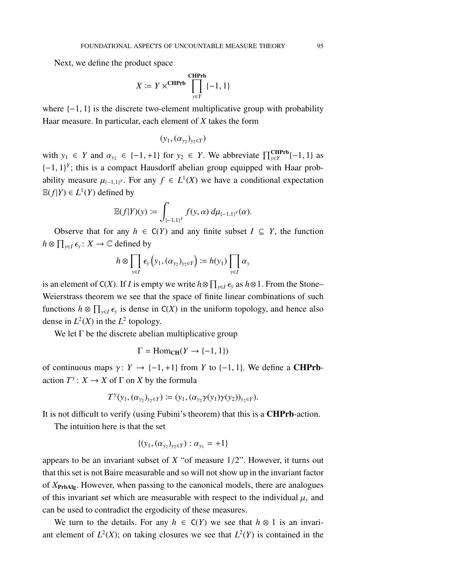Next, we define the product space

$$
X \coloneqq Y \times^{\textbf{CHPrb}} \prod_{y \in Y}^{\textbf{CHPrb}} \{-1, 1\}
$$

where  $\{-1, 1\}$  is the discrete two-element multiplicative group with probability Haar measure. In particular, each element of *X* takes the form

$$
(y_1, (\alpha_{y_2})_{y_2 \in Y})
$$

with  $y_1 \in Y$  and  $\alpha_{y_2} \in \{-1, +1\}$  for  $y_2 \in Y$ . We abbreviate  $\prod_{y \in Y}^{\text{CHPrb}}(-1, 1)$  as  $\{-1, 1\}^Y$ ; this is a compact Hausdorff abelian group equipped with Haar probability measure  $\mu_{(-1,1)^Y}$ . For any  $f \in L^1(X)$  we have a conditional expectation  $\mathbb{E}(f|Y) \in L^1(Y)$  defined by

$$
\mathbb{E}(f|Y)(y) := \int_{\{-1,1\}^Y} f(y,\alpha) \, d\mu_{\{-1,1\}^Y}(\alpha).
$$

Observe that for any  $h \in C(Y)$  and any finite subset  $I \subseteq Y$ , the function  $h \otimes \prod_{y \in I} \epsilon_y : X \to \mathbb{C}$  defined by

$$
h \otimes \prod_{y \in I} \epsilon_y \left( y_1, (\alpha_{y_2})_{y_2 \in Y} \right) := h(y_1) \prod_{y \in I} \alpha_y
$$

is an element of C(*X*). If *I* is empty we write  $h \otimes \prod_{y \in I} \epsilon_y$  as  $h \otimes 1$ . From the Stone– Weierstrass theorem we see that the space of finite linear combinations of such functions  $h \otimes \prod_{y \in I} \epsilon_y$  is dense in C(*X*) in the uniform topology, and hence also dense in  $L^2(X)$  in the  $L^2$  topology.

We let  $\Gamma$  be the discrete abelian multiplicative group

$$
\Gamma = \mathrm{Hom}_{\mathbf{CH}}(Y \to \{-1, 1\})
$$

of continuous maps  $\gamma: Y \to \{-1, +1\}$  from *Y* to  $\{-1, 1\}$ . We define a **CHPrb**action  $T^{\gamma}: X \to X$  of  $\Gamma$  on  $X$  by the formula

$$
T^{\gamma}(y_1,(\alpha_{y_2})_{y_2 \in Y}) \coloneqq (y_1,(\alpha_{y_2}\gamma(y_1)\gamma(y_2))_{y_2 \in Y}).
$$

It is not difficult to verify (using Fubini's theorem) that this is a CHPrb-action.

The intuition here is that the set

$$
\{(y_1, (\alpha_{y_2})_{y_2 \in Y}) : \alpha_{y_1} = +1\}
$$

appears to be an invariant subset of *X* "of measure 1/2". However, it turns out that this set is not Baire measurable and so will not show up in the invariant factor of *X*PrbAlg. However, when passing to the canonical models, there are analogues of this invariant set which are measurable with respect to the individual  $\mu$ <sub>*y*</sub> and can be used to contradict the ergodicity of these measures.

We turn to the details. For any  $h \in C(Y)$  we see that  $h \otimes 1$  is an invariant element of  $L^2(X)$ ; on taking closures we see that  $L^2(Y)$  is contained in the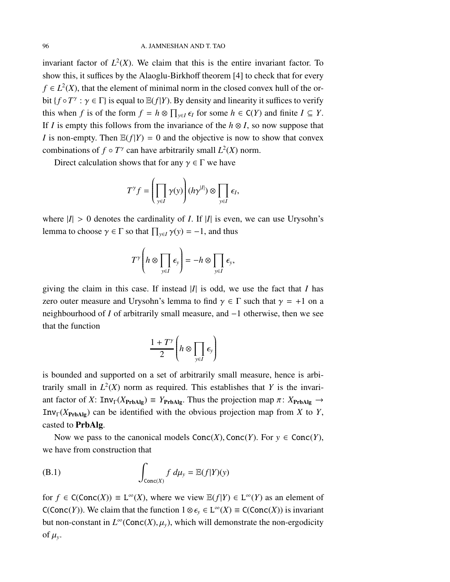invariant factor of  $L^2(X)$ . We claim that this is the entire invariant factor. To show this, it suffices by the Alaoglu-Birkhoff theorem [\[4\]](#page-96-1) to check that for every  $f \in L^2(X)$ , that the element of minimal norm in the closed convex hull of the orbit { $f \circ T^{\gamma}$  :  $\gamma \in \Gamma$ } is equal to  $\mathbb{E}(f|Y)$ . By density and linearity it suffices to verify this when *f* is of the form  $f = h \otimes \prod_{y \in I} \epsilon_I$  for some  $h \in C(Y)$  and finite  $I \subseteq Y$ . If *I* is empty this follows from the invariance of the  $h \otimes I$ , so now suppose that *I* is non-empty. Then  $\mathbb{E}(f|Y) = 0$  and the objective is now to show that convex combinations of  $f \circ T^{\gamma}$  can have arbitrarily small  $L^2(X)$  norm.

Direct calculation shows that for any  $\gamma \in \Gamma$  we have

$$
T^{\gamma} f = \left( \prod_{y \in I} \gamma(y) \right) (h \gamma^{|I|}) \otimes \prod_{y \in I} \epsilon_I,
$$

where  $|I| > 0$  denotes the cardinality of *I*. If  $|I|$  is even, we can use Urysohn's lemma to choose  $\gamma \in \Gamma$  so that  $\prod_{y \in I} \gamma(y) = -1$ , and thus

$$
T^{\gamma}\left(h\otimes\prod_{y\in I}\epsilon_y\right)=-h\otimes\prod_{y\in I}\epsilon_y,
$$

giving the claim in this case. If instead  $|I|$  is odd, we use the fact that *I* has zero outer measure and Urysohn's lemma to find  $\gamma \in \Gamma$  such that  $\gamma = +1$  on a neighbourhood of *I* of arbitrarily small measure, and −1 otherwise, then we see that the function

$$
\frac{1+T^{\gamma}}{2}\left(h\otimes\prod_{y\in I}\epsilon_y\right)
$$

is bounded and supported on a set of arbitrarily small measure, hence is arbitrarily small in  $L^2(X)$  norm as required. This establishes that *Y* is the invariant factor of *X*:  $Inv_{\Gamma}(X_{\text{PrbAlg}}) \equiv Y_{\text{PrbAlg}}$ . Thus the projection map  $\pi: X_{\text{PrbAlg}} \rightarrow$ Inv<sub>Γ</sub>( $X_{\text{PrbAlg}}$ ) can be identified with the obvious projection map from *X* to *Y*, casted to PrbAlg.

Now we pass to the canonical models  $Conc(X)$ , Conc $(Y)$ . For  $y \in Conc(Y)$ , we have from construction that

<span id="page-95-0"></span>(B.1) 
$$
\int_{\text{Conc}(X)} f \, d\mu_y = \mathbb{E}(f|Y)(y)
$$

for  $f \in C(\text{Conc}(X)) \equiv L^{\infty}(X)$ , where we view  $\mathbb{E}(f|Y) \in L^{\infty}(Y)$  as an element of C(Conc(*Y*)). We claim that the function  $1 \otimes \epsilon_y \in L^{\infty}(X) \equiv C(\text{Conc}(X))$  is invariant but non-constant in  $L^{\infty}(\text{Conc}(X), \mu_y)$ , which will demonstrate the non-ergodicity of  $\mu_{y}$ .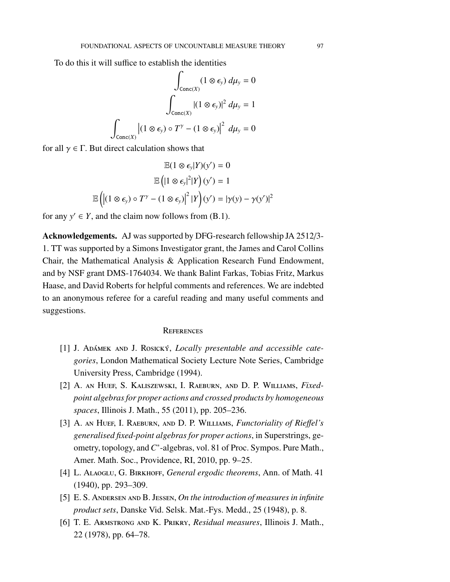To do this it will suffice to establish the identities

$$
\int_{\text{Conc}(X)} (1 \otimes \epsilon_y) d\mu_y = 0
$$

$$
\int_{\text{Conc}(X)} |(1 \otimes \epsilon_y)|^2 d\mu_y = 1
$$

$$
\int_{\text{Conc}(X)} |(1 \otimes \epsilon_y) \circ T^\gamma - (1 \otimes \epsilon_y)|^2 d\mu_y = 0
$$

for all  $\gamma \in \Gamma$ . But direct calculation shows that

$$
\mathbb{E}(1 \otimes \epsilon_y | Y)(y') = 0
$$

$$
\mathbb{E}(|1 \otimes \epsilon_y|^2 | Y)(y') = 1
$$

$$
\mathbb{E}(|1 \otimes \epsilon_y) \circ T^{\gamma} - (1 \otimes \epsilon_y)|^2 | Y(y') = |\gamma(y) - \gamma(y')|^2
$$

for any  $y' \in Y$ , and the claim now follows from [\(B.1\)](#page-95-0).

Acknowledgements. AJ was supported by DFG-research fellowship JA 2512/3- 1. TT was supported by a Simons Investigator grant, the James and Carol Collins Chair, the Mathematical Analysis & Application Research Fund Endowment, and by NSF grant DMS-1764034. We thank Balint Farkas, Tobias Fritz, Markus Haase, and David Roberts for helpful comments and references. We are indebted to an anonymous referee for a careful reading and many useful comments and suggestions.

#### **REFERENCES**

- [1] J. ADAMEK AND J. ROSICKÝ, *Locally presentable and accessible categories*, London Mathematical Society Lecture Note Series, Cambridge University Press, Cambridge (1994).
- [2] A. an Huef, S. Kaliszewski, I. Raeburn, and D. P. Williams, *Fixedpoint algebras for proper actions and crossed products by homogeneous spaces*, Illinois J. Math., 55 (2011), pp. 205–236.
- [3] A. an Huef, I. Raeburn, and D. P. Williams, *Functoriality of Rie*ff*el's generalised fixed-point algebras for proper actions*, in Superstrings, geometry, topology, and C<sup>\*</sup>-algebras, vol. 81 of Proc. Sympos. Pure Math., Amer. Math. Soc., Providence, RI, 2010, pp. 9–25.
- <span id="page-96-1"></span><span id="page-96-0"></span>[4] L. Alaoglu, G. Birkhoff, *General ergodic theorems*, Ann. of Math. 41 (1940), pp. 293–309.
- [5] E. S. Andersen and B. Jessen, *On the introduction of measures in infinite product sets*, Danske Vid. Selsk. Mat.-Fys. Medd., 25 (1948), p. 8.
- [6] T. E. Armstrong and K. Prikry, *Residual measures*, Illinois J. Math., 22 (1978), pp. 64–78.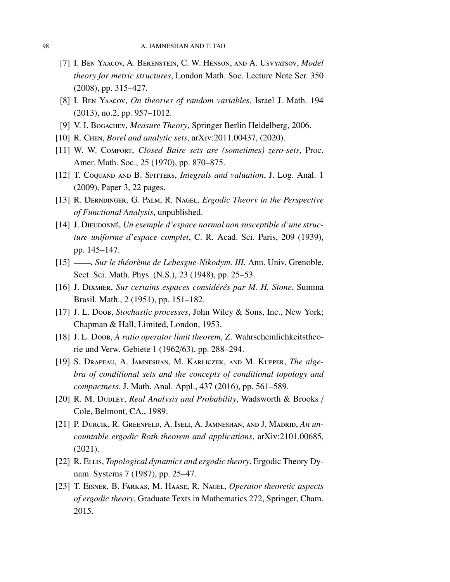- [7] I. Ben Yaacov, A. Berenstein, C. W. Henson, and A. Usvyatsov, *Model theory for metric structures*, London Math. Soc. Lecture Note Ser. 350 (2008), pp. 315–427.
- <span id="page-97-0"></span>[8] I. Ben Yaacov, *On theories of random variables*, Israel J. Math. 194 (2013), no.2, pp. 957–1012.
- [9] V. I. Bogachev, *Measure Theory*, Springer Berlin Heidelberg, 2006.
- [10] R. Chen, *Borel and analytic sets*, [arXiv:2011.00437,](http://arxiv.org/abs/2011.00437) (2020).
- [11] W. W. Comfort, *Closed Baire sets are (sometimes) zero-sets*, Proc. Amer. Math. Soc., 25 (1970), pp. 870–875.
- [12] T. Coquand and B. Spitters, *Integrals and valuation*, J. Log. Anal. 1 (2009), Paper 3, 22 pages.
- [13] R. Derndinger, G. Palm, R. Nagel, *Ergodic Theory in the Perspective of Functional Analysis*, unpublished.
- [14] J. DIEUDONNÉ, Un exemple d'espace normal non susceptible d'une struc*ture uniforme d'espace complet*, C. R. Acad. Sci. Paris, 209 (1939), pp. 145–147.
- [15]  $\_\_\_\_\$ Sur le théorème de Lebesgue-Nikodym. III, Ann. Univ. Grenoble. Sect. Sci. Math. Phys. (N.S.), 23 (1948), pp. 25–53.
- [16] J. Dixmier, *Sur certains espaces considérés par M. H. Stone*, Summa Brasil. Math., 2 (1951), pp. 151–182.
- [17] J. L. Doob, *Stochastic processes*, John Wiley & Sons, Inc., New York; Chapman & Hall, Limited, London, 1953.
- [18] J. L. Doob, *A ratio operator limit theorem*, Z. Wahrscheinlichkeitstheorie und Verw. Gebiete 1 (1962/63), pp. 288–294.
- [19] S. Drapeau, A. Jamneshan, M. Karliczek, and M. Kupper, *The algebra of conditional sets and the concepts of conditional topology and compactness*, J. Math. Anal. Appl., 437 (2016), pp. 561–589.
- [20] R. M. DUDLEY, *Real Analysis and Probability*, Wadsworth & Brooks / Cole, Belmont, CA., 1989.
- [21] P. Durcik, R. Greenfeld, A. Iseli, A. Jamneshan, and J. Madrid, *An uncountable ergodic Roth theorem and applications*, [arXiv:2101.00685,](http://arxiv.org/abs/2101.00685) (2021).
- [22] R. Ellis, *Topological dynamics and ergodic theory*, Ergodic Theory Dynam. Systems 7 (1987), pp. 25–47.
- [23] T. Eisner, B. Farkas, M. Haase, R. Nagel, *Operator theoretic aspects of ergodic theory*, Graduate Texts in Mathematics 272, Springer, Cham. 2015.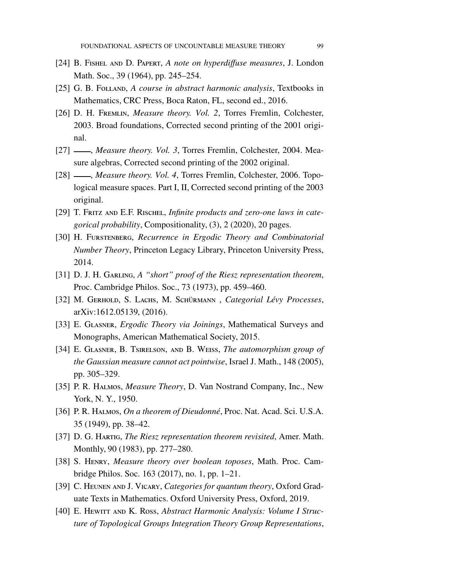- [24] B. Fishel and D. Papert, *A note on hyperdi*ff*use measures*, J. London Math. Soc., 39 (1964), pp. 245–254.
- <span id="page-98-5"></span>[25] G. B. Folland, *A course in abstract harmonic analysis*, Textbooks in Mathematics, CRC Press, Boca Raton, FL, second ed., 2016.
- [26] D. H. Fremlin, *Measure theory. Vol. 2*, Torres Fremlin, Colchester, 2003. Broad foundations, Corrected second printing of the 2001 original.
- <span id="page-98-1"></span><span id="page-98-0"></span>[27]  $\_\_\_\_\$ *Measure theory. Vol. 3*, Torres Fremlin, Colchester, 2004. Measure algebras, Corrected second printing of the 2002 original.
- [28]  $\_\_\_\_\$ *Measure theory. Vol. 4*, Torres Fremlin, Colchester, 2006. Topological measure spaces. Part I, II, Corrected second printing of the 2003 original.
- <span id="page-98-4"></span>[29] T. Fritz and E.F. Rischel, *Infinite products and zero-one laws in categorical probability*, Compositionality, (3), 2 (2020), 20 pages.
- [30] H. Furstenberg, *Recurrence in Ergodic Theory and Combinatorial Number Theory*, Princeton Legacy Library, Princeton University Press, 2014.
- <span id="page-98-3"></span>[31] D. J. H. Garling, *A "short" proof of the Riesz representation theorem*, Proc. Cambridge Philos. Soc., 73 (1973), pp. 459–460.
- [32] M. GERHOLD, S. LACHS, M. SCHÜRMANN, Categorial Lévy Processes, [arXiv:1612.05139,](http://arxiv.org/abs/1612.05139) (2016).
- [33] E. Glasner, *Ergodic Theory via Joinings*, Mathematical Surveys and Monographs, American Mathematical Society, 2015.
- [34] E. Glasner, B. Tsirelson, and B. Weiss, *The automorphism group of the Gaussian measure cannot act pointwise*, Israel J. Math., 148 (2005), pp. 305–329.
- <span id="page-98-6"></span>[35] P. R. Halmos, *Measure Theory*, D. Van Nostrand Company, Inc., New York, N. Y., 1950.
- [36] P. R. Halmos, *On a theorem of Dieudonné*, Proc. Nat. Acad. Sci. U.S.A. 35 (1949), pp. 38–42.
- [37] D. G. Hartig, *The Riesz representation theorem revisited*, Amer. Math. Monthly, 90 (1983), pp. 277–280.
- <span id="page-98-2"></span>[38] S. Henry, *Measure theory over boolean toposes*, Math. Proc. Cambridge Philos. Soc. 163 (2017), no. 1, pp. 1–21.
- [39] C. Heunen and J. Vicary, *Categories for quantum theory*, Oxford Graduate Texts in Mathematics. Oxford University Press, Oxford, 2019.
- [40] E. HEWITT AND K. Ross, *Abstract Harmonic Analysis: Volume I Structure of Topological Groups Integration Theory Group Representations*,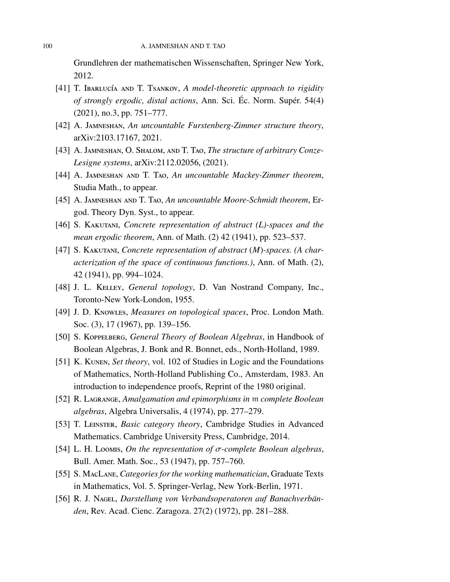Grundlehren der mathematischen Wissenschaften, Springer New York, 2012.

- [41] T. IBARLUCÍA AND T. TSANKOV, *A model-theoretic approach to rigidity of strongly ergodic, distal actions*, Ann. Sci. Éc. Norm. Supér. 54(4) (2021), no.3, pp. 751–777.
- [42] A. Jamneshan, *An uncountable Furstenberg-Zimmer structure theory*, [arXiv:2103.17167,](http://arxiv.org/abs/2103.17167) 2021.
- [43] A. Jamneshan, O. Shalom, and T. Tao, *The structure of arbitrary Conze-Lesigne systems*, [arXiv:2112.02056,](http://arxiv.org/abs/2112.02056) (2021).
- <span id="page-99-2"></span>[44] A. Jamneshan and T. Tao, *An uncountable Mackey-Zimmer theorem*, Studia Math., to appear.
- [45] A. Jamneshan and T. Tao, *An uncountable Moore-Schmidt theorem*, Ergod. Theory Dyn. Syst., to appear.
- [46] S. Kakutani, *Concrete representation of abstract (L)-spaces and the mean ergodic theorem*, Ann. of Math. (2) 42 (1941), pp. 523–537.
- [47] S. Kakutani, *Concrete representation of abstract* (*M*)*-spaces. (A characterization of the space of continuous functions.)*, Ann. of Math. (2), 42 (1941), pp. 994–1024.
- [48] J. L. Kelley, *General topology*, D. Van Nostrand Company, Inc., Toronto-New York-London, 1955.
- [49] J. D. Knowles, *Measures on topological spaces*, Proc. London Math. Soc. (3), 17 (1967), pp. 139–156.
- [50] S. Koppelberg, *General Theory of Boolean Algebras*, in Handbook of Boolean Algebras, J. Bonk and R. Bonnet, eds., North-Holland, 1989.
- [51] K. Kunen, *Set theory*, vol. 102 of Studies in Logic and the Foundations of Mathematics, North-Holland Publishing Co., Amsterdam, 1983. An introduction to independence proofs, Reprint of the 1980 original.
- <span id="page-99-0"></span>[52] R. Lagrange, *Amalgamation and epimorphisms in* m *complete Boolean algebras*, Algebra Universalis, 4 (1974), pp. 277–279.
- [53] T. Leinster, *Basic category theory*, Cambridge Studies in Advanced Mathematics. Cambridge University Press, Cambridge, 2014.
- <span id="page-99-1"></span>[54] L. H. Loomis, *On the representation of* σ*-complete Boolean algebras*, Bull. Amer. Math. Soc., 53 (1947), pp. 757–760.
- [55] S. MacLane, *Categories for the working mathematician*, Graduate Texts in Mathematics, Vol. 5. Springer-Verlag, New York-Berlin, 1971.
- [56] R. J. Nagel, *Darstellung von Verbandsoperatoren auf Banachverbänden*, Rev. Acad. Cienc. Zaragoza. 27(2) (1972), pp. 281–288.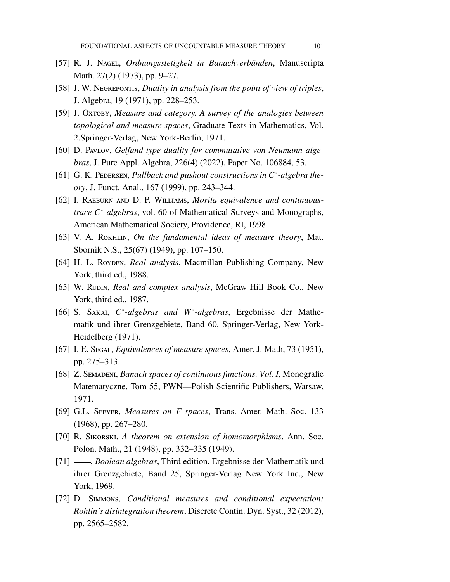- [57] R. J. Nagel, *Ordnungsstetigkeit in Banachverbänden*, Manuscripta Math. 27(2) (1973), pp. 9–27.
- [58] J. W. Negrepontis, *Duality in analysis from the point of view of triples*, J. Algebra, 19 (1971), pp. 228–253.
- [59] J. Oxtoby, *Measure and category. A survey of the analogies between topological and measure spaces*, Graduate Texts in Mathematics, Vol. 2.Springer-Verlag, New York-Berlin, 1971.
- [60] D. Pavlov, *Gelfand-type duality for commutative von Neumann algebras*, J. Pure Appl. Algebra, 226(4) (2022), Paper No. 106884, 53.
- [61] G. K. PEDERSEN, *Pullback and pushout constructions in C<sup>∗</sup>-algebra theory*, J. Funct. Anal., 167 (1999), pp. 243–344.
- [62] I. RAEBURN AND D. P. WILLIAMS, *Morita equivalence and continuoustrace C*<sup>∗</sup> *-algebras*, vol. 60 of Mathematical Surveys and Monographs, American Mathematical Society, Providence, RI, 1998.
- [63] V. A. ROKHLIN, *On the fundamental ideas of measure theory*, Mat. Sbornik N.S., 25(67) (1949), pp. 107–150.
- [64] H. L. Roypen, *Real analysis*, Macmillan Publishing Company, New York, third ed., 1988.
- [65] W. Rudin, *Real and complex analysis*, McGraw-Hill Book Co., New York, third ed., 1987.
- [66] S. SAKAI, C<sup>∗</sup>-algebras and W<sup>∗</sup>-algebras, Ergebnisse der Mathematik und ihrer Grenzgebiete, Band 60, Springer-Verlag, New York-Heidelberg (1971).
- [67] I. E. Segal, *Equivalences of measure spaces*, Amer. J. Math, 73 (1951), pp. 275–313.
- [68] Z. SEMADENI, *Banach spaces of continuous functions. Vol. I*, Monografie Matematyczne, Tom 55, PWN—Polish Scientific Publishers, Warsaw, 1971.
- [69] G.L. Seever, *Measures on F-spaces*, Trans. Amer. Math. Soc. 133 (1968), pp. 267–280.
- [70] R. Sikorski, *A theorem on extension of homomorphisms*, Ann. Soc. Polon. Math., 21 (1948), pp. 332–335 (1949).
- [71] , *Boolean algebras*, Third edition. Ergebnisse der Mathematik und ihrer Grenzgebiete, Band 25, Springer-Verlag New York Inc., New York, 1969.
- [72] D. Simmons, *Conditional measures and conditional expectation; Rohlin's disintegration theorem*, Discrete Contin. Dyn. Syst., 32 (2012), pp. 2565–2582.